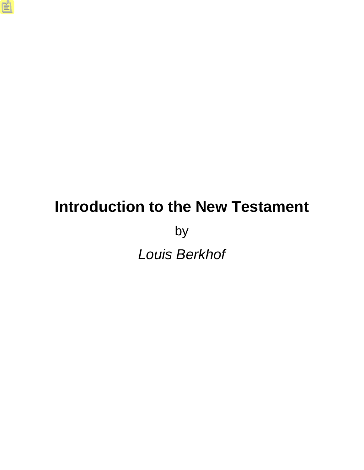# **Introduction to the New Testament**

by

*Louis Berkhof*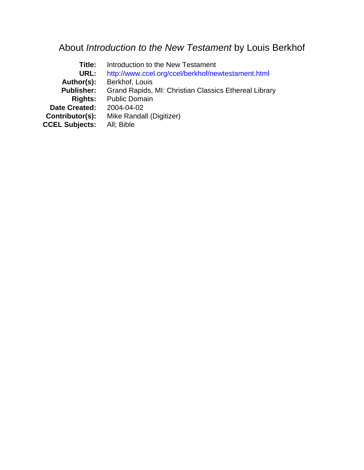## About *Introduction to the New Testament* by Louis Berkhof

<span id="page-1-0"></span>

| Title:                | Introduction to the New Testament                     |
|-----------------------|-------------------------------------------------------|
| URL:                  | http://www.ccel.org/ccel/berkhof/newtestament.html    |
| Author(s):            | Berkhof, Louis                                        |
| <b>Publisher:</b>     | Grand Rapids, MI: Christian Classics Ethereal Library |
| <b>Rights:</b>        | <b>Public Domain</b>                                  |
| <b>Date Created:</b>  | 2004-04-02                                            |
| Contributor(s):       | Mike Randall (Digitizer)                              |
| <b>CCEL Subjects:</b> | All; Bible                                            |
|                       |                                                       |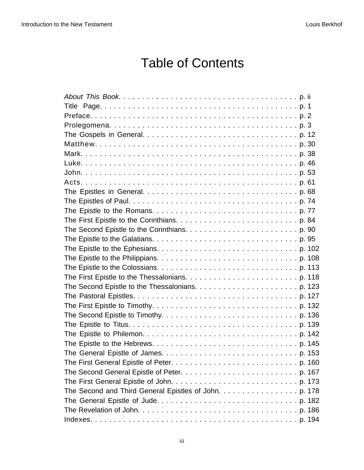## Table of Contents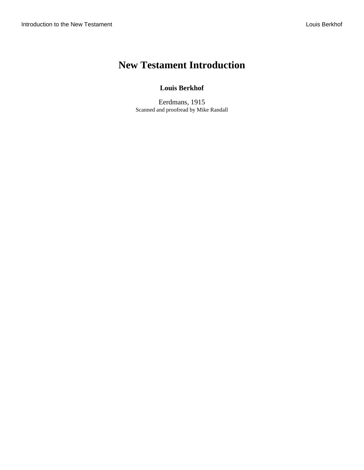## <span id="page-4-0"></span>**New Testament Introduction**

## **Louis Berkhof**

Eerdmans, 1915 Scanned and proofread by Mike Randall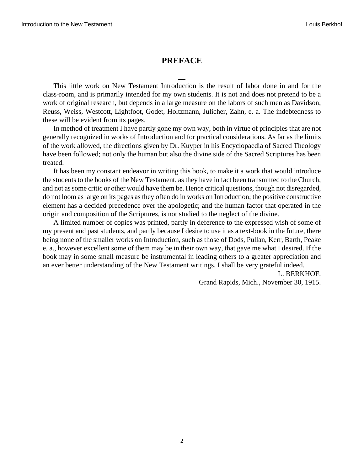## **PREFACE**

<span id="page-5-0"></span>This little work on New Testament Introduction is the result of labor done in and for the class-room, and is primarily intended for my own students. It is not and does not pretend to be a work of original research, but depends in a large measure on the labors of such men as Davidson, Reuss, Weiss, Westcott, Lightfoot, Godet, Holtzmann, Julicher, Zahn, e. a. The indebtedness to these will be evident from its pages.

In method of treatment I have partly gone my own way, both in virtue of principles that are not generally recognized in works of Introduction and for practical considerations. As far as the limits of the work allowed, the directions given by Dr. Kuyper in his Encyclopaedia of Sacred Theology have been followed; not only the human but also the divine side of the Sacred Scriptures has been treated.

It has been my constant endeavor in writing this book, to make it a work that would introduce the students to the books of the New Testament, as they have in fact been transmitted to the Church, and not as some critic or other would have them be. Hence critical questions, though not disregarded, do not loom as large on its pages as they often do in works on Introduction; the positive constructive element has a decided precedence over the apologetic; and the human factor that operated in the origin and composition of the Scriptures, is not studied to the neglect of the divine.

A limited number of copies was printed, partly in deference to the expressed wish of some of my present and past students, and partly because I desire to use it as a text-book in the future, there being none of the smaller works on Introduction, such as those of Dods, Pullan, Kerr, Barth, Peake e. a., however excellent some of them may be in their own way, that gave me what I desired. If the book may in some small measure be instrumental in leading others to a greater appreciation and an ever better understanding of the New Testament writings, I shall be very grateful indeed.

L. BERKHOF.

Grand Rapids, Mich., November 30, 1915.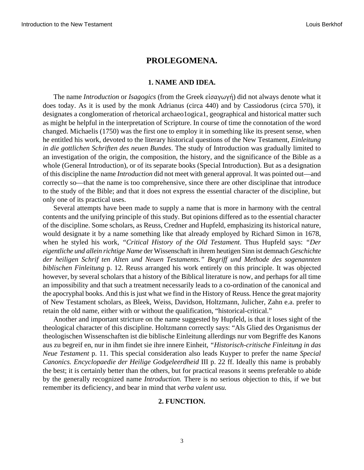## **PROLEGOMENA.**

#### **1. NAME AND IDEA.**

<span id="page-6-0"></span>The name *Introduction* or *Isagogics* (from the Greek εἰσαγωγή) did not always denote what it does today. As it is used by the monk Adrianus (circa 440) and by Cassiodorus (circa 570), it designates a conglomeration of rhetorical archaeo1ogica1, geographical and historical matter such as might be helpful in the interpretation of Scripture. In course of time the connotation of the word changed. Michaelis (1750) was the first one to employ it in something like its present sense, when he entitled his work, devoted to the literary historical questions of the New Testament, *Einleitung in die gottlichen Schriften des neuen Bundes*. The study of Introduction was gradually limited to an investigation of the origin, the composition, the history, and the significance of the Bible as a whole (General Introduction), or of its separate books (Special Introduction). But as a designation of this discipline the name *Introduction* did not meet with general approval. It was pointed out—and correctly so—that the name is too comprehensive, since there are other disciplinae that introduce to the study of the Bible; and that it does not express the essential character of the discipline, but only one of its practical uses.

Several attempts have been made to supply a name that is more in harmony with the central contents and the unifying principle of this study. But opinions differed as to the essential character of the discipline. Some scholars, as Reuss, Credner and Hupfeld, emphasizing its historical nature, would designate it by a name something like that already employed by Richard Simon in 1678, when he styled his work, *"Critical History of the Old Testament*. Thus Hupfeld says: *"Der eigentliche und allein richtige Name* der Wissenschaft in ihrem heutigen Sinn ist demnach *Geschichte der heiligen Schrif ten Alten und Neuen Testaments." Begriff und Methode des sogenannten biblischen Finleitung* p. 12. Reuss arranged his work entirely on this principle. It was objected however, by several scholars that a history of the Biblical literature is now, and perhaps for all time an impossibility and that such a treatment necessarily leads to a co-ordination of the canonical and the apocryphal books. And this is just what we find in the History of Reuss. Hence the great majority of New Testament scholars, as Bleek, Weiss, Davidson, Holtzmann, Julicher, Zahn e.a. prefer to retain the old name, either with or without the qualification, "historical-critical."

Another and important stricture on the name suggested by Hupfeld, is that it loses sight of the theological character of this discipline. Holtzmann correctly says: "Als Glied des Organismus der theologischen Wissenschaften ist die biblische Einleitung allerdings nur vom Begriffe des Kanons aus zu begreif en, nur in ihm findet sie ihre innere Einheit, *"Historisch-critische Finleitung in das Neue Testament* p. 11. This special consideration also leads Kuyper to prefer the name *Special Canonics. Encyclopaedie der Heilige Godgeleerdheid* III p. 22 ff. Ideally this name is probably the best; it is certainly better than the others, but for practical reasons it seems preferable to abide by the generally recognized name *Introduction.* There is no serious objection to this, if we but remember its deficiency, and bear in mind that *verba valent usu.*

## **2. FUNCTION.**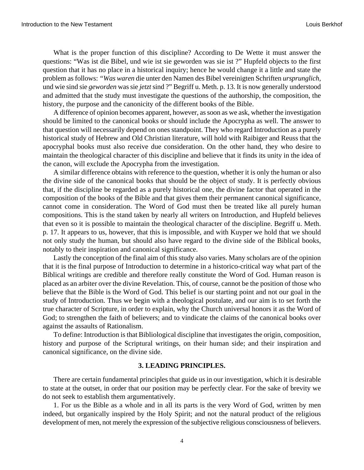What is the proper function of this discipline? According to De Wette it must answer the questions: "Was ist die Bibel, und wie ist sie geworden was sie ist ?" Hupfeld objects to the first question that it has no place in a historical inquiry; hence he would change it a little and state the problem as follows: *"Was waren* die unter den Namen des Bibel vereinigten Schriften *ursprunglich,* und wie sind sie *geworden* was sie *jetzt* sind ?" Begriff u. Meth. p. 13. It is now generally understood and admitted that the study must investigate the questions of the authorship, the composition, the history, the purpose and the canonicity of the different books of the Bible.

A difference of opinion becomes apparent, however, as soon as we ask, whether the investigation should be limited to the canonical books or should include the Apocrypha as well. The answer to that question will necessarily depend on ones standpoint. They who regard Introduction as a purely historical study of Hebrew and Old Christian literature, will hold with Raibiger and Reuss that the apocryphal books must also receive due consideration. On the other hand, they who desire to maintain the theological character of this discipline and believe that it finds its unity in the idea of the canon, will exclude the Apocrypha from the investigation.

A similar difference obtains with reference to the question, whether it is only the human or also the divine side of the canonical books that should be the object of study. It is perfectly obvious that, if the discipline be regarded as a purely historical one, the divine factor that operated in the composition of the books of the Bible and that gives them their permanent canonical significance, cannot come in consideration. The Word of God must then be treated like all purely human compositions. This is the stand taken by nearly all writers on Introduction, and Hupfeld believes that even so it is possible to maintain the theological character of the discipline. Begriff u. Meth. p. 17. It appears to us, however, that this is impossible, and with Kuyper we hold that we should not only study the human, but should also have regard to the divine side of the Biblical books, notably to their inspiration and canonical significance.

Lastly the conception of the final aim of this study also varies. Many scholars are of the opinion that it is the final purpose of Introduction to determine in a historico-critical way what part of the Biblical writings are credible and therefore really constitute the Word of God. Human reason is placed as an arbiter over the divine Revelation. This, of course, cannot be the position of those who believe that the Bible is the Word of God. This belief is our starting point and not our goal in the study of Introduction. Thus we begin with a theological postulate, and our aim is to set forth the true character of Scripture, in order to explain, why the Church universal honors it as the Word of God; to strengthen the faith of believers; and to vindicate the claims of the canonical books over against the assaults of Rationalism.

To define: Introduction is that Bibliological discipline that investigates the origin, composition, history and purpose of the Scriptural writings, on their human side; and their inspiration and canonical significance, on the divine side.

## **3. LEADING PRINCIPLES.**

There are certain fundamental principles that guide us in our investigation, which it is desirable to state at the outset, in order that our position may be perfectly clear. For the sake of brevity we do not seek to establish them argumentatively.

1. For us the Bible as a whole and in all its parts is the very Word of God, written by men indeed, but organically inspired by the Holy Spirit; and not the natural product of the religious development of men, not merely the expression of the subjective religious consciousness of believers.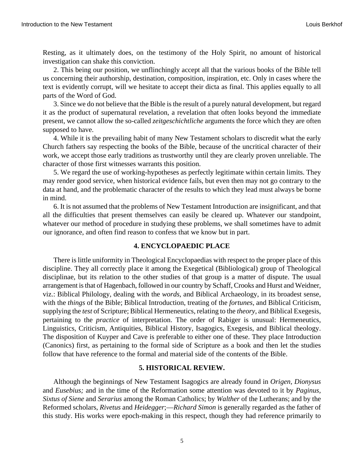Resting, as it ultimately does, on the testimony of the Holy Spirit, no amount of historical investigation can shake this conviction.

2. This being our position, we unflinchingly accept all that the various books of the Bible tell us concerning their authorship, destination, composition, inspiration, etc. Only in cases where the text is evidently corrupt, will we hesitate to accept their dicta as final. This applies equally to all parts of the Word of God.

3. Since we do not believe that the Bible is the result of a purely natural development, but regard it as the product of supernatural revelation, a revelation that often looks beyond the immediate present, we cannot allow the so-called *zeitgeschichtliche* arguments the force which they are often supposed to have.

4. While it is the prevailing habit of many New Testament scholars to discredit what the early Church fathers say respecting the books of the Bible, because of the uncritical character of their work, we accept those early traditions as trustworthy until they are clearly proven unreliable. The character of those first witnesses warrants this position.

5. We regard the use of working-hypotheses as perfectly legitimate within certain limits. They may render good service, when historical evidence fails, but even then may not go contrary to the data at hand, and the problematic character of the results to which they lead must always be borne in mind.

6. It is not assumed that the problems of New Testament Introduction are insignificant, and that all the difficulties that present themselves can easily be cleared up. Whatever our standpoint, whatever our method of procedure in studying these problems, we shall sometimes have to admit our ignorance, and often find reason to confess that we know but in part.

## **4. ENCYCLOPAEDIC PLACE**

There is little uniformity in Theological Encyclopaedias with respect to the proper place of this discipline. They all correctly place it among the Exegetical (Bibliological) group of Theological disciplinae, but its relation to the other studies of that group is a matter of dispute. The usual arrangement is that of Hagenbach, followed in our country by Schaff, Crooks and Hurst and Weidner, viz.: Biblical Philology, dealing with the *words*, and Biblical Archaeology, in its broadest sense, with the *things* of the Bible; Biblical Introduction, treating of the *fortunes*, and Biblical Criticism, supplying the *test* of Scripture; Biblical Hermeneutics, relating to the *theory*, and Biblical Exegesis, pertaining to the *practice* of interpretation. The order of Rabiger is unusual: Hermeneutics, Linguistics, Criticism, Antiquities, Biblical History, Isagogics, Exegesis, and Biblical theology. The disposition of Kuyper and Cave is preferable to either one of these. They place Introduction (Canonics) first, as pertaining to the formal side of Scripture as a book and then let the studies follow that have reference to the formal and material side of the contents of the Bible.

## **5. HISTORICAL REVIEW.**

Although the beginnings of New Testament Isagogics are already found in *Origen, Dionysus* and *Eusebius;* and in the time of the Reformation some attention was devoted to it by *Paginus, Sixtus of Siene* and *Serarius* among the Roman Catholics; by *Walther* of the Lutherans; and by the Reformed scholars, *Rivetus* and *Heidegger*;—*Richard Simon* is generally regarded as the father of this study. His works were epoch-making in this respect, though they had reference primarily to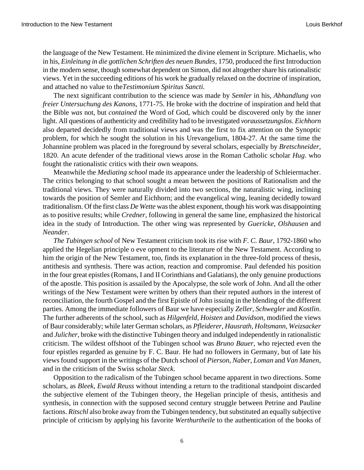the language of the New Testament. He minimized the divine element in Scripture. Michaelis, who in his, *Einleitung in die gottlichen Schriften des neuen Bundes*, 1750, produced the first Introduction in the modern sense, though somewhat dependent on Simon, did not altogether share his rationalistic views. Yet in the succeeding editions of his work he gradually relaxed on the doctrine of inspiration, and attached no value to the*Testimonium Spiritus Sancti.*

The next significant contribution to the science was made by *Semler* in his, *Abhandlung von freier Untersuchung des Kanons*, 1771-75. He broke with the doctrine of inspiration and held that the Bible *was* not, but *contained* the Word of God, which could be discovered only by the inner light. All questions of authenticity and credibility had to be investigated *voraussetzungslos*. *Eichhorn* also departed decidedly from traditional views and was the first to fix attention on the Synoptic problem, for which he sought the solution in his Urevangelium, 1804-27. At the same time the Johannine problem was placed in the foreground by several scholars, especially by *Bretschneider*, 1820. An acute defender of the traditional views arose in the Roman Catholic scholar *Hug*. who fought the rationalistic critics with their own weapons.

Meanwhile the *Mediating school* made its appearance under the leadership of Schleiermacher. The critics belonging to that school sought a mean between the positions of Rationalism and the traditional views. They were naturally divided into two sections, the naturalistic wing, inclining towards the position of Semler and Eichhorn; and the evangelical wing, leaning decidedly toward traditionalism. Of the first class *De Wette* was the ablest exponent, though his work was disappointing as to positive results; while *Credner*, following in general the same line, emphasized the historical idea in the study of Introduction. The other wing was represented by *Guericke*, *Olshausen* and *Neander*.

*The Tubingen school* of New Testament criticism took its rise with *F. C. Baur*, 1792-1860 who applied the Hegelian principle o eve opment to the literature of the New Testament. According to him the origin of the New Testament, too, finds its explanation in the three-fold process of thesis, antithesis and synthesis. There was action, reaction and compromise. Paul defended his position in the four great epistles (Romans, I and II Corinthians and Galatians), the only genuine productions of the apostle. This position is assailed by the Apocalypse, the sole work of John. And all the other writings of the New Testament were written by others than their reputed authors in the interest of reconciliation, the fourth Gospel and the first Epistle of John issuing in the blending of the different parties. Among the immediate followers of Baur we have especially *Zeller, Schwegler* and *Kostlin*. The further adherents of the school, such as *Hilgenfeld*, *Hoisten* and *Davidson*, modified the views of Baur considerably; while later German scholars, as *Pfleiderer*, *Hausrath*, *Holtsmann*, *Weizsacker* and *Julicher*, broke with the distinctive Tubingen theory and indulged independently in rationalistic criticism. The wildest offshoot of the Tubingen school was *Bruno Bauer*, who rejected even the four epistles regarded as genuine by F. C. Baur. He had no followers in Germany, but of late his views found support in the writings of the Dutch school of *Pierson*, *Naber*, *Loman* and *Van Manen*, and in the criticism of the Swiss scholar *Steck*.

Opposition to the radicalism of the Tubingen school became apparent in two directions. Some scholars, as *Bleek, Ewald Reuss* without intending a return to the traditional standpoint discarded the subjective element of the Tubingen theory, the Hegelian principle of thesis, antithesis and synthesis, in connection with the supposed second century struggle between Petrine and Pauline factions. *Ritschl* also broke away from the Tubingen tendency, but substituted an equally subjective principle of criticism by applying his favorite *Werthurtheile* to the authentication of the books of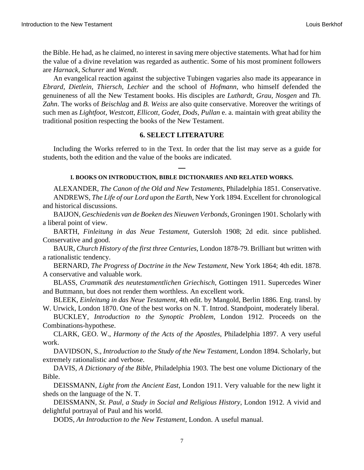the Bible. He had, as he claimed, no interest in saving mere objective statements. What had for him the value of a divine revelation was regarded as authentic. Some of his most prominent followers are *Harnack*, *Schurer* and *Wendt.*

An evangelical reaction against the subjective Tubingen vagaries also made its appearance in *Ebrard, Dietlein*, *Thiersch, Lechier* and the school of *Hofmann,* who himself defended the genuineness of all the New Testament books. His disciples are *Luthardt, Grau, Nosgen* and *Th. Zahn*. The works of *Beischlag* and *B. Weiss* are also quite conservative. Moreover the writings of such men as *Lightfoot, Westcott, Ellicott, Godet, Dods, Pullan* e. a. maintain with great ability the traditional position respecting the books of the New Testament.

## **6. SELECT LITERATURE**

Including the Works referred to in the Text. In order that the list may serve as a guide for students, both the edition and the value of the books are indicated.

## **I. BOOKS ON INTRODUCTION, BIBLE DICTIONARIES AND RELATED WORKS.**

ALEXANDER, *The Canon of the Old and New Testaments*, Philadelphia 1851. Conservative. ANDREWS, *The Life of our Lord upon the Earth*, New York 1894. Excellent for chronological and historical discussions.

BAIJON, *Geschiedenis van de Boeken des Nieuwen Verbonds*, Groningen 1901. Scholarly with a liberal point of view.

BARTH, *Finleitung in das Neue Testament*, Gutersloh 1908; 2d edit. since published. Conservative and good.

BAUR, *Church History of the first three Centuries*, London 1878-79. Brilliant but written with a rationalistic tendency.

BERNARD, *The Progress of Doctrine in the New Testament*, New York 1864; 4th edit. 1878. A conservative and valuable work.

BLASS, *Crammatik des neutestamentlichen Griechisch*, Gottingen 1911. Supercedes Winer and Buttmann, but does not render them worthless. An excellent work.

BLEEK, *Einleitung in das Neue Testament*, 4th edit. by Mangold, Berlin 1886. Eng. transl. by W. Urwick, London 1870. One of the best works on N. T. Introd. Standpoint, moderately liberal.

BUCKLEY, *Introduction to the Synoptic Problem*, London 1912. Proceeds on the Combinations-hypothese.

CLARK, GEO. W., *Harmony of the Acts of the Apostles*, Philadelphia 1897. A very useful work.

DAVIDSON, S., *Introduction to the Study of the New Testament*, London 1894. Scholarly, but extremely rationalistic and verbose.

DAVIS, *A Dictionary of the Bible*, Philadelphia 1903. The best one volume Dictionary of the Bible.

DEISSMANN, *Light from the Ancient East*, London 1911. Very valuable for the new light it sheds on the language of the N. T.

DEISSMANN, *St. Paul, a Study in Social and Religious History*, London 1912. A vivid and delightful portrayal of Paul and his world.

DODS, *An Introduction to the New Testament*, London. A useful manual.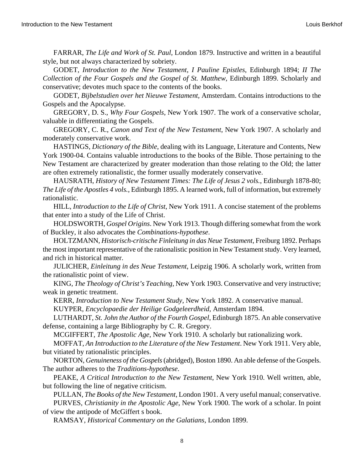FARRAR, *The Life and Work of St. Paul*, London 1879. Instructive and written in a beautiful style, but not always characterized by sobriety.

GODET, *Introduction to the New Testament*, *I Pauline Epistles*, Edinburgh 1894; *II The Collection of the Four Gospels and the Gospel of St. Matthew*, Edinburgh 1899. Scholarly and conservative; devotes much space to the contents of the books.

GODET, *Bijbelstudien over het Nieuwe Testament*, Amsterdam. Contains introductions to the Gospels and the Apocalypse.

GREGORY, D. S., *Why Four Gospels*, New York 1907. The work of a conservative scholar, valuable in differentiating the Gospels.

GREGORY, C. R., *Canon and Text of the New Testament*, New York 1907. A scholarly and moderately conservative work.

HASTINGS, *Dictionary of the Bible*, dealing with its Language, Literature and Contents, New York 1900-04. Contains valuable introductions to the books of the Bible. Those pertaining to the New Testament are characterized by greater moderation than those relating to the Old; the latter are often extremely rationalistic, the former usually moderately conservative.

HAUSRATH, *History of New Testament Times: The Life of Jesus 2 vols.*, Edinburgh 1878-80; *The Life of the Apostles 4 vols.*, Edinburgh 1895. A learned work, full of information, but extremely rationalistic.

HILL, *Introduction to the Life of Christ*, New York 1911. A concise statement of the problems that enter into a study of the Life of Christ.

HOLDSWORTH, *Gospel Origins*. New York 1913. Though differing somewhat from the work of Buckley, it also advocates the *Combinations-hypothese*.

HOLTZMANN, *Historisch-critische Finleitung in das Neue Testament*, Freiburg 1892. Perhaps the most important representative of the rationalistic position in New Testament study. Very learned, and rich in historical matter.

JULICHER, *Einleitung in des Neue Testament*, Leipzig 1906. A scholarly work, written from the rationalistic point of view.

KING, *The Theology of Christ's Teaching*, New York 1903. Conservative and very instructive; weak in genetic treatment.

KERR, *Introduction to New Testament Study*, New York 1892. A conservative manual.

KUYPER, *Encyclopaedie der Heilige Godgeleerdheid*, Amsterdam 1894.

LUTHARDT, *St. John the Author of the Fourth Gospel*, Edinburgh 1875. An able conservative defense, containing a large Bibliography by C. R. Gregory.

MCGIFFERT, *The Apostolic Age*, New York 1910. A scholarly but rationalizing work.

MOFFAT, *An Introduction to the Literature of the New Testament*. New York 1911. Very able, but vitiated by rationalistic principles.

NORTON, *Genuineness of the Gospels* (abridged), Boston 1890. An able defense of the Gospels. The author adheres to the *Traditions-hypothese*.

PEAKE, *A Critical Introduction to the New Testament*, New York 1910. Well written, able, but following the line of negative criticism.

PULLAN, *The Books of the New Testament*, London 1901. A very useful manual; conservative. PURVES, *Christianity in the Apostolic Age*, New York 1900. The work of a scholar. In point of view the antipode of McGiffert s book.

RAMSAY, *Historical Commentary on the Galatians*, London 1899.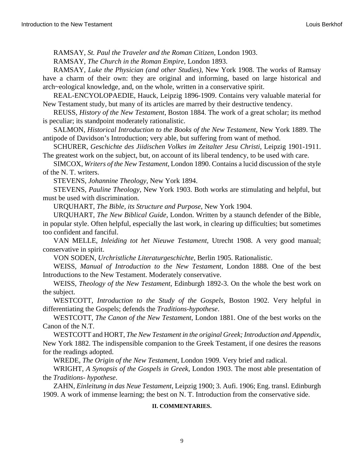RAMSAY, *St. Paul the Traveler and the Roman Citizen*, London 1903.

RAMSAY, *The Church in the Roman Empire*, London 1893.

RAMSAY, *Luke the Physician (and other Studies)*, New York 1908. The works of Ramsay have a charm of their own: they are original and informing, based on large historical and arch~eological knowledge, and, on the whole, written in a conservative spirit.

REAL-ENCYOLOPAEDIE, Hauck, Leipzig 1896-1909. Contains very valuable material for New Testament study, but many of its articles are marred by their destructive tendency.

REUSS, *History of the New Testament*, Boston 1884. The work of a great scholar; its method is peculiar; its standpoint moderately rationalistic.

SALMON, *Historical Introduction to the Books of the New Testament*, New York 1889. The antipode of Davidson's Introduction; very able, but suffering from want of method.

SCHURER, *Geschichte des Jiidischen Volkes im Zeitalter Jesu Christi*, Leipzig 1901-1911. The greatest work on the subject, but, on account of its liberal tendency, to be used with care.

SIMCOX, *Writers of the New Testament*, London 1890. Contains a lucid discussion of the style of the N. T. writers.

STEVENS, *Johannine Theology*, New York 1894.

STEVENS, *Pauline Theology*, New York 1903. Both works are stimulating and helpful, but must be used with discrimination.

URQUHART, *The Bible, its Structure and Purpose*, New York 1904.

URQUHART, *The New Biblical Guide*, London. Written by a staunch defender of the Bible, in popular style. Often helpful, especially the last work, in clearing up difficulties; but sometimes too confident and fanciful.

VAN MELLE, *Inleiding tot het Nieuwe Testament*, Utrecht 1908. A very good manual; conservative in spirit.

VON SODEN, *Urchristliche Literaturgeschichte*, Berlin 1905. Rationalistic.

WEISS, *Manual of Introduction to the New Testament*, London 1888. One of the best Introductions to the New Testament. Moderately conservative.

WEISS, *Theology of the New Testament*, Edinburgh 1892-3. On the whole the best work on the subject.

WESTCOTT, *Introduction to the Study of the Gospels*, Boston 1902. Very helpful in differentiating the Gospels; defends the *Traditions-hypothese*.

WESTCOTT, *The Canon of the New Testament*, London 1881. One of the best works on the Canon of the N.T.

WESTCOTT and HORT, *The New Testament in the original Greek; Introduction and Appendix*, New York 1882. The indispensible companion to the Greek Testament, if one desires the reasons for the readings adopted.

WREDE, *The Origin of the New Testament*, London 1909. Very brief and radical.

WRIGHT, *A Synopsis of the Gospels in Greek*, London 1903. The most able presentation of the *Traditions- hypothese*.

ZAHN, *Einleitung in das Neue Testament*, Leipzig 1900; 3. Aufi. 1906; Eng. transl. Edinburgh 1909. A work of immense learning; the best on N. T. Introduction from the conservative side.

## **II. COMMENTARIES.**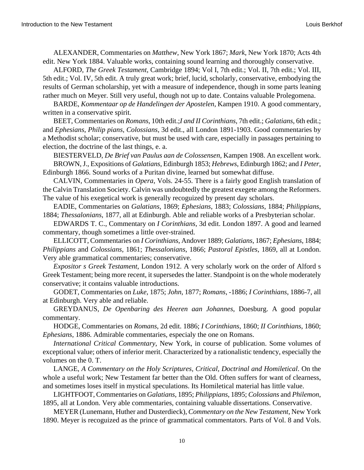ALEXANDER, Commentaries on *Matthew*, New York 1867; *Mark*, New York 1870; [Acts 4t](http://www.ccel.org/b/bible/asv/xml/asv.Acts..xml#Acts..)h edit. New York 1884. Valuable works, containing sound learning and thoroughly conservative.

ALFORD, *The Greek Testament*, Cambridge 1894; Vol I, 7th edit.; Vol. II, 7th edit.; Vol. III, 5th edit.; Vol. IV, 5th edit. A truly great work; brief, lucid, scholarly, conservative, embodying the results of German scholarship, yet with a measure of independence, though in some parts leaning rather much on Meyer. Still very useful, though not up to date. Contains valuable Prolegomena.

BARDE, *Kommentaar op de Handelingen der Apostelen*, Kampen 1910. A good commentary, written in a conservative spirit.

BEET, Commentaries on *Romans*, 10th edit.;*I and II Corinthians*, 7th edit.; *Galatians*, 6th edit.; and *Ephesians*, *Philip pians*, *Colossians*, 3d edit., all London 1891-1903. Good commentaries by a Methodist scholar; conservative, but must be used with care, especially in passages pertaining to election, the doctrine of the last things, e. a.

BIESTERVELD, *De Brief van Paulus aan de Colossensen*, Kampen 1908. An excellent work. BROWN, J., Expositions of *Galatians*, Edinburgh 1853; *Hebrews*, Edinburgh 1862; and *I Peter*, Edinburgh 1866. Sound works of a Puritan divine, learned but somewhat diffuse.

CALVIN, Commentaries in *Opera*, Vols. 24-55. There is a fairly good English translation of the Calvin Translation Society. Calvin was undoubtedly the greatest exegete among the Reformers. The value of his exegetical work is generally recoguized by present day scholars.

EADIE, Commentaries on *Galatians*, 1869; *Ephesians*, 1883; *Colossians*, 1884; *Philippians*, 1884; *Thessalonians*, 1877, all at Edinburgh. Able and reliable works of a Presbyterian scholar.

EDWARDS T. C., Commentary on *I Corinthians*, 3d edit. London 1897. A good and learned commentary, though sometimes a little over-strained.

ELLICOTT, Commentaries on *I Corinthians*, Andover 1889; *Galatians*, 1867; *Ephesians*, 1884; *Philippians* and *Colossians*, 1861; *Thessalonians*, 1866; *Pastoral Epistles*, 1869, all at London. Very able grammatical commentaries; conservative.

*Expositor s Greek Testament*, London 1912. A very scholarly work on the order of Alford s Greek Testament; being more recent, it supersedes the latter. Standpoint is on the whole moderately conservative; it contains valuable introductions.

GODET, Commentaries on *Luke*, 1875; *John*, 1877; *Romans*, -1886; *I Corinthians*, 1886-7, all at Edinburgh. Very able and reliable.

GREYDANUS, *De Openbaring des Heeren aan Johannes*, Doesburg. A good popular commentary.

HODGE, Commentaries on *Romans*, 2d edit. 1886; *I Corinthians*, 1860; *II Corinthians*, 1860; *Ephesians*, 1886. Admirable commentaries, especialy the one on Romans.

*International Critical Commentary*, New York, in course of publication. Some volumes of exceptional value; others of inferior merit. Characterized by a rationalistic tendency, especially the volumes on the 0. T.

LANGE, *A Commentary on the Holy Scriptures, Critical, Doctrinal and Homiletical*. On the whole a useful work; New Testament far better than the Old. Often suffers for want of clearness, and sometimes loses itself in mystical speculations. Its Homiletical material has little value.

LIGHTFOOT, Commentaries on *Galatians*, 1895; *Philippians*, 1895; *Colossians* and *Philemon*, 1895, all at London. Very able commentaries, containing valuable dissertations. Conservative.

MEYER (Lunemann, Huther and Dusterdieck), *Commentary on the New Testament*, New York 1890. Meyer is recoguized as the prince of grammatical commentators. Parts of Vol. 8 and Vols.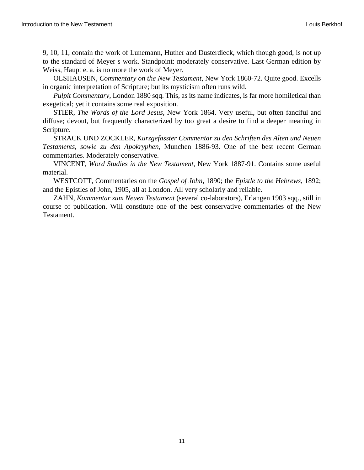9, 10, 11, contain the work of Lunemann, Huther and Dusterdieck, which though good, is not up to the standard of Meyer s work. Standpoint: moderately conservative. Last German edition by Weiss, Haupt e. a. is no more the work of Meyer.

OLSHAUSEN, *Commentary on the New Testament*, New York 1860-72. Quite good. Excells in organic interpretation of Scripture; but its mysticism often runs wild.

*Pulpit Commentary*, London 1880 sqq. This, as its name indicates, is far more homiletical than exegetical; yet it contains some real exposition.

STIER, *The Words of the Lord Jesus*, New York 1864. Very useful, but often fanciful and diffuse; devout, but frequently characterized by too great a desire to find a deeper meaning in Scripture.

STRACK UND ZOCKLER, *Kurzgefasster Commentar zu den Schriften des Alten und Neuen Testaments*, *sowie zu den Apokryphen*, Munchen 1886-93. One of the best recent German commentaries. Moderately conservative.

VINCENT, *Word Studies in the New Testament*, New York 1887-91. Contains some useful material.

WESTCOTT, Commentaries on the *Gospel of John*, 1890; the *Epistle to the Hebrews*, 1892; and the Epistles of John, 1905, all at London. All very scholarly and reliable.

ZAHN, *Kommentar zum Neuen Testament* (several co-laborators), Erlangen 1903 sqq., still in course of publication. Will constitute one of the best conservative commentaries of the New Testament.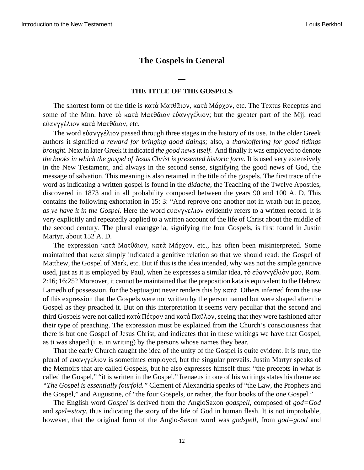## **The Gospels in General**

## **THE TITLE OF THE GOSPELS**

<span id="page-15-0"></span>The shortest form of the title is κατὰ Ματθᾶιον, κατὰ Μάρχον, etc. The Textus Receptus and some of the Mnn. have τὸ κατὰ Ματθᾶιον εὐανγγέλιον; but the greater part of the Mjj. read εὐανγγέλιον κατὰ Ματθᾶιον, etc.

The word εὐανγγέλιον passed through three stages in the history of its use. In the older Greek authors it signified *a reward for bringing good tidings;* also, a *thankoffering for good tidings brought.* Next in later Greek it indicated *the good news itself.* And finally it was employed to denote *the books in which the gospel of Jesus Christ is presented historic form.* It is used very extensively in the New Testament, and always in the second sense, signifying the good news of God, the message of salvation. This meaning is also retained in the title of the gospels. The first trace of the word as indicating a written gospel is found in the *didache*, the Teaching of the Twelve Apostles, discovered in 1873 and in all probability composed between the years 90 and 100 A. D. This contains the following exhortation in 15: 3: "And reprove one another not in wrath but in peace, *as ye have it in the Gospel.* Here the word ευανγγελιον evidently refers to a written record. It is very explicitly and repeatedly applied to a written account of the life of Christ about the middle of the second century. The plural euanggelia, signifying the four Gospels, is first found in Justin Martyr, about 152 A. D.

The expression κατὰ Ματθᾶιον, κατὰ Μάρχον, etc., has often been misinterpreted. Some maintained that κατὰ simply indicated a genitive relation so that we should read: the Gospel of Matthew, the Gospel of Mark, etc. But if this is the idea intended, why was not the simple genitive used, just as it is employed by Paul, when he expresses a similar idea, τὸ εὐανγγέλιὸν μου, [Rom.](http://www.ccel.org/b/bible/asv/xml/asv.Rom.2.xml#Rom.2.16) [2:16](http://www.ccel.org/b/bible/asv/xml/asv.Rom.2.xml#Rom.2.16); 16:25? Moreover, it cannot be maintained that the preposition kata is equivalent to the Hebrew Lamedh of possession, for the Septuagint never renders this by κατὰ. Others inferred from the use of this expression that the Gospels were not written by the person named but were shaped after the Gospel as they preached it. But on this interpretation it seems very peculiar that the second and third Gospels were not called κατὰ Πέτρον and κατὰ Παῦλον, seeing that they were fashioned after their type of preaching. The expression must be explained from the Church's consciousness that there is but one Gospel of Jesus Christ, and indicates that in these writings we have that Gospel, as ti was shaped (i. e. in writing) by the persons whose names they bear.

That the early Church caught the idea of the unity of the Gospel is quite evident. It is true, the plural of ευανγγελιον is sometimes employed, but the singular prevails. Justin Martyr speaks of the Memoirs that are called Gospels, but he also expresses himself thus: "the precepts in what is called the Gospel," "it is written in the Gospel." Irenaeus in one of his writings states his theme as: *"The Gospel is essentially fourfold."* Clement of Alexandria speaks of "the Law, the Prophets and the Gospel," and Augustine, of "the four Gospels, or rather, the four books of the one Gospel."

The English word *Gospel* is derived from the AngloSaxon *godspell,* composed of *god=God* and *spel=story,* thus indicating the story of the life of God in human flesh. It is not improbable, however, that the original form of the Anglo-Saxon word was *godspell,* from *god=good* and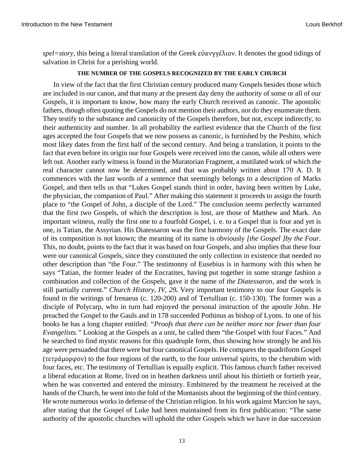*spel=story,* this being a literal translation of the Greek εὐανγγέλιον. It denotes the good tidings of salvation in Christ for a perishing world.

## **THE NUMBER OF THE GOSPELS RECOGNIZED BY THE EARLY CHURCH**

In view of the fact that the first Christian century produced many Gospels besides those which are included in our canon, and that many at the present day deny the authority of some or all of our Gospels, it is important to know, how many the early Church received as canonic. The apostolic fathers, though often quoting the Gospels do not mention their authors, nor do they enumerate them. They testify to the substance and canonicity of the Gospels therefore, but not, except indirectly, to their authenticity and number. In all probability the earliest evidence that the Church of the first ages accepted the four Gospels that we now possess as canonic, is furnished by the Peshito, which most likey dates from the first half of the second century. And being a translation, it points to the fact that even before its origin our four Gospels were received into the canon, while all others were left out. Another early witness is found in the Muratorian Fragment, a mutilated work of which the real character cannot now be determined, and that was probably written about 170 A. D. It commences with the last words of a sentence that seemingly belongs to a description of Marks Gospel, and then tells us that "Lukes Gospel stands third in order, having been written by Luke, the physician, the companion of Paul." After making this statement it proceeds to assign the fourth place to "the Gospel of John, a disciple of the Lord." The conclusion seems perfectly warranted that the first two Gospels, of which the description is lost, are those of Matthew and Mark. An important witness, really the first one to a fourfold Gospel, i. e. to a Gospel that is four and yet is one, is Tatian, the Assyrian. His Diatessaron was the first harmony of the Gospels. The exact date of its composition is not known; the meaning of its name is obviously *[the Gospel ]by the Four.* This, no doubt, points to the fact that it was based on four Gospels, and also implies that these four were our canonical Gospels, since they constituted the only collection in existence that needed no other description than "the Four." The testimonny of Eusebius is in harmony with this when he says "Tatian, the former leader of the Encratites, having put together in some strange fashion a combination and collection of the Gospels, gave it the name of *the Diatessaron,* and the work is still partially current." *Church History, IV, 29.* Very important testimony to our four Gospels is found in the writings of Irenaeus (c. 120-200) and of Tertullian (c. 150-130). The former was a disciple of Polycarp, who in turn had enjoyed the personal instruction of the apostle John. He preached the Gospel to the Gauls and in 178 succeeded Pothinus as bishop of Lyons. In one of his books he has a long chapter entitled: *"Proofs that there can be neither more nor fewer than four Evangelists."* Looking at the Gospels as a unit, he called them "the Gospel with four Faces." And he searched to find mystic reasons for this quadruple form, thus showing how strongly he and his age were persuaded that there were but four canonical Gospels. He compares the quadriform Gospel (τετράμορφον) to the four regions of the earth, to the four universal spirits, to the cherubim with four faces, etc. The testimony of Tertullian is equally explicit. This famous church father received a liberal education at Rome, lived on in heathen darkness until about his thirtieth or fortieth year, when he was converted and entered the ministry. Embittered by the treatment he received at the hands of the Church, he went into the fold of the Montanists about the beginning of the third century. He wrote numerous works in defense of the Christian religion. In his work against Marcion he says, after stating that the Gospel of Luke had been maintained from its first publication: "The same authority of the apostolic churches will uphold the other Gospels which we have in due succession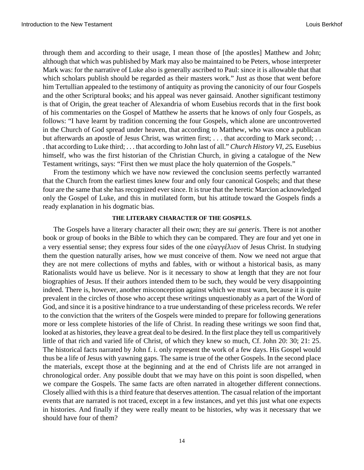through them and according to their usage, I mean those of [the apostles] Matthew and John; although that which was published by Mark may also be maintained to be Peters, whose interpreter Mark was: for the narrative of Luke also is generally ascribed to Paul: since it is allowable that that which scholars publish should be regarded as their masters work." Just as those that went before him Tertullian appealed to the testimony of antiquity as proving the canonicity of our four Gospels and the other Scriptural books; and his appeal was never gainsaid. Another significant testimony is that of Origin, the great teacher of Alexandria of whom Eusebius records that in the first book of his commentaries on the Gospel of Matthew he asserts that he knows of only four Gospels, as follows: "I have learnt by tradition concerning the four Gospels, which alone are uncontroverted in the Church of God spread under heaven, that according to Matthew, who was once a publican but afterwards an apostle of Jesus Christ, was written first; . . . that according to Mark second; . . . that according to Luke third; . . . that according to John last of all." *Church History VI, 25.* Eusebius himself, who was the first historian of the Christian Church, in giving a catalogue of the New Testament writings, says: "First then we must place the holy quaternion of the Gospels."

From the testimony which we have now reviewed the conclusion seems perfectly warranted that the Church from the earliest times knew four and only four canonical Gospels; and that these four are the same that she has recognized ever since. It is true that the heretic Marcion acknowledged only the Gospel of Luke, and this in mutilated form, but his attitude toward the Gospels finds a ready explanation in his dogmatic bias.

#### **THE LITERARY CHARACTER OF THE GOSPELS.**

The Gospels have a literary character all their own; they are *sui generis.* There is not another book or group of books in the Bible to which they can be compared. They are four and yet one in a very essential sense; they express four sides of the one εὐαγγέλιον of Jesus Christ. In studying them the question naturally arises, how we must conceive of them. Now we need not argue that they are not mere collections of myths and fables, with or without a historical basis, as many Rationalists would have us believe. Nor is it necessary to show at length that they are not four biographies of Jesus. If their authors intended them to be such, they would be very disappointing indeed. There is, however, another misconception against which we must warn, because it is quite prevalent in the circles of those who accept these writings unquestionably as a part of the Word of God, and since it is a positive hindrance to a true understanding of these priceless records. We refer to the conviction that the writers of the Gospels were minded to prepare for following generations more or less complete histories of the life of Christ. In reading these writings we soon find that, looked at as histories, they leave a great deal to be desired. In the first place they tell us comparitively little of that rich and varied life of Christ, of which they knew so much, Cf. [John 20:](http://www.ccel.org/b/bible/asv/xml/asv.John..xml#John..) 30; 21: 25. The historical facts narrated by John f. i. only represent the work of a few days. His Gospel would thus be a life of Jesus with yawning gaps. The same is true of the other Gospels. In the second place the materials, except those at the beginning and at the end of Christs life are not arranged in chronological order. Any possible doubt that we may have on this point is soon dispelled, when we compare the Gospels. The same facts are often narrated in altogether different connections. Closely allied with this is a third feature that deserves attention. The casual relation of the important events that are narrated is not traced, except in a few instances, and yet this just what one expects in histories. And finally if they were really meant to be histories, why was it necessary that we should have four of them?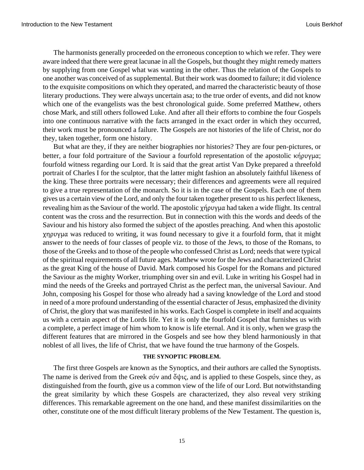The harmonists generally proceeded on the erroneous conception to which we refer. They were aware indeed that there were great lacunae in all the Gospels, but thought they might remedy matters by supplying from one Gospel what was wanting in the other. Thus the relation of the Gospels to one another was conceived of as supplemental. But their work was doomed to failure; it did violence to the exquisite compositions on which they operated, and marred the characteristic beauty of those literary productions. They were always uncertain asa; to the true order of events, and did not know which one of the evangelists was the best chronological guide. Some preferred Matthew, others chose Mark, and still others followed Luke. And after all their efforts to combine the four Gospels into one continuous narrative with the facts arranged in the exact order in which they occurred, their work must be pronounced a failure. The Gospels are not histories of the life of Christ, nor do they, taken together, form one history.

But what are they, if they are neither biographies nor histories? They are four pen-pictures, or better, a four fold portraiture of the Saviour a fourfold representation of the apostolic κήρυγμα; fourfold witness regarding our Lord. It is said that the great artist Van Dyke prepared a threefold portrait of Charles I for the sculptor, that the latter might fashion an absolutely faithful likeness of the king. These three portraits were necessary; their differences and agreements were all required to give a true representation of the monarch. So it is in the case of the Gospels. Each one of them gives us a certain view of the Lord, and only the four taken together present to us his perfect likeness, revealing him as the Saviour of the world. The apostolic χήρυγμα had taken a wide flight. Its central content was the cross and the resurrection. But in connection with this the words and deeds of the Saviour and his history also formed the subject of the apostles preaching. And when this apostolic χηρυγμα was reduced to writing, it was found necessary to give it a fourfold form, that it might answer to the needs of four classes of people viz. to those of the Jews, to those of the Romans, to those of the Greeks and to those of the people who confessed Christ as Lord; needs that were typical of the spiritual requirements of all future ages. Matthew wrote for the Jews and characterized Christ as the great King of the house of David. Mark composed his Gospel for the Romans and pictured the Saviour as the mighty Worker, triumphing over sin and evil. Luke in writing his Gospel had in mind the needs of the Greeks and portrayed Christ as the perfect man, the universal Saviour. And John, composing his Gospel for those who already had a saving knowledge of the Lord and stood in need of a more profound understanding of the essential character of Jesus, emphasized the divinity of Christ, the glory that was manifested in his works. Each Gospel is complete in itself and acquaints us with a certain aspect of the Lords life. Yet it is only the fourfold Gospel that furnishes us with a complete, a perfect image of him whom to know is life eternal. And it is only, when we grasp the different features that are mirrored in the Gospels and see how they blend harmoniously in that noblest of all lives, the life of Christ, that we have found the true harmony of the Gospels.

## **THE SYNOPTIC PROBLEM.**

The first three Gospels are known as the Synoptics, and their authors are called the Synoptists. The name is derived from the Greek σύν and ὄψις, and is applied to these Gospels, since they, as distinguished from the fourth, give us a common view of the life of our Lord. But notwithstanding the great similarity by which these Gospels are characterized, they also reveal very striking differences. This remarkable agreement on the one hand, and these manifest dissimilarities on the other, constitute one of the most difficult literary problems of the New Testament. The question is,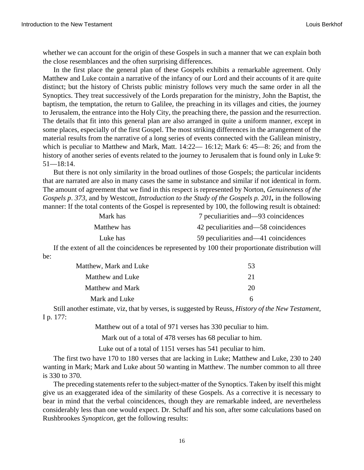whether we can account for the origin of these Gospels in such a manner that we can explain both the close resemblances and the often surprising differences.

In the first place the general plan of these Gospels exhibits a remarkable agreement. Only Matthew and Luke contain a narrative of the infancy of our Lord and their accounts of it are quite distinct; but the history of Christs public ministry follows very much the same order in all the Synoptics. They treat successively of the Lords preparation for the ministry, John the Baptist, the baptism, the temptation, the return to Galilee, the preaching in its villages and cities, the journey to Jerusalem, the entrance into the Holy City, the preaching there, the passion and the resurrection. The details that fit into this general plan are also arranged in quite a uniform manner, except in some places, especially of the first Gospel. The most striking differences in the arrangement of the material results from the narrative of a long series of events connected with the Galilean ministry, which is peculiar to Matthew and Mark, [Matt. 14:22—](http://www.ccel.org/b/bible/asv/xml/asv.Matt.14.xml#Matt.14.22)16:12; [Mark 6](http://www.ccel.org/b/bible/asv/xml/asv.Mark..xml#Mark..): 45—8: 26; and from the history of another series of events related to the journey to Jerusalem that is found only in [Luke 9:](http://www.ccel.org/b/bible/asv/xml/asv.Luke..xml#Luke..) 51—18:14.

But there is not only similarity in the broad outlines of those Gospels; the particular incidents that are narrated are also in many cases the same in substance and similar if not identical in form. The amount of agreement that we find in this respect is represented by Norton, *Genuineness of the Gospels p*. *373,* and by Westcott, *Introduction to the Study of the Gospels p. 201,* in the following manner: If the total contents of the Gospel is represented by 100, the following result is obtained:

| Mark has    | 7 peculiarities and -93 coincidences  |
|-------------|---------------------------------------|
| Matthew has | 42 peculiarities and -58 coincidences |
| Luke has    | 59 peculiarities and 41 coincidences  |

If the extent of all the coincidences be represented by 100 their proportionate distribution will be:

| Matthew, Mark and Luke |    |
|------------------------|----|
| Matthew and Luke       | 21 |
| Matthew and Mark       | 20 |
| Mark and Luke          |    |

Still another estimate, viz, that by verses, is suggested by Reuss, *History of the New Testament,* I p. 177:

Matthew out of a total of 971 verses has 330 peculiar to him.

Mark out of a total of 478 verses has 68 peculiar to him.

Luke out of a total of 1151 verses has 541 peculiar to him.

The first two have 170 to 180 verses that are lacking in Luke; Matthew and Luke, 230 to 240 wanting in Mark; Mark and Luke about 50 wanting in Matthew. The number common to all three is 330 to 370.

The preceding statements refer to the subject-matter of the Synoptics. Taken by itself this might give us an exaggerated idea of the similarity of these Gospels. As a corrective it is necessary to bear in mind that the verbal coincidences, though they are remarkable indeed, are nevertheless considerably less than one would expect. Dr. Schaff and his son, after some calculations based on Rushbrookes *Synopticon,* get the following results: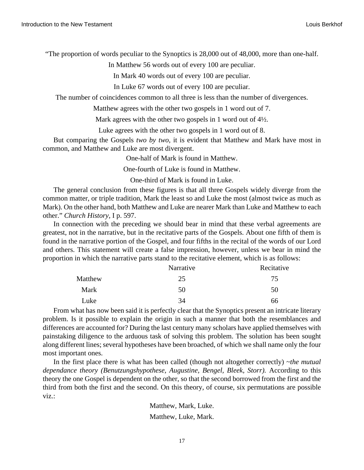"The proportion of words peculiar to the Synoptics is 28,000 out of 48,000, more than one-half.

In [Matthew 56](http://www.ccel.org/b/bible/asv/xml/asv.Matt..xml#Matt..) words out of every 100 are peculiar.

In [Mark 40](http://www.ccel.org/b/bible/asv/xml/asv.Mark..xml#Mark..) words out of every 100 are peculiar.

In [Luke 67](http://www.ccel.org/b/bible/asv/xml/asv.Luke..xml#Luke..) words out of every 100 are peculiar.

The number of coincidences common to all three is less than the number of divergences.

Matthew agrees with the other two gospels in 1 word out of 7.

Mark agrees with the other two gospels in 1 word out of  $4\frac{1}{2}$ .

Luke agrees with the other two gospels in 1 word out of 8.

But comparing the Gospels *two by two,* it is evident that Matthew and Mark have most in common, and Matthew and Luke are most divergent.

One-half of Mark is found in Matthew.

One-fourth of Luke is found in Matthew.

One-third of Mark is found in Luke.

The general conclusion from these figures is that all three Gospels widely diverge from the common matter, or triple tradition, Mark the least so and Luke the most (almost twice as much as Mark). On the other hand, both Matthew and Luke are nearer Mark than Luke and Matthew to each other." *Church History,* I p. 597.

In connection with the preceding we should bear in mind that these verbal agreements are greatest, not in the narrative, but in the recitative parts of the Gospels. About one fifth of them is found in the narrative portion of the Gospel, and four fifths in the recital of the words of our Lord and others. This statement will create a false impression, however, unless we bear in mind the proportion in which the narrative parts stand to the recitative element, which is as follows:

|         | Narrative | Recitative |  |  |  |  |
|---------|-----------|------------|--|--|--|--|
| Matthew | 25        | 75         |  |  |  |  |
| Mark    | 50        | 50         |  |  |  |  |
| Luke    | 34        | 66         |  |  |  |  |

From what has now been said it is perfectly clear that the Synoptics present an intricate literary problem. Is it possible to explain the origin in such a manner that both the resemblances and differences are accounted for? During the last century many scholars have applied themselves with painstaking diligence to the arduous task of solving this problem. The solution has been sought along different lines; several hypotheses have been broached, of which we shall name only the four most important ones.

In the first place there is what has been called (though not altogether correctly) *~the mutual dependance theory (Benutzungshypothese, Augustine, Bengel, Bleek, Storr).* According to this theory the one Gospel is dependent on the other, so that the second borrowed from the first and the third from both the first and the second. On this theory, of course, six permutations are possible viz.:

> Matthew, Mark, Luke. Matthew, Luke, Mark.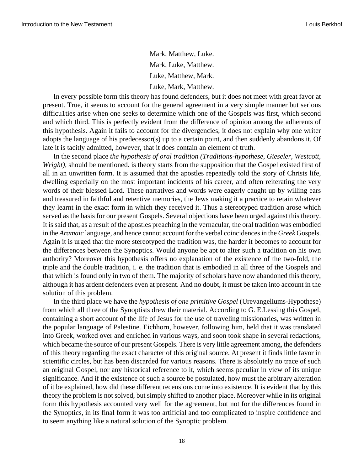Mark, Matthew, Luke. Mark, Luke, Matthew. Luke, Matthew, Mark.

Luke, Mark, Matthew.

In every possible form this theory has found defenders, but it does not meet with great favor at present. True, it seems to account for the general agreement in a very simple manner but serious difficu1ties arise when one seeks to determine which one of the Gospels was first, which second and which third. This is perfectly evident from the difference of opinion among the adherents of this hypothesis. Again it fails to account for the divergencies; it does not explain why one writer adopts the language of his predecessor(s) up to a certain point, and then suddenly abandons it. Of late it is tacitly admitted, however, that it does contain an element of truth.

In the second place *the hypothesis of oral tradition (Traditions-hypothese, Gieseler, Westcott, Wright),* should be mentioned. is theory starts from the supposition that the Gospel existed first of all in an unwritten form. It is assumed that the apostles repeatedly told the story of Christs life, dwelling especially on the most important incidents of his career, and often reiterating the very words of their blessed Lord. These narratives and words were eagerly caught up by willing ears and treasured in faithful and retentive memories, the Jews making it a practice to retain whatever they learnt in the exact form in which they received it. Thus a stereotyped tradition arose which served as the basis for our present Gospels. Several objections have been urged against this theory. It is said that, as a result of the apostles preaching in the vernacular, the oral tradition was embodied in the *Aramaic* language, and hence cannot account for the verbal coincidences in the *Greek* Gospels. Again it is urged that the more stereotyped the tradition was, the harder it becomes to account for the differences between the Synoptics. Would anyone be apt to alter such a tradition on his own authority? Moreover this hypothesis offers no explanation of the existence of the two-fold, the triple and the double tradition, i. e. the tradition that is embodied in all three of the Gospels and that which is found only in two of them. The majority of scholars have now abandoned this theory, although it has ardent defenders even at present. And no doubt, it must be taken into account in the solution of this problem.

In the third place we have the *hypothesis of one primitive Gospel* (Urevangeliums-Hypothese) from which all three of the Synoptists drew their material. According to G. E.Lessing this Gospel, containing a short account of the life of Jesus for the use of traveling missionaries, was written in the popular language of Palestine. Eichhorn, however, following him, held that it was translated into Greek, worked over and enriched in various ways, and soon took shape in several redactions, which became the source of our present Gospels. There is very little agreement among, the defenders of this theory regarding the exact character of this original source. At present it finds little favor in scientific circles, but has been discarded for various reasons. There is absolutely no trace of such an original Gospel, nor any historical reference to it, which seems peculiar in view of its unique significance. And if the existence of such a source be postulated, how must the arbitrary alteration of it be explained, how did these different recensions come into existence. It is evident that by this theory the problem is not solved, but simply shifted to another place. Moreover while in its original form this hypothesis accounted very well for the agreement, but not for the differences found in the Synoptics, in its final form it was too artificial and too complicated to inspire confidence and to seem anything like a natural solution of the Synoptic problem.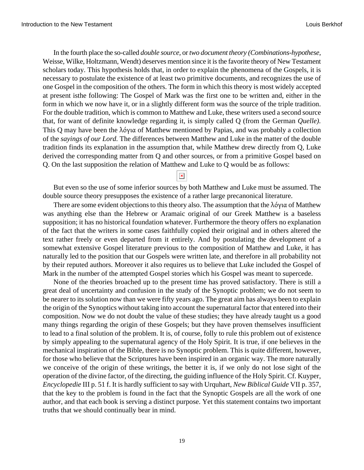In the fourth place the so-called *double source,* or *two document theory (Combinations-hypothese,* Weisse, Wilke, Holtzmann, Wendt) deserves mention since it is the favorite theory of New Testament scholars today. This hypothesis holds that, in order to explain the phenomena of the Gospels, it is necessary to postulate the existence of at least two primitive documents, and recognizes the use of one Gospel in the composition of the others. The form in which this theory is most widely accepted at present isthe following: The Gospel of Mark was the first one to be written and, either in the form in which we now have it, or in a slightly different form was the source of the triple tradition. For the double tradition, which is common to Matthew and Luke, these writers used a second source that, for want of definite knowledge regarding it, is simply called Q (from the German *Quelle).* This Q may have been the λόγια of Matthew mentioned by Papias, and was probably a collection of the *sayings of our Lord.* The differences between Matthew and Luke in the matter of the double tradition finds its explanation in the assumption that, while Matthew drew directly from Q, Luke derived the corresponding matter from Q and other sources, or from a primitive Gospel based on Q. On the last supposition the relation of Matthew and Luke to Q would be as follows:

 $\pmb{\times}$ 

But even so the use of some inferior sources by both Matthew and Luke must be assumed. The double source theory presupposes the existence of a rather large precanonical literature.

There are some evident objections to this theory also. The assumption that the λόγια of Matthew was anything else than the Hebrew or Aramaic original of our Greek Matthew is a baseless supposition; it has no historical foundation whatever. Furthermore the theory offers no explanation of the fact that the writers in some cases faithfully copied their original and in others altered the text rather freely or even departed from it entirely. And by postulating the development of a somewhat extensive Gospel literature previous to the composition of Matthew and Luke, it has naturally led to the position that our Gospels were written late, and therefore in all probability not by their reputed authors. Moreover it also requires us to believe that Luke included the Gospel of Mark in the number of the attempted Gospel stories which his Gospel was meant to supercede.

None of the theories broached up to the present time has proved satisfactory. There is still a great deal of uncertainty and confusion in the study of the Synoptic problem; we do not seem to be nearer to its solution now than we were fifty years ago. The great aim has always been to explain the origin of the Synoptics without taking into account the supernatural factor that entered into their composition. Now we do not doubt the value of these studies; they have already taught us a good many things regarding the origin of these Gospels; but they have proven themselves insufficient to lead to a final solution of the problem. It is, of course, folly to rule this problem out of existence by simply appealing to the supernatural agency of the Holy Spirit. It is true, if one believes in the mechanical inspiration of the Bible, there is no Synoptic problem. This is quite different, however, for those who believe that the Scriptures have been inspired in an organic way. The more naturally we conceive of the origin of these writings, the better it is, if we only do not lose sight of the operation of the divine factor, of the directing, the guiding influence of the Holy Spirit. Cf. Kuyper, *Encyclopedie* III p. 51 f. It is hardly sufficient to say with Urquhart, *New Biblical Guide* VII p. 357, that the key to the problem is found in the fact that the Synoptic Gospels are all the work of one author, and that each book is serving a distinct purpose. Yet this statement contains two important truths that we should continually bear in mind.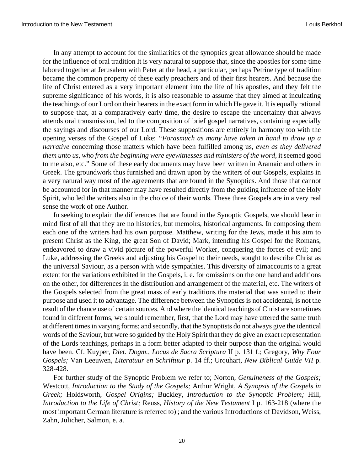In any attempt to account for the similarities of the synoptics great allowance should be made for the influence of oral tradition It is very natural to suppose that, since the apostles for some time labored together at Jerusalem with Peter at the head, a particular, perhaps Petrine type of tradition became the common property of these early preachers and of their first hearers. And because the life of Christ entered as a very important element into the life of his apostles, and they felt the supreme significance of his words, it is also reasonable to assume that they aimed at inculcating the teachings of our Lord on their hearers in the exact form in which He gave it. It is equally rational to suppose that, at a comparatively early time, the desire to escape the uncertainty that always attends oral transmission, led to the composition of brief gospel narratives, containing especially the sayings and discourses of our Lord. These suppositions are entirely in harmony too with the opening verses of the Gospel of Luke: *"Forasmuch as many have taken in hand to draw up a narrative* concerning those matters which have been fulfilled among us, *even as they delivered them unto us, who from the beginning were eyewitnesses and ministers of the word,* it seemed good to me also, etc." Some of these early documents may have been written in Aramaic and others in Greek. The groundwork thus furnished and drawn upon by the writers of our Gospels, explains in a very natural way most of the agreements that are found in the Synoptics. And those that cannot be accounted for in that manner may have resulted directly from the guiding influence of the Holy Spirit, who led the writers also in the choice of their words. These three Gospels are in a very real sense the work of one Author.

In seeking to explain the differences that are found in the Synoptic Gospels, we should bear in mind first of all that they are no histories, but memoirs, historical arguments. In composing them each one of the writers had his own purpose. Matthew, writing for the Jews, made it his aim to present Christ as the King, the great Son of David; Mark, intending his Gospel for the Romans, endeavored to draw a vivid picture of the powerful Worker, conquering the forces of evil; and Luke, addressing the Greeks and adjusting his Gospel to their needs, sought to describe Christ as the universal Saviour, as a person with wide sympathies. This diversity of aimaccounts to a great extent for the variations exhibited in the Gospels, i. e. for omissions on the one hand and additions on the other, for differences in the distribution and arrangement of the material, etc. The writers of the Gospels selected from the great mass of early traditions the material that was suited to their purpose and used it to advantage. The difference between the Synoptics is not accidental, is not the result of the chance use of certain sources. And where the identical teachings of Christ are sometimes found in different forms, we should remember, first, that the Lord may have uttered the same truth at different times in varying forms; and secondly, that the Synoptists do not always give the identical words of the Saviour, but were so guided by the Holy Spirit that they do give an exact representation of the Lords teachings, perhaps in a form better adapted to their purpose than the original would have been. Cf. Kuyper, *Diet. Dogm., Locus de Sacra Scriptura* II p. 131 f.; Gregory, *Why Four Gospels;* Van Leeuwen, *Literatuur en Schriftuur* p. 14 ff.; Urquhart, *New Biblical Guide VII* p. 328-428.

For further study of the Synoptic Problem we refer to; Norton, *Genuineness of the Gospels;* Westcott, *Introduction to the Study of the Gospels;* Arthur Wright, *A Synopsis of the Gospels in Greek;* Holdsworth, *Gospel Origins;* Buckley, *Introduction to the Synoptic Problem;* Hill, *Introduction to the Life of Christ;* Reuss, *History of the New Testament* I p. 163-218 (where the most important German literature is referred to) ; and the various Introductions of Davidson, Weiss, Zahn, Julicher, Salmon, e. a.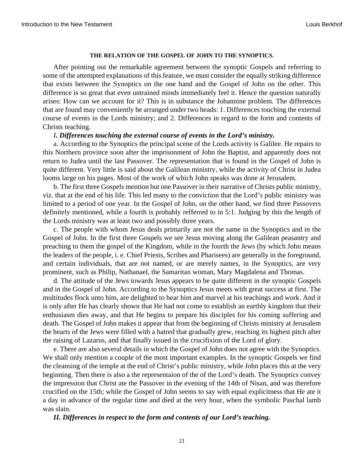#### **THE RELATION OF THE GOSPEL OF JOHN TO THE SYNOPTICS.**

After pointing out the remarkable agreement between the synoptic Gospels and referring to some of the attempted explanations of this feature, we must consider the equally striking difference that exists between the Synoptics on the one hand and the Gospel of John on the other. This difference is so great that even untrained minds immediately feel it. Hence the question naturally arises: How can we account for it? This is in substance the Johannine problem. The differences that are found may conveniently be arranged under two heads: 1. Differences touching the external course of events in the Lords ministry; and 2. Differences in regard to the form and contents of Christs teaching.

## *I. Differences touching the external course of events in the Lord's ministry.*

a. According to the Synoptics the principal scene of the Lords activity is Galilee. He repairs to this Northern province soon after the imprisonment of John the Baptist, and apparently does not return to Judea until the last Passover. The representation that is found in the Gospel of John is quite different. Very little is said about the Galilean ministry, while the activity of Christ in Judea looms large on his pages. Most of the work of which John speaks was done at Jerusalem.

b. The first three Gospels mention but one Passover in their narrative of Christs public ministry, viz. that at the end of his life. This led many to the conviction that the Lord's public ministry was limited to a period of one year. In the Gospel of John, on the other hand, we find three Passovers definitely mentioned, while a fourth is probably refferred to in 5:1. Judging by this the length of the Lords ministry was at least two and possibly three years.

c. The people with whom Jesus deals primarily are not the same in the Synoptics and in the Gospel of John. In the first three Gospels we see Jesus moving along the Galilean peasantry and preaching to them the gospel of the Kingdom, while in the fourth the Jews (by which John means the leaders of the people, i. e. Chief Priests, Scribes and Pharisees) are generally in the foreground, and certain individuals, that are not named, or are merely names, in the Synoptics, are very prominent, such as Philip, Nathanael, the Samaritan woman, Mary Magdalena and Thomas.

d. The attitude of the Jews towards Jesus appears to be quite different in the synoptic Gospels and in the Gospel of John. According to the Synoptics Jesus meets with great success at first. The multitudes flock unto him, are delighted to hear him and marvel at his teachings and work. And it is only after He has clearly shown that He had not come to establish an earthly kingdom that their enthusiasm dies away, and that He begins to prepare his disciples for his coming suffering and death. The Gospel of John makes it appear that from the beginning of Christs ministry at Jerusalem the hearts of the Jews were filled with a hatred that gradually grew, reaching its highest pitch after the raising of Lazarus, and that finally issued in the crucifixion of the Lord of glory.

e. There are also several details in which the Gospel of John does not agree with the Synoptics. We shall only mention a couple of the most important examples. In the synoptic Gospels we find the cleansing of the temple at the end of Christ's public ministry, while John places this at the very beginning. Then there is also a the representaion of the of the Lord's death. The Synoptics convey the impression that Christ ate the Passover in the evening of the 14th of Nisan, and was therefore crucified on the 15th; while the Gospel of John seems to say with equal explicitness that He ate it a day in advance of the regular time and died at the very hour, when the symbolic Paschal lamb was slain.

## *II. Differences in respect to the form and contents of our Lord's teaching.*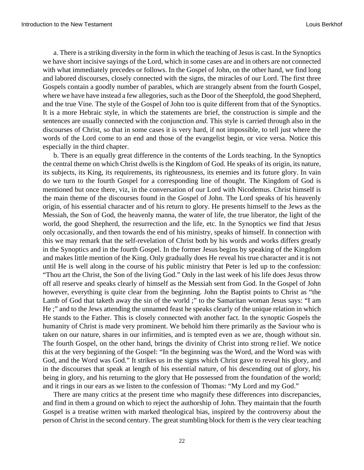a. There is a striking diversity in the form in which the teaching of Jesus is cast. In the Synoptics we have short incisive sayings of the Lord, which in some cases are and in others are not connected with what immediately precedes or follows. In the Gospel of John, on the other hand, we find long and labored discourses, closely connected with the signs, the miracles of our Lord. The first three Gospels contain a goodly number of parables, which are strangely absent from the fourth Gospel, where we have have instead a few allegories, such as the Door of the Sheepfold, the good Shepherd, and the true Vine. The style of the Gospel of John too is quite different from that of the Synoptics. It is a more Hebraic style, in which the statements are brief, the construction is simple and the sentences are usually connected with the conjunction *and.* This style is carried through also in the discourses of Christ, so that in some cases it is very hard, if not impossible, to tell just where the words of the Lord come to an end and those of the evangelist begin, or vice versa. Notice this especially in the third chapter.

b. There is an equally great difference in the contents of the Lords teaching. In the Synoptics the central theme on which Christ dwells is the Kingdom of God. He speaks of its origin, its nature, its subjects, its King, its requirements, its righteousness, its enemies and its future glory. In vain do we turn to the fourth Gospel for a corresponding line of thought. The Kingdom of God is mentioned but once there, viz, in the conversation of our Lord with Nicodemus. Christ himself is the main theme of the discourses found in the Gospel of John. The Lord speaks of his heavenly origin, of his essential character and of his return to glory. He presents himself to the Jews as the Messiah, the Son of God, the heavenly manna, the water of life, the true liberator, the light of the world, the good Shepherd, the resurrection and the life, etc. In the Synoptics we find that Jesus only occasionally, and then towards the end of his ministry, speaks of himself. In connection with this we may remark that the self-revelation of Christ both by his words and works differs greatly in the Synoptics and in the fourth Gospel. In the former Jesus begins by speaking of the Kingdom and makes little mention of the King. Only gradually does He reveal his true character and it is not until He is well along in the course of his public ministry that Peter is led up to the confession: "Thou art the Christ, the Son of the living God." Only in the last week of his life does Jesus throw off all reserve and speaks clearly of himself as the Messiah sent from God. In the Gospel of John however, everything is quite clear from the beginning. John the Baptist points to Christ as "the Lamb of God that taketh away the sin of the world ;" to the Samaritan woman Jesus says: "I am He ;" and to the Jews attending the unnamed feast he speaks clearly of the unique relation in which He stands to the Father. This is closely connected with another fact. In the synoptic Gospels the humanity of Christ is made very prominent. We behold him there primarily as the Saviour who is taken on our nature, shares in our infirmities, and is tempted even as we are, though without sin. The fourth Gospel, on the other hand, brings the divinity of Christ into strong re1ief. We notice this at the very beginning of the Gospel: "In the beginning was the Word, and the Word was with God, and the Word was God." It strikes us in the signs which Christ gave to reveal his glory, and in the discourses that speak at length of his essential nature, of his descending out of glory, his being in glory, and his returning to the glory that He possessed from the foundation of the world; and it rings in our ears as we listen to the confession of Thomas: "My Lord and my God."

There are many critics at the present time who magnify these differences into discrepancies, and find in them a ground on which to reject the authorship of John. They maintain that the fourth Gospel is a treatise written with marked theological bias, inspired by the controversy about the person of Christ in the second century. The great stumbling block for them is the very clear teaching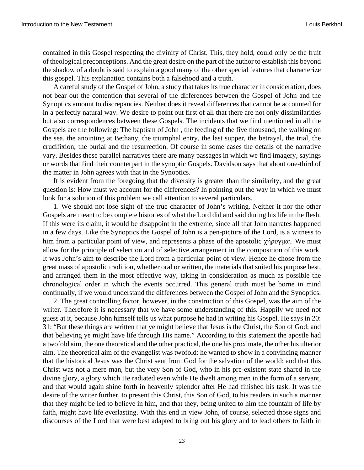contained in this Gospel respecting the divinity of Christ. This, they hold, could only be the fruit of theological preconceptions. And the great desire on the part of the author to establish this beyond the shadow of a doubt is said to explain a good many of the other special features that characterize this gospel. This explanation contains both a falsehood and a truth.

A careful study of the Gospel of John, a study that takes its true character in consideration, does not bear out the contention that several of the differences between the Gospel of John and the Synoptics amount to discrepancies. Neither does it reveal differences that cannot be accounted for in a perfectly natural way. We desire to point out first of all that there are not only dissimilarities but also correspondences between these Gospels. The incidents that we find mentioned in all the Gospels are the following: The baptism of John , the feeding of the five thousand, the walking on the sea, the anointing at Bethany, the triumphal entry, the last supper, the betrayal, the trial, the crucifixion, the burial and the resurrection. Of course in some cases the details of the narrative vary. Besides these parallel narratives there are many passages in which we find imagery, sayings or words that find their counterpart in the synoptic Gospels. Davidson says that about one-third of the matter in John agrees with that in the Synoptics.

It is evident from the foregoing that the diversity is greater than the similarity, and the great question is: How must we account for the differences? In pointing out the way in which we must look for a solution of this problem we call attention to several particulars.

1. We should not lose sight of the true character of John's writing. Neither it nor the other Gospels are meant to be complete histories of what the Lord did and said during his life in the flesh. If this were its claim, it would be disappoint in the extreme, since all that John narrates happened in a few days. Like the Synoptics the Gospel of John is a pen-picture of the Lord, is a witness to him from a particular point of view, and represents a phase of the apostolic χήρυγμαι. We must allow for the principle of selection and of selective arrangement in the composition of this work. It was John's aim to describe the Lord from a particular point of view. Hence he chose from the great mass of apostolic tradition, whether oral or written, the materials that suited his purpose best, and arranged them in the most effective way, taking in consideration as much as possible the chronological order in which the events occurred. This general truth must be borne in mind continually, if we would understand the differences between the Gospel of John and the Synoptics.

2. The great controlling factor, however, in the construction of this Gospel, was the aim of the writer. Therefore it is necessary that we have some understanding of this. Happily we need not guess at it, because John himself tells us what purpose he had in writing his Gospel. He says in 20: 31: "But these things are written that ye might believe that Jesus is the Christ, the Son of God; and that believing ye might have life through His name." According to this statement the apostle had a twofold aim, the one theoretical and the other practical, the one his proximate, the other his ulterior aim. The theoretical aim of the evangelist was twofold: he wanted to show in a convincing manner that the historical Jesus was the Christ sent from God for the salvation of the world; and that this Christ was not a mere man, but the very Son of God, who in his pre-existent state shared in the divine glory, a glory which He radiated even while He dwelt among men in the form of a servant, and that would again shine forth in heavenly splendor after He had finished his task. It was the desire of the writer further, to present this Christ, this Son of God, to his readers in such a manner that they might be led to believe in him, and that they, being united to him the fountain of life by faith, might have life everlasting. With this end in view John, of course, selected those signs and discourses of the Lord that were best adapted to bring out his glory and to lead others to faith in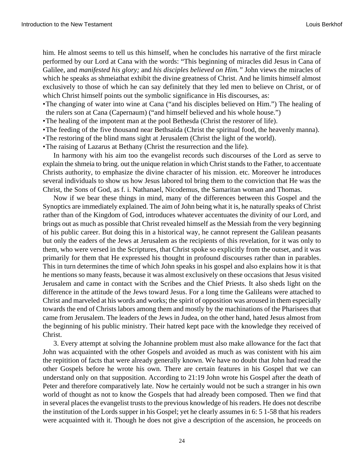him. He almost seems to tell us this himself, when he concludes his narrative of the first miracle performed by our Lord at Cana with the words: "This beginning of miracles did Jesus in Cana of Galilee, and *manifested his glory;* and *his disciples believed on Him."* John views the miracles of which he speaks as shmeiathat exhibit the divine greatness of Christ. And he limits himself almost exclusively to those of which he can say definitely that they led men to believe on Christ, or of which Christ himself points out the symbolic significance in His discourses, as:

- •The changing of water into wine at Cana ("and his disciples believed on Him.") The healing of the rulers son at Cana (Capernaum) ("and himself believed and his whole house.")
- •The healing of the impotent man at the pool Bethesda (Christ the restorer of life).
- •The feeding of the five thousand near Bethsaida (Christ the spiritual food, the heavenly manna).
- •The restoring of the blind mans sight at Jerusalem (Christ the light of the world).
- •The raising of Lazarus at Bethany (Christ the resurrection and the life).

In harmony with his aim too the evangelist records such discourses of the Lord as serve to explain the shmeia to bring. out the unique relation in which Christ stands to the Father, to accentuate Christs authority, to emphasize the divine character of his mission. etc. Moreover he introduces several individuals to show us how Jesus labored tol bring them to the conviction that He was the Christ, the Sons of God, as f. i. Nathanael, Nicodemus, the Samaritan woman and Thomas.

Now if we bear these things in mind, many of the differences between this Gospel and the Synoptics are immediately explained. The aim of John being what it is, he naturally speaks of Christ rather than of the Kingdom of God, introduces whatever accentuates the divinity of our Lord, and brings out as much as possible that Christ revealed himself as the Messiah from the very beginning of his public career. But doing this in a historical way, he cannot represent the Galilean peasants but only the eaders of the Jews at Jerusalem as the recipients of this revelation, for it was only to them, who were versed in the Scriptures, that Christ spoke so explicitly from the outset, and it was primarily for them that He expressed his thought in profound discourses rather than in parables. This in turn determines the time of which John speaks in his gospel and also explains how it is that he mentions so many feasts, because it was almost exclusively on these occasions that Jesus visited Jerusalem and came in contact with the Scribes and the Chief Priests. It also sheds light on the difference in the attitude of the Jews toward Jesus. For a long time the Galileans were attached to Christ and marveled at his words and works; the spirit of opposition was aroused in them especially towards the end of Christs labors among them and mostly by the machinations of the Pharisees that came from Jerusalem. The leaders of the Jews in Judea, on the other hand, hated Jesus almost from the beginning of his public ministry. Their hatred kept pace with the knowledge they received of Christ.

3. Every attempt at solving the Johannine problem must also make allowance for the fact that John was acquainted with the other Gospels and avoided as much as was conistent with his aim the repitition of facts that were already generally known. We have no doubt that John had read the other Gospels before he wrote his own. There are certain features in his Gospel that we can understand only on that supposition. According to 21:19 John wrote his Gospel after the death of Peter and therefore comparatively late. Now he certainly would not be such a stranger in his own world of thought as not to know the Gospels that had already been composed. Then we find that in several places the evangelist trusts to the previous knowledge of his readers. He does not describe the institution of the Lords supper in his Gospel; yet he clearly assumes in 6: 5 1-58 that his readers were acquainted with it. Though he does not give a description of the ascension, he proceeds on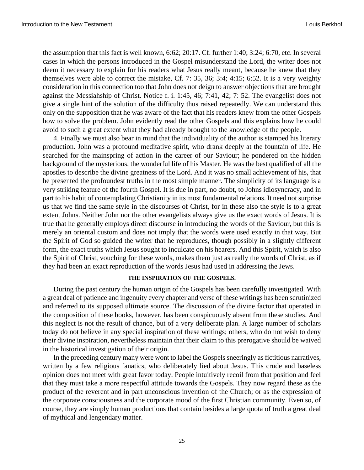the assumption that this fact is well known, 6:62; 20:17. Cf. further 1:40; 3:24; 6:70, etc. In several cases in which the persons introduced in the Gospel misunderstand the Lord, the writer does not deem it necessary to explain for his readers what Jesus really meant, because he knew that they themselves were able to correct the mistake, Cf. 7: 35, 36; 3:4; 4:15; 6:52. It is a very weighty consideration in this connection too that John does not deign to answer objections that are brought against the Messiahship of Christ. Notice f. i. 1:45, 46; 7:41, 42; 7: 52. The evangelist does not give a single hint of the solution of the difficulty thus raised repeatedly. We can understand this only on the supposition that he was aware of the fact that his readers knew from the other Gospels how to solve the problem. John evidently read the other Gospels and this explains how he could avoid to such a great extent what they had already brought to the knowledge of the people.

4. Finally we must also bear in mind that the individuality of the author is stamped his literary production. John was a profound meditative spirit, who drank deeply at the fountain of life. He searched for the mainspring of action in the career of our Saviour; he pondered on the hidden background of the mysterious, the wonderful life of his Master. He was the best qualified of all the apostles to describe the divine greatness of the Lord. And it was no small achievement of his, that he presented the profoundest truths in the most simple manner. The simplicity of its language is a very striking feature of the fourth Gospel. It is due in part, no doubt, to Johns idiosyncracy, and in part to his habit of contemplating Christianity in its most fundamental relations. It need not surprise us that we find the same style in the discourses of Christ, for in these also the style is to a great extent Johns. Neither John nor the other evangelists always give us the exact words of Jesus. It is true that he generally employs direct discourse in introducing the words of the Saviour, but this is merely an oriental custom and does not imply that the words were used exactly in that way. But the Spirit of God so guided the writer that he reproduces, though possibly in a slightly different form, the exact truths which Jesus sought to inculcate on his hearers. And this Spirit, which is also the Spirit of Christ, vouching for these words, makes them just as really the words of Christ, as if they had been an exact reproduction of the words Jesus had used in addressing the Jews.

#### **THE INSPIRATION OF THE GOSPELS.**

During the past century the human origin of the Gospels has been carefully investigated. With a great deal of patience and ingenuity every chapter and verse of these writings has been scrutinized and referred to its supposed ultimate source. The discussion of the divine factor that operated in the composition of these books, however, has been conspicuously absent from these studies. And this neglect is not the result of chance, but of a very deliberate plan. A large number of scholars today do not believe in any special inspiration of these writings; others, who do not wish to deny their divine inspiration, nevertheless maintain that their claim to this prerogative should be waived in the historical investigation of their origin.

In the preceding century many were wont to label the Gospels sneeringly as fictitious narratives, written by a few religious fanatics, who deliberately lied about Jesus. This crude and baseless opinion does not meet with great favor today. People intuitively recoil from that position and feel that they must take a more respectful attitude towards the Gospels. They now regard these as the product of the reverent and in part unconscious invention of the Church; or as the expression of the corporate consciousness and the corporate mood of the first Christian community. Even so, of course, they are simply human productions that contain besides a large quota of truth a great deal of mythical and lengendary matter.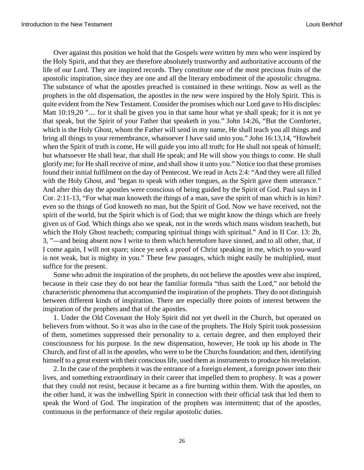Over against this position we hold that the Gospels were written by men who were inspired by the Holy Spirit, and that they are therefore absolutely trustworthy and authoritative accounts of the life of our Lord. They are inspired records. They constitute one of the most precious fruits of the apostolic inspiration, since they are one and all the literary embodiment of the apostolic chrugma. The substance of what the apostles preached is contained in these writings. Now as well as the prophets in the old dispensation, the apostles in the new were inspired by the Holy Spirit. This is quite evident from the New Testament. Consider the promises which our Lord gave to His disciples: [Matt 10:19,20](http://www.ccel.org/b/bible/asv/xml/asv.Matt.10.xml#Matt.10.19 Bible:Matt.10.20) ".... for it shall be given you in that same hour what ye shall speak; for it is not ye that speak, but the Spirit of your Father that speaketh in you." [John 14:26](http://www.ccel.org/b/bible/asv/xml/asv.John.14.xml#John.14.26), "But the Comforter, which is the Holy Ghost, whom the Father will send in my name, He shall teach you all things and bring all things to your remembrance, whatsoever I have said unto you." [John 16:13,14,](http://www.ccel.org/b/bible/asv/xml/asv.John.16.xml#John.16.13 Bible:John.16.14) "Howbeit when the Spirit of truth is come, He will guide you into all truth; for He shall not speak of himself; but whatsoever He shall hear, that shall He speak; and He will show you things to come. He shall glorify me; for He shall receive of mine, and shall show it unto you." Notice too that these promises found their initial fulfilment on the day of Pentecost. We read in [Acts 2:4](http://www.ccel.org/b/bible/asv/xml/asv.Acts.2.xml#Acts.2.4): "And they were all filled with the Holy Ghost, and 'began to speak with other tongues, as the Spirit gave them utterance." And after this day the apostles were conscious of being guided by the Spirit of God. Paul says in [I](http://www.ccel.org/b/bible/asv/xml/asv.iCor.2.xml#iCor.2.11) [Cor. 2:11-13](http://www.ccel.org/b/bible/asv/xml/asv.iCor.2.xml#iCor.2.11), "For what man knoweth the things of a man, save the spirit of man which is in him? even so the things of God knoweth no man, but the Spirit of God. Now we have received, not the spirit of the world, but the Spirit which is of God; that we might know the things which are freely given us of God. Which things also we speak, not in the words which mans wisdom teacheth, but which the Holy Ghost teacheth; comparing spiritual things with spiritual." And in [II Cor. 13](http://www.ccel.org/b/bible/asv/xml/asv.iiCor..xml#iiCor..): 2b, 3, "—and being absent now I write to them which heretofore have sinned, and to all other, that, if I come again, I will not spare; since ye seek a proof of Christ speaking in me, which to you-ward is not weak, but is mighty in you." These few passages, which might easily be multiplied, must suffice for the present.

Some who admit the inspiration of the prophets, do not believe the apostles were also inspired, because in their case they do not hear the familiar formula "thus saith the Lord," nor behold the characteristic phenomena that accompanied the inspiration of the prophets. They do not distinguish between different kinds of inspiration. There are especially three points of interest between the inspiration of the prophets and that of the apostles.

1. Under the Old Covenant the Holy Spirit did not yet dwell in the Church, but operated on believers from without. So it was also in the case of the prophets. The Holy Spirit took possession of them, sometimes suppressed their personality to a. certain degree, and then employed their consciousness for his purpose. In the new dispensation, however, He took up his abode in The Church, and first of all in the apostles, who were to be the Churchs foundation; and then, identifying himself to a great extent with their conscious life, used them as instruments to produce his revelation.

2. In the case of the prophets it was the entrance of a foreign element, a foreign power into their lives, and something extraordinary in their career that impelled them to prophesy. It was a power that they could not resist, because it became as a fire burning within them. With the apostles, on the other hand, it was the indwelling Spirit in connection with their official task that led them to speak the Word of God. The inspiration of the prophets was intermittent; that of the apostles, continuous in the performance of their regular apostolic duties.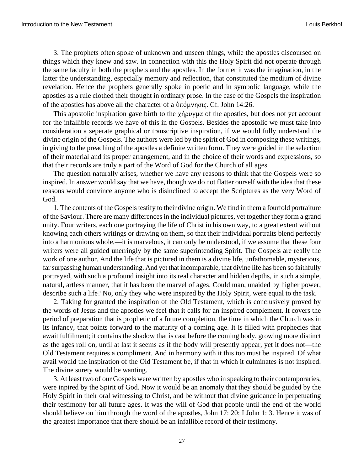3. The prophets often spoke of unknown and unseen things, while the apostles discoursed on things which they knew and saw. In connection with this the Holy Spirit did not operate through the same faculty in both the prophets and the apostles. In the former it was the imagination, in the latter the understanding, especially memory and reflection, that constituted the medium of divine revelation. Hence the prophets generally spoke in poetic and in symbolic language, while the apostles as a rule clothed their thought in ordinary prose. In the case of the Gospels the inspiration of the apostles has above all the character of a ὑπόμνησις. Cf. [John 14:26](http://www.ccel.org/b/bible/asv/xml/asv.John.14.xml#John.14.26).

This apostolic inspiration gave birth to the χήρυγμα of the apostles, but does not yet account for the infallible records we have of this in the Gospels. Besides the apostolic we must take into consideration a seperate graphical or transcriptive inspiration, if we would fully understand the divine origin of the Gospels. The authors were led by the spirit of God in composing these writings, in giving to the preaching of the apostles a definite written form. They were guided in the selection of their material and its proper arrangement, and in the choice of their words and expressions, so that their records are truly a part of the Word of God for the Church of all ages.

The question naturally arises, whether we have any reasons to think that the Gospels were so inspired. In answer would say that we have, though we do not flatter ourself with the idea that these reasons would convince anyone who is disinclined to accept the Scriptures as the very Word of God.

1. The contents of the Gospels testify to their divine origin. We find in them a fourfold portraiture of the Saviour. There are many differences in the individual pictures, yet together they form a grand unity. Four writers, each one portraying the life of Christ in his own way, to a great extent without knowing each others writings or drawing on them, so that their individual portraits blend perfectly into a harmonious whole,—it is marvelous, it can only be understood, if we assume that these four writers were all guided unerringly by the same superintending Spirit. The Gospels are really the work of one author. And the life that is pictured in them is a divine life, unfathomable, mysterious, far surpassing human understanding. And yet that incomparable, that divine life has been so faithfully portrayed, with such a profound insight into its real character and hidden depths, in such a simple, natural, artless manner, that it has been the marvel of ages. Could man, unaided by higher power, describe such a life? No, only they who were inspired by the Holy Spirit, were equal to the task.

2. Taking for granted the inspiration of the Old Testament, which is conclusively proved by the words of Jesus and the apostles we feel that it calls for an inspired complement. It covers the period of preparation that is prophetic of a future completion, the time in which the Church was in its infancy, that points forward to the maturity of a coming age. It is filled with prophecies that await fulfilment; it contains the shadow that is cast before the coming body, growing more distinct as the ages roll on, until at last it seems as if the body will presently appear, yet it does not—the Old Testament requires a compliment. And in harmony with it this too must be inspired. Of what avail would the inspiration of the Old Testament be, if that in which it culminates is not inspired. The divine surety would be wanting.

3. At least two of our Gospels were written by apostles who in speaking to their contemporaries, were inpired by the Spirit of God. Now it would be an anomaly that they should be guided by the Holy Spirit in their oral witnessing to Christ, and be without that divine guidance in perpetuating their testimony for all future ages. It was the will of God that people until the end of the world should believe on him through the word of the apostles, [John 17:](http://www.ccel.org/b/bible/asv/xml/asv.John..xml#John..) 20; [I John 1:](http://www.ccel.org/b/bible/asv/xml/asv.iJohn..xml#iJohn..) 3. Hence it was of the greatest importance that there should be an infallible record of their testimony.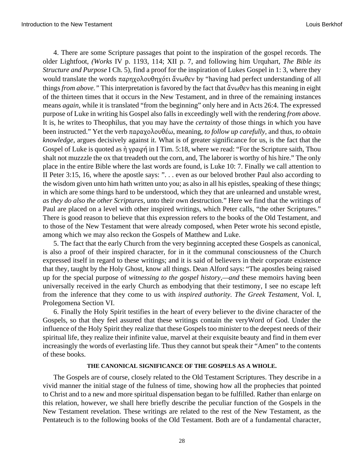4. There are some Scripture passages that point to the inspiration of the gospel records. The older Lightfoot, *(Works* IV p. 1193, 114; XII p. 7, and following him Urquhart, *The Bible its Structure and Purpose* [I Ch. 5\)](http://www.ccel.org/b/bible/asv/xml/asv.iChr..xml#iChr..), find a proof for the inspiration of Lukes Gospel in 1: 3, where they would translate the words παρηχολουθηχότι ἄνωθεν by "having had perfect understanding of all things *from above."* This interpretation is favored by the fact that ἄνωθεν has this meaning in eight of the thirteen times that it occurs in the New Testament, and in three of the remaining instances means *again,* while it is translated "from the beginning" only here and in [Acts 26:4.](http://www.ccel.org/b/bible/asv/xml/asv.Acts.26.xml#Acts.26.4) The expressed purpose of Luke in writing his Gospel also falls in exceedingly well with the rendering *from above.* It is, he writes to Theophilus, that you may have the *certainty* of those things in which you have been instructed." Yet the verb παραχολουθέω, meaning, *to follow up carefully,* and thus, *to obtain knowledge,* argues decisively against it. What is of greater significance for us, is the fact that the Gospel of Luke is quoted as ὴ γραφή in [I Tim. 5:18](http://www.ccel.org/b/bible/asv/xml/asv.iTim.5.xml#iTim.5.18), where we read: "For the Scripture saith, Thou shalt not muzzzle the ox that treadeth out the corn, and, The laborer is worthy of his hire." The only place in the entire Bible where the last words are found, is [Luke 10](http://www.ccel.org/b/bible/asv/xml/asv.Luke..xml#Luke..): 7. Finally we call attention to [II Peter 3:15, 16,](http://www.ccel.org/b/bible/asv/xml/asv.iiPet.3.xml#iiPet.3.15 Bible:2Pet.3.16) where the apostle says: ". . . even as our beloved brother Paul also according to the wisdom given unto him hath written unto you; as also in all his epistles, speaking of these things; in which are some things hard to be understood, which they that are unlearned and unstable wrest, *as they do also the other Scriptures,* unto their own destruction." Here we find that the writings of Paul are placed on a level with other inspired writings, which Peter calls, "the other Scriptures." There is good reason to believe that this expression refers to the books of the Old Testament, and to those of the New Testament that were already composed, when Peter wrote his second epistle, among which we may also reckon the Gospels of Matthew and Luke.

5. The fact that the early Church from the very beginning accepted these Gospels as canonical, is also a proof of their inspired character, for in it the communal consciousness of the Church expressed itself in regard to these writings; and it is said of believers in their corporate existence that they, taught by the Holy Ghost, know all things. Dean Alford says: "The apostles being raised up for the special purpose of *witnessing to the gospel history,—and* these memoirs having been universally received in the early Church as embodying that their testimony, I see no escape left from the inference that they come to us with *inspired authority. The Greek Testament,* Vol. I, Prolegomena Section VI.

6. Finally the Holy Spirit testifies in the heart of every believer to the divine character of the Gospels, so that they feel assured that these writings contain the veryWord of God. Under the influence of the Holy Spirit they realize that these Gospels too minister to the deepest needs of their spiritual life, they realize their infinite value, marvel at their exquisite beauty and find in them ever increasingly the words of everlasting life. Thus they cannot but speak their "Amen" to the contents of these books.

#### **THE CANONICAL SIGNIFICANCE OF THE GOSPELS AS A WHOLE.**

The Gospels are of course, closely related to the Old Testament Scriptures. They describe in a vivid manner the initial stage of the fulness of time, showing how all the prophecies that pointed to Christ and to a new and more spiritual dispensation began to be fulfilled. Rather than enlarge on this relation, however, we shall here briefly describe the peculiar function of the Gospels in the New Testament revelation. These writings are related to the rest of the New Testament, as the Pentateuch is to the following books of the Old Testament. Both are of a fundamental character,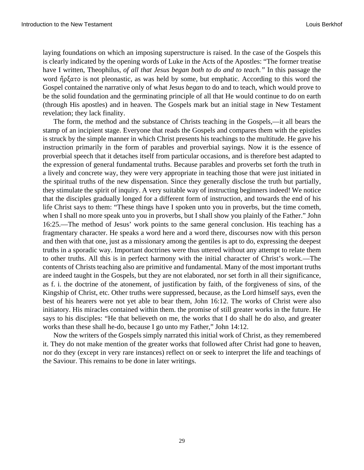laying foundations on which an imposing superstructure is raised. In the case of the Gospels this is clearly indicated by the opening words of Luke in the Acts of the Apostles: "The former treatise have I written, Theophilus, *of all that Jesus began both to do and to teach."* In this passage the word ἤρξατο is not pleonastic, as was held by some, but emphatic. According to this word the Gospel contained the narrative only of what Jesus *began* to do and to teach, which would prove to be the solid foundation and the germinating principle of all that He would continue to do on earth (through His apostles) and in heaven. The Gospels mark but an initial stage in New Testament revelation; they lack finality.

The form, the method and the substance of Christs teaching in the Gospels,—it all bears the stamp of an incipient stage. Everyone that reads the Gospels and compares them with the epistles is struck by the simple manner in which Christ presents his teachings to the multitude. He gave his instruction primarily in the form of parables and proverbial sayings. Now it is the essence of proverbial speech that it detaches itself from particular occasions, and is therefore best adapted to the expression of general fundamental truths. Because parables and proverbs set forth the truth in a lively and concrete way, they were very appropriate in teaching those that were just initiated in the spiritual truths of the new dispensation. Since they generally disclose the truth but partially, they stimulate the spirit of inquiry. A very suitable way of instructing beginners indeed! We notice that the disciples gradually longed for a different form of instruction, and towards the end of his life Christ says to them: "These things have I spoken unto you in proverbs, but the time cometh, when I shall no more speak unto you in proverbs, but I shall show you plainly of the Father." [John](http://www.ccel.org/b/bible/asv/xml/asv.John.16.xml#John.16.25) [16:25](http://www.ccel.org/b/bible/asv/xml/asv.John.16.xml#John.16.25).—The method of Jesus' work points to the same general conclusion. His teaching has a fragmentary character. He speaks a word here and a word there, discourses now with this person and then with that one, just as a missionary among the gentiles is apt to do, expressing the deepest truths in a sporadic way. Important doctrines were thus uttered without any attempt to relate them to other truths. All this is in perfect harmony with the initial character of Christ's work.—The contents of Christs teaching also are primitive and fundamental. Many of the most important truths are indeed taught in the Gospels, but they are not elaborated, nor set forth in all their significance, as f. i. the doctrine of the atonement, of justification by faith, of the forgiveness of sins, of the Kingship of Christ, etc. Other truths were suppressed, because, as the Lord himself says, even the best of his hearers were not yet able to bear them, [John 16:12](http://www.ccel.org/b/bible/asv/xml/asv.John.16.xml#John.16.12). The works of Christ were also initiatory. His miracles contained within them. the promise of still greater works in the future. He says to his disciples: "He that believeth on me, the works that I do shall he do also, and greater works than these shall he-do, because I go unto my Father," [John 14:12](http://www.ccel.org/b/bible/asv/xml/asv.John.14.xml#John.14.12).

Now the writers of the Gospels simply narrated this initial work of Christ, as they remembered it. They do not make mention of the greater works that followed after Christ had gone to heaven, nor do they (except in very rare instances) reflect on or seek to interpret the life and teachings of the Saviour. This remains to be done in later writings.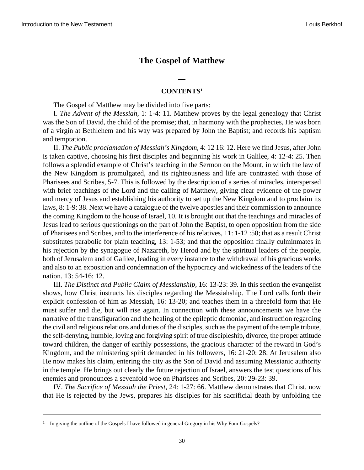## **The Gospel of Matthew**

### **CONTENTS<sup>1</sup>**

<span id="page-33-0"></span>The Gospel of Matthew may be divided into five parts:

I. *The Advent of the Messiah,* 1: 1-4: 11. Matthew proves by the legal genealogy that Christ was the Son of David, the child of the promise; that, in harmony with the prophecies, He was born of a virgin at Bethlehem and his way was prepared by John the Baptist; and records his baptism and temptation.

II. *The Public proclamation of Messiah's Kingdom,* 4: 12 16: 12. Here we find Jesus, after John is taken captive, choosing his first disciples and beginning his work in Galilee, 4: 12-4: 25. Then follows a splendid example of Christ's teaching in the Sermon on the Mount, in which the law of the New Kingdom is promulgated, and its righteousness and life are contrasted with those of Pharisees and Scribes, 5-7. This is followed by the description of a series of miracles, interspersed with brief teachings of the Lord and the calling of Matthew, giving clear evidence of the power and mercy of Jesus and establishing his authority to set up the New Kingdom and to proclaim its laws, 8: 1-9: 38. Next we have a catalogue of the twelve apostles and their commission to announce the coming Kingdom to the house of Israel, 10. It is brought out that the teachings and miracles of Jesus lead to serious questionings on the part of John the Baptist, to open opposition from the side of Pharisees and Scribes, and to the interference of his relatives, 11: 1-12 :50; that as a result Christ substitutes parabolic for plain teaching, 13: 1-53; and that the opposition finally culminmates in his rejection by the synagogue of Nazareth, by Herod and by the spiritual leaders of the people, both of Jerusalem and of Galilee, leading in every instance to the withdrawal of his gracious works and also to an exposition and condemnation of the hypocracy and wickedness of the leaders of the nation. 13: 54-16: 12.

III. *The Distinct and Public Claim of Messiahship,* 16: 13-23: 39. In this section the evangelist shows, how Christ instructs his disciples regarding the Messiahship. The Lord calls forth their explicit confession of him as Messiah, 16: 13-20; and teaches them in a threefold form that He must suffer and die, but will rise again. In connection with these announcements we have the narrative of the transfiguration and the healing of the epileptic demoniac, and instruction regarding the civil and religious relations and duties of the disciples, such as the payment of the temple tribute, the self-denying, humble, loving and forgiving spirit of true discipleship, divorce, the proper attitude toward children, the danger of earthly possessions, the gracious character of the reward in God's Kingdom, and the ministering spirit demanded in his followers, 16: 21-20: 28. At Jerusalem also He now makes his claim, entering the city as the Son of David and assuming Messianic authority in the temple. He brings out clearly the future rejection of Israel, answers the test questions of his enemies and pronounces a sevenfold woe on Pharisees and Scribes, 20: 29-23: 39.

IV. *The Sacrifice of Messiah the Priest,* 24: 1-27: 66. Matthew demonstrates that Christ, now that He is rejected by the Jews, prepares his disciples for his sacrificial death by unfolding the

<sup>&</sup>lt;sup>1</sup> In giving the outline of the Gospels I have followed in general Gregory in his Why Four Gospels?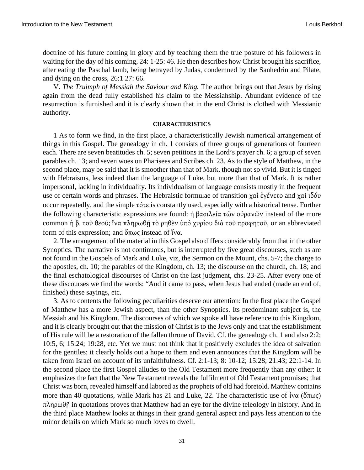doctrine of his future coming in glory and by teaching them the true posture of his followers in waiting for the day of his coming, 24: 1-25: 46. He then describes how Christ brought his sacrifice, after eating the Paschal lamb, being betrayed by Judas, condemned by the Sanhedrin and Pilate, and dying on the cross, 26:1 27: 66.

V. *The Truimph of Messiah the Saviour and King.* The author brings out that Jesus by rising again from the dead fully established his claim to the Messiahship. Abundant evidence of the resurrection is furnished and it is clearly shown that in the end Christ is clothed with Messianic authority.

### **CHARACTERISTICS**

1 As to form we find, in the first place, a characteristically Jewish numerical arrangement of things in this Gospel. The genealogy in ch. 1 consists of three groups of generations of fourteen each. There are seven beatitudes ch. 5; seven petitions in the Lord's prayer ch. 6; a group of seven parables ch. 13; and seven woes on Pharisees and Scribes ch. 23. As to the style of Matthew, in the second place, may be said that it is smoother than that of Mark, though not so vivid. But it is tinged with Hebraisms, less indeed than the language of Luke, but more than that of Mark. It is rather impersonal, lacking in individuality. Its individualism of language consists mostly in the frequent use of certain words and phrases. The Hebraistic formulae of transition χαὶ ἐγένετο and χαὶ ιδόυ occur repeatedly, and the simple τότε is constantly used, especially with a historical tense. Further the following characteristic expressions are found: ἡ βασιλεία τῶν οὐρανῶν instead of the more common ή β. τοῦ θεοῦ; ἵνα πληρωθῇ τὸ ρηθὲν ὑπό χυρίου διὰ τοῦ προφητοῦ, or an abbreviated form of this expression; and ὅπως instead of ἵνα.

2. The arrangement of the material in this Gospel also differs considerably from that in the other Synoptics. The narrative is not continuous, but is interrupted by five great discourses, such as are not found in the Gospels of Mark and Luke, viz, the Sermon on the Mount, chs. 5-7; the charge to the apostles, ch. 10; the parables of the Kingdom, ch. 13; the discourse on the church, ch. 18; and the final eschatological discourses of Christ on the last judgment, chs. 23-25. After every one of these discourses we find the words: "And it came to pass, when Jesus had ended (made an end of, finished) these sayings, etc.

3. As to contents the following peculiarities deserve our attention: In the first place the Gospel of Matthew has a more Jewish aspect, than the other Synoptics. Its predominant subject is, the Messiah and his Kingdom. The discourses of which we spoke all have reference to this Kingdom, and it is clearly brought out that the mission of Christ is to the Jews only and that the establishment of His rule will be a restoration of the fallen throne of David. Cf. the genealogy ch. 1 and also 2:2; 10:5, 6; 15:24; 19:28, etc. Yet we must not think that it positively excludes the idea of salvation for the gentiles; it clearly holds out a hope to them and even announces that the Kingdom will be taken from Israel on account of its unfaithfulness. Cf. 2:1-13; 8: 10-12; 15:28; 21:43; 22:1-14. In the second place the first Gospel alludes to the Old Testament more frequently than any other: It emphasizes the fact that the New Testament reveals the fulfilment of Old Testament promises; that Christ was born, revealed himself and labored as the prophets of old had foretold. Matthew contains more than 40 quotations, while Mark has 21 and Luke, 22. The characteristic use of ίνα (ὅπως) πληρωθῇ in quotations proves that Matthew had an eye for the divine teleology in history. And in the third place Matthew looks at things in their grand general aspect and pays less attention to the minor details on which Mark so much loves to dwell.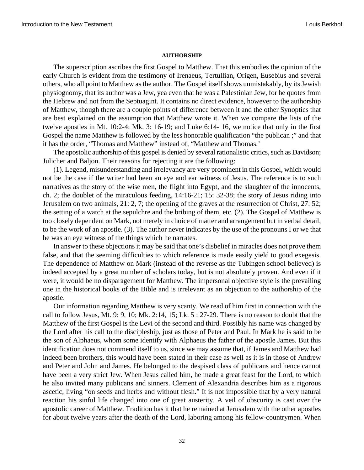#### **AUTHORSHIP**

The superscription ascribes the first Gospel to Matthew. That this embodies the opinion of the early Church is evident from the testimony of Irenaeus, Tertullian, Origen, Eusebius and several others, who all point to Matthew as the author. The Gospel itself shows unmistakably, by its Jewish physiognomy, that its author was a Jew, yea even that he was a Palestinian Jew, for he quotes from the Hebrew and not from the Septuagint. It contains no direct evidence, however to the authorship of Matthew, though there are a couple points of difference between it and the other Synoptics that are best explained on the assumption that Matthew wrote it. When we compare the lists of the twelve apostles in [Mt. 10:2-4](http://www.ccel.org/b/bible/asv/xml/asv.Matt.10.xml#Matt.10.2); [Mk. 3:](http://www.ccel.org/b/bible/asv/xml/asv.Mark..xml#Mark..) 16-19; and [Luke 6:14-](http://www.ccel.org/b/bible/asv/xml/asv.Luke.6.xml#Luke.6.14) 16, we notice that only in the first Gospel the name Matthew is followed by the less honorable qualification "the publican ;" and that it has the order, "Thomas and Matthew" instead of, "Matthew and Thomas.'

The apostolic authorship of this gospel is denied by several rationalistic critics, such as Davidson; Julicher and Baljon. Their reasons for rejecting it are the following:

(1). Legend, misunderstanding and irrelevancy are very prominent in this Gospel, which would not be the case if the writer had been an eye and ear witness of Jesus. The reference is to such narratives as the story of the wise men, the flight into Egypt, and the slaughter of the innocents, ch. 2; the doublet of the miraculous feeding, 14:16-21; 15: 32-38; the story of Jesus riding into Jerusalem on two animals, 21: 2, 7; the opening of the graves at the resurrection of Christ, 27: 52; the setting of a watch at the sepulchre and the bribing of them, etc. (2). The Gospel of Matthew is too closely dependent on Mark, not merely in choice of matter and arrangement but in verbal detail, to be the work of an apostle. (3). The author never indicates by the use of the pronouns I or we that he was an eye witness of the things which he narrates.

In answer to these objections it may be said that one's disbelief in miracles does not prove them false, and that the seeming difficulties to which reference is made easily yield to good exegesis. The dependence of Matthew on Mark (instead of the reverse as the Tubingen school believed) is indeed accepted by a great number of scholars today, but is not absolutely proven. And even if it were, it would be no disparagement for Matthew. The impersonal objective style is the prevailing one in the historical books of the Bible and is irrelevant as an objection to the authorship of the apostle.

Our information regarding Matthew is very scanty. We read of him first in connection with the call to follow Jesus, [Mt. 9](http://www.ccel.org/b/bible/asv/xml/asv.Matt..xml#Matt..): 9, 10; Mk.  $2:14$ , 15; Lk.  $5:27-29$ . There is no reason to doubt that the Matthew of the first Gospel is the Levi of the second and third. Possibly his name was changed by the Lord after his call to the discipleship, just as those of Peter and Paul. In Mark he is said to be the son of Alphaeus, whom some identify with Alphaeus the father of the apostle James. But this identification does not commend itself to us, since we may assume that, if James and Matthew had indeed been brothers, this would have been stated in their case as well as it is in those of Andrew and Peter and John and James. He belonged to the despised class of publicans and hence cannot have been a very strict Jew. When Jesus called him, he made a great feast for the Lord, to which he also invited many publicans and sinners. Clement of Alexandria describes him as a rigorous ascetic, living "on seeds and herbs and without flesh." It is not impossible that by a very natural reaction his sinful life changed into one of great austerity. A veil of obscurity is cast over the apostolic career of Matthew. Tradition has it that he remained at Jerusalem with the other apostles for about twelve years after the death of the Lord, laboring among his fellow-countrymen. When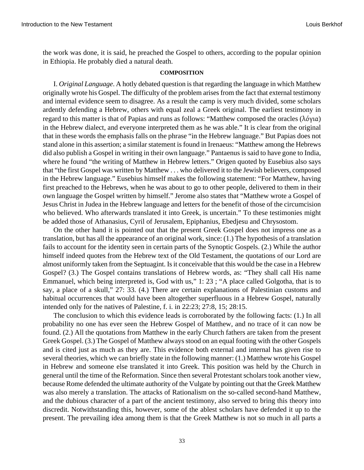the work was done, it is said, he preached the Gospel to others, according to the popular opinion in Ethiopia. He probably died a natural death.

#### **COMPOSITION**

I. *Original Language*. A hotly debated question is that regarding the language in which Matthew originally wrote his Gospel. The difficulty of the problem arises from the fact that external testimony and internal evidence seem to disagree. As a result the camp is very much divided, some scholars ardently defending a Hebrew, others with equal zeal a Greek original. The earliest testimony in regard to this matter is that of Papias and runs as follows: "Matthew composed the oracles (λόγια) in the Hebrew dialect, and everyone interpreted them as he was able." It is clear from the original that in these words the emphasis falls on the phrase "in the Hebrew language." But Papias does not stand alone in this assertion; a similar statement is found in Irenaeus: "Matthew among the Hebrews did also publish a Gospel in writing in their own language." Pantaenus is said to have gone to India, where he found "the writing of Matthew in Hebrew letters." Origen quoted by Eusebius also says that "the first Gospel was written by Matthew . . . who delivered it to the Jewish believers, composed in the Hebrew language." Eusebius himself makes the following statement: "For Matthew, having first preached to the Hebrews, when he was about to go to other people, delivered to them in their own language the Gospel written by himself." Jerome also states that "Matthew wrote a Gospel of Jesus Christ in Judea in the Hebrew language and letters for the benefit of those of the circumcision who believed. Who afterwards translated it into Greek, is uncertain." To these testimonies might be added those of Athanasius, Cyril of Jerusalem, Epiphanius, Ebedjesu and Chrysostom.

On the other hand it is pointed out that the present Greek Gospel does not impress one as a translation, but has all the appearance of an original work, since: (1.) The hypothesis of a translation fails to account for the identity seen in certain parts of the Synoptic Gospels. (2.) While the author himself indeed quotes from the Hebrew text of the Old Testament, the quotations of our Lord are almost uniformly taken from the Septuagint. Is it conceivable that this would be the case in a Hebrew Gospel? (3.) The Gospel contains translations of Hebrew words, as: "They shall call His name Emmanuel, which being interpreted is, God with us," 1: 23 ; "A place called Golgotha, that is to say, a place of a skull," 27: 33. (4.) There are certain explanations of Palestinian customs and habitual occurrences that would have been altogether superfluous in a Hebrew Gospel, naturally intended only for the natives of Palestine, f. i. in 22:23; 27:8, 15; 28:15.

The conclusion to which this evidence leads is corroborated by the following facts: (1.) In all probability no one has ever seen the Hebrew Gospel of Matthew, and no trace of it can now be found. (2.) All the quotations from Matthew in the early Church fathers are taken from the present Greek Gospel. (3.) The Gospel of Matthew always stood on an equal footing with the other Gospels and is cited just as much as they are. This evidence both external and internal has given rise to several theories, which we can briefly state in the following manner: (1.) Matthew wrote his Gospel in Hebrew and someone else translated it into Greek. This position was held by the Church in general until the time of the Reformation. Since then several Protestant scholars took another view, because Rome defended the ultimate authority of the Vulgate by pointing out that the Greek Matthew was also merely a translation. The attacks of Rationalism on the so-called second-hand Matthew, and the dubious character of a part of the ancient testimony, also served to bring this theory into discredit. Notwithstanding this, however, some of the ablest scholars have defended it up to the present. The prevailing idea among them is that the Greek Matthew is not so much in all parts a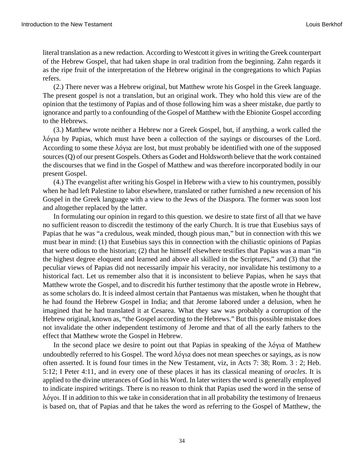literal translation as a new redaction. According to Westcott it gives in writing the Greek counterpart of the Hebrew Gospel, that had taken shape in oral tradition from the beginning. Zahn regards it as the ripe fruit of the interpretation of the Hebrew original in the congregations to which Papias refers.

(2.) There never was a Hebrew original, but Matthew wrote his Gospel in the Greek language. The present gospel is not a translation, but an original work. They who hold this view are of the opinion that the testimony of Papias and of those following him was a sheer mistake, due partly to ignorance and partly to a confounding of the Gospel of Matthew with the Ebionite Gospel according to the Hebrews.

(3.) Matthew wrote neither a Hebrew nor a Greek Gospel, but, if anything, a work called the λόγια by Papias, which must have been a collection of the sayings or discourses of the Lord. According to some these  $\lambda \dot{\alpha}$  are lost, but must probably be identified with one of the supposed sources (Q) of our present Gospels. Others as Godet and Holdsworth believe that the work contained the discourses that we find in the Gospel of Matthew and was therefore incorporated bodily in our present Gospel.

(4.) The evangelist after writing his Gospel in Hebrew with a view to his countrymen, possibly when he had left Palestine to labor elsewhere, translated or rather furnished a new recension of his Gospel in the Greek language with a view to the Jews of the Diaspora. The former was soon lost and altogether replaced by the latter.

In formulating our opinion in regard to this question. we desire to state first of all that we have no sufficient reason to discredit the testimony of the early Church. It is true that Eusebius says of Papias that he was "a credulous, weak minded, though pious man," but in connection with this we must bear in mind: (1) that Eusebius says this in connection with the chiliastic opinions of Papias that were odious to the historian; (2) that he himself elsewhere testifies that Papias was a man "in the highest degree eloquent and learned and above all skilled in the Scriptures," and (3) that the peculiar views of Papias did not necessarily impair his veracity, nor invalidate his testimony to a historical fact. Let us remember also that it is inconsistent to believe Papias, when he says that Matthew wrote the Gospel, and to discredit his further testimony that the apostle wrote in Hebrew, as some scholars do. It is indeed almost certain that Pantaenus was mistaken, when he thought that he had found the Hebrew Gospel in India; and that Jerome labored under a delusion, when he imagined that he had translated it at Cesarea. What they saw was probably a corruption of the Hebrew original, known as, "the Gospel according to the Hebrews." But this possible mistake does not invalidate the other independent testimony of Jerome and that of all the early fathers to the effect that Matthew wrote the Gospel in Hebrew.

In the second place we desire to point out that Papias in speaking of the  $\lambda$ όγια of Matthew undoubtedly referred to his Gospel. The word λόγια does not mean speeches or sayings, as is now often asserted. It is found four times in the New Testament, viz, in [Acts 7](http://www.ccel.org/b/bible/asv/xml/asv.Acts..xml#Acts..): 38; [Rom. 3](http://www.ccel.org/b/bible/asv/xml/asv.Rom..xml#Rom..) : 2; [Heb.](http://www.ccel.org/b/bible/asv/xml/asv.Heb.5.xml#Heb.5.12) [5:12](http://www.ccel.org/b/bible/asv/xml/asv.Heb.5.xml#Heb.5.12); [I Peter 4:11,](http://www.ccel.org/b/bible/asv/xml/asv.iPet.4.xml#iPet.4.11) and in every one of these places it has its classical meaning of *oracles*. It is applied to the divine utterances of God in his Word. In later writers the word is generally employed to indicate inspired writings. There is no reason to think that Papias used the word in the sense of λόγοι. If in addition to this we take in consideration that in all probability the testimony of Irenaeus is based on, that of Papias and that he takes the word as referring to the Gospel of Matthew, the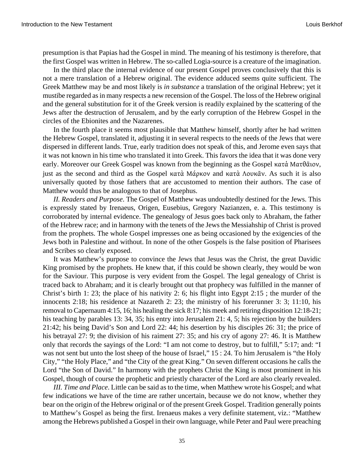presumption is that Papias had the Gospel in mind. The meaning of his testimony is therefore, that the first Gospel was written in Hebrew. The so-called Logia-source is a creature of the imagination.

In the third place the internal evidence of our present Gospel proves conclusively that this is not a mere translation of a Hebrew original. The evidence adduced seems quite sufficient. The Greek Matthew may be and most likely is *in substance* a translation of the original Hebrew; yet it mustibe regarded as in many respects a new recension of the Gospel. The loss of the Hebrew original and the general substitution for it of the Greek version is readily explained by the scattering of the Jews after the destruction of Jerusalem, and by the early corruption of the Hebrew Gospel in the circles of the Ebionites and the Nazarenes.

In the fourth place it seems most plausible that Matthew himself, shortly after he had written the Hebrew Gospel, translated it, adjusting it in several respects to the needs of the Jews that were dispersed in different lands. True, early tradition does not speak of this, and Jerome even says that it was not known in his time who translated it into Greek. This favors the idea that it was done very early. Moreover our Greek Gospel was known from the beginning as the Gospel κατά Ματθᾶιον, just as the second and third as the Gospel κατὰ Μάρκον and κατὰ Λουκᾶν. As such it is also universally quoted by those fathers that are accustomed to mention their authors. The case of Matthew would thus be analogous to that of Josephus.

*II. Readers and Purpose*. The Gospel of Matthew was undoubtedly destined for the Jews. This is expressly stated by Irenaeus, Origen, Eusebius, Gregory Nazianzen, e. a. This testimony is corroborated by internal evidence. The genealogy of Jesus goes back only to Abraham, the father of the Hebrew race; and in harmony with the tenets of the Jews the Messiahship of Christ is proved from the prophets. The whole Gospel impresses one as being occasioned by the exigencies of the Jews both in Palestine and without. In none of the other Gospels is the false position of Pharisees and Scribes so clearly exposed.

It was Matthew's purpose to convince the Jews that Jesus was the Christ, the great Davidic King promised by the prophets. He knew that, if this could be shown clearly, they would be won for the Saviour. This purpose is very evident from the Gospel. The legal genealogy of Christ is traced back to Abraham; and it is clearly brought out that prophecy was fulfilled in the manner of Christ's birth 1: 23; the place of his nativity 2: 6; his flight into Egypt 2:15 ; the murder of the innocents 2:18; his residence at Nazareth 2: 23; the ministry of his forerunner 3: 3; 11:10, his removal to Capernaum 4:15, 16; his healing the sick 8:17; his meek and retiring disposition 12:18-21; his teaching by parables 13: 34, 35; his entry into Jerusalem 21: 4, 5; his rejection by the builders 21:42; his being David's Son and Lord 22: 44; his desertion by his disciples 26: 31; the price of his betrayal 27: 9; the division of his raiment 27: 35; and his cry of agony 27: 46. It is Matthew only that records the sayings of the Lord: "I am not come to destroy, but to fulfill," 5:17; and: "I was not sent but unto the lost sheep of the house of Israel," 15 : 24. To him Jerusalem is "the Holy City," "the Holy Place," and "the City of the great King." On seven different occasions he calls the Lord "the Son of David." In harmony with the prophets Christ the King is most prominent in his Gospel, though of course the prophetic and priestly character of the Lord are also clearly revealed.

*III. Time and Place*. Little can be said as to the time, when Matthew wrote his Gospel; and what few indications we have of the time are rather uncertain, because we do not know, whether they bear on the origin of the Hebrew original or of the present Greek Gospel. Tradition generally points to Matthew's Gospel as being the first. Irenaeus makes a very definite statement, viz.: "Matthew among the Hebrews published a Gospel in their own language, while Peter and Paul were preaching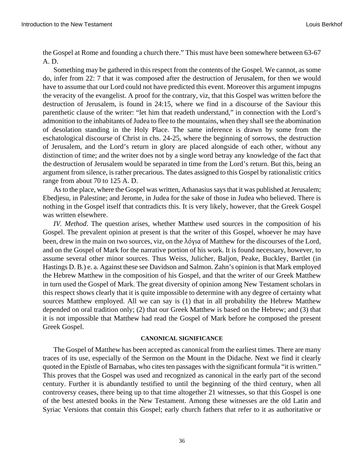the Gospel at Rome and founding a church there." This must have been somewhere between 63-67 A. D.

Something may be gathered in this respect from the contents of the Gospel. We cannot, as some do, infer from 22: 7 that it was composed after the destruction of Jerusalem, for then we would have to assume that our Lord could not have predicted this event. Moreover this argument impugns the veracity of the evangelist. A proof for the contrary, viz, that this Gospel was written before the destruction of Jerusalem, is found in 24:15, where we find in a discourse of the Saviour this parenthetic clause of the writer: "let him that readeth understand," in connection with the Lord's admonition to the inhabitants of Judea to flee to the mountains, when they shall see the abomination of desolation standing in the Holy Place. The same inference is drawn by some from the eschatological discourse of Christ in chs. 24-25, where the beginning of sorrows, the destruction of Jerusalem, and the Lord's return in glory are placed alongside of each other, without any distinction of time; and the writer does not by a single word betray any knowledge of the fact that the destruction of Jerusalem would be separated in time from the Lord's return. But this, being an argument from silence, is rather precarious. The dates assigned to this Gospel by rationalistic critics range from about 70 to 125 A. D.

As to the place, where the Gospel was written, Athanasius says that it was published at Jerusalem; Ebedjesu, in Palestine; and Jerome, in Judea for the sake of those in Judea who believed. There is nothing in the Gospel itself that contradicts this. It is very likely, however, that the Greek Gospel was written elsewhere.

*IV. Method*. The question arises, whether Matthew used sources in the composition of his Gospel. The prevalent opinion at present is that the writer of this Gospel, whoever he may have been, drew in the main on two sources, viz, on the λόγια of Matthew for the discourses of the Lord, and on the Gospel of Mark for the narrative portion of his work. It is found necessary, however, to assume several other minor sources. Thus Weiss, Julicher, Baljon, Peake, Buckley, Bartlet (in Hastings D. B.) e. a. Against these see Davidson and Salmon. Zahn's opinion is that Mark employed the Hebrew Matthew in the composition of his Gospel, and that the writer of our Greek Matthew in turn used the Gospel of Mark. The great diversity of opinion among New Testament scholars in this respect shows clearly that it is quite impossible to determine with any degree of certainty what sources Matthew employed. All we can say is (1) that in all probability the Hebrew Matthew depended on oral tradition only; (2) that our Greek Matthew is based on the Hebrew; and (3) that it is not impossible that Matthew had read the Gospel of Mark before he composed the present Greek Gospel.

#### **CANONICAL SIGNIFICANCE**

The Gospel of Matthew has been accepted as canonical from the earliest times. There are many traces of its use, especially of the Sermon on the Mount in the Didache. Next we find it clearly quoted in the Epistle of Barnabas, who cites ten passages with the significant formula "it is written." This proves that the Gospel was used and recognized as canonical in the early part of the second century. Further it is abundantly testified to until the beginning of the third century, when all controversy ceases, there being up to that time altogether 21 witnesses, so that this Gospel is one of the best attested books in the New Testament. Among these witnesses are the old Latin and Syriac Versions that contain this Gospel; early church fathers that refer to it as authoritative or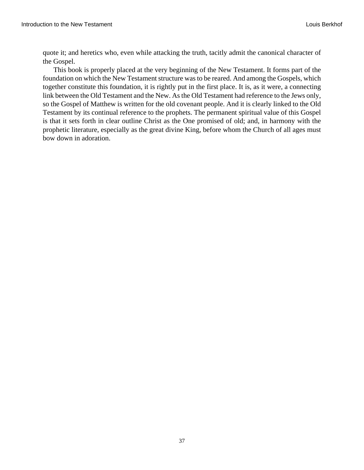quote it; and heretics who, even while attacking the truth, tacitly admit the canonical character of the Gospel.

This book is properly placed at the very beginning of the New Testament. It forms part of the foundation on which the New Testament structure was to be reared. And among the Gospels, which together constitute this foundation, it is rightly put in the first place. It is, as it were, a connecting link between the Old Testament and the New. As the Old Testament had reference to the Jews only, so the Gospel of Matthew is written for the old covenant people. And it is clearly linked to the Old Testament by its continual reference to the prophets. The permanent spiritual value of this Gospel is that it sets forth in clear outline Christ as the One promised of old; and, in harmony with the prophetic literature, especially as the great divine King, before whom the Church of all ages must bow down in adoration.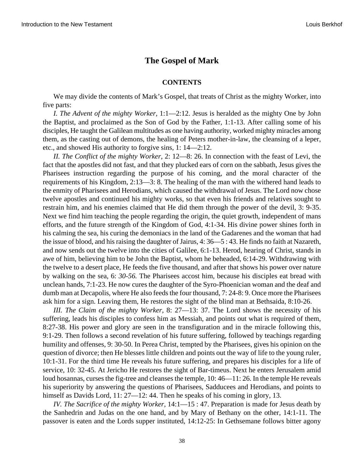# **The Gospel of Mark**

#### **CONTENTS**

We may divide the contents of Mark's Gospel, that treats of Christ as the mighty Worker, into five parts:

*I. The Advent of the mighty Worker,* 1:1—2:12. Jesus is heralded as the mighty One by John the Baptist, and proclaimed as the Son of God by the Father, 1:1-13. After calling some of his disciples, He taught the Galilean multitudes as one having authority, worked mighty miracles among them, as the casting out of demons, the healing of Peters mother-in-law, the cleansing of a leper, etc., and showed His authority to forgive sins, 1: 14—2:12.

*II. The Conflict of the mighty Worker,* 2: 12—8: 26. In connection with the feast of Levi, the fact that the apostles did not fast, and that they plucked ears of corn on the sabbath, Jesus gives the Pharisees instruction regarding the purpose of his coming, and the moral character of the requirements of his Kingdom, 2:13—3: 8. The healing of the man with the withered hand leads to the enmity of Pharisees and Herodians, which caused the withdrawal of Jesus. The Lord now chose twelve apostles and continued his mighty works, so that even his friends and relatives sought to restrain him, and his enemies claimed that He did them through the power of the devil, 3: 9-35. Next we find him teaching the people regarding the origin, the quiet growth, independent of mans efforts, and the future strength of the Kingdom of God, 4:1-34. His divine power shines forth in his calming the sea, his curing the demoniacs in the land of the Gadarenes and the woman that had the issue of blood, and his raising the daughter of Jairus, 4: 36—5 : 43. He finds no faith at Nazareth, and now sends out the twelve into the cities of Galilee, 6:1-13. Herod, hearing of Christ, stands in awe of him, believing him to be John the Baptist, whom he beheaded, 6:14-29. Withdrawing with the twelve to a desert place, He feeds the five thousand, and after that shows his power over nature by walking on the sea, 6: *30-56.* The Pharisees accost him, because his disciples eat bread with unclean hands, 7:1-23. He now cures the daughter of the Syro-Phoenician woman and the deaf and dumb man at Decapolis, where He also feeds the four thousand, 7: 24-8: 9. Once more the Pharisees ask him for a sign. Leaving them, He restores the sight of the blind man at Bethsaida, 8:10-26.

*III. The Claim of the mighty Worker,* 8: 27—13: 37. The Lord shows the necessity of his suffering, leads his disciples to confess him as Messiah, and points out what is required of them, 8:27-38. His power and glory are seen in the transfiguration and in the miracle following this, 9:1-29. Then follows a second revelation of his future suffering, followed by teachings regarding humility and offenses, 9: 30-50. In Perea Christ, tempted by the Pharisees, gives his opinion on the question of divorce; then He blesses little children and points out the way of life to the young ruler, 10:1-31. For the third time He reveals his future suffering, and prepares his disciples for a life of service, 10: 32-45. At Jericho He restores the sight of Bar-timeus. Next he enters Jerusalem amid loud hosannas, curses the fig-tree and cleanses the temple, 10: 46—11: 26. In the temple He reveals his superiority by answering the questions of Pharisees, Sadducees and Herodians, and points to himself as Davids Lord, 11: 27—12: 44. Then he speaks of his coming in glory, 13.

*IV. The Sacrifice of the mighty Worker,* 14:1—15 : 47. Preparation is made for Jesus death by the Sanhedrin and Judas on the one hand, and by Mary of Bethany on the other, 14:1-11. The passover is eaten and the Lords supper instituted, 14:12-25: In Gethsemane follows bitter agony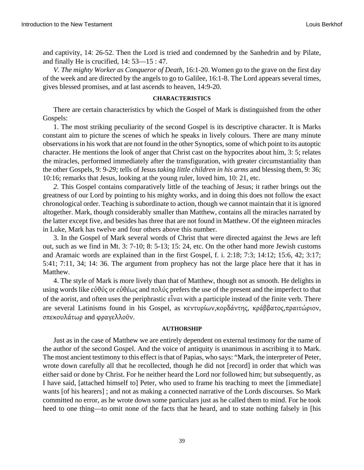and captivity, 14: 26-52. Then the Lord is tried and condemned by the Sanhedrin and by Pilate, and finally He is crucified, 14: 53—15 : 47.

*V. The mighty Worker as Conqueror of Death,* 16:1-20. Women go to the grave on the first day of the week and are directed by the angels to go to Galilee, 16:1-8. The Lord appears several times, gives blessed promises, and at last ascends to heaven, 14:9-20.

#### **CHARACTERISTICS**

There are certain characteristics by which the Gospel of Mark is distinguished from the other Gospels:

1. The most striking peculiarity of the second Gospel is its descriptive character. It is Marks constant aim to picture the scenes of which he speaks in lively colours. There are many minute observations in his work that are not found in the other Synoptics, some of which point to its autoptic character. He mentions the look of anger that Christ cast on the hypocrites about him, 3: 5; relates the miracles, performed immediately after the transfiguration, with greater circumstantiality than the other Gospels, 9: 9-*29;* tells of Jesus *taking little children in his arms* and blessing them, 9: 36; 10:16; remarks that Jesus, looking at the young ruler, loved him, 10: 21, etc.

*2.* This Gospel contains comparatively little of the teaching of Jesus; it rather brings out the greatness of our Lord by pointing to his mighty works, and in doing this does not follow the exact chronological order. Teaching is subordinate to action, though we cannot maintain that it is ignored altogether. Mark, though considerably smaller than Matthew, contains all the miracles narrated by the latter except five, and besides has three that are not found in Matthew. Of the eighteen miracles in Luke, Mark has twelve and four others above this number.

3. In the Gospel of Mark several words of Christ that were directed against the Jews are left out, such as we find in [Mt. 3:](http://www.ccel.org/b/bible/asv/xml/asv.Matt..xml#Matt..) 7-10; 8: 5-13; 15: 24, etc. On the other hand more Jewish customs and Aramaic words are explained than in the first Gospel, f. i. 2:18; 7:3; 14:12; 15:6, 42; 3:17; 5:41; 7:11, 34; 14: 36. The argument from prophecy has not the large place here that it has in Matthew.

4. The style of Mark is more lively than that of Matthew, though not as smooth. He delights in using words like εὐθύς or εὐθέως and πολύς prefers the use of the present and the imperfect to that of the aorist, and often uses the periphrastic εἶναι with a participle instead of the finite verb. There are several Latinisms found in his Gospel, as κεντυρίων,κορδάντης, κράββατος,πραιτώριον, σπεκουλάτωρ and φραγελλοῦν.

#### **AUTHORSHIP**

Just as in the case of Matthew we are entirely dependent on external testimony for the name of the author of the second Gospel. And the voice of antiquity is unanimous in ascribing it to Mark. The most ancient testimony to this effect is that of Papias, who says: "Mark, the interpreter of Peter, wrote down carefully all that he recollected, though he did not [record] in order that which was either said or done by Christ. For he neither heard the Lord nor followed him; but subsequently, as I have said, [attached himself to] Peter, who used to frame his teaching to meet the [immediate] wants [of his hearers] ; and not as making a connected narrative of the Lords discourses. So Mark committed no error, as he wrote down some particulars just as he called them to mind. For he took heed to one thing—to omit none of the facts that he heard, and to state nothing falsely in [his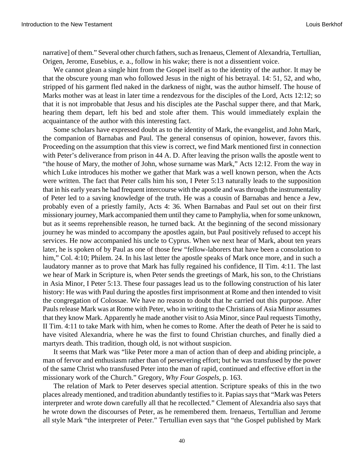narrative] of them." Several other church fathers, such as Irenaeus, Clement of Alexandria, Tertullian, Origen, Jerome, Eusebius, e. a., follow in his wake; there is not a dissentient voice.

We cannot glean a single hint from the Gospel itself as to the identity of the author. It may be that the obscure young man who followed Jesus in the night of his betrayal. 14: 51, 52, and who, stripped of his garment fled naked in the darkness of night, was the author himself. The house of Marks mother was at least in later time a rendezvous for the disciples of the Lord, [Acts 12:12;](http://www.ccel.org/b/bible/asv/xml/asv.Acts.12.xml#Acts.12.12) so that it is not improbable that Jesus and his disciples ate the Paschal supper there, and that Mark, hearing them depart, left his bed and stole after them. This would immediately explain the acquaintance of the author with this interesting fact.

Some scholars have expressed doubt as to the identity of Mark, the evangelist, and John Mark, the companion of Barnabas and Paul. The general consensus of opinion, however, favors this. Proceeding on the assumption that this view is correct, we find Mark mentioned first in connection with Peter's deliverance from prison in 44 A. D. After leaving the prison walls the apostle went to "the house of Mary, the mother of John, whose surname was Mark," [Acts 12:12](http://www.ccel.org/b/bible/asv/xml/asv.Acts.12.xml#Acts.12.12). From the way in which Luke introduces his mother we gather that Mark was a well known person, when the Acts were written. The fact that Peter calls him his son, [I Peter 5:13](http://www.ccel.org/b/bible/asv/xml/asv.iPet.5.xml#iPet.5.13) naturally leads to the supposition that in his early years he had frequent intercourse with the apostle and was through the instrumentality of Peter led to a saving knowledge of the truth. He was a cousin of Barnabas and hence a Jew, probably even of a priestly family, [Acts 4:](http://www.ccel.org/b/bible/asv/xml/asv.Acts..xml#Acts..) 36. When Barnabas and Paul set out on their first missionary journey, Mark accompanied them until they came to Pamphylia, when for some unknown, but as it seems reprehensible reason, he turned back. At the beginning of the second missionary journey he was minded to accompany the apostles again, but Paul positively refused to accept his services. He now accompanied his uncle to Cyprus. When we next hear of Mark, about ten years later, he is spoken of by Paul as one of those few "fellow-laborers that have been a consolation to him," [Col. 4:10;](http://www.ccel.org/b/bible/asv/xml/asv.Col.4.xml#Col.4.10) [Philem. 24](http://www.ccel.org/b/bible/asv/xml/asv.Phlm.1.xml#Phlm.1.24). In his last letter the apostle speaks of Mark once more, and in such a laudatory manner as to prove that Mark has fully regained his confidence, [II Tim. 4:11.](http://www.ccel.org/b/bible/asv/xml/asv.iiTim.4.xml#iiTim.4.11) The last we hear of Mark in Scripture is, when Peter sends the greetings of Mark, his son, to the Christians in Asia Minor, [I Peter 5:13](http://www.ccel.org/b/bible/asv/xml/asv.iPet.5.xml#iPet.5.13). These four passages lead us to the following construction of his later history: He was with Paul during the apostles first imprisonment at Rome and then intended to visit the congregation of Colossae. We have no reason to doubt that he carried out this purpose. After Pauls release Mark was at Rome with Peter, who in writing to the Christians of Asia Minor assumes that they know Mark. Apparently he made another visit to Asia Minor, since Paul requests Timothy, [II Tim. 4:11](http://www.ccel.org/b/bible/asv/xml/asv.iiTim.4.xml#iiTim.4.11) to take Mark with him, when he comes to Rome. After the death of Peter he is said to have visited Alexandria, where he was the first to found Christian churches, and finally died a martyrs death. This tradition, though old, is not without suspicion.

It seems that Mark was "like Peter more a man of action than of deep and abiding principle, a man of fervor and enthusiasm rather than of persevering effort; but he was transfused by the power of the same Christ who transfused Peter into the man of rapid, continued and effective effort in the missionary work of the Church." Gregory, *Why Four Gospels,* p. 163.

The relation of Mark to Peter deserves special attention. Scripture speaks of this in the two places already mentioned, and tradition abundantly testifies to it. Papias says that "Mark was Peters interpreter and wrote down carefully all that he recollected." Clement of Alexandria also says that he wrote down the discourses of Peter, as he remembered them. Irenaeus, Tertullian and Jerome all style Mark "the interpreter of Peter." Tertullian even says that "the Gospel published by Mark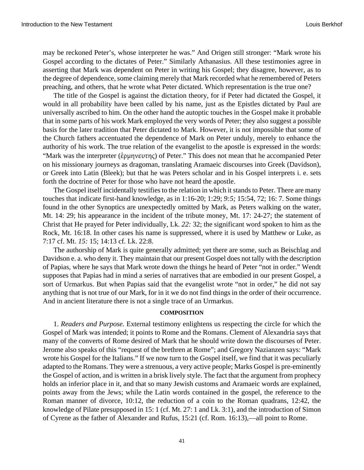may be reckoned Peter's, whose interpreter he was." And Origen still stronger: "Mark wrote his Gospel according to the dictates of Peter." Similarly Athanasius. All these testimonies agree in asserting that Mark was dependent on Peter in writing his Gospel; they disagree, however, as to the degree of dependence, some claiming merely that Mark recorded what he remembered of Peters preaching, and others, that he wrote what Peter dictated. Which representation is the true one?

The title of the Gospel is against the dictation theory, for if Peter had dictated the Gospel, it would in all probability have been called by his name, just as the Epistles dictated by Paul are universally ascribed to him. On the other hand the autoptic touches in the Gospel make it probable that in some parts of his work Mark employed the very words of Peter; they also suggest a possible basis for the later tradition that Peter dictated to Mark. However, it is not impossible that some of the Church fathers accentuated the dependence of Mark on Peter unduly, merely to enhance the authority of his work. The true relation of the evangelist to the apostle is expressed in the words: "Mark was the interpreter (ἑρμηνευτης) of Peter." This does not mean that he accompanied Peter on his missionary journeys as dragoman, translating Aramaeic discourses into Greek (Davidson), or Greek into Latin (Bleek); but that he was Peters scholar and in his Gospel interprets i. e. sets forth the doctrine of Peter for those who have not heard the apostle.

The Gospel itself incidentally testifies to the relation in which it stands to Peter. There are many touches that indicate first-hand knowledge, as in 1:16-20; 1:29; *9:5;* 15:54, 72; 16: 7. Some things found in the other Synoptics are unexpectedly omitted by Mark, as Peters walking on the water, [Mt. 14:](http://www.ccel.org/b/bible/asv/xml/asv.Matt..xml#Matt..) 29; his appearance in the incident of the tribute money, [Mt. 17:](http://www.ccel.org/b/bible/asv/xml/asv.Matt..xml#Matt..) 24-27; the statement of Christ that He prayed for Peter individually, Lk. *22:* 32; the significant word spoken to him as the Rock, [Mt. 16:18](http://www.ccel.org/b/bible/asv/xml/asv.Matt.16.xml#Matt.16.18). In other cases his name is suppressed, where it is used by Matthew or Luke, as 7:17 cf. Mt. *15:* 15; 14:13 cf. [Lk. 22:8](http://www.ccel.org/b/bible/asv/xml/asv.Luke.22.xml#Luke.22.8).

The authorship of Mark is quite generally admitted; yet there are some, such as Beischlag and Davidson e. a. who deny it. They maintain that our present Gospel does not tally with the description of Papias, where he says that Mark wrote down the things he heard of Peter "not in order." Wendt supposes that Papias had in mind a series of narratives that are embodied in our present Gospel, a sort of Urmarkus. But when Papias said that the evangelist wrote "not in order," he did not say anything that is not true of our Mark, for in it we do not find things in the order of their occurrence. And in ancient literature there is not a single trace of an Urmarkus.

#### **COMPOSITION**

1. *Readers and Purpose.* External testimony enlightens us respecting the circle for which the Gospel of Mark was intended; it points to Rome and the Romans. Clement of Alexandria says that many of the converts of Rome desired of Mark that he should write down the discourses of Peter. Jerome also speaks of this "request of the brethren at Rome"; and Gregory Nazianzen says: "Mark wrote his Gospel for the Italians." If we now turn to the Gospel itself, we find that it was peculiarly adapted to the Romans. They were a strenuous, a very active people; Marks Gospel is pre-eminently the Gospel of action, and is written in a brisk lively style. The fact that the argument from prophecy holds an inferior place in it, and that so many Jewish customs and Aramaeic words are explained, points away from the Jews; while the Latin words contained in the gospel, the reference to the Roman manner of divorce, 10:12, the reduction of a coin to the Roman quadrans, 12:42, the knowledge of Pilate presupposed in 15: 1 (cf. [Mt. 27](http://www.ccel.org/b/bible/asv/xml/asv.Matt..xml#Matt..): 1 and [Lk. 3:1\)](http://www.ccel.org/b/bible/asv/xml/asv.Luke.3.xml#Luke.3.1), and the introduction of Simon of Cyrene as the father of Alexander and Rufus, 15:21 (cf. [Rom. 16:13\)](http://www.ccel.org/b/bible/asv/xml/asv.Rom.16.xml#Rom.16.13),—all point to Rome.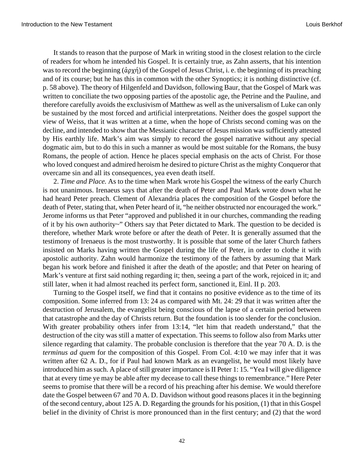It stands to reason that the purpose of Mark in writing stood in the closest relation to the circle of readers for whom he intended his Gospel. It is certainly true, as Zahn asserts, that his intention was to record the beginning (ἀρχή) of the Gospel of Jesus Christ, i. e. the beginning of its preaching and of its course; but he has this in common with the other Synoptics; it is nothing distinctive (cf. p. 58 above). The theory of Hilgenfeld and Davidson, following Baur, that the Gospel of Mark was written to conciliate the two opposing parties of the apostolic age, the Petrine and the Pauline, and therefore carefully avoids the exclusivism of Matthew as well as the universalism of Luke can only be sustained by the most forced and artificial interpretations. Neither does the gospel support the view of Weiss, that it was written at a time, when the hope of Christs second coming was on the decline, and intended to show that the Messianic character of Jesus mission was sufficiently attested by His earthly life. Mark's aim was simply to record the gospel narrative without any special dogmatic aim, but to do this in such a manner as would be most suitable for the Romans, the busy Romans, the people of action. Hence he places special emphasis on the acts of Christ. For those who loved conquest and admired heroism he desired to picture Christ as the mighty Conqueror that overcame sin and all its consequences, yea even death itself.

2. *Time and Place.* As to the time when Mark wrote his Gospel the witness of the early Church is not unanimous. Irenaeus says that after the death of Peter and Paul Mark wrote down what he had heard Peter preach. Clement of Alexandria places the composition of the Gospel before the death of Peter, stating that, when Peter heard of it, "he neither obstructed nor encouraged the work." Jerome informs us that Peter "approved and published it in our churches, commanding the reading of it by his own authority~" Others say that Peter dictated to Mark. The question to be decided is therefore, whether Mark wrote before or after the death of Peter. It is generally assumed that the testimony of Irenaeus is the most trustworthy. It is possible that some of the later Church fathers insisted on Marks having written the Gospel during the life of Peter, in order to clothe it with apostolic authority. Zahn would harmonize the testimony of the fathers by assuming that Mark began his work before and finished it after the death of the apostle; and that Peter on hearing of Mark's venture at first said nothing regarding it; then, seeing a part of the work, rejoiced in it; and still later, when it had almost reached its perfect form, sanctioned it, Einl. II p. 203.

Turning to the Gospel itself, we find that it contains no positive evidence as to the time of its composition. Some inferred from 13: 24 as compared with [Mt. 24:](http://www.ccel.org/b/bible/asv/xml/asv.Matt..xml#Matt..) 29 that it was written after the destruction of Jerusalem, the evangelist being conscious of the lapse of a certain period between that catastrophe and the day of Christs return. But the foundation is too slender for the conclusion. With greater probability others infer from 13:14, "let him that readeth understand," that the destruction of the city was still a matter of expectation. This seems to follow also from Marks utter silence regarding that calamity. The probable conclusion is therefore that the year 70 A. D. is the *terminus ad quem* for the composition of this Gospel. From [Col. 4:10](http://www.ccel.org/b/bible/asv/xml/asv.Col.4.xml#Col.4.10) we may infer that it was written after 62 A. D., for if Paul had known Mark as an evangelist, he would most likely have introduced him as such. A place of still greater importance is [II Peter 1:](http://www.ccel.org/b/bible/asv/xml/asv.iiPet..xml#iiPet..) 15. "Yea I will give diligence that at every time ye may be able after my decease to call these things to remembrance." Here Peter seems to promise that there will be a record of his preaching after his demise. We would therefore date the Gospel between 67 and 70 A. D. Davidson without good reasons places it in the beginning of the second century, about 125 A. D. Regarding the grounds for his position, (1) that in this Gospel belief in the divinity of Christ is more pronounced than in the first century; and (2) that the word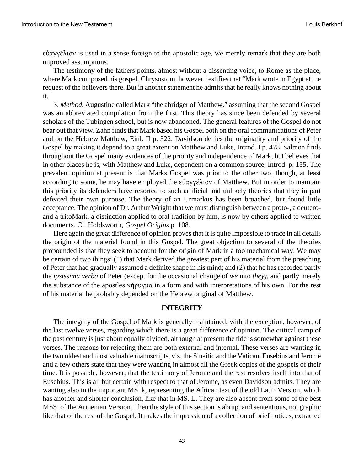εὐαγγέλιον is used in a sense foreign to the apostolic age, we merely remark that they are both unproved assumptions.

The testimony of the fathers points, almost without a dissenting voice, to Rome as the place, where Mark composed his gospel. Chrysostom, however, testifies that "Mark wrote in Egypt at the request of the believers there. But in another statement he admits that he really knows nothing about it.

3. *Method.* Augustine called Mark "the abridger of Matthew," assuming that the second Gospel was an abbreviated compilation from the first. This theory has since been defended by several scholars of the Tubingen school, but is now abandoned. The general features of the Gospel do not bear out that view. Zahn finds that Mark based his Gospel both on the oral communications of Peter and on the Hebrew Matthew, Einl. II p. 322. Davidson denies the originality and priority of the Gospel by making it depend to a great extent on Matthew and Luke, Introd. I p. 478. Salmon finds throughout the Gospel many evidences of the priority and independence of Mark, but believes that in other places he is, with Matthew and Luke, dependent on a common source, Introd. p. 155. The prevalent opinion at present is that Marks Gospel was prior to the other two, though, at least according to some, he may have employed the εὐαγγέλιον of Matthew. But in order to maintain this priority its defenders have resorted to such artificial and unlikely theories that they in part defeated their own purpose. The theory of an Urmarkus has been broached, but found little acceptance. The opinion of Dr. Arthur Wright that we must distinguish between a proto-, a deuteroand a tritoMark, a distinction applied to oral tradition by him, is now by others applied to written documents. Cf. Holdsworth, *Gospel Origins* p. 108.

Here again the great difference of opinion proves that it is quite impossible to trace in all details the origin of the material found in this Gospel. The great objection to several of the theories propounded is that they seek to account for the origin of Mark in a too mechanical way. We may be certain of two things: (1) that Mark derived the greatest part of his material from the preaching of Peter that had gradually assumed a definite shape in his mind; and (2) that he has recorded partly the *ipsissima verba* of Peter (except for the occasional change of *we* into *they),* and partly merely the substance of the apostles κήρυγμα in a form and with interpretations of his own. For the rest of his material he probably depended on the Hebrew original of Matthew.

## **INTEGRITY**

The integrity of the Gospel of Mark is generally maintained, with the exception, however, of the last twelve verses, regarding which there is a great difference of opinion. The critical camp of the past century is just about equally divided, although at present the tide is somewhat against these verses. The reasons for rejecting them are both external and internal. These verses are wanting in the two oldest and most valuable manuscripts, viz, the Sinaitic and the Vatican. Eusebius and Jerome and a few others state that they were wanting in almost all the Greek copies of the gospels of their time. It is possible, however, that the testimony of Jerome and the rest resolves itself into that of Eusebius. This is all but certain with respect to that of Jerome, as even Davidson admits. They are wanting also in the important MS. k, representing the African text of the old Latin Version, which has another and shorter conclusion, like that in MS. L. They are also absent from some of the best MSS. of the Armenian Version. Then the style of this section is abrupt and sententious, not graphic like that of the rest of the Gospel. It makes the impression of a collection of brief notices, extracted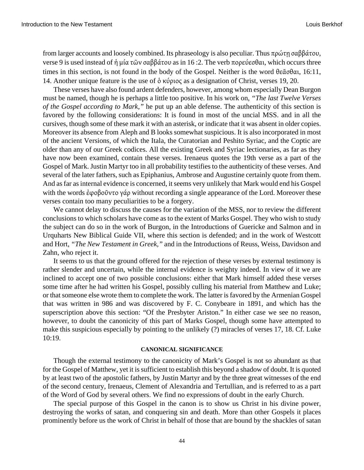from larger accounts and loosely combined. Its phraseology is also peculiar. Thus πρώτῃ σαββάτου, verse 9 is used instead of ἡ μία τῶν σαββάτου as in 16 :2. The verb πορεύεσθαι, which occurs three times in this section, is not found in the body of the Gospel. Neither is the word θεᾶσθαι, 16:11, 14. Another unique feature is the use of ὁ κύριος as a designation of Christ, verses 19, 20.

These verses have also found ardent defenders, however, among whom especially Dean Burgon must be named, though he is perhaps a little too positive. In his work on, *"The last Twelve Verses of the Gospel according to Mark,"* he put up an able defense. The authenticity of this section is favored by the following considerations: It is found in most of the uncial MSS. and in all the cursives, though some of these mark it with an asterisk, or indicate that it was absent in older copies. Moreover its absence from Aleph and B looks somewhat suspicious. It is also incorporated in most of the ancient Versions, of which the Itala, the Curatorian and Peshito Syriac, and the Coptic are older than any of our Greek codices. All the existing Greek and Syriac lectionaries, as far as they have now been examined, contain these verses. Irenaeus quotes the 19th verse as a part of the Gospel of Mark. Justin Martyr too in all probability testifies to the authenticity of these verses. And several of the later fathers, such as Epiphanius, Ambrose and Augustine certainly quote from them. And as far as internal evidence is concerned, it seems very unlikely that Mark would end his Gospel with the words έφοβοῦντο γάρ without recording a single appearance of the Lord. Moreover these verses contain too many peculiarities to be a forgery.

We cannot delay to discuss the causes for the variation of the MSS, nor to review the different conclusions to which scholars have come as to the extent of Marks Gospel. They who wish to study the subject can do so in the work of Burgon, in the Introductions of Guericke and Salmon and in Urquharts New Biblical Guide VII, where this section is defended; and in the work of Westcott and Hort, *"The New Testament in Greek,"* and in the Introductions of Reuss, Weiss, Davidson and Zahn, who reject it.

It seems to us that the ground offered for the rejection of these verses by external testimony is rather slender and uncertain, while the internal evidence is weighty indeed. In view of it we are inclined to accept one of two possible conclusions: either that Mark himself added these verses some time after he had written his Gospel, possibly culling his material from Matthew and Luke; or that someone else wrote them to complete the work. The latter is favored by the Armenian Gospel that was written in 986 and was discovered by F. C. Conybeare in 1891, and which has the superscription above this section: "Of the Presbyter Ariston." In either case we see no reason, however, to doubt the canonicity of this part of Marks Gospel, though some have attempted to make this suspicious especially by pointing to the unlikely (?) miracles of verses 17, 18. Cf. [Luke](http://www.ccel.org/b/bible/asv/xml/asv.Luke.10.xml#Luke.10.19) [10:19](http://www.ccel.org/b/bible/asv/xml/asv.Luke.10.xml#Luke.10.19).

#### **CANONICAL SIGNIFICANCE**

Though the external testimony to the canonicity of Mark's Gospel is not so abundant as that for the Gospel of Matthew, yet it is sufficient to establish this beyond a shadow of doubt. It is quoted by at least two of the apostolic fathers, by Justin Martyr and by the three great witnesses of the end of the second century, Irenaeus, Clement of Alexandria and Tertullian, and is referred to as a part of the Word of God by several others. We find no expressions of doubt in the early Church.

The special purpose of this Gospel in the canon is to show us Christ in his divine power, destroying the works of satan, and conquering sin and death. More than other Gospels it places prominently before us the work of Christ in behalf of those that are bound by the shackles of satan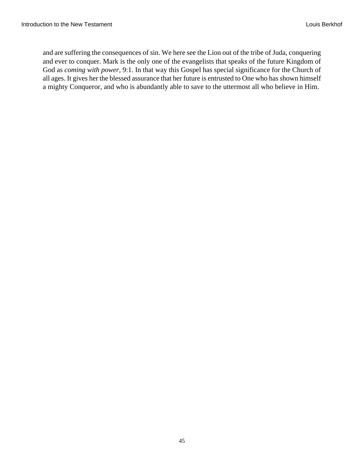and are suffering the consequences of sin. We here see the Lion out of the tribe of Juda, conquering and ever to conquer. Mark is the only one of the evangelists that speaks of the future Kingdom of God as *coming with power,* 9:1. In that way this Gospel has special significance for the Church of all ages. It gives her the blessed assurance that her future is entrusted to One who has shown himself a mighty Conqueror, and who is abundantly able to save to the uttermost all who believe in Him.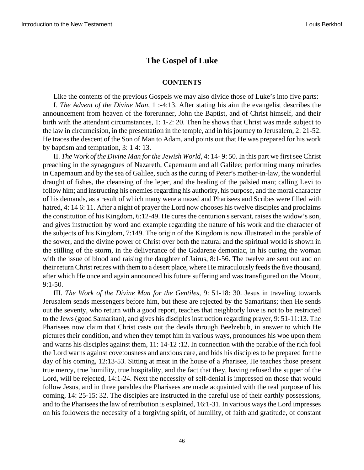# **The Gospel of Luke**

#### **CONTENTS**

Like the contents of the previous Gospels we may also divide those of Luke's into five parts: I. *The Advent of the Divine Man,* 1 :-4:13. After stating his aim the evangelist describes the announcement from heaven of the forerunner, John the Baptist, and of Christ himself, and their birth with the attendant circumstances, 1: 1-2: 20. Then he shows that Christ was made subject to the law in circumcision, in the presentation in the temple, and in his journey to Jerusalem, 2: 21-52. He traces the descent of the Son of Man to Adam, and points out that He was prepared for his work by baptism and temptation, 3: 1 4: 13.

II. *The Work of the Divine Man for the Jewish World,* 4: 14- 9: 50. In this part we first see Christ preaching in the synagogues of Nazareth, Capernaum and all Galilee; performing many miracles in Capernaum and by the sea of Galilee, such as the curing of Peter's mother-in-law, the wonderful draught of fishes, the cleansing of the leper, and the healing of the palsied man; calling Levi to follow him; and instructing his enemies regarding his authority, his purpose, and the moral character of his demands, as a result of which many were amazed and Pharisees and Scribes were filled with hatred, 4: 14 6: 11. After a night of prayer the Lord now chooses his twelve disciples and proclaims the constitution of his Kingdom, 6:12-49. He cures the centurion s servant, raises the widow's son, and gives instruction by word and example regarding the nature of his work and the character of the subjects of his Kingdom, 7:149. The origin of the Kingdom is now illustrated in the parable of the sower, and the divine power of Christ over both the natural and the spiritual world is shown in the stilling of the storm, in the deliverance of the Gadarene demoniac, in his curing the woman with the issue of blood and raising the daughter of Jairus, 8:1-56. The twelve are sent out and on their return Christ retires with them to a desert place, where He miraculously feeds the five thousand, after which He once and again announced his future suffering and was transfigured on the Mount, 9:1-50.

III. *The Work of the Divine Man for the Gentiles,* 9: 51-18: 30. Jesus in traveling towards Jerusalem sends messengers before him, but these are rejected by the Samaritans; then He sends out the seventy, who return with a good report, teaches that neighborly love is not to be restricted to the Jews (good Samaritan), and gives his disciples instruction regarding prayer, 9: 51-11:13. The Pharisees now claim that Christ casts out the devils through Beelzebub, in answer to which He pictures their condition, and when they tempt him in various ways, pronounces his woe upon them and warns his disciples against them, 11: 14-12 :12. In connection with the parable of the rich fool the Lord warns against covetousness and anxious care, and bids his disciples to be prepared for the day of his coming, 12:13-53. Sitting at meat in the house of a Pharisee, He teaches those present true mercy, true humility, true hospitality, and the fact that they, having refused the supper of the Lord, will be rejected, 14:1-24. Next the necessity of self-denial is impressed on those that would follow Jesus, and in three parables the Pharisees are made acquainted with the real purpose of his coming, 14: 25-15: 32. The disciples are instructed in the careful use of their earthly possessions, and to the Pharisees the law of retribution is explained, 16:1-31. In various ways the Lord impresses on his followers the necessity of a forgiving spirit, of humility, of faith and gratitude, of constant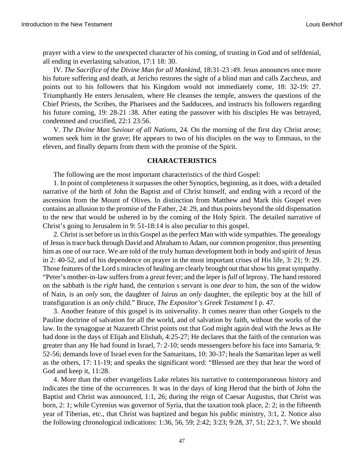prayer with a view to the unexpected character of his coming, of trusting in God and of selfdenial, all ending in everlasting salvation, 17:1 18: 30.

IV. *The Sacrifice of the Divine Man for all Mankind,* 18:31-23 :49. Jesus announces once more his future suffering and death, at Jericho restores the sight of a blind man and calls Zaccheus, and points out to his followers that his Kingdom would not immediately come, 18: 32-19: 27. Triumphantly He enters Jerusalem, where He cleanses the temple, answers the questions of the Chief Priests, the Scribes, the Pharisees and the Sadducees, and instructs his followers regarding his future coming, 19: 28-21 :38. After eating the passover with his disciples He was betrayed, condemned and crucified, 22:1 23:56.

V. *The Divine Man Saviour of all Nations,* 24. On the morning of the first day Christ arose; women seek him in the grave; He appears to two of his disciples on the way to Emmaus, to the eleven, and finally departs from them with the promise of the Spirit.

## **CHARACTERISTICS**

The following are the most important characteristics of the third Gospel:

1. In point of completeness it surpasses the other Synoptics, beginning, as it does, with a detailed narrative of the birth of John the Baptist and of Christ himself, and ending with a record of the ascension from the Mount of Olives. In distinction from Matthew and Mark this Gospel even contains an allusion to the promise of the Father, 24: 29, and thus points beyond the old dispensation to the new that would be ushered in by the coming of the Holy Spirit. The detailed narrative of Christ's going to Jerusalem in 9: 51-18:14 is also peculiar to this gospel.

2. Christ is set before us in this Gospel as the perfect Man with wide sympathies. The genealogy of Jesus is trace back through David and Abraham to Adam, our common progenitor, thus presenting him as one of our race. We are told of the truly human development both in body and spirit of Jesus in 2: 40-52, and of his dependence on prayer in the most important crises of His life, 3: 21; 9: 29. Those features of the Lord s miracles of healing are clearly brought out that show his great sympathy. "Peter's mother-in-law suffers from a *great* fever; and the leper is *full* of leprosy. The hand restored on the sabbath is the *right* hand, the centurion s servant is one *dear* to him, the son of the widow of Nain, is an *only* son, the daughter of Jairus an *only* daughter, the epileptic boy at the hill of transfiguration is an *only* child." Bruce, *The Expositor's Greek Testament* I p. 47.

3. Another feature of this gospel is its universality. It comes nearer than other Gospels to the Pauline doctrine of salvation for all the world, and of salvation by faith, without the works of the law. In the synagogue at Nazareth Christ points out that God might again deal with the Jews as He had done in the days of Elijah and Elishah, 4:25-27; He declares that the faith of the centurion was greater than any He had found in Israel, 7: 2-10; sends messengers before his face into Samaria, 9: 52-56; demands love of Israel even for the Samaritans, 10: 30-37; heals the Samaritan leper as well as the others, 17: 11-19; and speaks the significant word: "Blessed are they that hear the word of God and keep it, 11:28.

4. More than the other evangelists Luke relates his narrative to contemporaneous history and indicates the time of the occurrences. It was in the days of king Herod that the birth of John the Baptist and Christ was announced, 1:1, 26; during the reign of Caesar Augustus, that Christ was born, 2: 1; while Cyrenius was governor of Syria, that the taxation took place, 2: 2; in the fifteenth year of Tiberias, etc., that Christ was baptized and began his public ministry, 3:1, 2. Notice also the following chronological indications: 1:36, 56, 59; 2:42; 3:23; 9:28, 37, 51; 22:1, 7. We should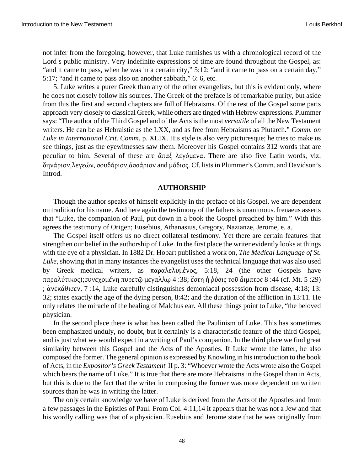not infer from the foregoing, however, that Luke furnishes us with a chronological record of the Lord s public ministry. Very indefinite expressions of time are found throughout the Gospel, as: "and it came to pass, when he was in a certain city," 5:12; "and it came to pass on a certain day," 5:17; "and it came to pass also on another sabbath," 6: 6, etc.

5. Luke writes a purer Greek than any of the other evangelists, but this is evident only, where he does not closely follow his sources. The Greek of the preface is of remarkable purity, but aside from this the first and second chapters are full of Hebraisms. Of the rest of the Gospel some parts approach very closely to classical Greek, while others are tinged with Hebrew expressions. Plummer says: "The author of the Third Gospel and of the Acts is the most *versatile* of all the New Testament writers. He can be as Hebraistic as the LXX, and as free from Hebraisms as Plutarch." *Comm. on Luke in International Crit. Comm.* p. XLIX. His style is also very picturesque; he tries to make us see things, just as the eyewitnesses saw them. Moreover his Gospel contains 312 words that are peculiar to him. Several of these are ἅπαξ λεγόμενα. There are also five Latin words, viz. δηνάριον,λεγεών, σουδάριον,ἀσσάριον and μόδιος. Cf. lists in Plummer's Comm. and Davidson's Introd.

## **AUTHORSHIP**

Though the author speaks of himself explicitly in the preface of his Gospel, we are dependent on tradition for his name. And here again the testimony of the fathers is unanimous. Irenaeus asserts that "Luke, the companion of Paul, put down in a book the Gospel preached by him." With this agrees the testimony of Origen; Eusebius, Athanasius, Gregory, Nazianze, Jerome, e. a.

The Gospel itself offers us no direct collateral testimony. Yet there are certain features that strengthen our belief in the authorship of Luke. In the first place the writer evidently looks at things with the eye of a physician. In 1882 Dr. Hobart published a work on, *The Medical Language of St. Luke*, showing that in many instances the evangelist uses the technical language that was also used by Greek medical writers, as παραλελυμἐνος, 5:18, 24 (the other Gospels have παραλύτικος);συνεχομένη πυρετῷ μεγαλλῳ 4 :38; ἔστη ἡ ῥύσις τοῦ ἅιματος 8 :44 (cf. [Mt. 5](http://www.ccel.org/b/bible/asv/xml/asv.Matt..xml#Matt..) :29) ; ἀνεκάθισεν, 7 :14, Luke carefully distinguishes demoniacal possession from disease, 4:18; 13: 32; states exactly the age of the dying person, 8:42; and the duration of the affliction in 13:11. He only relates the miracle of the healing of Malchus ear. All these things point to Luke, "the beloved physician.

In the second place there is what has been called the Paulinism of Luke. This has sometimes been emphasized unduly, no doubt, but it certainly is a characteristic feature of the third Gospel, and is just what we would expect in a writing of Paul's companion. In the third place we find great similarity between this Gospel and the Acts of the Apostles. If Luke wrote the latter, he also composed the former. The general opinion is expressed by Knowling in his introduction to the book of Acts, in the *Expositor's Greek Testament* II p. 3: "Whoever wrote the Acts wrote also the Gospel which bears the name of Luke." It is true that there are more Hebraisms in the Gospel than in Acts, but this is due to the fact that the writer in composing the former was more dependent on written sources than he was in writing the latter.

The only certain knowledge we have of Luke is derived from the Acts of the Apostles and from a few passages in the Epistles of Paul. From [Col. 4:11,14](http://www.ccel.org/b/bible/asv/xml/asv.Col.4.xml#Col.4.11 Bible:Col.4.14) it appears that he was not a Jew and that his wordly calling was that of a physician. Eusebius and Jerome state that he was originally from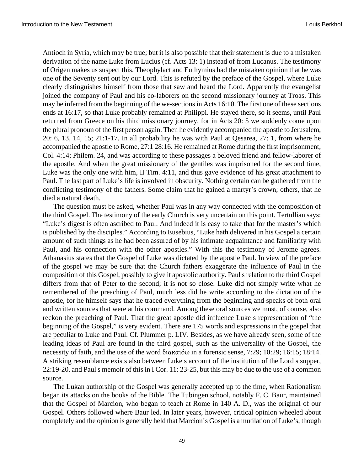Antioch in Syria, which may be true; but it is also possible that their statement is due to a mistaken derivation of the name Luke from Lucius (cf. [Acts 13:](http://www.ccel.org/b/bible/asv/xml/asv.Acts..xml#Acts..) 1) instead of from Lucanus. The testimony of Origen makes us suspect this. Theophylact and Euthymius had the mistaken opinion that he was one of the Seventy sent out by our Lord. This is refuted by the preface of the Gospel, where Luke clearly distinguishes himself from those that saw and heard the Lord. Apparently the evangelist joined the company of Paul and his co-laborers on the second missionary journey at Troas. This may be inferred from the beginning of the we-sections in [Acts 16:10](http://www.ccel.org/b/bible/asv/xml/asv.Acts.16.xml#Acts.16.10). The first one of these sections ends at 16:17, so that Luke probably remained at Philippi. He stayed there, so it seems, until Paul returned from Greece on his third missionary journey, for in [Acts 20:](http://www.ccel.org/b/bible/asv/xml/asv.Acts..xml#Acts..) 5 we suddenly come upon the plural pronoun of the first person again. Then he evidently accompanied the apostle to Jerusalem, 20: 6, 13, 14, 15; 21:1-17. In all probability he was with Paul at Qesarea, 27: 1, from where he accompanied the apostle to Rome, 27:1 28:16. He remained at Rome during the first imprisonment, [Col. 4:14;](http://www.ccel.org/b/bible/asv/xml/asv.Col.4.xml#Col.4.14) [Philem. 24,](http://www.ccel.org/b/bible/asv/xml/asv.Phlm.1.xml#Phlm.1.24) and was according to these passages a beloved friend and fellow-laborer of the apostle. And when the great missionary of the gentiles was imprisoned for the second time, Luke was the only one with him, [II Tim. 4:11](http://www.ccel.org/b/bible/asv/xml/asv.iiTim.4.xml#iiTim.4.11), and thus gave evidence of his great attachment to Paul. The last part of Luke's life is involved in obscurity. Nothing certain can be gathered from the conflicting testimony of the fathers. Some claim that he gained a martyr's crown; others, that he died a natural death.

The question must be asked, whether Paul was in any way connected with the composition of the third Gospel. The testimony of the early Church is very uncertain on this point. Tertullian says: "Luke's digest is often ascribed to Paul. And indeed it is easy to take that for the master's which is published by the disciples." According to Eusebius, "Luke hath delivered in his Gospel a certain amount of such things as he had been assured of by his intimate acquaintance and familiarity with Paul, and his connection with the other apostles." With this the testimony of Jerome agrees. Athanasius states that the Gospel of Luke was dictated by the apostle Paul. In view of the preface of the gospel we may be sure that the Church fathers exaggerate the influence of Paul in the composition of this Gospel, possibly to give it apostolic authority. Paul s relation to the third Gospel differs from that of Peter to the second; it is not so close. Luke did not simply write what he remembered of the preaching of Paul, much less did he write according to the dictation of the apostle, for he himself says that he traced everything from the beginning and speaks of both oral and written sources that were at his command. Among these oral sources we must, of course, also reckon the preaching of Paul. That the great apostle did influence Luke s representation of "the beginning of the Gospel," is very evident. There are 175 words and expressions in the gospel that are peculiar to Luke and Paul. Cf. Plummer p. LIV. Besides, as we have already seen, some of the leading ideas of Paul are found in the third gospel, such as the universality of the Gospel, the necessity of faith, and the use of the word διακαιόω in a forensic sense, 7:29; 10:29; 16:15; 18:14. A striking resemblance exists also between Luke s account of the institution of the Lord s supper, 22:19-20. and Paul s memoir of this in [I Cor. 11](http://www.ccel.org/b/bible/asv/xml/asv.iCor..xml#iCor..): 23-25, but this may be due to the use of a common source.

The Lukan authorship of the Gospel was generally accepted up to the time, when Rationalism began its attacks on the books of the Bible. The Tubingen school, notably F. C. Baur, maintained that the Gospel of Marcion, who began to teach at Rome in 140 A. D., was the original of our Gospel. Others followed where Baur led. In later years, however, critical opinion wheeled about completely and the opinion is generally held that Marcion's Gospel is a mutilation of Luke's, though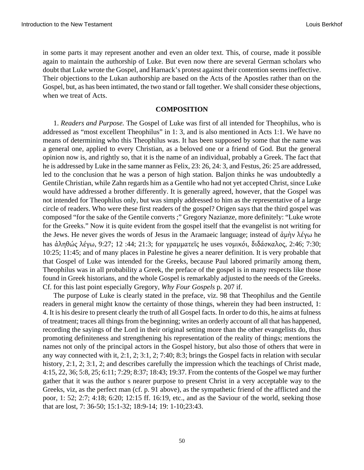in some parts it may represent another and even an older text. This, of course, made it possible again to maintain the authorship of Luke. But even now there are several German scholars who doubt that Luke wrote the Gospel, and Harnack's protest against their contention seems ineffective. Their objections to the Lukan authorship are based on the Acts of the Apostles rather than on the Gospel, but, as has been intimated, the two stand or fall together. We shall consider these objections, when we treat of Acts.

## **COMPOSITION**

1. *Readers and Purpose.* The Gospel of Luke was first of all intended for Theophilus, who is addressed as "most excellent Theophilus" in 1: 3, and is also mentioned in [Acts 1:1.](http://www.ccel.org/b/bible/asv/xml/asv.Acts.1.xml#Acts.1.1) We have no means of determining who this Theophilus was. It has been supposed by some that the name was a general one, applied to every Christian, as a beloved one or a friend of God. But the general opinion now is, and rightly so, that it is the name of an individual, probably a Greek. The fact that he is addressed by Luke in the same manner as Felix, 23: 26, 24: 3, and Festus, 26: 25 are addressed, led to the conclusion that he was a person of high station. Baljon thinks he was undoubtedly a Gentile Christian, while Zahn regards him as a Gentile who had not yet accepted Christ, since Luke would have addressed a brother differently. It is generally agreed, however, that the Gospel was not intended for Theophilus only, but was simply addressed to him as the representative of a large circle of readers. Who were these first readers of the gospel? Origen says that the third gospel was composed "for the sake of the Gentile converts ;" Gregory Nazianze, more definitely: "Luke wrote for the Greeks." Now it is quite evident from the gospel itself that the evangelist is not writing for the Jews. He never gives the words of Jesus in the Aramaeic language; instead of ἀμὴν λέγω he has ἀληθώς λέγω, 9:27; 12 :44; 21:3; for γραμματεῖς he uses νομικόι, διδάσκαλος, 2:46; 7:30; 10:25; 11:45; and of many places in Palestine he gives a nearer definition. It is very probable that that Gospel of Luke was intended for the Greeks, because Paul labored primarily among them, Theophilus was in all probability a Greek, the preface of the gospel is in many respects like those found in Greek historians, and the whole Gospel is remarkably adjusted to the needs of the Greeks. Cf. for this last point especially Gregory, *Why Four Gospels* p. 207 if.

The purpose of Luke is clearly stated in the preface, viz. 98 that Theophilus and the Gentile readers in general might know the certainty of those things, wherein they had been instructed, 1: 4. It is his desire to present clearly the truth of all Gospel facts. In order to do this, he aims at fulness of treatment; traces all things from the beginning; writes an orderly account of all that has happened, recording the sayings of the Lord in their original setting more than the other evangelists do, thus promoting definiteness and strengthening his representation of the reality of things; mentions the names not only of the principal actors in the Gospel history, but also those of others that were in any way connected with it, 2:1, 2; 3:1, 2; 7:40; 8:3; brings the Gospel facts in relation with secular history, 2:1, 2; 3:1, 2; and describes carefully the impression which the teachings of Christ made, 4:15, 22, 36; 5:8, 25; 6:11; 7:29; 8:37; 18:43; 19:37. From the contents of the Gospel we may further gather that it was the author s nearer purpose to present Christ in a very acceptable way to the Greeks, viz, as the perfect man (cf. p. 91 above), as the sympathetic friend of the afflicted and the poor, 1: 52; 2:7; 4:18; 6:20; 12:15 ff. 16:19, etc., and as the Saviour of the world, seeking those that are lost, 7: 36-50; 15:1-32; 18:9-14; 19: 1-10;23:43.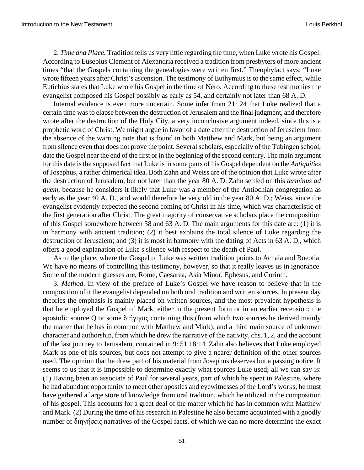2. *Time and Place.* Tradition tells us very little regarding the time, when Luke wrote his Gospel. According to Eusebius Clement of Alexandria received a tradition from presbyters of more ancient times "that the Gospels containing the genealogies were written first." Theophylact says: "Luke wrote fifteen years after Christ's ascension. The testimony of Euthymius is to the same effect, while Eutichius states that Luke wrote his Gospel in the time of Nero. According to these testimonies the evangelist composed his Gospel possibly as early as 54, and certainly not later than 68 A. D.

Internal evidence is even more uncertain. Some infer from 21: 24 that Luke realized that a certain time was to elapse between the destruction of Jerusalem and the final judgment, and therefore wrote after the destruction of the Holy City, a very inconclusive argument indeed, since this is a prophetic word of Christ. We might argue in favor of a date after the destruction of Jerusalem from the absence of the warning note that is found in both Matthew and Mark, but being an argument from silence even that does not prove the point. Several scholars, especially of the Tubingen school, date the Gospel near the end of the first or in the beginning of the second century. The main argument for this date is the supposed fact that Luke is in some parts of his Gospel dependent on the *Antiquities* of Josephus, a rather chimerical idea. Both Zahn and Weiss are of the opinion that Luke wrote after the destruction of Jerusalem, but not later than the year 80 A. D. Zahn settled on this *terminus ad quem*, because he considers it likely that Luke was a member of the Antiochian congregation as early as the year 40 A. D., and would therefore be very old in the year 80 A. D.; Weiss, since the evangelist evidently expected the second coming of Christ in his time, which was characteristic of the first generation after Christ. The great majority of conservative scholars place the composition of this Gospel somewhere between 58 and 63 A. D. The main arguments for this date are: (1) it is in harmony with ancient tradition; (2) it best explains the total silence of Luke regarding the destruction of Jerusalem; and (3) it is most in harmony with the dating of Acts in 63 A. D., which offers a good explanation of Luke s silence with respect to the death of Paul.

As to the place, where the Gospel of Luke was written tradition points to Achaia and Boeotia. We have no means of controlling this testimony, however, so that it really leaves us in ignorance. Some of the modern guesses are, Rome, Caesarea, Asia Minor, Ephesus, and Corinth.

3. *Method*. In view of the preface of Luke's Gospel we have reason to believe that in the composition of it the evangelist depended on both oral tradition and written sources. In present day theories the emphasis is mainly placed on written sources, and the most prevalent hypothesis is that he employed the Gospel of Mark, either in the present form or in an earlier recension; the apostolic source Q or some διήγησις containing this (from which two sources he derived mainly the matter that he has in common with Matthew and Mark); and a third main source of unknown character and authorship, from which he drew the narrative of the nativity, chs. 1, 2, and the account of the last journey to Jerusalem, contained in 9: 51 18:14. Zahn also believes that Luke employed Mark as one of his sources, but does not attempt to give a nearer definition of the other sources used. The opinion that he drew part of his material from Josephus deserves but a passing notice. It seems to us that it is impossible to determine exactly what sources Luke used; all we can say is: (1) Having been an associate of Paul for several years, part of which he spent in Palestine, where he had abundant opportunity to meet other apostles and eyewitnesses of the Lord's works, he must have gathered a large store of knowledge from oral tradition, which he utilized in the composition of his gospel. This accounts for a great deal of the matter which he has in common with Matthew and Mark. (2) During the time of his research in Palestine he also became acquainted with a goodly number of διηγήσεις narratives of the Gospel facts, of which we can no more determine the exact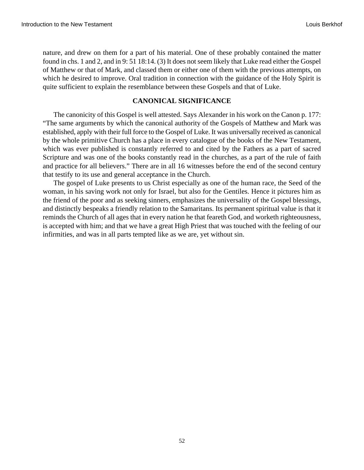nature, and drew on them for a part of his material. One of these probably contained the matter found in chs. 1 and 2, and in 9: 51 18:14. (3) It does not seem likely that Luke read either the Gospel of Matthew or that of Mark, and classed them or either one of them with the previous attempts, on which he desired to improve. Oral tradition in connection with the guidance of the Holy Spirit is quite sufficient to explain the resemblance between these Gospels and that of Luke.

## **CANONICAL SIGNIFICANCE**

The canonicity of this Gospel is well attested. Says Alexander in his work on the Canon p. 177: "The same arguments by which the canonical authority of the Gospels of Matthew and Mark was established, apply with their full force to the Gospel of Luke. It was universally received as canonical by the whole primitive Church has a place in every catalogue of the books of the New Testament, which was ever published is constantly referred to and cited by the Fathers as a part of sacred Scripture and was one of the books constantly read in the churches, as a part of the rule of faith and practice for all believers." There are in all 16 witnesses before the end of the second century that testify to its use and general acceptance in the Church.

The gospel of Luke presents to us Christ especially as one of the human race, the Seed of the woman, in his saving work not only for Israel, but also for the Gentiles. Hence it pictures him as the friend of the poor and as seeking sinners, emphasizes the universality of the Gospel blessings, and distinctly bespeaks a friendly relation to the Samaritans. Its permanent spiritual value is that it reminds the Church of all ages that in every nation he that feareth God, and worketh righteousness, is accepted with him; and that we have a great High Priest that was touched with the feeling of our infirmities, and was in all parts tempted like as we are, yet without sin.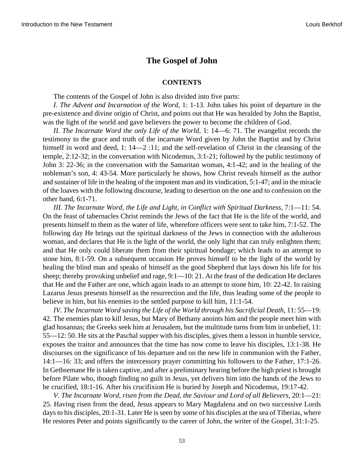# **The Gospel of John**

### **CONTENTS**

The contents of the Gospel of John is also divided into five parts:

*I. The Advent and Incarnation of the Word,* 1: 1-13. John takes his point of departure in the pre-existence and divine origin of Christ, and points out that He was heralded by John the Baptist, was the light of the world and gave believers the power to become the children of God.

*II. The Incarnate Word the only Life of the World,* 1: 14—6: 71. The evangelist records the testimony to the grace and truth of the incarnate Word given by John the Baptist and by Christ himself in word and deed, 1: 14—2 :11; and the self-revelation of Christ in the cleansing of the temple, 2:12-32; in the conversation with Nicodemus, 3:1-21; followed by the public testimony of [John 3](http://www.ccel.org/b/bible/asv/xml/asv.John..xml#John..): 22-36; in the conversation with the Samaritan woman, 4:1-42; and in the healing of the nobleman's son, 4: 43-54. More particularly he shows, how Christ reveals himself as the author and sustainer of life in the healing of the impotent man and its vindication, 5:1-47; and in the miracle of the loaves with the following discourse, leading to desertion on the one and to confession on the other hand, 6:1-71.

*III. The Incarnate Word, the Life and Light, in Conflict with Spiritual Darkness,* 7:1—11: 54. On the feast of tabernacles Christ reminds the Jews of the fact that He is the life of the world, and presents himself to them as the water of life, wherefore officers were sent to take him, 7:1-52. The following day He brings out the spiritual darkness of the Jews in connection with the adulterous woman, and declares that He is the light of the world, the only light that can truly enlighten them; and that He only could liberate them from their spiritual bondage; which leads to an attempt to stone him, 8:1-59. On a subsequent occasion He proves himself to be the light of the world by healing the blind man and speaks of himself as the good Shepherd that lays down his life for his sheep; thereby provoking unbelief and rage, 9:1—10: 21. At the feast of the dedication He declares that He and the Father are one, which again leads to an attempt to stone him, 10: 22-42. In raising Lazarus Jesus presents himself as the resurrection and the life, thus leading some of the people to believe in him, but his enemies to the settled purpose to kill him, 11:1-54.

*IV. The Incarnate Word saving the Life of the World through his Sacrificial Death,* 11: 55—19: 42. The enemies plan to kill Jesus, but Mary of Bethany anoints him and the people meet him with glad hosannas; the Greeks seek him at Jerusalem, but the multitude turns from him in unbelief, 11: 55—12: 50. He sits at the Paschal supper with his disciples, gives them a lesson in humble service, exposes the traitor and announces that the time has now come to leave his disciples, 13:1-38. He discourses on the significance of his departure and on the new life in communion with the Father, 14:1—16: 33; and offers the intercessory prayer committing his followers to the Father, 17:1-26. In Gethsemane He is taken captive, and after a preliminary hearing before the high priest is brought before Pilate who, though finding no guilt in Jesus, yet delivers him into the hands of the Jews to be crucified, 18:1-16. After his crucifixion He is buried by Joseph and Nicodemus, 19:17-42.

*V. The Incarnate Word, risen from the Dead, the Saviour and Lord of all Believers,* 20:1—21: 25. Having risen from the dead, Jesus appears to Mary Magdalena and on two successive Lords days to his disciples, 20:1-31. Later He is seen by some of his disciples at the sea of Tiberias, where He restores Peter and points significantly to the career of John, the writer of the Gospel, 31:1-25.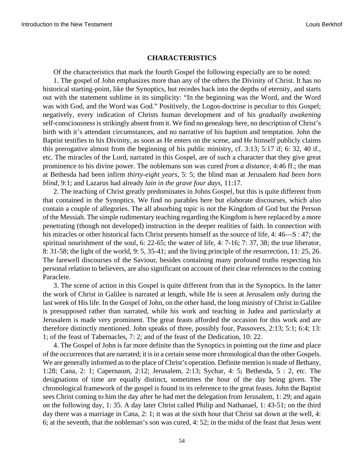## **CHARACTERISTICS**

Of the characteristics that mark the fourth Gospel the following especially are to be noted: 1. The gospel of John emphasizes more than any of the others the Divinity of Christ. It has no historical starting-point, like the Synoptics, but recedes back into the depths of eternity, and starts out with the statement sublime in its simplicity: "In the beginning was the Word, and the Word was with God, and the Word was God." Positively, the Logos-doctrine is peculiar to this Gospel; negatively, every indication of Christs human development and of his *gradually awakening* self-consciousness is strikingly absent from it. We find no genealogy here, no description of Christ's birth with it's attendant circumstances, and no narrative of his baptism and temptation. John the Baptist testifies to his Divinity, as soon as He enters on the scene, and He himself publicly claims this prerogative almost from the beginning of his public ministry, cf. 3:13; 5:17 if; 6: 32, 40 if., etc. The miracles of the Lord, narrated in this Gospel, are of such a character that they give great prominence to his divine power. The noblemans son was cured *from a distance,* 4:46 ff.; the man at Bethesda had been infirm *thirty-eight years,* 5: 5; the blind man at Jerusalem *had been born blind,* 9:1; and Lazarus had already *lain in the grave four days,* 11:17.

2. The teaching of Christ greatly predominates in Johns Gospel, but this is quite different from that contained in the Synoptics. We find no parables here but elaborate discourses, which also contain a couple of allegories. The all absorbing topic is not the Kingdom of God but the Person of the Messiah. The simple rudimentary teaching regarding the Kingdom is here replaced by a more penetrating (though not developed) instruction in the deeper realities of faith. In connection with his miracles or other historical facts Christ presents himself as the source of life, 4: 46—S : 47; the spiritual nourishment of the soul, 6: 22-65; the water of life, 4: 7-16; 7: 37, 38; the true liberator, 8: 31-58; the light of the world, 9: 5, 35-41; and the living principle of the resurrection, 11: 25, 26. The farewell discourses of the Saviour, besides containing many profound truths respecting his personal relation to believers, are also significant on account of their clear references to the coming Paraclete.

3. The scene of action in this Gospel is quite different from that in the Synoptics. In the latter the work of Christ in Galilee is narrated at length, while He is seen at Jerusalem only during the last week of His life. In the Gospel of John, on the other hand, the long ministry of Christ in Galilee is presupposed rather than narrated, while his work and teaching in Judea and particularly at Jerusalem is made very prominent. The great feasts afforded the occasion for this work and are therefore distinctly mentioned. John speaks of three, possibly four, Passovers, 2:13; 5:1; 6:4; 13: 1; of the feast of Tabernacles, 7: 2; and of the feast of the Dedication, 10: 22.

4. The Gospel of John is far more definite than the Synoptics in pointing out the time and place of the occurrences that are narrated; it is in a certain sense more chronological than the other Gospels. We are generally informed as to the place of Christ's operation. Definite mention is made of Bethany, 1:28; Cana, 2: 1; Capernaum, 2:12; Jerusalem, 2:13; Sychar, 4: 5; Bethesda, 5 : 2, etc. The designations of time are equally distinct, sometimes the hour of the day being given. The chronological framework of the gospel is found in its reference to the great feasts. John the Baptist sees Christ coming to him the day after he had met the delegation from Jerusalem, 1: 29; and again on the following day, 1: 35. A day later Christ called Philip and Nathanael, 1: 43-51; on the third day there was a marriage in Cana, 2: 1; it was at the sixth hour that Christ sat down at the well, 4: 6; at the seventh, that the nobleman's son was cured, 4: 52; in the midst of the feast that Jesus went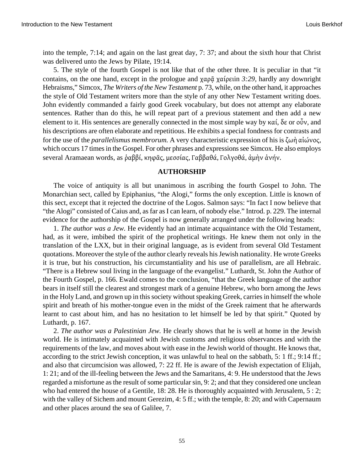into the temple, 7:14; and again on the last great day, 7: 37; and about the sixth hour that Christ was delivered unto the Jews by Pilate, 19:14.

5. The style of the fourth Gospel is not like that of the other three. It is peculiar in that "it contains, on the one hand, except in the prologue and χαρα χαίρει 3:29, hardly any downright Hebraisms," Simcox, *The Writers of the New Testament* p. 73, while, on the other hand, it approaches the style of Old Testament writers more than the style of any other New Testament writing does. John evidently commanded a fairly good Greek vocabulary, but does not attempt any elaborate sentences. Rather than do this, he will repeat part of a previous statement and then add a new element to it. His sentences are generally connected in the most simple way by καί, δε or οὖν, and his descriptions are often elaborate and repetitious. He exhibits a special fondness for contrasts and for the use of the *parallelismus membrorum.* A very characteristic expression of his is ζωὴ αἰώνος, which occurs 17 times in the Gospel. For other phrases and expressions see Simcox. He also employs several Aramaean words, as ῥαββί, κηφᾶς, μεσσίας, Γαββαθά, Γολγοθά, ἀμὴν ἀνήν.

## **AUTHORSHIP**

The voice of antiquity is all but unanimous in ascribing the fourth Gospel to John. The Monarchian sect, called by Epiphanius, "the Alogi," forms the only exception. Little is known of this sect, except that it rejected the doctrine of the Logos. Salmon says: "In fact I now believe that "the Alogi" consisted of Caius and, as far as I can learn, of nobody else." Introd. p. 229. The internal evidence for the authorship of the Gospel is now generally arranged under the following heads:

1. *The author was a Jew.* He evidently had an intimate acquaintance with the Old Testament, had, as it were, imbibed the spirit of the prophetical writings. He knew them not only in the translation of the LXX, but in their original language, as is evident from several Old Testament quotations. Moreover the style of the author clearly reveals his Jewish nationality. He wrote Greeks it is true, but his construction, his circumstantiality and his use of parallelism, are all Hebraic. "There is a Hebrew soul living in the language of the evangelist." Luthardt, St. John the Author of the Fourth Gospel, p. 166. Ewald comes to the conclusion, "that the Greek language of the author bears in itself still the clearest and strongest mark of a genuine Hebrew, who born among the Jews in the Holy Land, and grown up in this society without speaking Greek, carries in himself the whole spirit and breath of his mother-tongue even in the midst of the Greek raiment that he afterwards learnt to cast about him, and has no hesitation to let himself be led by that spirit." Quoted by Luthardt, p. 167.

2. *The author was a Palestinian Jew.* He clearly shows that he is well at home in the Jewish world. He is intimately acquainted with Jewish customs and religious observances and with the requirements of the law, and moves about with ease in the Jewish world of thought. He knows that, according to the strict Jewish conception, it was unlawful to heal on the sabbath, 5: 1 ff.; 9:14 ff.; and also that circumcision was allowed, 7: 22 ff. He is aware of the Jewish expectation of Elijah, 1: 21; and of the ill-feeling between the Jews and the Samaritans, 4: 9. He understood that the Jews regarded a misfortune as the result of some particular sin, 9: 2; and that they considered one unclean who had entered the house of a Gentile, 18: 28. He is thoroughly acquainted with Jerusalem, 5 : 2; with the valley of Sichem and mount Gerezim, 4: 5 ff.; with the temple, 8: 20; and with Capernaum and other places around the sea of Galilee, 7.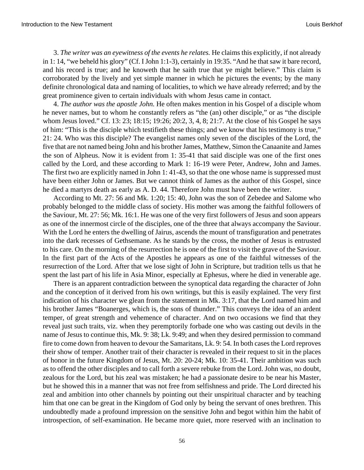3. *The writer was an eyewitness of the events he relates.* He claims this explicitly, if not already in 1: 14, "we beheld his glory" (Cf. [I John 1:1-3\)](http://www.ccel.org/b/bible/asv/xml/asv.iJohn.1.xml#iJohn.1.1), certainly in 19:35. "And he that saw it bare record, and his record is true; and he knoweth that he saith true that ye might believe." This claim is corroborated by the lively and yet simple manner in which he pictures the events; by the many definite chronological data and naming of localities, to which we have already referred; and by the great prominence given to certain individuals with whom Jesus came in contact.

4. *The author was the apostle John.* He often makes mention in his Gospel of a disciple whom he never names, but to whom he constantly refers as "the (an) other disciple," or as "the disciple whom Jesus loved." Cf. 13: 23; 18:15; 19:26; 20:2, 3, 4, 8; 21:7. At the close of his Gospel he says of him: "This is the disciple which testifieth these things; and we know that his testimony is true," 21: 24. Who was this disciple? The evangelist names only seven of the disciples of the Lord, the five that are not named being John and his brother James, Matthew, Simon the Canaanite and James the son of Alpheus. Now it is evident from 1: 35-41 that said disciple was one of the first ones called by the Lord, and these according to [Mark 1:](http://www.ccel.org/b/bible/asv/xml/asv.Mark..xml#Mark..) 16-19 were Peter, Andrew, John and James. The first two are explicitly named in [John 1:](http://www.ccel.org/b/bible/asv/xml/asv.John..xml#John..) 41-43, so that the one whose name is suppressed must have been either John or James. But we cannot think of James as the author of this Gospel, since he died a martyrs death as early as A. D. 44. Therefore John must have been the writer.

According to [Mt. 27](http://www.ccel.org/b/bible/asv/xml/asv.Matt..xml#Matt..): 56 and [Mk. 1:20;](http://www.ccel.org/b/bible/asv/xml/asv.Mark.1.xml#Mark.1.20) 15: 40, John was the son of Zebedee and Salome who probably belonged to the middle class of society. His mother was among the faithful followers of the Saviour, [Mt. 27:](http://www.ccel.org/b/bible/asv/xml/asv.Matt..xml#Matt..) 56; [Mk. 16:1](http://www.ccel.org/b/bible/asv/xml/asv.Mark.16.xml#Mark.16.1). He was one of the very first followers of Jesus and soon appears as one of the innermost circle of the disciples, one of the three that always accompany the Saviour. With the Lord he enters the dwelling of Jairus, ascends the mount of transfiguration and penetrates into the dark recesses of Gethsemane. As he stands by the cross, the mother of Jesus is entrusted to his care. On the morning of the resurrection he is one of the first to visit the grave of the Saviour. In the first part of the Acts of the Apostles he appears as one of the faithful witnesses of the resurrection of the Lord. After that we lose sight of John in Scripture, but tradition tells us that he spent the last part of his life in Asia Minor, especially at Ephesus, where he died in venerable age.

There is an apparent contradiction between the synoptical data regarding the character of John and the conception of it derived from his own writings, but this is easily explained. The very first indication of his character we glean from the statement in [Mk. 3:17](http://www.ccel.org/b/bible/asv/xml/asv.Mark.3.xml#Mark.3.17), that the Lord named him and his brother James "Boanerges, which is, the sons of thunder." This conveys the idea of an ardent temper, of great strength and vehemence of character. And on two occasions we find that they reveal just such traits, viz. when they peremptorily forbade one who was casting out devils in the name of Jesus to continue this, [Mk. 9](http://www.ccel.org/b/bible/asv/xml/asv.Mark..xml#Mark..): 38; [Lk. 9:49](http://www.ccel.org/b/bible/asv/xml/asv.Luke.9.xml#Luke.9.49); and when they desired permission to command fire to come down from heaven to devour the Samaritans, [Lk. 9:](http://www.ccel.org/b/bible/asv/xml/asv.Luke..xml#Luke..) 54. In both cases the Lord reproves their show of temper. Another trait of their character is revealed in their request to sit in the places of honor in the future Kingdom of Jesus, [Mt. 20](http://www.ccel.org/b/bible/asv/xml/asv.Matt..xml#Matt..): 20-24; [Mk. 10](http://www.ccel.org/b/bible/asv/xml/asv.Mark..xml#Mark..): 35-41. Their ambition was such as to offend the other disciples and to call forth a severe rebuke from the Lord. John was, no doubt, zealous for the Lord, but his zeal was mistaken; he had a passionate desire to be near his Master, but he showed this in a manner that was not free from selfishness and pride. The Lord directed his zeal and ambition into other channels by pointing out their unspiritual character and by teaching him that one can be great in the Kingdom of God only by being the servant of ones brethren. This undoubtedly made a profound impression on the sensitive John and begot within him the habit of introspection, of self-examination. He became more quiet, more reserved with an inclination to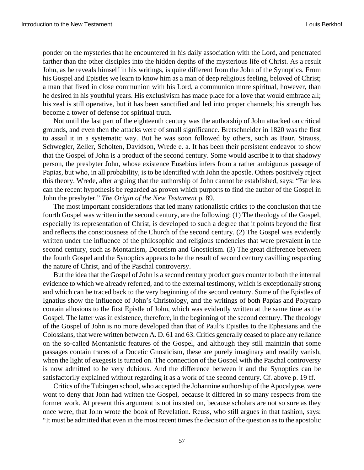ponder on the mysteries that he encountered in his daily association with the Lord, and penetrated farther than the other disciples into the hidden depths of the mysterious life of Christ. As a result John, as he reveals himself in his writings, is quite different from the John of the Synoptics. From his Gospel and Epistles we learn to know him as a man of deep religious feeling, beloved of Christ; a man that lived in close communion with his Lord, a communion more spiritual, however, than he desired in his youthful years. His exclusivism has made place for a love that would embrace all; his zeal is still operative, but it has been sanctified and led into proper channels; his strength has become a tower of defense for spiritual truth.

Not until the last part of the eighteenth century was the authorship of John attacked on critical grounds, and even then the attacks were of small significance. Bretschneider in 1820 was the first to assail it in a systematic way. But he was soon followed by others, such as Baur, Strauss, Schwegler, Zeller, Scholten, Davidson, Wrede e. a. It has been their persistent endeavor to show that the Gospel of John is a product of the second century. Some would ascribe it to that shadowy person, the presbyter John, whose existence Eusebius infers from a rather ambiguous passage of Papias, but who, in all probability, is to be identified with John the apostle. Others positively reject this theory. Wrede, after arguing that the authorship of John cannot be established, says: "Far less can the recent hypothesis be regarded as proven which purports to find the author of the Gospel in John the presbyter." *The Origin of the New Testament* p. 89.

The most important considerations that led many rationalistic critics to the conclusion that the fourth Gospel was written in the second century, are the following: (1) The theology of the Gospel, especially its representation of Christ, is developed to such a degree that it points beyond the first and reflects the consciousness of the Church of the second century. (2) The Gospel was evidently written under the influence of the philosophic and religious tendencies that were prevalent in the second century, such as Montanism, Docetism and Gnosticism. (3) The great difference between the fourth Gospel and the Synoptics appears to be the result of second century cavilling respecting the nature of Christ, and of the Paschal controversy.

But the idea that the Gospel of John is a second century product goes counter to both the internal evidence to which we already referred, and to the external testimony, which is exceptionally strong and which can be traced back to the very beginning of the second century. Some of the Epistles of Ignatius show the influence of John's Christology, and the writings of both Papias and Polycarp contain allusions to the first Epistle of John, which was evidently written at the same time as the Gospel. The latter was in existence, therefore, in the beginning of the second century. The theology of the Gospel of John is no more developed than that of Paul's Epistles to the Ephesians and the Colossians, that were written between A. D. 61 and 63. Critics generally ceased to place any reliance on the so-called Montanistic features of the Gospel, and although they still maintain that some passages contain traces of a Docetic Gnosticism, these are purely imaginary and readily vanish, when the light of exegesis is turned on. The connection of the Gospel with the Paschal controversy is now admitted to be very dubious. And the difference between it and the Synoptics can be satisfactorily explained without regarding it as a work of the second century. Cf. above p. 19 ff.

Critics of the Tubingen school, who accepted the Johannine authorship of the Apocalypse, were wont to deny that John had written the Gospel, because it differed in so many respects from the former work. At present this argument is not insisted on, because scholars are not so sure as they once were, that John wrote the book of Revelation. Reuss, who still argues in that fashion, says: "It must be admitted that even in the most recent times the decision of the question as to the apostolic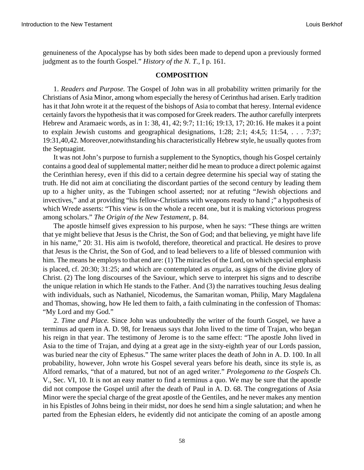genuineness of the Apocalypse has by both sides been made to depend upon a previously formed judgment as to the fourth Gospel." *History of the N. T.,* I p. 161.

## **COMPOSITION**

1. *Readers and Purpose.* The Gospel of John was in all probability written primarily for the Christians of Asia Minor, among whom especially the heresy of Cerinthus had arisen. Early tradition has it that John wrote it at the request of the bishops of Asia to combat that heresy. Internal evidence certainly favors the hypothesis that it was composed for Greek readers. The author carefully interprets Hebrew and Aramaeic words, as in 1: 38, 41, 42; 9:7; 11:16; 19:13, 17; 20:16. He makes it a point to explain Jewish customs and geographical designations, 1:28; 2:1; 4:4,5; 11:54, . . . 7:37; 19:31,40,42. Moreover,notwithstanding his characteristically Hebrew style, he usually quotes from the Septuagint.

It was not John's purpose to furnish a supplement to the Synoptics, though his Gospel certainly contains a good deal of supplemental matter; neither did he mean to produce a direct polemic against the Cerinthian heresy, even if this did to a certain degree determine his special way of stating the truth. He did not aim at conciliating the discordant parties of the second century by leading them up to a higher unity, as the Tubingen school asserted; nor at refuting "Jewish objections and invectives," and at providing "his fellow-Christians with weapons ready to hand ;" a hypothesis of which Wrede asserts: "This view is on the whole a recent one, but it is making victorious progress among scholars." *The Origin of the New Testament,* p. 84.

The apostle himself gives expression to his purpose, when he says: "These things are written that ye might believe that Jesus is the Christ, the Son of God; and that believing, ye might have life in his name," 20: 31. His aim is twofold, therefore, theoretical and practical. He desires to prove that Jesus is the Christ, the Son of God, and to lead believers to a life of blessed communion with him. The means he employs to that end are: (1) The miracles of the Lord, on which special emphasis is placed, cf. 20:30; 31:25; and which are contemplated as σημεῖα, as signs of the divine glory of Christ. (2) The long discourses of the Saviour, which serve to interpret his signs and to describe the unique relation in which He stands to the Father. And (3) the narratives touching Jesus dealing with individuals, such as Nathaniel, Nicodemus, the Samaritan woman, Philip, Mary Magdalena and Thomas, showing, how He led them to faith, a faith culminating in the confession of Thomas: "My Lord and my God."

2. *Time and Place.* Since John was undoubtedly the writer of the fourth Gospel, we have a terminus ad quem in A. D. 98, for Irenaeus says that John lived to the time of Trajan, who began his reign in that year. The testimony of Jerome is to the same effect: "The apostle John lived in Asia to the time of Trajan, and dying at a great age in the sixty-eighth year of our Lords passion, was buried near the city of Ephesus." The same writer places the death of John in A. D. 100. In all probability, however, John wrote his Gospel several years before his death, since its style is, as Alford remarks, "that of a matured, but not of an aged writer." *Prolegomena to the Gospels* Ch. V., Sec. VI, 10. It is not an easy matter to find a terminus a quo. We may be sure that the apostle did not compose the Gospel until after the death of Paul in A. D. 68. The congregations of Asia Minor were the special charge of the great apostle of the Gentiles, and he never makes any mention in his Epistles of Johns being in their midst, nor does he send him a single salutation; and when he parted from the Ephesian elders, he evidently did not anticipate the coming of an apostle among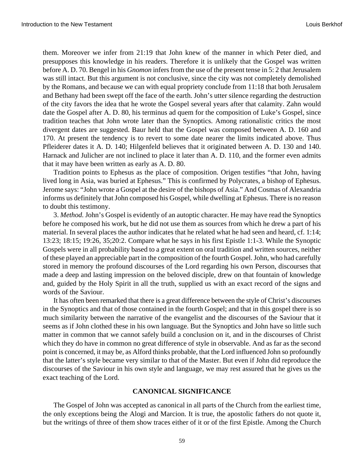them. Moreover we infer from 21:19 that John knew of the manner in which Peter died, and presupposes this knowledge in his readers. Therefore it is unlikely that the Gospel was written before A. D. 70. Bengel in his *Gnomon* infers from the use of the present tense in 5: 2 that Jerusalem was still intact. But this argument is not conclusive, since the city was not completely demolished by the Romans, and because we can with equal propriety conclude from 11:18 that both Jerusalem and Bethany had been swept off the face of the earth. John's utter silence regarding the destruction of the city favors the idea that he wrote the Gospel several years after that calamity. Zahn would date the Gospel after A. D. 80, his terminus ad quem for the composition of Luke's Gospel, since tradition teaches that John wrote later than the Synoptics. Among rationalistic critics the most divergent dates are suggested. Baur held that the Gospel was composed between A. D. 160 and 170. At present the tendency is to revert to some date nearer the limits indicated above. Thus Pfleiderer dates it A. D. 140; Hilgenfeld believes that it originated between A. D. 130 and 140. Harnack and Julicher are not inclined to place it later than A. D. 110, and the former even admits that it may have been written as early as A. D. 80.

Tradition points to Ephesus as the place of composition. Origen testifies "that John, having lived long in Asia, was buried at Ephesus." This is confirmed by Polycrates, a bishop of Ephesus. Jerome says: "John wrote a Gospel at the desire of the bishops of Asia." And Cosmas of Alexandria informs us definitely that John composed his Gospel, while dwelling at Ephesus. There is no reason to doubt this testimony.

3. *Method.* John's Gospel is evidently of an autoptic character. He may have read the Synoptics before he composed his work, but he did not use them as sources from which he drew a part of his material. In several places the author indicates that he related what he had seen and heard, cf. 1:14; 13:23; 18:15; 19:26, 35;20:2. Compare what he says in his first Epistle 1:1-3. While the Synoptic Gospels were in all probability based to a great extent on oral tradition and written sources, neither of these played an appreciable part in the composition of the fourth Gospel. John, who had carefully stored in memory the profound discourses of the Lord regarding his own Person, discourses that made a deep and lasting impression on the beloved disciple, drew on that fountain of knowledge and, guided by the Holy Spirit in all the truth, supplied us with an exact record of the signs and words of the Saviour.

It has often been remarked that there is a great difference between the style of Christ's discourses in the Synoptics and that of those contained in the fourth Gospel; and that in this gospel there is so much similarity between the narrative of the evangelist and the discourses of the Saviour that it seems as if John clothed these in his own language. But the Synoptics and John have so little such matter in common that we cannot safely build a conclusion on it, and in the discourses of Christ which they do have in common no great difference of style in observable. And as far as the second point is concerned, it may be, as Alford thinks probable, that the Lord influenced John so profoundly that the latter's style became very similar to that of the Master. But even if John did reproduce the discourses of the Saviour in his own style and language, we may rest assured that he gives us the exact teaching of the Lord.

### **CANONICAL SIGNIFICANCE**

The Gospel of John was accepted as canonical in all parts of the Church from the earliest time, the only exceptions being the Alogi and Marcion. It is true, the apostolic fathers do not quote it, but the writings of three of them show traces either of it or of the first Epistle. Among the Church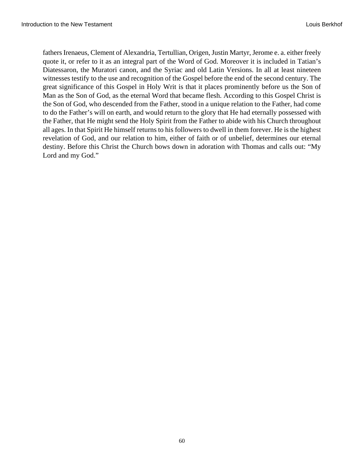fathers Irenaeus, Clement of Alexandria, Tertullian, Origen, Justin Martyr, Jerome e. a. either freely quote it, or refer to it as an integral part of the Word of God. Moreover it is included in Tatian's Diatessaron, the Muratori canon, and the Syriac and old Latin Versions. In all at least nineteen witnesses testify to the use and recognition of the Gospel before the end of the second century. The great significance of this Gospel in Holy Writ is that it places prominently before us the Son of Man as the Son of God, as the eternal Word that became flesh. According to this Gospel Christ is the Son of God, who descended from the Father, stood in a unique relation to the Father, had come to do the Father's will on earth, and would return to the glory that He had eternally possessed with the Father, that He might send the Holy Spirit from the Father to abide with his Church throughout all ages. In that Spirit He himself returns to his followers to dwell in them forever. He is the highest revelation of God, and our relation to him, either of faith or of unbelief, determines our eternal destiny. Before this Christ the Church bows down in adoration with Thomas and calls out: "My Lord and my God."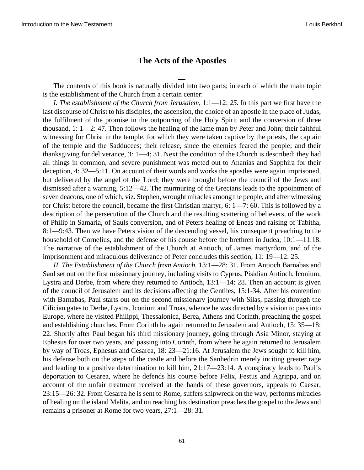## **The Acts of the Apostles**

The contents of this book is naturally divided into two parts; in each of which the main topic is the establishment of the Church from a certain center:

*I. The establishment of the Church from Jerusalem,* 1:1—12: *25.* In this part we first have the last discourse of Christ to his disciples, the ascension, the choice of an apostle in the place of Judas, the fulfilment of the promise in the outpouring of the Holy Spirit and the conversion of three thousand, 1: 1—2: 47. Then follows the healing of the lame man by Peter and John; their faithful witnessing for Christ in the temple, for which they were taken captive by the priests, the captain of the temple and the Sadducees; their release, since the enemies feared the people; and their thanksgiving for deliverance, *3:* 1—4: 31. Next the condition of the Church is described: they had all things in common, and severe punishment was meted out to Ananias and Sapphira for their deception, 4: 32—5:11. On account of their words and works the apostles were again imprisoned, but delivered by the angel of the Lord; they were brought before the council of the Jews and dismissed after a warning, 5:12—42. The murmuring of the Grecians leads to the appointment of seven deacons, one of which, viz. Stephen, wrought miracles among the people, and after witnessing for Christ before the council, became the first Christian martyr, 6: 1—7: 60. This is followed by a description of the persecution of the Church and the resulting scattering of believers, of the work of Philip in Samaria, of Sauls conversion, and of Peters healing of Eneas and raising of Tabitha, 8:1—9:43. Then we have Peters vision of the descending vessel, his consequent preaching to the household of Cornelius, and the defense of his course before the brethren in Judea, 10:1—11:18. The narrative of the establishment of the Church at Antioch, of James martyrdom, and of the imprisonment and miraculous deliverance of Peter concludes this section, 11: 19—12: 25.

*II. The Establishment of the Church from Antioch.* 13:1—28: 31. From Antioch Barnabas and Saul set out on the first missionary journey, including visits to Cyprus, Pisidian Antioch, Iconium, Lystra and Derbe, from where they returned to Antioch, 13:1—14: 28. Then an account is given of the council of Jerusalem and its decisions affecting the Gentiles, 15:1-34. After his contention with Barnabas, Paul starts out on the second missionary journey with Silas, passing through the Cilician gates to Derbe, Lystra, Iconium and Troas, whence he was directed by a vision to pass into Europe, where he visited Philippi, Thessalonica, Berea, Athens and Corinth, preaching the gospel and establishing churches. From Corinth he again returned to Jerusalem and Antioch, 15: 35—18: 22. Shortly after Paul began his third missionary journey, going through Asia Minor, staying at Ephesus for over two years, and passing into Corinth, from where he again returned to Jerusalem by way of Troas, Ephesus and Cesarea, 18: 23—21:16. At Jerusalem the Jews sought to kill him, his defense both on the steps of the castle and before the Sanhedrin merely inciting greater rage and leading to a positive determination to kill him, 21:17—23:14. A conspiracy leads to Paul's deportation to Cesarea, where he defends his course before Felix, Festus and Agrippa, and on account of the unfair treatment received at the hands of these governors, appeals to Caesar, 23:15—26: 32. From Cesarea he is sent to Rome, suffers shipwreck on the way, performs miracles of healing on the island Melita, and on reaching his destination preaches the gospel to the Jews and remains a prisoner at Rome for two years, 27:1—28: 31.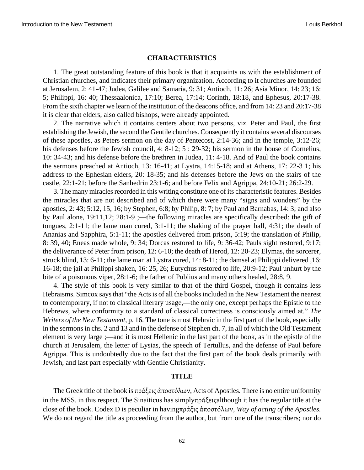### **CHARACTERISTICS**

1. The great outstanding feature of this book is that it acquaints us with the establishment of Christian churches, and indicates their primary organization. According to it churches are founded at Jerusalem, 2: 41-47; Judea, Galilee and Samaria, 9: 31; Antioch, 11: 26; Asia Minor, 14: 23; 16: 5; Philippi, 16: 40; Thessaalonica, 17:10; Berea, 17:14; Corinth, 18:18, and Ephesus, 20:17-38. From the sixth chapter we learn of the institution of the deacons office, and from 14: 23 and 20:17-38 it is clear that elders, also called bishops, were already appointed.

2. The narrative which it contains centers about two persons, viz. Peter and Paul, the first establishing the Jewish, the second the Gentile churches. Consequently it contains several discourses of these apostles, as Peters sermon on the day of Pentecost, 2:14-36; and in the temple, 3:12-26; his defenses before the Jewish council, 4: 8-12; 5 : 29-32; his sermon in the house of Cornelius, 10: 34-43; and his defense before the brethren in Judea, 11: 4-18. And of Paul the book contains the sermons preached at Antioch, 13: 16-41; at Lystra, 14:15-18; and at Athens, 17: 22-3 1; his address to the Ephesian elders, 20: 18-35; and his defenses before the Jews on the stairs of the castle, 22:1-21; before the Sanhedrin 23:1-6; and before Felix and Agrippa, 24:10-21; 26:2-29.

3. The many miracles recorded in this writing constitute one of its characteristic features. Besides the miracles that are not described and of which there were many "signs and wonders" by the apostles, 2: 43; 5:12, 15, 16; by Stephen, 6:8; by Philip, 8: 7; by Paul and Barnabas, 14: 3; and also by Paul alone, 19:11,12; 28:1-9 ;—the following miracles are specifically described: the gift of tongues, 2:1-11; the lame man cured, 3:1-11; the shaking of the prayer hall, 4:31; the death of Ananias and Sapphira, 5:1-11; the apostles delivered from prison, 5:19; the translation of Philip, 8: 39, 40; Eneas made whole, 9: 34; Dorcas restored to life, 9: 36-42; Pauls sight restored, 9:17; the deliverance of Peter from prison, 12: 6-10; the death of Herod, 12: 20-23; Elymas, the sorcerer, struck blind, 13: 6-11; the lame man at Lystra cured, 14: 8-11; the damsel at Philippi delivered ,16: 16-18; the jail at Philippi shaken, 16: 25, 26; Eutychus restored to life, 20:9-12; Paul unhurt by the bite of a poisonous viper, 28:1-6; the father of Publius and many others healed, 28:8, 9.

4. The style of this book is very similar to that of the third Gospel, though it contains less Hebraisms. Simcox says that "the Acts is of all the books included in the New Testament the nearest to contemporary, if not to classical literary usage,—the only one, except perhaps the Epistle to the Hebrews, where conformity to a standard of classical correctness is consciously aimed at." *The Writers of the New Testament,* p. 16. The tone is most Hebraic in the first part of the book, especially in the sermons in chs. 2 and 13 and in the defense of Stephen ch. 7, in all of which the Old Testament element is very large ;—and it is most Hellenic in the last part of the book, as in the epistle of the church at Jerusalem, the letter of Lysias, the speech of Tertullus, and the defense of Paul before Agrippa. This is undoubtedly due to the fact that the first part of the book deals primarily with Jewish, and last part especially with Gentile Christianity.

## **TITLE**

The Greek title of the book is πράξεις ἀποστόλων, Acts of Apostles. There is no entire uniformity in the MSS. in this respect. The Sinaiticus has simplyπράξειςalthough it has the regular title at the close of the book. Codex D is peculiar in havingπράξις ἀποστόλων, *Way of acting of the Apostles.* We do not regard the title as proceeding from the author, but from one of the transcribers; nor do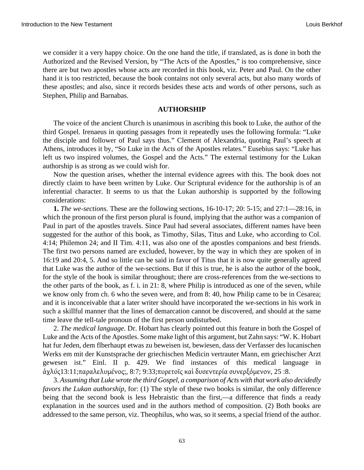we consider it a very happy choice. On the one hand the title, if translated, as is done in both the Authorized and the Revised Version, by "The Acts of the Apostles," is too comprehensive, since there are but two apostles whose acts are recorded in this book, viz. Peter and Paul. On the other hand it is too restricted, because the book contains not only several acts, but also many words of these apostles; and also, since it records besides these acts and words of other persons, such as Stephen, Philip and Barnabas.

## **AUTHORSHIP**

The voice of the ancient Church is unanimous in ascribing this book to Luke, the author of the third Gospel. Irenaeus in quoting passages from it repeatedly uses the following formula: "Luke the disciple and follower of Paul says thus." Clement of Alexandria, quoting Paul's speech at Athens, introduces it by, "So Luke in the Acts of the Apostles relates." Eusebius says: "Luke has left us two inspired volumes, the Gospel and the Acts." The external testimony for the Lukan authorship is as strong as we could wish for.

Now the question arises, whether the internal evidence agrees with this. The book does not directly claim to have been written by Luke. Our Scriptural evidence for the authorship is of an inferential character. It seems to us that the Lukan authorship is supported by the following considerations:

**1.** *The we-sections.* These are the following sections, 16-10-17; 20: 5-15; and 27:1—28:16, in which the pronoun of the first person plural is found, implying that the author was a companion of Paul in part of the apostles travels. Since Paul had several associates, different names have been suggested for the author of this book, as Timothy, Silas, Titus and Luke, who according to [Col.](http://www.ccel.org/b/bible/asv/xml/asv.Col.4.xml#Col.4.14) [4:14](http://www.ccel.org/b/bible/asv/xml/asv.Col.4.xml#Col.4.14); [Philemon 24](http://www.ccel.org/b/bible/asv/xml/asv.Phlm.1.xml#Phlm.1.24); and [II Tim. 4:11](http://www.ccel.org/b/bible/asv/xml/asv.iiTim.4.xml#iiTim.4.11), was also one of the apostles companions and best friends. The first two persons named are excluded, however, by the way in which they are spoken of in 16:19 and 20:4, 5. And so little can be said in favor of Titus that it is now quite generally agreed that Luke was the author of the we-sections. But if this is true, he is also the author of the book, for the style of the book is similar throughout; there are cross-references from the we-sections to the other parts of the book, as f. i. in 21: 8, where Philip is introduced as one of the seven, while we know only from ch. 6 who the seven were, and from 8: 40, how Philip came to be in Cesarea; and it is inconceivable that a later writer should have incorporated the we-sections in his work in such a skillful manner that the lines of demarcation cannot be discovered, and should at the same time leave the tell-tale pronoun of the first person undisturbed.

2. *The medical language.* Dr. Hobart has clearly pointed out this feature in both the Gospel of Luke and the Acts of the Apostles. Some make light of this argument, but Zahn says: "W. K. Hobart hat fur Jeden, dem flberhaupt etwas zu beweisen ist, bewiesen, dass der Verfasser des lucanischen Werks em mit der Kunstsprache der griechischen Medicin vertrauter Mann, em griechischer Arzt gewesen ist." Einl. II p. 429. We find instances of this medical language in ἀχλύς13:11;παραλελυμένος;, 8:7; 9:33;πυρετοῖς καὶ δυσεντερία συνερξόμενον, 25 :8.

3. *Assuming that Luke wrote the third Gospel, a comparison of Acts with that work also decidedly favors the Lukan authorship,* for: (1) The style of these two books is similar, the only difference being that the second book is less Hebraistic than the first,—a difference that finds a ready explanation in the sources used and in the authors method of composition. (2) Both books are addressed to the same person, viz. Theophilus, who was, so it seems, a special friend of the author.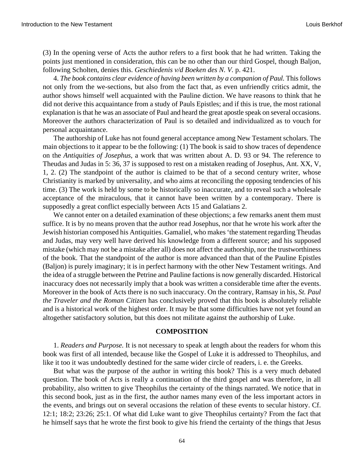(3) In the opening verse of Acts the author refers to a first book that he had written. Taking the points just mentioned in consideration, this can be no other than our third Gospel, though Baljon, following Scholten, denies this. *Geschiedenis v/d Boeken des N. V.* p. 421.

4. *The book contains clear evidence of having been written by a companion of Paul.* This follows not only from the we-sections, but also from the fact that, as even unfriendly critics admit, the author shows himself well acquainted with the Pauline diction. We have reasons to think that he did not derive this acquaintance from a study of Pauls Epistles; and if this is true, the most rational explanation is that he was an associate of Paul and heard the great apostle speak on several occasions. Moreover the authors characterization of Paul is so detailed and individualized as to vouch for personal acquaintance.

The authorship of Luke has not found general acceptance among New Testament scholars. The main objections to it appear to be the following: (1) The book is said to show traces of dependence on the *Antiquities of Josephus,* a work that was written about A. D. 93 or 94. The reference to Theudas and Judas in 5: 36, 37 is supposed to rest on a mistaken reading of Josephus, Ant. XX, V, 1, 2. (2) The standpoint of the author is claimed to be that of a second century writer, whose Christianity is marked by universality, and who aims at reconciling the opposing tendencies of his time. (3) The work is held by some to be historically so inaccurate, and to reveal such a wholesale acceptance of the miraculous, that it cannot have been written by a contemporary. There is supposedly a great conflict especially between [Acts 15](http://www.ccel.org/b/bible/asv/xml/asv.Acts..xml#Acts..) and [Galatians 2.](http://www.ccel.org/b/bible/asv/xml/asv.Gal..xml#Gal..)

We cannot enter on a detailed examination of these objections; a few remarks anent them must suffice. It is by no means proven that the author read Josephus, nor that he wrote his work after the Jewish historian composed his Antiquities. Gamaliel, who makes 'the statement regarding Theudas and Judas, may very well have derived his knowledge from a different source; and his supposed mistake (which may not be a mistake after all) does not affect the authorship, nor the trustworthiness of the book. That the standpoint of the author is more advanced than that of the Pauline Epistles (Baljon) is purely imaginary; it is in perfect harmony with the other New Testament writings. And the idea of a struggle between the Petrine and Pauline factions is now generally discarded. Historical inaccuracy does not necessarily imply that a book was written a considerable time after the events. Moreover in the book of Acts there is no such inaccuracy. On the contrary, Ramsay in his, *St. Paul the Traveler and the Roman Citizen* has conclusively proved that this book is absolutely reliable and is a historical work of the highest order. It may be that some difficulties have not yet found an altogether satisfactory solution, but this does not militate against the authorship of Luke.

### **COMPOSITION**

1. *Readers and Purpose.* It is not necessary to speak at length about the readers for whom this book was first of all intended, because like the Gospel of Luke it is addressed to Theophilus, and like it too it was undoubtedly destined for the same wider circle of readers, i. e. the Greeks.

But what was the purpose of the author in writing this book? This is a very much debated question. The book of Acts is really a continuation of the third gospel and was therefore, in all probability, also written to give Theophilus the certainty of the things narrated. We notice that in this second book, just as in the first, the author names many even of the less important actors in the events, and brings out on several occasions the relation of these events to secular history. Cf. 12:1; 18:2; 23:26; 25:1. Of what did Luke want to give Theophilus certainty? From the fact that he himself says that he wrote the first book to give his friend the certainty of the things that Jesus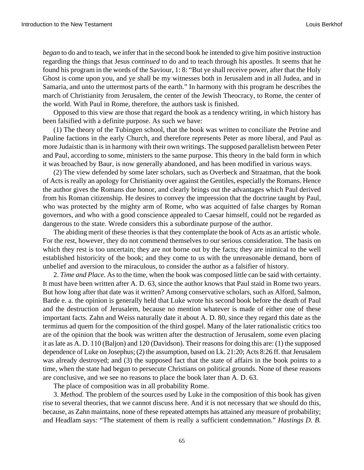*began* to do and to teach, we infer that in the second book he intended to give him positive instruction regarding the things that Jesus *continued* to do and to teach through his apostles. It seems that he found his program in the words of the Saviour, 1: 8: "But ye shall receive power, after that the Holy Ghost is come upon you, and ye shall be my witnesses both in Jerusalem and in all Judea, and in Samaria, and unto the uttermost parts of the earth." In harmony with this program he describes the march of Christianity from Jerusalem, the center of the Jewish Theocracy, to Rome, the center of the world. With Paul in Rome, therefore, the authors task is finished.

Opposed to this view are those that regard the book as a tendency writing, in which history has been falsified with a definite purpose. As such we have:

(1) The theory of the Tubingen school, that the book was written to conciliate the Petrine and Pauline factions in the early Church, and therefore represents Peter as more liberal, and Paul as more Judaistic than is in harmony with their own writings. The supposed parallelism between Peter and Paul, according to some, ministers to the same purpose. This theory in the bald form in which it was broached by Baur, is now generally abandoned, and has been modified in various ways.

(2) The view defended by some later scholars, such as Overbeck and Straatman, that the book of Acts is really an apology for Christianity over against the Gentiles, especially the Romans. Hence the author gives the Romans due honor, and clearly brings out the advantages which Paul derived from his Roman citizenship. He desires to convey the impression that the doctrine taught by Paul, who was protected by the mighty arm of Rome, who was acquitted of false charges by Roman governors, and who with a good conscience appealed to Caesar himself, could not be regarded as dangerous to the state. Wrede considers this a subordinate purpose of the author.

The abiding merit of these theories is that they contemplate the book of Acts as an artistic whole. For the rest, however, they do not commend themselves to our serious consideration. The basis on which they rest is too uncertain; they are not borne out by the facts; they are inimical to the well established historicity of the book; and they come to us with the unreasonable demand, born of unbelief and aversion to the miraculous, to consider the author as a falsifier of history.

2. *Time and Place.* As to the time, when the book was composed little can be said with certainty. It must have been written after A. D. 63, since the author knows that Paul staid in Rome two years. But how long after that date was it written? Among conservative scholars, such as Alford, Salmon, Barde e. a. the opinion is generally held that Luke wrote his second book before the death of Paul and the destruction of Jerusalem, because no mention whatever is made of either one of these important facts. Zahn and Weiss naturally date it about A. D. 80, since they regard this date as the terminus ad quem for the composition of the third gospel. Many of the later rationalistic critics too are of the opinion that the book was written after the destruction of Jerusalem, some even placing it as late as A. D. 110 (Baljon) and 120 (Davidson). Their reasons for doing this are: (1) the supposed dependence of Luke on Josephus; (2) the assumption, based on [Lk. 21:20](http://www.ccel.org/b/bible/asv/xml/asv.Luke.21.xml#Luke.21.20); [Acts 8:26](http://www.ccel.org/b/bible/asv/xml/asv.Acts.8.xml#Acts.8.26) ff. that Jerusalem was already destroyed; and (3) the supposed fact that the state of affairs in the book points to a time, when the state had begun to persecute Christians on political grounds. None of these reasons are conclusive, and we see no reasons to place the book later than A. D. 63.

The place of composition was in all probability Rome.

3. *Method.* The problem of the sources used by Luke in the composition of this book has given rise to several theories, that we cannot discuss here. And it is not necessary that we should do this, because, as Zahn maintains, none of these repeated attempts has attained any measure of probability; and Headlam says: "The statement of them is really a sufficient condemnation." *Hastings D. B.*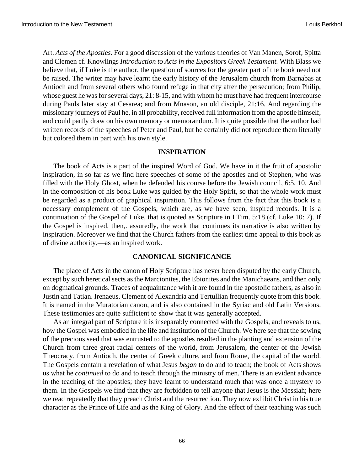Art. *Acts of the Apostles.* For a good discussion of the various theories of Van Manen, Sorof, Spitta and Clemen cf. Knowlings *Introduction to Acts in the Expositors Greek Testament.* With Blass we believe that, if Luke is the author, the question of sources for the greater part of the book need not be raised. The writer may have learnt the early history of the Jerusalem church from Barnabas at Antioch and from several others who found refuge in that city after the persecution; from Philip, whose guest he was for several days, 21: 8-15, and with whom he must have had frequent intercourse during Pauls later stay at Cesarea; and from Mnason, an old disciple, 21:16. And regarding the missionary journeys of Paul he, in all probability, received full information from the apostle himself, and could partly draw on his own memory or memorandum. It is quite possible that the author had written records of the speeches of Peter and Paul, but he certainly did not reproduce them literally but colored them in part with his own style.

## **INSPIRATION**

The book of Acts is a part of the inspired Word of God. We have in it the fruit of apostolic inspiration, in so far as we find here speeches of some of the apostles and of Stephen, who was filled with the Holy Ghost, when he defended his course before the Jewish council, 6:5, 10. And in the composition of his book Luke was guided by the Holy Spirit, so that the whole work must be regarded as a product of graphical inspiration. This follows from the fact that this book is a necessary complement of the Gospels, which are, as we have seen, inspired records. It is a continuation of the Gospel of Luke, that is quoted as Scripture in [I Tim. 5:18](http://www.ccel.org/b/bible/asv/xml/asv.iTim.5.xml#iTim.5.18) (cf. [Luke 10:](http://www.ccel.org/b/bible/asv/xml/asv.Luke..xml#Luke..) 7). If the Gospel is inspired, then,. assuredly, the work that continues its narrative is also written by inspiration. Moreover we find that the Church fathers from the earliest time appeal to this book as of divine authority,—as an inspired work.

#### **CANONICAL SIGNIFICANCE**

The place of Acts in the canon of Holy Scripture has never been disputed by the early Church, except by such heretical sects as the Marcionites, the Ebionites and the Manichaeans, and then only on dogmatical grounds. Traces of acquaintance with it are found in the apostolic fathers, as also in Justin and Tatian. Irenaeus, Clement of Alexandria and Tertullian frequently quote from this book. It is named in the Muratorian canon, and is also contained in the Syriac and old Latin Versions. These testimonies are quite sufficient to show that it was generally accepted.

As an integral part of Scripture it is inseparably connected with the Gospels, and reveals to us, how the Gospel was embodied in the life and institution of the Church. We here see that the sowing of the precious seed that was entrusted to the apostles resulted in the planting and extension of the Church from three great racial centers of the world, from Jerusalem, the center of the Jewish Theocracy, from Antioch, the center of Greek culture, and from Rome, the capital of the world. The Gospels contain a revelation of what Jesus *began* to do and to teach; the book of Acts shows us what he *continued* to do and to teach through the ministry of men. There is an evident advance in the teaching of the apostles; they have learnt to understand much that was once a mystery to them. In the Gospels we find that they are forbidden to tell anyone that Jesus is the Messiah; here we read repeatedly that they preach Christ and the resurrection. They now exhibit Christ in his true character as the Prince of Life and as the King of Glory. And the effect of their teaching was such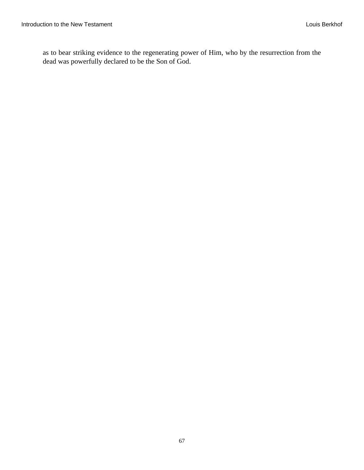as to bear striking evidence to the regenerating power of Him, who by the resurrection from the dead was powerfully declared to be the Son of God.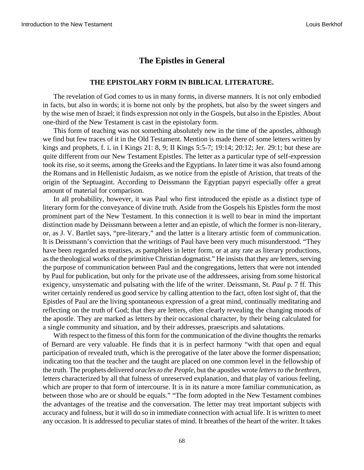# **The Epistles in General**

#### **THE EPISTOLARY FORM IN BIBLICAL LITERATURE.**

The revelation of God comes to us in many forms, in diverse manners. It is not only embodied in facts, but also in words; it is borne not only by the prophets, but also by the sweet singers and by the wise men of Israel; it finds expression not only in the Gospels, but also in the Epistles. About one-third of the New Testament is cast in the epistolary form.

This form of teaching was not something absolutely new in the time of the apostles, although we find but few traces of it in the Old Testament. Mention is made there of some letters written by kings and prophets, f. i. in [I Kings 21](http://www.ccel.org/b/bible/asv/xml/asv.iKgs..xml#iKgs..): 8, 9; [II Kings 5:5-7](http://www.ccel.org/b/bible/asv/xml/asv.iiKgs.5.xml#iiKgs.5.5); 19:14; 20:12; [Jer. 29:1;](http://www.ccel.org/b/bible/asv/xml/asv.Jer.29.xml#Jer.29.1) but these are quite different from our New Testament Epistles. The letter as a particular type of self-expression took its rise, so it seems, among the Greeks and the Egyptians. In later time it was also found among the Romans and in Hellenistic Judaism, as we notice from the epistle of Aristion, that treats of the origin of the Septuagint. According to Deissmann the Egyptian papyri especially offer a great amount of material for comparison.

In all probability, however, it was Paul who first introduced the epistle as a distinct type of literary form for the conveyance of divine truth. Aside from the Gospels his Epistles form the most prominent part of the New Testament. In this connection it is well to bear in mind the important distinction made by Deissmann between a letter and an epistle, of which the former is non-literary, or, as J. V. Bartlet says, "pre-literary," and the latter is a literary artistic form of communication. It is Deissmann's conviction that the writings of Paul have been very much misunderstood. "They have been regarded as treatises, as pamphlets in letter form, or at any rate as literary productions, as the theological works of the primitive Christian dogmatist." He insists that they are letters, serving the purpose of communication between Paul and the congregations, letters that were not intended by Paul for publication, but only for the private use of the addressees, arising from some historical exigency, unsystematic and pulsating with the life of the writer. Deissmann, St. *Paul* p. 7 ff. This writer certainly rendered us good service by calling attention to the fact, often lost sight of, that the Epistles of Paul are the living spontaneous expression of a great mind, continually meditating and reflecting on the truth of God; that they are letters, often clearly revealing the changing moods of the apostle. They are marked as letters by their occasional character, by their being calculated for a single community and situation, and by their addresses, praescripts and salutations.

With respect to the fitness of this form for the communication of the divine thoughts the remarks of Bernard are very valuable. He finds that it is in perfect harmony "with that open and equal participation of revealed truth, which is the prerogative of the later above the former dispensation; indicating too that the teacher and the taught are placed on one common level in the fellowship of the truth. The prophets delivered *oracles to the People,* but the apostles wrote *letters to the brethren,* letters characterized by all that fulness of unreserved explanation, and that play of various feeling, which are proper to that form of intercourse. It is in its nature a more familiar communication, as between those who are or should be equals." "The form adopted in the New Testament combines the advantages of the treatise and the conversation. The letter may treat important subjects with accuracy and fulness, but it will do so in immediate connection with actual life. It is written to meet any occasion. It is addressed to peculiar states of mind. It breathes of the heart of the writer. It takes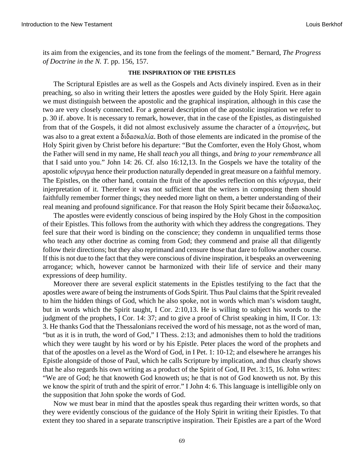its aim from the exigencies, and its tone from the feelings of the moment." Bernard, *The Progress of Doctrine in the N. T.* pp. 156, 157.

## **THE INSPIRATION OF THE EPISTLES**

The Scriptural Epistles are as well as the Gospels and Acts divinely inspired. Even as in their preaching, so also in writing their letters the apostles were guided by the Holy Spirit. Here again we must distinguish between the apostolic and the graphical inspiration, although in this case the two are very closely connected. For a general description of the apostolic inspiration we refer to p. 30 if. above. It is necessary to remark, however, that in the case of the Epistles, as distinguished from that of the Gospels, it did not almost exclusively assume the character of a ὑπομνήσις, but was also to a great extent a διδασκαλία. Both of those elements are indicated in the promise of the Holy Spirit given by Christ before his departure: "But the Comforter, even the Holy Ghost, whom the Father will send in my name, He shall *teach you* all things, and *bring to your remembrance* all that I said unto you." [John 14:](http://www.ccel.org/b/bible/asv/xml/asv.John..xml#John..) 26. Cf. also 16:12,13. In the Gospels we have the totality of the apostolic κήρυγμα hence their production naturally depended in great measure on a faithful memory. The Epistles, on the other hand, contain the fruit of the apostles reflection on this κήρυγμα, their injerpretation of it. Therefore it was not sufficient that the writers in composing them should faithfully remember former things; they needed more light on them, a better understanding of their real meaning and profound significance. For that reason the Holy Spirit became their διδασκαλος.

The apostles were evidently conscious of being inspired by the Holy Ghost in the composition of their Epistles. This follows from the authority with which they address the congregations. They feel sure that their word is binding on the conscience; they condemn in unqualified terms those who teach any other doctrine as coming from God; they commend and praise all that diligently follow their directions; but they also reprimand and censure those that dare to follow another course. If this is not due to the fact that they were conscious of divine inspiration, it bespeaks an overweening arrogance; which, however cannot be harmonized with their life of service and their many expressions of deep humility.

Moreover there are several explicit statements in the Epistles testifying to the fact that the apostles were aware of being the instruments of Gods Spirit. Thus Paul claims that the Spirit revealed to him the hidden things of God, which he also spoke, not in words which man's wisdom taught, but in words which the Spirit taught, [I Cor. 2:10,13.](http://www.ccel.org/b/bible/asv/xml/asv.iCor.2.xml#iCor.2.10 Bible:1Cor.2.13) He is willing to subject his words to the judgment of the prophets, [I Cor. 14:](http://www.ccel.org/b/bible/asv/xml/asv.iCor..xml#iCor..) 37; and to give a proof of Christ speaking in him, [II Cor. 13:](http://www.ccel.org/b/bible/asv/xml/asv.iiCor..xml#iiCor..) 3. He thanks God that the Thessalonians received the word of his message, not as the word of man, "but as it is in truth, the word of God," [I Thess. 2:13;](http://www.ccel.org/b/bible/asv/xml/asv.iThess.2.xml#iThess.2.13) and admonishes them to hold the traditions which they were taught by his word or by his Epistle. Peter places the word of the prophets and that of the apostles on a level as the Word of God, in [I Pet. 1:](http://www.ccel.org/b/bible/asv/xml/asv.iPet..xml#iPet..) 10-12; and elsewhere he arranges his Epistle alongside of those of Paul, which he calls Scripture by implication, and thus clearly shows that he also regards his own writing as a product of the Spirit of God, II Pet. 3:15, 16. John writes: "We are of God; he that knoweth God knoweth us; he that is not of God knoweth us not. By this we know the spirit of truth and the spirit of error." [I John 4:](http://www.ccel.org/b/bible/asv/xml/asv.iJohn..xml#iJohn..) 6. This language is intelligible only on the supposition that John spoke the words of God.

Now we must bear in mind that the apostles speak thus regarding their written words, so that they were evidently conscious of the guidance of the Holy Spirit in writing their Epistles. To that extent they too shared in a separate transcriptive inspiration. Their Epistles are a part of the Word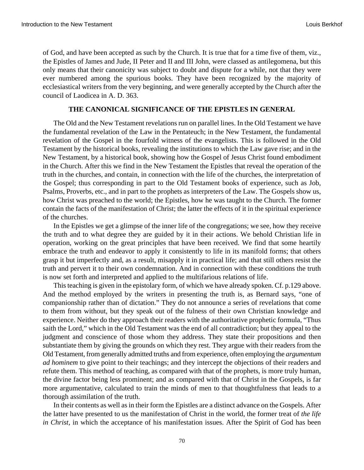of God, and have been accepted as such by the Church. It is true that for a time five of them, viz., the Epistles of James and Jude, II Peter and II and III John, were classed as antilegomena, but this only means that their canonicity was subject to doubt and dispute for a while, not that they were ever numbered among the spurious books. They have been recognized by the majority of ecclesiastical writers from the very beginning, and were generally accepted by the Church after the council of Laodicea in A. D. 363.

## **THE CANONICAL SIGNIFICANCE OF THE EPISTLES IN GENERAL**

The Old and the New Testament revelations run on parallel lines. In the Old Testament we have the fundamental revelation of the Law in the Pentateuch; in the New Testament, the fundamental revelation of the Gospel in the fourfold witness of the evangelists. This is followed in the Old Testament by the historical books, revealing the institutions to which the Law gave rise; and in the New Testament, by a historical book, showing how the Gospel of Jesus Christ found embodiment in the Church. After this we find in the New Testament the Epistles that reveal the operation of the truth in the churches, and contain, in connection with the life of the churches, the interpretation of the Gospel; thus corresponding in part to the Old Testament books of experience, such as Job, Psalms, Proverbs, etc., and in part to the prophets as interpreters of the Law. The Gospels show us, how Christ was preached to the world; the Epistles, how he was taught to the Church. The former contain the facts of the manifestation of Christ; the latter the effects of it in the spiritual experience of the churches.

In the Epistles we get a glimpse of the inner life of the congregations; we see, how they receive the truth and to what degree they are guided by it in their actions. We behold Christian life in operation, working on the great principles that have been received. We find that some heartily embrace the truth and endeavor to apply it consistently to life in its manifold forms; that others grasp it but imperfectly and, as a result, misapply it in practical life; and that still others resist the truth and pervert it to their own condemnation. And in connection with these conditions the truth is now set forth and interpreted and applied to the multifarious relations of life.

This teaching is given in the epistolary form, of which we have already spoken. Cf. p.129 above. And the method employed by the writers in presenting the truth is, as Bernard says, "one of companionship rather than of dictation." They do not announce a series of revelations that come to them from without, but they speak out of the fulness of their own Christian knowledge and experience. Neither do they approach their readers with the authoritative prophetic formula, "Thus saith the Lord," which in the Old Testament was the end of all contradiction; but they appeal to the judgment and conscience of those whom they address. They state their propositions and then substantiate them by giving the grounds on which they rest. They argue with their readers from the Old Testament, from generally admitted truths and from experience, often employing the *argumentum ad hominem* to give point to their teachings; and they intercept the objections of their readers and refute them. This method of teaching, as compared with that of the prophets, is more truly human, the divine factor being less prominent; and as compared with that of Christ in the Gospels, is far more argumentative, calculated to train the minds of men to that thoughtfulness that leads to a thorough assimilation of the truth.

In their contents as well as in their form the Epistles are a distinct advance on the Gospels. After the latter have presented to us the manifestation of Christ in the world, the former treat of *the life in Christ,* in which the acceptance of his manifestation issues. After the Spirit of God has been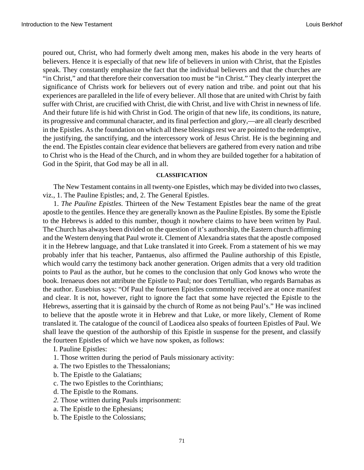poured out, Christ, who had formerly dwelt among men, makes his abode in the very hearts of believers. Hence it is especially of that new life of believers in union with Christ, that the Epistles speak. They constantly emphasize the fact that the individual believers and that the churches are "in Christ," and that therefore their conversation too must be "in Christ." They clearly interpret the significance of Christs work for believers out of every nation and tribe. and point out that his experiences are paralleled in the life of every believer. All those that are united with Christ by faith suffer with Christ, are crucified with Christ, die with Christ, and live with Christ in newness of life. And their future life is hid with Christ in God. The origin of that new life, its conditions, its nature, its progressive and communal character, and its final perfection and glory,—are all clearly described in the Epistles. As the foundation on which all these blessings rest we are pointed to the redemptive, the justifying, the sanctifying, and the intercessory work of Jesus Christ. He is the beginning and the end. The Epistles contain clear evidence that believers are gathered from every nation and tribe to Christ who is the Head of the Church, and in whom they are builded together for a habitation of God in the Spirit, that God may be all in all.

### **CLASSIFICATION**

The New Testament contains in all twenty-one Epistles, which may be divided into two classes, viz., 1. The Pauline Epistles; and, 2. The General Epistles.

1. *The Pauline Epistles.* Thirteen of the New Testament Epistles bear the name of the great apostle to the gentiles. Hence they are generally known as the Pauline Epistles. By some the Epistle to the Hebrews is added to this number, though it nowhere claims to have been written by Paul. The Church has always been divided on the question of it's authorship, the Eastern church affirming and the Western denying that Paul wrote it. Clement of Alexandria states that the apostle composed it in the Hebrew language, and that Luke translated it into Greek. From a statement of his we may probably infer that his teacher, Pantaenus, also affirmed the Pauline authorship of this Epistle, which would carry the testimony back another generation. Origen admits that a very old tradition points to Paul as the author, but he comes to the conclusion that only God knows who wrote the book. Irenaeus does not attribute the Epistle to Paul; nor does Tertullian, who regards Barnabas as the author. Eusebius says: "Of Paul the fourteen Epistles commonly received are at once manifest and clear. It is not, however, right to ignore the fact that some have rejected the Epistle to the Hebrews, asserting that it is gainsaid by the church of Rome as not being Paul's." He was inclined to believe that the apostle wrote it in Hebrew and that Luke, or more likely, Clement of Rome translated it. The catalogue of the council of Laodicea also speaks of fourteen Epistles of Paul. We shall leave the question of the authorship of this Epistle in suspense for the present, and classify the fourteen Epistles of which we have now spoken, as follows:

- I. Pauline Epistles:
- 1. Those written during the period of Pauls missionary activity:
- a. The two Epistles to the Thessalonians;
- b. The Epistle to the Galatians;
- c. The two Epistles to the Corinthians;
- d. The Epistle to the Romans.
- *2.* Those written during Pauls imprisonment:
- a. The Epistle to the Ephesians;
- b. The Epistle to the Colossians;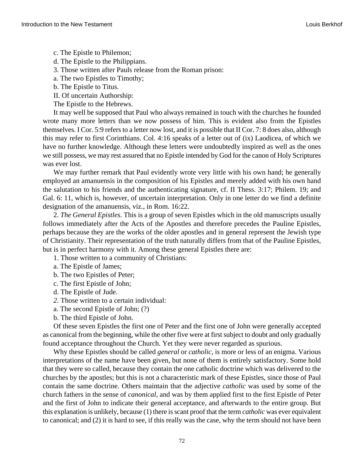c. The Epistle to Philemon;

d. The Epistle to the Philippians.

3. Those written after Pauls release from the Roman prison:

a. The two Epistles to Timothy;

b. The Epistle to Titus.

II. Of uncertain Authorship:

The Epistle to the Hebrews.

It may well be supposed that Paul who always remained in touch with the churches he founded wrote many more letters than we now possess of him. This is evident also from the Epistles themselves. [I Cor. 5:9](http://www.ccel.org/b/bible/asv/xml/asv.iCor.5.xml#iCor.5.9) refers to a letter now lost, and it is possible that [II Cor. 7](http://www.ccel.org/b/bible/asv/xml/asv.iiCor..xml#iiCor..): 8 does also, although this may refer to first Corinthians. [Col. 4:16](http://www.ccel.org/b/bible/asv/xml/asv.Col.4.xml#Col.4.16) speaks of a letter out of (ix) Laodicea, of which we have no further knowledge. Although these letters were undoubtedly inspired as well as the ones we still possess, we may rest assured that no Epistle intended by God for the canon of Holy Scriptures was ever lost.

We may further remark that Paul evidently wrote very little with his own hand; he generally employed an amanuensis in the composition of his Epistles and merely added with his own hand the salutation to his friends and the authenticating signature, cf. [II Thess. 3:17;](http://www.ccel.org/b/bible/asv/xml/asv.iiThess.3.xml#iiThess.3.17) [Philem. 19;](http://www.ccel.org/b/bible/asv/xml/asv.Phlm.1.xml#Phlm.1.19) and [Gal. 6:](http://www.ccel.org/b/bible/asv/xml/asv.Gal..xml#Gal..) 11, which is, however, of uncertain interpretation. Only in one letter do we find a definite designation of the amanuensis, viz., in [Rom. 16:22.](http://www.ccel.org/b/bible/asv/xml/asv.Rom.16.xml#Rom.16.22)

2. *The General Epistles.* This is a group of seven Epistles which in the old manuscripts usually follows immediately after the Acts of the Apostles and therefore precedes the Pauline Epistles, perhaps because they are the works of the older apostles and in general represent the Jewish type of Christianity. Their representation of the truth naturally differs from that of the Pauline Epistles, but is in perfect harmony with it. Among these general Epistles there are:

1. Those written to a community of Christians:

- a. The Epistle of James;
- b. The two Epistles of Peter;
- c. The first Epistle of John;
- d. The Epistle of Jude.
- *2.* Those written to a certain individual:
- a. The second Epistle of John; (?)
- b. The third Epistle of John.

Of these seven Epistles the first one of Peter and the first one of John were generally accepted as canonical from the beginning, while the other five were at first subject to doubt and only gradually found acceptance throughout the Church. Yet they were never regarded as spurious.

Why these Epistles should be called *general* or *catholic,* is more or less of an enigma. Various interpretations of the name have been given, but none of them is entirely satisfactory. Some hold that they were so called, because they contain the one catholic doctrine which was delivered to the churches by the apostles; but this is not a characteristic mark of these Epistles, since those of Paul contain the same doctrine. Others maintain that the adjective *catholic* was used by some of the church fathers in the sense of *canonical,* and was by them applied first to the first Epistle of Peter and the first of John to indicate their general acceptance, and afterwards to the entire group. But this explanation is unlikely, because (1) there is scant proof that the term *catholic* was ever equivalent to canonical; and (2) it is hard to see, if this really was the case, why the term should not have been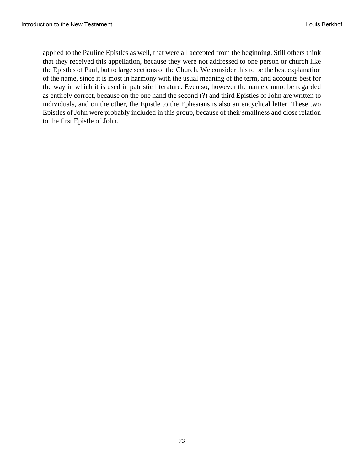applied to the Pauline Epistles as well, that were all accepted from the beginning. Still others think that they received this appellation, because they were not addressed to one person or church like the Epistles of Paul, but to large sections of the Church. We consider this to be the best explanation of the name, since it is most in harmony with the usual meaning of the term, and accounts best for the way in which it is used in patristic literature. Even so, however the name cannot be regarded as entirely correct, because on the one hand the second (?) and third Epistles of John are written to individuals, and on the other, the Epistle to the Ephesians is also an encyclical letter. These two Epistles of John were probably included in this group, because of their smallness and close relation to the first Epistle of John.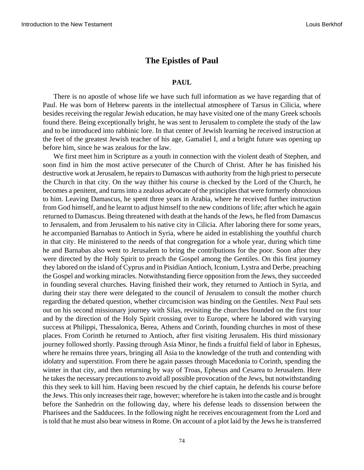# **The Epistles of Paul**

### **PAUL**

There is no apostle of whose life we have such full information as we have regarding that of Paul. He was born of Hebrew parents in the intellectual atmosphere of Tarsus in Cilicia, where besides receiving the regular Jewish education, he may have visited one of the many Greek schools found there. Being exceptionally bright, he was sent to Jerusalem to complete the study of the law and to be introduced into rabbinic lore. In that center of Jewish learning he received instruction at the feet of the greatest Jewish teacher of his age, Gamaliel I, and a bright future was opening up before him, since he was zealous for the law.

We first meet him in Scripture as a youth in connection with the violent death of Stephen, and soon find in him the most active persecuter of the Church of Christ. After he has finished his destructive work at Jerusalem, he repairs to Damascus with authority from the high priest to persecute the Church in that city. On the way thither his course is checked by the Lord of the Church, he becomes a penitent, and turns into a zealous advocate of the principles that were formerly obnoxious to him. Leaving Damascus, he spent three years in Arabia, where he received further instruction from God himself, and he learnt to adjust himself to the new conditions of life; after which he again returned to Damascus. Being threatened with death at the hands of the Jews, he fled from Damascus to Jerusalem, and from Jerusalem to his native city in Cilicia. After laboring there for some years, he accompanied Barnabas to Antioch in Syria, where he aided in establishing the youthful church in that city. He ministered to the needs of that congregation for a whole year, during which time he and Barnabas also went to Jerusalem to bring the contributions for the poor. Soon after they were directed by the Holy Spirit to preach the Gospel among the Gentiles. On this first journey they labored on the island of Cyprus and in Pisidian Antioch, Iconium, Lystra and Derbe, preaching the Gospel and working miracles. Notwithstanding fierce opposition from the Jews, they succeeded in founding several churches. Having finished their work, they returned to Antioch in Syria, and during their stay there were delegated to the council of Jerusalem to consult the mother church regarding the debated question, whether circumcision was binding on the Gentiles. Next Paul sets out on his second missionary journey with Silas, revisiting the churches founded on the first tour and by the direction of the Holy Spirit crossing over to Europe, where he labored with varying success at Philippi, Thessalonica, Berea, Athens and Corinth, founding churches in most of these places. From Corinth he returned to Antioch, after first visiting Jerusalem. His third missionary journey followed shortly. Passing through Asia Minor, he finds a fruitful field of labor in Ephesus, where he remains three years, bringing all Asia to the knowledge of the truth and contending with idolatry and superstition. From there he again passes through Macedonia to Corinth, spending the winter in that city, and then returning by way of Troas, Ephesus and Cesarea to Jerusalem. Here he takes the necessary precautions to avoid all possible provocation of the Jews, but notwithstanding this they seek to kill him. Having been rescued by the chief captain, he defends his course before the Jews. This only increases their rage, however; wherefore he is taken into the castle and is brought before the Sanhedrin on the following day, where his defense leads to dissension between the Pharisees and the Sadducees. In the following night he receives encouragement from the Lord and is told that he must also bear witness in Rome. On account of a plot laid by the Jews he is transferred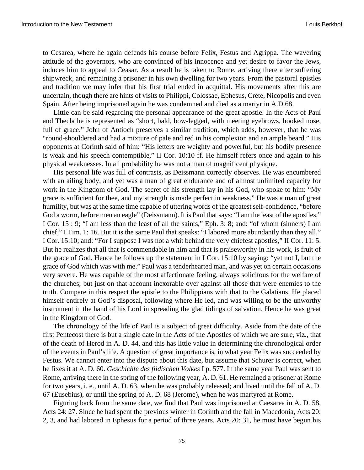to Cesarea, where he again defends his course before Felix, Festus and Agrippa. The wavering attitude of the governors, who are convinced of his innocence and yet desire to favor the Jews, induces him to appeal to Ceasar. As a result he is taken to Rome, arriving there after suffering shipwreck, and remaining a prisoner in his own dwelling for two years. From the pastoral epistles and tradition we may infer that his first trial ended in acquittal. His movements after this are uncertain, though there are hints of visits to Philippi, Colossae, Ephesus, Crete, Nicopolis and even Spain. After being imprisoned again he was condemned and died as a martyr in A.D.68.

Little can be said regarding the personal appearance of the great apostle. In the Acts of Paul and Thecla he is represented as "short, bald, bow-legged, with meeting eyebrows, hooked nose, full of grace." John of Antioch preserves a similar tradition, which adds, however, that he was "round-shouldered and had a mixture of pale and red in his complexion and an ample beard." His opponents at Corinth said of him: "His letters are weighty and powerful, but his bodily presence is weak and his speech contemptible," [II Cor. 10:10](http://www.ccel.org/b/bible/asv/xml/asv.iiCor.10.xml#iiCor.10.10) ff. He himself refers once and again to his physical weaknesses. In all probability he was not a man of magnificent physique.

His personal life was full of contrasts, as Deissmann correctly observes. He was encumbered with an ailing body, and yet was a man of great endurance and of almost unlimited capacity for work in the Kingdom of God. The secret of his strength lay in his God, who spoke to him: "My grace is sufficient for thee, and my strength is made perfect in weakness." He was a man of great humility, but was at the same time capable of uttering words of the greatest self-confidence, "before God a worm, before men an eagle" (Deissmann). It is Paul that says: "I am the least of the aposfles," [I Cor. 15](http://www.ccel.org/b/bible/asv/xml/asv.iCor..xml#iCor..) : 9; "I am less than the least of all the saints," [Eph. 3:](http://www.ccel.org/b/bible/asv/xml/asv.Eph..xml#Eph..) 8; and: "of whom (sinners) I am chief," [I Tim. 1:](http://www.ccel.org/b/bible/asv/xml/asv.iTim..xml#iTim..) 16. But it is the same Paul that speaks: "I labored more abundantly than they all," [I Cor. 15:10;](http://www.ccel.org/b/bible/asv/xml/asv.iCor.15.xml#iCor.15.10) and: "For I suppose I was not a whit behind the very chiefest apostles," [II Cor. 11:](http://www.ccel.org/b/bible/asv/xml/asv.iiCor..xml#iiCor..) 5. But he realizes that all that is commendable in him and that is praiseworthy in his work, is fruit of the grace of God. Hence he follows up the statement in [I Cor. 15:10](http://www.ccel.org/b/bible/asv/xml/asv.iCor.15.xml#iCor.15.10) by saying: "yet not I, but the grace of God which was with me." Paul was a tenderhearted man, and was yet on certain occasions very severe. He was capable of the most affectionate feeling, always solicitous for the welfare of the churches; but just on that account inexorable over against all those that were enemies to the truth. Compare in this respect the epistle to the Philippians with that to the Galatians. He placed himself entirely at God's disposal, following where He led, and was willing to be the unworthy instrument in the hand of his Lord in spreading the glad tidings of salvation. Hence he was great in the Kingdom of God.

The chronology of the life of Paul is a subject of great difficulty. Aside from the date of the first Pentecost there is but a single date in the Acts of the Apostles of which we are sure, viz., that of the death of Herod in A. D. 44, and this has little value in determining the chronological order of the events in Paul's life. A question of great importance is, in what year Felix was succeeded by Festus. We cannot enter into the dispute about this date, but assume that Schurer is correct, when he fixes it at A. D. 60. *Geschichte des fiidischen Volkes* I p. 577. In the same year Paul was sent to Rome, arriving there in the spring of the following year, A. D. 61. He remained a prisoner at Rome for two years, i. e., until A. D. 63, when he was probably released; and lived until the fall of A. D. 67 (Eusebius), or until the spring of A. D. 68 (Jerome), when he was martyred at Rome.

Figuring back from the same date, we find that Paul was imprisoned at Caesarea in A. D. 58, [Acts 24:](http://www.ccel.org/b/bible/asv/xml/asv.Acts..xml#Acts..) 27. Since he had spent the previous winter in Corinth and the fall in Macedonia, [Acts 20:](http://www.ccel.org/b/bible/asv/xml/asv.Acts..xml#Acts..) 2, 3, and had labored in Ephesus for a period of three years, [Acts 20:](http://www.ccel.org/b/bible/asv/xml/asv.Acts..xml#Acts..) 31, he must have begun his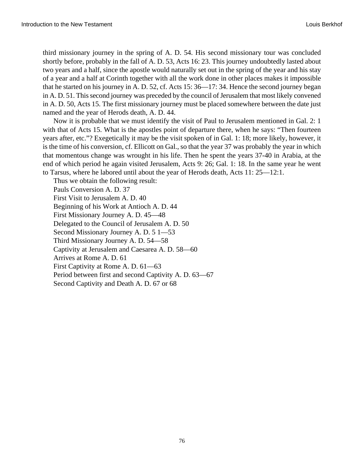third missionary journey in the spring of A. D. 54. His second missionary tour was concluded shortly before, probably in the fall of A. D. 53, [Acts 16](http://www.ccel.org/b/bible/asv/xml/asv.Acts..xml#Acts..): 23. This journey undoubtedly lasted about two years and a half, since the apostle would naturally set out in the spring of the year and his stay of a year and a half at Corinth together with all the work done in other places makes it impossible that he started on his journey in A. D. 52, cf. [Acts 15](http://www.ccel.org/b/bible/asv/xml/asv.Acts..xml#Acts..): 36—17: 34. Hence the second journey began in A. D. 51. This second journey was preceded by the council of Jerusalem that most likely convened in A. D. 50, [Acts 15](http://www.ccel.org/b/bible/asv/xml/asv.Acts..xml#Acts..). The first missionary journey must be placed somewhere between the date just named and the year of Herods death, A. D. 44.

Now it is probable that we must identify the visit of Paul to Jerusalem mentioned in [Gal. 2](http://www.ccel.org/b/bible/asv/xml/asv.Gal..xml#Gal..): 1 with that of [Acts 15](http://www.ccel.org/b/bible/asv/xml/asv.Acts..xml#Acts..). What is the apostles point of departure there, when he says: "Then fourteen years after, etc."? Exegetically it may be the visit spoken of in [Gal. 1:](http://www.ccel.org/b/bible/asv/xml/asv.Gal..xml#Gal..) 18; more likely, however, it is the time of his conversion, cf. Ellicott on Gal., so that the year 37 was probably the year in which that momentous change was wrought in his life. Then he spent the years 37-40 in Arabia, at the end of which period he again visited Jerusalem, [Acts 9](http://www.ccel.org/b/bible/asv/xml/asv.Acts..xml#Acts..): 26; [Gal. 1](http://www.ccel.org/b/bible/asv/xml/asv.Gal..xml#Gal..): 18. In the same year he went to Tarsus, where he labored until about the year of Herods death, [Acts 11:](http://www.ccel.org/b/bible/asv/xml/asv.Acts..xml#Acts..) 25—12:1.

Thus we obtain the following result: Pauls Conversion A. D. 37 First Visit to Jerusalem A. D. 40 Beginning of his Work at Antioch A. D. 44 First Missionary Journey A. D. 45—48 Delegated to the Council of Jerusalem A. D. 50 Second Missionary Journey A. D. 5 1—53 Third Missionary Journey A. D. 54—58 Captivity at Jerusalem and Caesarea A. D. 58—60 Arrives at Rome A. D. 61 First Captivity at Rome A. D. 61—63 Period between first and second Captivity A. D. 63—67 Second Captivity and Death A. D. 67 or 68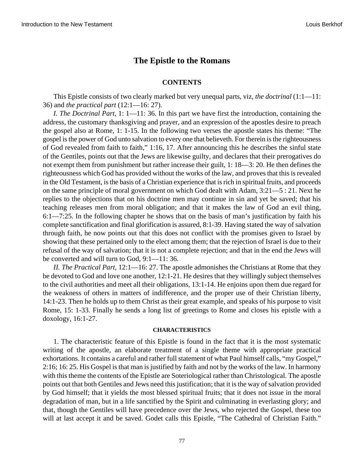# **The Epistle to the Romans**

### **CONTENTS**

This Epistle consists of two clearly marked but very unequal parts, viz, *the doctrinal* (1:1—11: 36) and *the practical part* (12:1—16: 27).

*I. The Doctrinal Part,* 1: 1—11: 36. In this part we have first the introduction, containing the address, the customary thanksgiving and prayer, and an expression of the apostles desire to preach the gospel also at Rome, 1: 1-15. In the following two verses the apostle states his theme: "The gospel is the power of God unto salvation to every one that believeth. For therein is the righteousness of God revealed from faith to faith," 1:16, 17. After announcing this he describes the sinful state of the Gentiles, points out that the Jews are likewise guilty, and declares that their prerogatives do not exempt them from punishment but rather increase their guilt, 1: 18—3: 20. He then defines the righteousness which God has provided without the works of the law, and proves that this is revealed in the Old Testament, is the basis of a Christian experience that is rich in spiritual fruits, and proceeds on the same principle of moral government on which God dealt with Adam, 3:21—5 : 21. Next he replies to the objections that on his doctrine men may continue in sin and yet be saved; that his teaching releases men from moral obligation; and that it makes the law of God an evil thing, 6:1—7:25. In the following chapter he shows that on the basis of man's justification by faith his complete sanctification and final glorification is assured, 8:1-39. Having stated the way of salvation through faith, he now points out that this does not conflict with the promises given to Israel by showing that these pertained only to the elect among them; that the rejection of Israel is due to their refusal of the way of salvation; that it is not a complete rejection; and that in the end the Jews will be converted and will turn to God, 9:1—11: 36.

*II. The Practical Part,* 12:1—16: 27. The apostle admonishes the Christians at Rome that they be devoted to God and love one another, 12:1-21. He desires that they willingly subject themselves to the civil authorities and meet all their obligations, 13:1-14. He enjoins upon them due regard for the weakness of others in matters of indifference, and the proper use of their Christian liberty, 14:1-23. Then he holds up to them Christ as their great example, and speaks of his purpose to visit Rome, 15: 1-33. Finally he sends a long list of greetings to Rome and closes his epistle with a doxology, 16:1-27.

#### **CHARACTERISTICS**

1. The characteristic feature of this Epistle is found in the fact that it is the most systematic writing of the apostle, an elaborate treatment of a single theme with appropriate practical exhortations. It contains a careful and rather full statement of what Paul himself calls, "my Gospel," 2:16; 16: 25. His Gospel is that man is justified by faith and not by the works of the law. In harmony with this theme the contents of the Epistle are Soteriological rather than Christological. The apostle points out that both Gentiles and Jews need this justification; that it is the way of salvation provided by God himself; that it yields the most blessed spiritual fruits; that it does not issue in the moral degradation of man, but in a life sanctified by the Spirit and culminating in everlasting glory; and that, though the Gentiles will have precedence over the Jews, who rejected the Gospel, these too will at last accept it and be saved. Godet calls this Epistle, "The Cathedral of Christian Faith."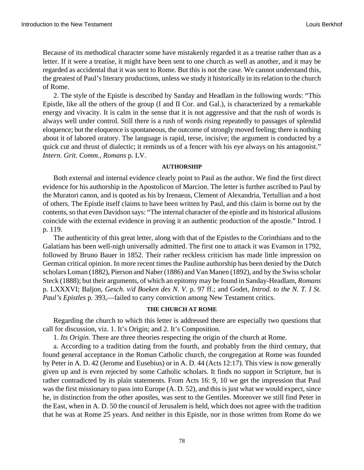Because of its methodical character some have mistakenly regarded it as a treatise rather than as a letter. If it were a treatise, it might have been sent to one church as well as another, and it may be regarded as accidental that it was sent to Rome. But this is not the case. We cannot understand this, the greatest of Paul's literary productions, unless we study it historically in its relation to the church of Rome.

2. The style of the Epistle is described by Sanday and Headlam in the following words: "This Epistle, like all the others of the group (I and II Cor. and Gal.), is characterized by a remarkable energy and vivacity. It is calm in the sense that it is not aggressive and that the rush of words is always well under control. Still there is a rush of words rising repeatedly to passages of splendid eloquence; but the eloquence is spontaneous, the outcome of strongly moved feeling; there is nothing about it of labored oratory. The language is rapid, terse, incisive; the argument is conducted by a quick cut and thrust of dialectic; it reminds us of a fencer with his eye always on his antagonist." *Intern. Grit. Comm., Romans* p. LV.

## **AUTHORSHIP**

Both external and internal evidence clearly point to Paul as the author. We find the first direct evidence for his authorship in the Apostolicon of Marcion. The letter is further ascribed to Paul by the Muratori canon, and is quoted as his by Irenaeus, Clement of Alexandria, Tertullian and a host of others. The Epistle itself claims to have been written by Paul, and this claim is borne out by the contents, so that even Davidson says: "The internal character of the epistle and its historical allusions coincide with the external evidence in proving it an authentic production of the apostle." Introd. I p. 119.

The authenticity of this great letter, along with that of the Epistles to the Corinthians and to the Galatians has been well-nigh universally admitted. The first one to attack it was Evanson in 1792, followed by Bruno Bauer in 1852. Their rather reckless criticism has made little impression on German critical opinion. In more recent times the Pauline authorship has been denied by the Dutch scholars Loman (1882), Pierson and Naber (1886) and Van Manen (1892), and by the Swiss scholar Steck (1888); but their arguments, of which an epitomy may be found in Sanday-Headlam, *Romans* p. LXXXVI; Baljon, *Gesch. v/d Boeken des N. V.* p. 97 ff.; and Godet, *Introd. to the N. T. I St. Paul's Epistles* p. 393,—failed to carry conviction among New Testament critics.

## **THE CHURCH AT ROME**

Regarding the church to which this letter is addressed there are especially two questions that call for discussion, viz. 1. It's Origin; and 2. It's Composition.

1. *Its Origin.* There are three theories respecting the origin of the church at Rome.

a. According to a tradition dating from the fourth, and probably from the third century, that found general acceptance in the Roman Catholic church, the congregation at Rome was founded by Peter in A. D. 42 (Jerome and Eusebius) or in A. D. 44 ([Acts 12:17](http://www.ccel.org/b/bible/asv/xml/asv.Acts.12.xml#Acts.12.17)). This view is now generally given up and is even rejected by some Catholic scholars. It finds no support in Scripture, but is rather contradicted by its plain statements. From [Acts 16](http://www.ccel.org/b/bible/asv/xml/asv.Acts..xml#Acts..): 9, 10 we get the impression that Paul was the first missionary to pass into Europe (A. D. 52), and this is just what we would expect, since he, in distinction from the other apostles, was sent to the Gentiles. Moreover we still find Peter in the East, when in A. D. 50 the council of Jerusalem is held, which does not agree with the tradition that he was at Rome 25 years. And neither in this Epistle, nor in those written from Rome do we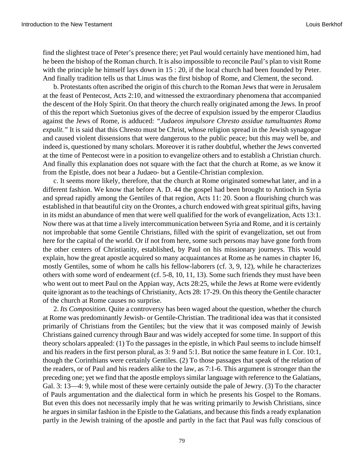find the slightest trace of Peter's presence there; yet Paul would certainly have mentioned him, had he been the bishop of the Roman church. It is also impossible to reconcile Paul's plan to visit Rome with the principle he himself lays down in 15 : 20, if the local church had been founded by Peter. And finally tradition tells us that Linus was the first bishop of Rome, and Clement, the second.

b. Protestants often ascribed the origin of this church to the Roman Jews that were in Jerusalem at the feast of Pentecost, [Acts 2:10,](http://www.ccel.org/b/bible/asv/xml/asv.Acts.2.xml#Acts.2.10) and witnessed the extraordinary phenomena that accompanied the descent of the Holy Spirit. On that theory the church really originated among the Jews. In proof of this the report which Suetonius gives of the decree of expulsion issued by the emperor Claudius against the Jews of Rome, is adduced: *"Judaeos impulsore Chresto assidue tumultuantes Roma expulit.*" It is said that this Chresto must be Christ, whose religion spread in the Jewish synagogue and caused violent dissensions that were dangerous to the public peace; but this may well be, and indeed is, questioned by many scholars. Moreover it is rather doubtful, whether the Jews converted at the time of Pentecost were in a position to evangelize others and to establish a Christian church. And finally this explanation does not square with the fact that the church at Rome, as we know it from the Epistle, does not bear a Judaeo- but a Gentile-Christian complexion.

c. It seems more likely, therefore, that the church at Rome originated somewhat later, and in a different fashion. We know that before A. D. 44 the gospel had been brought to Antioch in Syria and spread rapidly among the Gentiles of that region, [Acts 11:](http://www.ccel.org/b/bible/asv/xml/asv.Acts..xml#Acts..) 20. Soon a flourishing church was established in that beautiful city on the Orontes, a church endowed with great spiritual gifts, having in its midst an abundance of men that were well qualified for the work of evangelization, [Acts 13:1](http://www.ccel.org/b/bible/asv/xml/asv.Acts.13.xml#Acts.13.1). Now there was at that time a lively intercommunication between Syria and Rome, and it is certainly not improbable that some Gentile Christians, filled with the spirit of evangelization, set out from here for the capital of the world. Or if not from here, some such persons may have gone forth from the other centers of Christianity, established, by Paul on his missionary journeys. This would explain, how the great apostle acquired so many acquaintances at Rome as he names in chapter 16, mostly Gentiles, some of whom he calls his fellow-laborers (cf. 3, 9, 12), while he characterizes others with some word of endearment (cf. 5-8, 10, 11, 13). Some such friends they must have been who went out to meet Paul on the Appian way, [Acts 28:25,](http://www.ccel.org/b/bible/asv/xml/asv.Acts.28.xml#Acts.28.25) while the Jews at Rome were evidently quite ignorant as to the teachings of Christianity, [Acts 28:](http://www.ccel.org/b/bible/asv/xml/asv.Acts..xml#Acts..) 17-29. On this theory the Gentile character of the church at Rome causes no surprise.

2. *Its Composition.* Quite a controversy has been waged about the question, whether the church at Rome was predominantly Jewish- or Gentile-Christian. The traditional idea was that it consisted primarily of Christians from the Gentiles; but the view that it was composed mainly of Jewish Christians gained currency through Baur and was widely accepted for some time. In support of this theory scholars appealed: (1) To the passages in the epistle, in which Paul seems to include himself and his readers in the first person plural, as 3: 9 and 5:1. But notice the same feature in I. Cor. 10:1, though the Corinthians were certainly Gentiles. (2) To those passages that speak of the relation of the readers, or of Paul and his readers alike to the law, as 7:1-6. This argument is stronger than the preceding one; yet we find that the apostle employs similar language with reference to the Galatians, [Gal. 3](http://www.ccel.org/b/bible/asv/xml/asv.Gal..xml#Gal..): 13—4: 9, while most of these were certainly outside the pale of Jewry. (3) To the character of Pauls argumentation and the dialectical form in which he presents his Gospel to the Romans. But even this does not necessarily imply that he was writing primarily to Jewish Christians, since he argues in similar fashion in the Epistle to the Galatians, and because this finds a ready explanation partly in the Jewish training of the apostle and partly in the fact that Paul was fully conscious of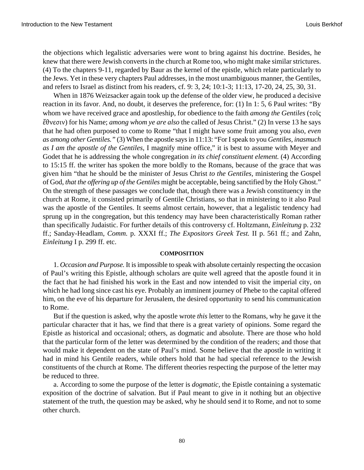the objections which legalistic adversaries were wont to bring against his doctrine. Besides, he knew that there were Jewish converts in the church at Rome too, who might make similar strictures. (4) To the chapters 9-11, regarded by Baur as the kernel of the epistle, which relate particularly to the Jews. Yet in these very chapters Paul addresses, in the most unambiguous manner, the Gentiles, and refers to Israel as distinct from his readers, cf. 9: 3, 24; 10:1-3; 11:13, 17-20, 24, 25, 30, 31.

When in 1876 Weizsacker again took up the defense of the older view, he produced a decisive reaction in its favor. And, no doubt, it deserves the preference, for: (1) In 1: 5, 6 Paul writes: "By whom we have received grace and apostleship, for obedience to the faith *among the Gentiles* (τοῖς ἔθνεσιν) for his Name; *among whom ye are also* the called of Jesus Christ." (2) In verse 13 he says that he had often purposed to come to Rome "that I might have some fruit among you also, *even as among other Gentiles."* (3) When the apostle says in 11:13: "For I speak to you *Gentiles, inasmuch as I am the apostle of the Gentiles,* I magnify mine office," it is best to assume with Meyer and Godet that he is addressing the whole congregation *in its chief constituent element.* (4) According to 15:15 ff. the writer has spoken the more boldly to the Romans, because of the grace that was given him "that he should be the minister of Jesus Christ *to the Gentiles,* ministering the Gospel of God, *that the offering up of the Gentiles* might be acceptable, being sanctified by the Holy Ghost." On the strength of these passages we conclude that, though there was a Jewish constituency in the church at Rome, it consisted primarily of Gentile Christians, so that in ministering to it also Paul was the apostle of the Gentiles. It seems almost certain, however, that a legalistic tendency had sprung up in the congregation, but this tendency may have been characteristically Roman rather than specifically Judaistic. For further details of this controversy cf. Holtzmann, *Einleitung* p. 232 ff.; Sanday-Headlam, *Comm.* p. XXXI ff.; *The Expositors Greek Test.* II p. 561 ff.; and Zahn, *Einleitung* I p. 299 ff. etc.

### **COMPOSITION**

1. *Occasion and Purpose.* It is impossible to speak with absolute certainly respecting the occasion of Paul's writing this Epistle, although scholars are quite well agreed that the apostle found it in the fact that he had finished his work in the East and now intended to visit the imperial city, on which he had long since cast his eye. Probably an imminent journey of Phebe to the capital offered him, on the eve of his departure for Jerusalem, the desired opportunity to send his communication to Rome.

But if the question is asked, why the apostle wrote *this* letter to the Romans, why he gave it the particular character that it has, we find that there is a great variety of opinions. Some regard the Epistle as historical and occasional; others, as dogmatic and absolute. There are those who hold that the particular form of the letter was determined by the condition of the readers; and those that would make it dependent on the state of Paul's mind. Some believe that the apostle in writing it had in mind his Gentile readers, while others hold that he had special reference to the Jewish constituents of the church at Rome. The different theories respecting the purpose of the letter may be reduced to three.

a. According to some the purpose of the letter is *dogmatic,* the Epistle containing a systematic exposition of the doctrine of salvation. But if Paul meant to give in it nothing but an objective statement of the truth, the question may be asked, why he should send it to Rome, and not to some other church.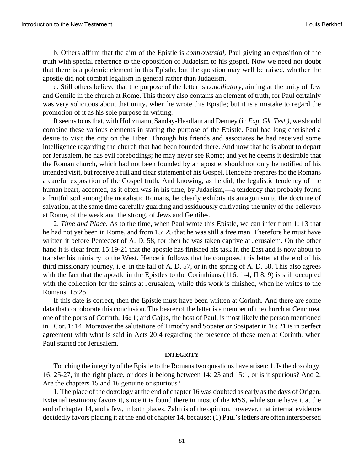b. Others affirm that the aim of the Epistle is *controversial,* Paul giving an exposition of the truth with special reference to the opposition of Judaeism to his gospel. Now we need not doubt that there is a polemic element in this Epistle, but the question may well be raised, whether the apostle did not combat legalism in general rather than Judaeism.

c. Still others believe that the purpose of the letter is *conciliatory,* aiming at the unity of Jew and Gentile in the church at Rome. This theory also contains an element of truth, for Paul certainly was very solicitous about that unity, when he wrote this Epistle; but it is a mistake to regard the promotion of it as his sole purpose in writing.

It seems to us that, with Holtzmann, Sanday-Headlam and Denney (in *Exp. Gk. Test.),* we should combine these various elements in stating the purpose of the Epistle. Paul had long cherished a desire to visit the city on the Tiber. Through his friends and associates he had received some intelligence regarding the church that had been founded there. And now that he is about to depart for Jerusalem, he has evil forebodings; he may never see Rome; and yet he deems it desirable that the Roman church, which had not been founded by an apostle, should not only be notified of his intended visit, but receive a full and clear statement of his Gospel. Hence he prepares for the Romans a careful exposition of the Gospel truth. And knowing, as he did, the legalistic tendency of the human heart, accented, as it often was in his time, by Judaeism,—a tendency that probably found a fruitful soil among the moralistic Romans, he clearly exhibits its antagonism to the doctrine of salvation, at the same time carefully guarding and assiduously cultivating the unity of the believers at Rome, of the weak and the strong, of Jews and Gentiles.

2. *Time and Place.* As to the time, when Paul wrote this Epistle, we can infer from 1: 13 that he had not yet been in Rome, and from 15: 25 that he was still a free man. Therefore he must have written it before Pentecost of A. D. 58, for then he was taken captive at Jerusalem. On the other hand it is clear from 15:19-21 that the apostle has finished his task in the East and is now about to transfer his ministry to the West. Hence it follows that he composed this letter at the end of his third missionary journey, i. e. in the fall of A. D. 57, or in the spring of A. D. 58. This also agrees with the fact that the apostle in the Epistles to the Corinthians (116: 1-4; II 8, 9) is still occupied with the collection for the saints at Jerusalem, while this work is finished, when he writes to the Romans, 15:25.

If this date is correct, then the Epistle must have been written at Corinth. And there are some data that corroborate this conclusion. The bearer of the letter is a member of the church at Cenchrea, one of the ports of Corinth, **16:** 1; and Gajus, the host of Paul, is most likely the person mentioned in [I Cor. 1](http://www.ccel.org/b/bible/asv/xml/asv.iCor..xml#iCor..): 14. Moreover the salutations of Timothy and Sopater or Sosipater in 16: 21 is in perfect agreement with what is said in [Acts 20:4](http://www.ccel.org/b/bible/asv/xml/asv.Acts.20.xml#Acts.20.4) regarding the presence of these men at Corinth, when Paul started for Jerusalem.

### **INTEGRITY**

Touching the integrity of the Epistle to the Romans two questions have arisen: 1. Is the doxology, 16: 25-27, in the right place, or does it belong between 14: 23 and 15:1, or is it spurious? And 2. Are the chapters 15 and 16 genuine or spurious?

1. The place of the doxology at the end of chapter 16 was doubted as early as the days of Origen. External testimony favors it, since it is found there in most of the MSS, while some have it at the end of chapter 14, and a few, in both places. Zahn is of the opinion, however, that internal evidence decidedly favors placing it at the end of chapter 14, because: (1) Paul's letters are often interspersed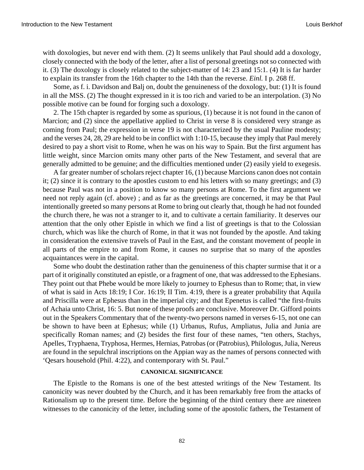with doxologies, but never end with them. (2) It seems unlikely that Paul should add a doxology, closely connected with the body of the letter, after a list of personal greetings not so connected with it. (3) The doxology is closely related to the subject-matter of 14: 23 and 15:1. (4) It is far harder to explain its transfer from the 16th chapter to the 14th than the reverse. *Einl.* I p. 268 ff.

Some, as f. i. Davidson and Balj on, doubt the genuineness of the doxology, but: (1) It is found in all the MSS. (2) The thought expressed in it is too rich and varied to be an interpolation. (3) No possible motive can be found for forging such a doxology.

2. The 15th chapter is regarded by some as spurious, (1) because it is not found in the canon of Marcion; and (2) since the appellative applied to Christ in verse 8 is considered very strange as coming from Paul; the expression in verse 19 is not characterized by the usual Pauline modesty; and the verses 24, 28, 29 are held to be in conflict with 1:10-15, because they imply that Paul merely desired to pay a short visit to Rome, when he was on his way to Spain. But the first argument has little weight, since Marcion omits many other parts of the New Testament, and several that are generally admitted to be genuine; and the difficulties mentioned under (2) easily yield to exegesis.

A far greater number of scholars reject chapter 16, (1) because Marcions canon does not contain it; (2) since it is contrary to the apostles custom to end his letters with so many greetings; and (3) because Paul was not in a position to know so many persons at Rome. To the first argument we need not reply again (cf. above) ; and as far as the greetings are concerned, it may be that Paul intentionally greeted so many persons at Rome to bring out clearly that, though he had not founded the church there, he was not a stranger to it, and to cultivate a certain familiarity. It deserves our attention that the only other Epistle in which we find a list of greetings is that to the Colossian church, which was like the church of Rome, in that it was not founded by the apostle. And taking in consideration the extensive travels of Paul in the East, and the constant movement of people in all parts of the empire to and from Rome, it causes no surprise that so many of the apostles acquaintances were in the capital.

Some who doubt the destination rather than the genuineness of this chapter surmise that it or a part of it originally constituted an epistle, or a fragment of one, that was addressed to the Ephesians. They point out that Phebe would be more likely to journey to Ephesus than to Rome; that, in view of what is said in [Acts 18:19](http://www.ccel.org/b/bible/asv/xml/asv.Acts.18.xml#Acts.18.19); [I Cor. 16:19;](http://www.ccel.org/b/bible/asv/xml/asv.iCor.16.xml#iCor.16.19) [II Tim. 4:19,](http://www.ccel.org/b/bible/asv/xml/asv.iiTim.4.xml#iiTim.4.19) there is a greater probability that Aquila and Priscilla were at Ephesus than in the imperial city; and that Epenetus is called "the first-fruits of Achaia unto Christ, 16: 5. But none of these proofs are conclusive. Moreover Dr. Gifford points out in the Speakers Commentary that of the twenty-two persons named in verses 6-15, not one can be shown to have been at Ephesus; while (1) Urbanus, Rufus, Ampliatus, Julia and Junia are specifically Roman names; and (2) besides the first four of these names, "ten others, Stachys, Apelles, Tryphaena, Tryphosa, Hermes, Hernias, Patrobas (or (Patrobius), Philologus, Julia, Nereus are found in the sepulchral inscriptions on the Appian way as the names of persons connected with 'Qesars household ([Phil. 4:22\)](http://www.ccel.org/b/bible/asv/xml/asv.Phil.4.xml#Phil.4.22), and contemporary with St. Paul."

## **CANONICAL SIGNIFICANCE**

The Epistle to the Romans is one of the best attested writings of the New Testament. Its canonicity was never doubted by the Church, and it has been remarkably free from the attacks of Rationalism up to the present time. Before the beginning of the third century there are nineteen witnesses to the canonicity of the letter, including some of the apostolic fathers, the Testament of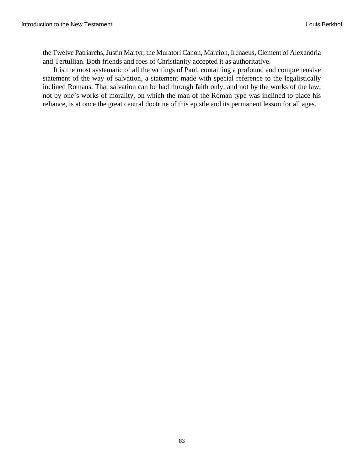the Twelve Patriarchs, Justin Martyr, the Muratori Canon, Marcion, Irenaeus, Clement of Alexandria and Tertullian. Both friends and foes of Christianity accepted it as authoritative.

It is the most systematic of all the writings of Paul, containing a profound and comprehensive statement of the way of salvation, a statement made with special reference to the legalistically inclined Romans. That salvation can be had through faith only, and not by the works of the law, not by one's works of morality, on which the man of the Roman type was inclined to place his reliance, is at once the great central doctrine of this epistle and its permanent lesson for all ages.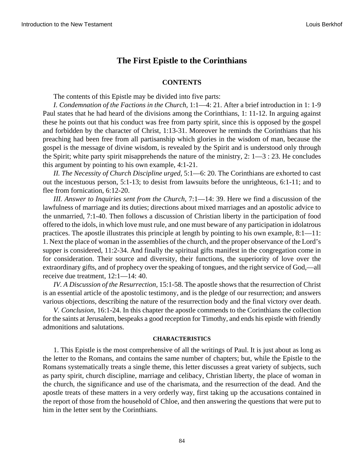# **The First Epistle to the Corinthians**

### **CONTENTS**

The contents of this Epistle may be divided into five parts:

*I. Condemnation of the Factions in the Church,* 1:1—4: 21. After a brief introduction in 1: 1-9 Paul states that he had heard of the divisions among the Corinthians, 1: 11-12. In arguing against these he points out that his conduct was free from party spirit, since this is opposed by the gospel and forbidden by the character of Christ, 1:13-31. Moreover he reminds the Corinthians that his preaching had been free from all partisanship which glories in the wisdom of man, because the gospel is the message of divine wisdom, is revealed by the Spirit and is understood only through the Spirit; white party spirit misapprehends the nature of the ministry, 2: 1—3 : 23. He concludes this argument by pointing to his own example, 4:1-21.

*II. The Necessity of Church Discipline urged,* 5:1—6: 20. The Corinthians are exhorted to cast out the incestuous person, 5:1-13; to desist from lawsuits before the unrighteous, 6:1-11; and to flee from fornication, 6:12-20.

*III. Answer to Inquiries sent from the Church,* 7:1—14: 39. Here we find a discussion of the lawfulness of marriage and its duties; directions about mixed marriages and an apostolic advice to the unmarried, 7:1-40. Then follows a discussion of Christian liberty in the participation of food offered to the idols, in which love must rule, and one must beware of any participation in idolatrous practices. The apostle illustrates this principle at length by pointing to his own example, 8:1—11: 1. Next the place of woman in the assemblies of the church, and the proper observance of the Lord's supper is considered, 11:2-34. And finally the spiritual gifts manifest in the congregation come in for consideration. Their source and diversity, their functions, the superiority of love over the extraordinary gifts, and of prophecy over the speaking of tongues, and the right service of God,—all receive due treatment, 12:1—14: 40.

*IV. A Discussion of the Resurrection,* 15:1-58. The apostle shows that the resurrection of Christ is an essential article of the apostolic testimony, and is the pledge of our resurrection; and answers various objections, describing the nature of the resurrection body and the final victory over death.

*V. Conclusion,* 16:1-24. In this chapter the apostle commends to the Corinthians the collection for the saints at Jerusalem, bespeaks a good reception for Timothy, and ends his epistle with friendly admonitions and salutations.

#### **CHARACTERISTICS**

1. This Epistle is the most comprehensive of all the writings of Paul. It is just about as long as the letter to the Romans, and contains the same number of chapters; but, while the Epistle to the Romans systematically treats a single theme, this letter discusses a great variety of subjects, such as party spirit, church discipline, marriage and celibacy, Christian liberty, the place of woman in the church, the significance and use of the charismata, and the resurrection of the dead. And the apostle treats of these matters in a very orderly way, first taking up the accusations contained in the report of those from the household of Chloe, and then answering the questions that were put to him in the letter sent by the Corinthians.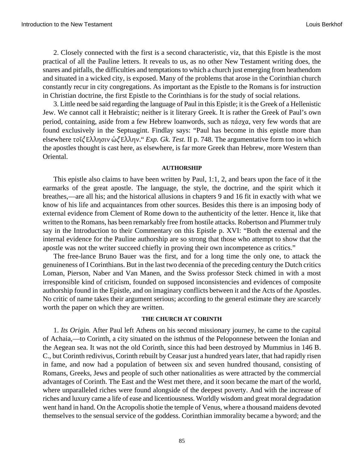2. Closely connected with the first is a second characteristic, viz, that this Epistle is the most practical of all the Pauline letters. It reveals to us, as no other New Testament writing does, the snares and pitfalls, the difficulties and temptations to which a church just emerging from heathendom and situated in a wicked city, is exposed. Many of the problems that arose in the Corinthian church constantly recur in city congregations. As important as the Epistle to the Romans is for instruction in Christian doctrine, the first Epistle to the Corinthians is for the study of social relations.

3. Little need be said regarding the language of Paul in this Epistle; it is the Greek of a Hellenistic Jew. We cannot call it Hebraistic; neither is it literary Greek. It is rather the Greek of Paul's own period, containing, aside from a few Hebrew loanwords, such as πάσχα, very few words that are found exclusively in the Septuagint. Findlay says: "Paul has become in this epistle more than elsewhere τοῖς ̔́Ελλησιν ὡς ̔́Ελλην." *Exp. Gk. Test.* II p. 748. The argumentative form too in which the apostles thought is cast here, as elsewhere, is far more Greek than Hebrew, more Western than Oriental.

#### **AUTHORSHIP**

This epistle also claims to have been written by Paul, 1:1, 2, and bears upon the face of it the earmarks of the great apostle. The language, the style, the doctrine, and the spirit which it breathes,—are all his; and the historical allusions in chapters 9 and 16 fit in exactly with what we know of his life and acquaintances from other sources. Besides this there is an imposing body of external evidence from Clement of Rome down to the authenticity of the letter. Hence it, like that written to the Romans, has been remarkably free from hostile attacks. Robertson and Plummer truly say in the Introduction to their Commentary on this Epistle p. XVI: "Both the external and the internal evidence for the Pauline authorship are so strong that those who attempt to show that the apostle was not the writer succeed chiefly in proving their own incompetence as critics."

The free-lance Bruno Bauer was the first, and for a long time the only one, to attack the genuineness of I Corinthians. But in the last two decennia of the preceding century the Dutch critics Loman, Pierson, Naber and Van Manen, and the Swiss professor Steck chimed in with a most irresponsible kind of criticism, founded on supposed inconsistencies and evidences of composite authorship found in the Epistle, and on imaginary conflicts between it and the Acts of the Apostles. No critic of name takes their argument serious; according to the general estimate they are scarcely worth the paper on which they are written.

### **THE CHURCH AT CORINTH**

1. *Its Origin.* After Paul left Athens on his second missionary journey, he came to the capital of Achaia,—to Corinth, a city situated on the isthmus of the Peloponnese between the Ionian and the Aegean sea. It was not the old Corinth, since this had been destroyed by Mummius in 146 B. C., but Corinth redivivus, Corinth rebuilt by Ceasar just a hundred years later, that had rapidly risen in fame, and now had a population of between six and seven hundred thousand, consisting of Romans, Greeks, Jews and people of such other nationalities as were attracted by the commercial advantages of Corinth. The East and the West met there, and it soon became the mart of the world, where unparalleled riches were found alongside of the deepest poverty. And with the increase of riches and luxury came a life of ease and licentiousness. Worldly wisdom and great moral degradation went hand in hand. On the Acropolis shotie the temple of Venus, where a thousand maidens devoted themselves to the sensual service of the goddess. Corinthian immorality became a byword; and the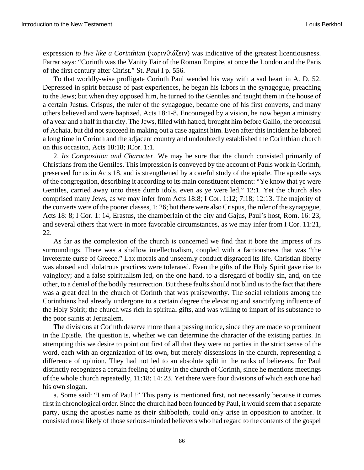expression *to live like a Corinthian* (κορινθιάζειν) was indicative of the greatest licentiousness. Farrar says: "Corinth was the Vanity Fair of the Roman Empire, at once the London and the Paris of the first century after Christ." St. *Paul* I p. 556.

To that worldly-wise profligate Corinth Paul wended his way with a sad heart in A. D. 52. Depressed in spirit because of past experiences, he began his labors in the synagogue, preaching to the Jews; but when they opposed him, he turned to the Gentiles and taught them in the house of a certain Justus. Crispus, the ruler of the synagogue, became one of his first converts, and many others believed and were baptized, [Acts 18:1-8](http://www.ccel.org/b/bible/asv/xml/asv.Acts.18.xml#Acts.18.1). Encouraged by a vision, he now began a ministry of a year and a half in that city. The Jews, filled with hatred, brought him before Gallio, the proconsul of Achaia, but did not succeed in making out a case against him. Even after this incident he labored a long time in Corinth and the adjacent country and undoubtedly established the Corinthian church on this occasion, [Acts 18:18;](http://www.ccel.org/b/bible/asv/xml/asv.Acts.18.xml#Acts.18.18) ICor. 1:1.

2. *Its Composition and Character.* We may be sure that the church consisted primarily of Christians from the Gentiles. This impression is conveyed by the account of Pauls work in Corinth, preserved for us in [Acts 18,](http://www.ccel.org/b/bible/asv/xml/asv.Acts..xml#Acts..) and is strengthened by a careful study of the epistle. The apostle says of the congregation, describing it according to its main constituent element: "Ye know that ye were Gentiles, carried away unto these dumb idols, even as ye were led," 12:1. Yet the church also comprised many Jews, as we may infer from [Acts 18:8](http://www.ccel.org/b/bible/asv/xml/asv.Acts.18.xml#Acts.18.8); [I Cor. 1:12](http://www.ccel.org/b/bible/asv/xml/asv.iCor.1.xml#iCor.1.12); 7:18; 12:13. The majority of the converts were of the poorer classes, 1: 26; but there were also Crispus, the ruler of the synagogue, [Acts 18](http://www.ccel.org/b/bible/asv/xml/asv.Acts..xml#Acts..): 8; [I Cor. 1](http://www.ccel.org/b/bible/asv/xml/asv.iCor..xml#iCor..): 14, Erastus, the chamberlain of the city and Gajus, Paul's host, [Rom. 16](http://www.ccel.org/b/bible/asv/xml/asv.Rom..xml#Rom..): 23, and several others that were in more favorable circumstances, as we may infer from [I Cor. 11:21,](http://www.ccel.org/b/bible/asv/xml/asv.iCor.11.xml#iCor.11.21 Bible:1Cor.11.22) [22](http://www.ccel.org/b/bible/asv/xml/asv.iCor.11.xml#iCor.11.21 Bible:1Cor.11.22).

As far as the complexion of the church is concerned we find that it bore the impress of its surroundings. There was a shallow intellectualism, coupled with a factiousness that was "the inveterate curse of Greece." Lax morals and unseemly conduct disgraced its life. Christian liberty was abused and idolatrous practices were tolerated. Even the gifts of the Holy Spirit gave rise to vainglory; and a false spiritualism led, on the one hand, to a disregard of bodily sin, and, on the other, to a denial of the bodily resurrection. But these faults should not blind us to the fact that there was a great deal in the church of Corinth that was praiseworthy. The social relations among the Corinthians had already undergone to a certain degree the elevating and sanctifying influence of the Holy Spirit; the church was rich in spiritual gifts, and was willing to impart of its substance to the poor saints at Jerusalem.

The divisions at Corinth deserve more than a passing notice, since they are made so prominent in the Epistle. The question is, whether we can determine the character of the existing parties. In attempting this we desire to point out first of all that they were no parties in the strict sense of the word, each with an organization of its own, but merely dissensions in the church, representing a difference of opinion. They had not led to an absolute split in the ranks of believers, for Paul distinctly recognizes a certain feeling of unity in the church of Corinth, since he mentions meetings of the whole church repeatedly, 11:18; 14: 23. Yet there were four divisions of which each one had his own slogan.

a. Some said: "I am of Paul !" This party is mentioned first, not necessarily because it comes first in chronological order. Since the church had been founded by Paul, it would seem that a separate party, using the apostles name as their shibboleth, could only arise in opposition to another. It consisted most likely of those serious-minded believers who had regard to the contents of the gospel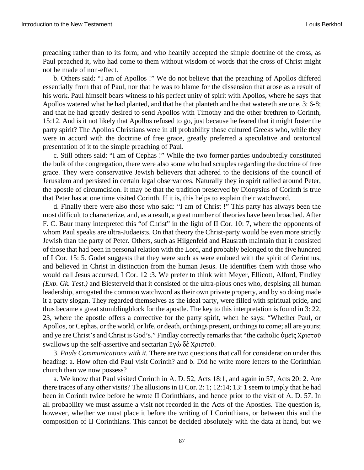preaching rather than to its form; and who heartily accepted the simple doctrine of the cross, as Paul preached it, who had come to them without wisdom of words that the cross of Christ might not be made of non-effect.

b. Others said: "I am of Apollos !" We do not believe that the preaching of Apollos differed essentially from that of Paul, nor that he was to blame for the dissension that arose as a result of his work. Paul himself bears witness to his perfect unity of spirit with Apollos, where he says that Apollos watered what he had planted, and that he that planteth and he that watereth are one, 3: 6-8; and that he had greatly desired to send Apollos with Timothy and the other brethren to Corinth, 15:12. And is it not likely that Apollos refused to go, just because he feared that it might foster the party spirit? The Apollos Christians were in all probability those cultured Greeks who, while they were in accord with the doctrine of free grace, greatly preferred a speculative and oratorical presentation of it to the simple preaching of Paul.

c. Still others said: "I am of Cephas !" While the two former parties undoubtedly constituted the bulk of the congregation, there were also some who had scruples regarding the doctrine of free grace. They were conservative Jewish believers that adhered to the decisions of the council of Jerusalem and persisted in certain legal observances. Naturally they in spirit rallied around Peter, the apostle of circumcision. It may be that the tradition preserved by Dionysius of Corinth is true that Peter has at one time visited Corinth. If it is, this helps to explain their watchword.

d. Finally there were also those who said: "I am of Christ !" This party has always been the most difficult to characterize, and, as a result, a great number of theories have been broached. After F. C. Baur many interpreted this "of Christ" in the light of [II Cor. 10](http://www.ccel.org/b/bible/asv/xml/asv.iiCor..xml#iiCor..): 7, where the opponents of whom Paul speaks are ultra-Judaeists. On that theory the Christ-party would be even more strictly Jewish than the party of Peter. Others, such as Hilgenfeld and Hausrath maintain that it consisted of those that had been in personal relation with the Lord, and probably belonged to the five hundred of [I Cor. 15:](http://www.ccel.org/b/bible/asv/xml/asv.iCor..xml#iCor..) 5. Godet suggests that they were such as were embued with the spirit of Cerinthus, and believed in Christ in distinction from the human Jesus. He identifies them with those who would call Jesus accursed, [I Cor. 12](http://www.ccel.org/b/bible/asv/xml/asv.iCor..xml#iCor..) :3. We prefer to think with Meyer, Ellicott, Alford, Findley *(Exp. Gk. Test.)* and Biesterveld that it consisted of the ultra-pious ones who, despising all human leadership, arrogated the common watchword as their own private property, and by so doing made it a party slogan. They regarded themselves as the ideal party, were filled with spiritual pride, and thus became a great stumblingblock for the apostle. The key to this interpretation is found in 3: 22, 23, where the apostle offers a corrective for the party spirit, when he says: "Whether Paul, or Apollos, or Cephas, or the world, or life, or death, or things present, or things to come; all are yours; and ye are Christ's and Christ is God's." Findlay correctly remarks that "the catholic ὑμεῖς Χριστοῦ swallows up the self-assertive and sectarian Εγὼ δὲ Χριστοῦ.

3. *Pauls Communications with it.* There are two questions that call for consideration under this heading: a. How often did Paul visit Corinth? and b. Did he write more letters to the Corinthian church than we now possess?

a. We know that Paul visited Corinth in A. D. 52, [Acts 18:1](http://www.ccel.org/b/bible/asv/xml/asv.Acts.18.xml#Acts.18.1), and again in 57, [Acts 20](http://www.ccel.org/b/bible/asv/xml/asv.Acts..xml#Acts..): 2. Are there traces of any other visits? The allusions in [II Cor. 2:](http://www.ccel.org/b/bible/asv/xml/asv.iiCor..xml#iiCor..) 1; 12:14; 13: 1 seem to imply that he had been in Corinth twice before he wrote II Corinthians, and hence prior to the visit of A. D. 57. In all probability we must assume a visit not recorded in the Acts of the Apostles. The question is, however, whether we must place it before the writing of I Corinthians, or between this and the composition of II Corinthians. This cannot be decided absolutely with the data at hand, but we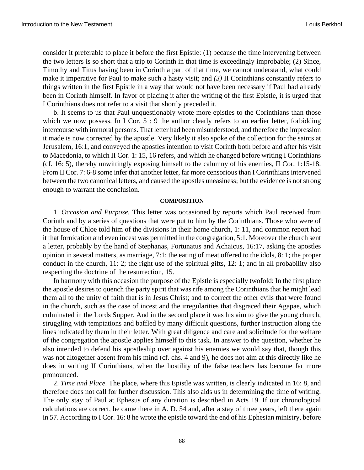consider it preferable to place it before the first Epistle: (1) because the time intervening between the two letters is so short that a trip to Corinth in that time is exceedingly improbable; (2) Since, Timothy and Titus having been in Corinth a part of that time, we cannot understand, what could make it imperative for Paul to make such a hasty visit; and *(3)* II Corinthians constantly refers to things written in the first Epistle in a way that would not have been necessary if Paul had already been in Corinth himself. In favor of placing it after the writing of the first Epistle, it is urged that I Corinthians does not refer to a visit that shortly preceded it.

b. It seems to us that Paul unquestionably wrote more epistles to the Corinthians than those which we now possess. In [I Cor. 5](http://www.ccel.org/b/bible/asv/xml/asv.iCor..xml#iCor..) : 9 the author clearly refers to an earlier letter, forbidding intercourse with immoral persons. That letter had been misunderstood, and therefore the impression it made is now corrected by the apostle. Very likely it also spoke of the collection for the saints at Jerusalem, 16:1, and conveyed the apostles intention to visit Corinth both before and after his visit to Macedonia, to which [II Cor. 1](http://www.ccel.org/b/bible/asv/xml/asv.iiCor..xml#iiCor..): 15, 16 refers, and which he changed before writing I Corinthians (cf. 16: 5), thereby unwittingly exposing himself to the calumny of his enemies, [II Cor. 1:15-18.](http://www.ccel.org/b/bible/asv/xml/asv.iiCor.1.xml#iiCor.1.15) From [II Cor. 7](http://www.ccel.org/b/bible/asv/xml/asv.iiCor..xml#iiCor..): 6-8 some infer that another letter, far more censorious than I Corinthians intervened between the two canonical letters, and caused the apostles uneasiness; but the evidence is not strong enough to warrant the conclusion.

### **COMPOSITION**

1. *Occasion and Purpose.* This letter was occasioned by reports which Paul received from Corinth and by a series of questions that were put to him by the Corinthians. Those who were of the house of Chloe told him of the divisions in their home church, 1: 11, and common report had it that fornication and even incest was permitted in the congregation, 5:1. Moreover the church sent a letter, probably by the hand of Stephanas, Fortunatus and Achaicus, 16:17, asking the apostles opinion in several matters, as marriage, 7:1; the eating of meat offered to the idols, 8: 1; the proper conduct in the church, 11: 2; the right use of the spiritual gifts, 12: 1; and in all probability also respecting the doctrine of the resurrection, 15.

In harmony with this occasion the purpose of the Epistle is especially twofold: In the first place the apostle desires to quench the party spirit that was rife among the Corinthians that he might lead them all to the unity of faith that is in Jesus Christ; and to correct the other evils that were found in the church, such as the case of incest and the irregularities that disgraced their Agapae, which culminated in the Lords Supper. And in the second place it was his aim to give the young church, struggling with temptations and baffled by many difficult questions, further instruction along the lines indicated by them in their letter. With great diligence and care and solicitude for the welfare of the congregation the apostle applies himself to this task. In answer to the question, whether he also intended to defend his apostleship over against his enemies we would say that, though this was not altogether absent from his mind (cf. chs. 4 and 9), he does not aim at this directly like he does in writing II Corinthians, when the hostility of the false teachers has become far more pronounced.

2. *Time and Place.* The place, where this Epistle was written, is clearly indicated in 16: 8, and therefore does not call for further discussion. This also aids us in determining the time of writing. The only stay of Paul at Ephesus of any duration is described in [Acts 19](http://www.ccel.org/b/bible/asv/xml/asv.Acts..xml#Acts..). If our chronological calculations are correct, he came there in A. D. 54 and, after a stay of three years, left there again in 57. According to [I Cor. 16:](http://www.ccel.org/b/bible/asv/xml/asv.iCor..xml#iCor..) 8 he wrote the epistle toward the end of his Ephesian ministry, before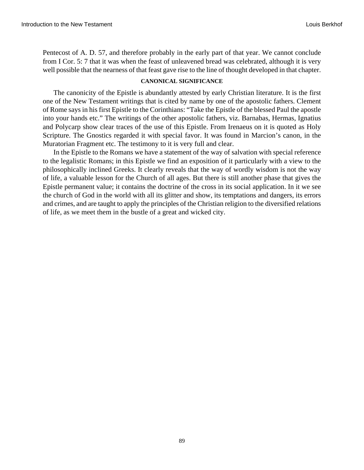Pentecost of A. D. 57, and therefore probably in the early part of that year. We cannot conclude from [I Cor. 5](http://www.ccel.org/b/bible/asv/xml/asv.iCor..xml#iCor..): 7 that it was when the feast of unleavened bread was celebrated, although it is very well possible that the nearness of that feast gave rise to the line of thought developed in that chapter.

### **CANONICAL SIGNIFICANCE**

The canonicity of the Epistle is abundantly attested by early Christian literature. It is the first one of the New Testament writings that is cited by name by one of the apostolic fathers. Clement of Rome says in his first Epistle to the Corinthians: "Take the Epistle of the blessed Paul the apostle into your hands etc." The writings of the other apostolic fathers, viz. Barnabas, Hermas, Ignatius and Polycarp show clear traces of the use of this Epistle. From Irenaeus on it is quoted as Holy Scripture. The Gnostics regarded it with special favor. It was found in Marcion's canon, in the Muratorian Fragment etc. The testimony to it is very full and clear.

In the Epistle to the Romans we have a statement of the way of salvation with special reference to the legalistic Romans; in this Epistle we find an exposition of it particularly with a view to the philosophically inclined Greeks. It clearly reveals that the way of wordly wisdom is not the way of life, a valuable lesson for the Church of all ages. But there is still another phase that gives the Epistle permanent value; it contains the doctrine of the cross in its social application. In it we see the church of God in the world with all its glitter and show, its temptations and dangers, its errors and crimes, and are taught to apply the principles of the Christian religion to the diversified relations of life, as we meet them in the bustle of a great and wicked city.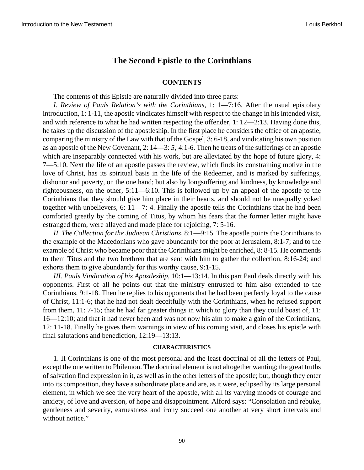# **The Second Epistle to the Corinthians**

### **CONTENTS**

The contents of this Epistle are naturally divided into three parts:

*I. Review of Pauls Relation's with the Corinthians,* 1: 1—7:16. After the usual epistolary introduction, 1: 1-11, the apostle vindicates himself with respect to the change in his intended visit, and with reference to what he had written respecting the offender, 1: 12—2:13. Having done this, he takes up the discussion of the apostleship. In the first place he considers the office of an apostle, comparing the ministry of the Law with that of the Gospel, 3: 6-18, and vindicating his own position as an apostle of the New Covenant, 2: 14—3: *5;* 4:1-6. Then he treats of the sufferings of an apostle which are inseparably connected with his work, but are alleviated by the hope of future glory, 4: 7—5:10. Next the life of an apostle passes the review, which finds its constraining motive in the love of Christ, has its spiritual basis in the life of the Redeemer, and is marked by sufferings, dishonor and poverty, on the one hand; but also by longsuffering and kindness, by knowledge and righteousness, on the other, 5:11—6:10. This is followed up by an appeal of the apostle to the Corinthians that they should give him place in their hearts, and should not be unequally yoked together with unbelievers, 6: 11—7: 4. Finally the apostle tells the Corinthians that he had been comforted greatly by the coming of Titus, by whom his fears that the former letter might have estranged them, were allayed and made place for rejoicing, 7: 5-16.

*II. The Collection for the Judaean Christians,* 8:1—9:15. The apostle points the Corinthians to the example of the Macedonians who gave abundantly for the poor at Jerusalem, 8:1-7; and to the example of Christ who became poor that the Corinthians might be enriched, 8: 8-15. He commends to them Titus and the two brethren that are sent with him to gather the collection, 8:16-24; and exhorts them to give abundantly for this worthy cause, 9:1-15.

*III. Pauls Vindication of his Apostleship,* 10:1—13:14. In this part Paul deals directly with his opponents. First of all he points out that the ministry entrusted to him also extended to the Corinthians, 9:1-18. Then he replies to his opponents that he had been perfectly loyal to the cause of Christ, 11:1-6; that he had not dealt deceitfully with the Corinthians, when he refused support from them, 11: 7-15; that he had far greater things in which to glory than they could boast of, 11: 16—12:10; and that it had never been and was not now his aim to make a gain of the Corinthians, 12: 11-18. Finally he gives them warnings in view of his coming visit, and closes his epistle with final salutations and benediction, 12:19—13:13.

## **CHARACTERISTICS**

1. II Corinthians is one of the most personal and the least doctrinal of all the letters of Paul, except the one written to Philemon. The doctrinal element is not altogether wanting; the great truths of salvation find expression in it, as well as in the other letters of the apostle; but, though they enter into its composition, they have a subordinate place and are, as it were, eclipsed by its large personal element, in which we see the very heart of the apostle, with all its varying moods of courage and anxiety, of love and aversion, of hope and disappointment. Alford says: "Consolation and rebuke, gentleness and severity, earnestness and irony succeed one another at very short intervals and without notice."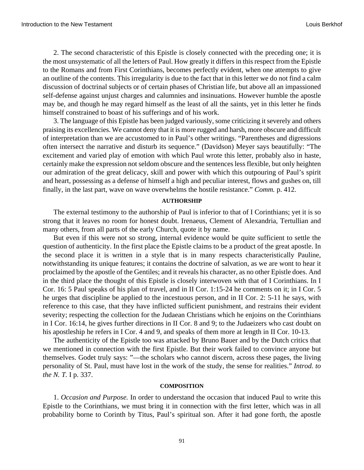2. The second characteristic of this Epistle is closely connected with the preceding one; it is the most unsystematic of all the letters of Paul. How greatly it differs in this respect from the Epistle to the Romans and from First Corinthians, becomes perfectly evident, when one attempts to give an outline of the contents. This irregularity is due to the fact that in this letter we do not find a calm discussion of doctrinal subjects or of certain phases of Christian life, but above all an impassioned self-defense against unjust charges and calumnies and insinuations. However humble the apostle may be, and though he may regard himself as the least of all the saints, yet in this letter he finds himself constrained to boast of his sufferings and of his work.

3. The language of this Epistle has been judged variously, some criticizing it severely and others praising its excellencies. We cannot deny that it is more rugged and harsh, more obscure and difficult of interpretation than we are accustomed to in Paul's other writings. "Parentheses and digressions often intersect the narrative and disturb its sequence." (Davidson) Meyer says beautifully: "The excitement and varied play of emotion with which Paul wrote this letter, probably also in haste, certainly make the expression not seldom obscure and the sentences less flexible, but only heighten our admiration of the great delicacy, skill and power with which this outpouring of Paul's spirit and heart, possessing as a defense of himself a high and peculiar interest, flows and gushes on, till finally, in the last part, wave on wave overwhelms the hostile resistance." *Comm.* p. 412.

### **AUTHORSHIP**

The external testimony to the authorship of Paul is inferior to that of I Corinthians; yet it is so strong that it leaves no room for honest doubt. Irenaeus, Clement of Alexandria, Tertullian and many others, from all parts of the early Church, quote it by name.

But even if this were not so strong, internal evidence would be quite sufficient to settle the question of authenticity. In the first place the Epistle claims to be a product of the great apostle. In the second place it is written in a style that is in many respects characteristically Pauline, notwithstanding its unique features; it contains the doctrine of salvation, as we are wont to hear it proclaimed by the apostle of the Gentiles; and it reveals his character, as no other Epistle does. And in the third place the thought of this Epistle is closely interwoven with that of I Corinthians. In [I](http://www.ccel.org/b/bible/asv/xml/asv.iCor..xml#iCor..) [Cor. 16](http://www.ccel.org/b/bible/asv/xml/asv.iCor..xml#iCor..): 5 Paul speaks of his plan of travel, and in [II Cor. 1:15-24](http://www.ccel.org/b/bible/asv/xml/asv.iiCor.1.xml#iiCor.1.15) he comments on it; in [I Cor. 5](http://www.ccel.org/b/bible/asv/xml/asv.iCor..xml#iCor..) he urges that discipline be applied to the incestuous person, and in [II Cor. 2:](http://www.ccel.org/b/bible/asv/xml/asv.iiCor..xml#iiCor..) 5-11 he says, with reference to this case, that they have inflicted sufficient punishment, and restrains their evident severity; respecting the collection for the Judaean Christians which he enjoins on the Corinthians in [I Cor. 16:14](http://www.ccel.org/b/bible/asv/xml/asv.iCor.16.xml#iCor.16.14), he gives further directions in [II Cor. 8](http://www.ccel.org/b/bible/asv/xml/asv.iiCor..xml#iiCor..) and 9; to the Judaeizers who cast doubt on his apostleship he refers in [I Cor. 4](http://www.ccel.org/b/bible/asv/xml/asv.iCor..xml#iCor..) and 9, and speaks of them more at length in [II Cor. 10](http://www.ccel.org/b/bible/asv/xml/asv.iiCor..xml#iiCor..)-13.

The authenticity of the Epistle too was attacked by Bruno Bauer and by the Dutch critics that we mentioned in connection with the first Epistle. But their work failed to convince anyone but themselves. Godet truly says: "—the scholars who cannot discern, across these pages, the living personality of St. Paul, must have lost in the work of the study, the sense for realities." *Introd. to the N. T.* I p. 337.

#### **COMPOSITION**

1. *Occasion and Purpose.* In order to understand the occasion that induced Paul to write this Epistle to the Corinthians, we must bring it in connection with the first letter, which was in all probability borne to Corinth by Titus, Paul's spiritual son. After it had gone forth, the apostle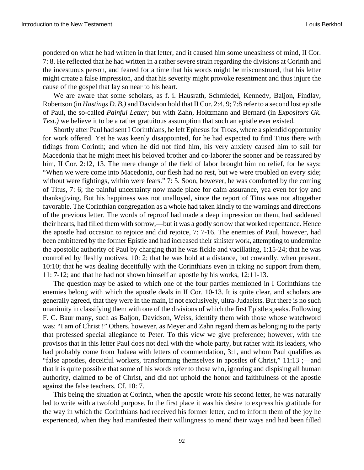pondered on what he had written in that letter, and it caused him some uneasiness of mind, [II Cor.](http://www.ccel.org/b/bible/asv/xml/asv.iiCor..xml#iiCor..) [7](http://www.ccel.org/b/bible/asv/xml/asv.iiCor..xml#iiCor..): 8. He reflected that he had written in a rather severe strain regarding the divisions at Corinth and the incestuous person, and feared for a time that his words might be misconstrued, that his letter might create a false impression, and that his severity might provoke resentment and thus injure the cause of the gospel that lay so near to his heart.

We are aware that some scholars, as f. i. Hausrath, Schmiedel, Kennedy, Baljon, Findlay, Robertson (in *Hastings D. B.)* and Davidson hold that [II Cor. 2:4, 9](http://www.ccel.org/b/bible/asv/xml/asv.iiCor.2.xml#iiCor.2.4 Bible:2Cor.2.9); 7:8 refer to a second lost epistle of Paul, the so-called *Painful Letter;* but with Zahn, Holtzmann and Bernard (in *Expositors Gk. Test.)* we believe it to be a rather gratuitous assumption that such an epistle ever existed.

Shortly after Paul had sent I Corinthians, he left Ephesus for Troas, where a splendid opportunity for work offered. Yet he was keenly disappointed, for he had expected to find Titus there with tidings from Corinth; and when he did not find him, his very anxiety caused him to sail for Macedonia that he might meet his beloved brother and co-laborer the sooner and be reassured by him, [II Cor. 2:12, 13.](http://www.ccel.org/b/bible/asv/xml/asv.iiCor.2.xml#iiCor.2.12 Bible:2Cor.2.13) The mere change of the field of labor brought him no relief, for he says: "When we were come into Macedonia, our flesh had no rest, but we were troubled on every side; without were fightings, within were fears." 7: 5. Soon, however, he was comforted by the coming of Titus, 7: 6; the painful uncertainty now made place for calm assurance, yea even for joy and thanksgiving. But his happiness was not unalloyed, since the report of Titus was not altogether favorable. The Corinthian congregation as a whole had taken kindly to the warnings and directions of the previous letter. The words of reproof had made a deep impression on them, had saddened their hearts, had filled them with sorrow,—but it was a godly sorrow that worked repentance. Hence the apostle had occasion to rejoice and did rejoice, 7: 7-16. The enemies of Paul, however, had been embittered by the former Epistle and had increased their sinister work, attempting to undermine the apostolic authority of Paul by charging that he was fickle and vacillating, 1:15-24; that he was controlled by fleshly motives, 10: 2; that he was bold at a distance, but cowardly, when present, 10:10; that he was dealing deceitfully with the Corinthians even in taking no support from them, 11: 7-12; and that he had not shown himself an apostle by his works, 12:11-13.

The question may be asked to which one of the four parties mentioned in I Corinthians the enemies belong with which the apostle deals in [II Cor. 10-](http://www.ccel.org/b/bible/asv/xml/asv.iiCor..xml#iiCor..)13. It is quite clear, and scholars are generally agreed, that they were in the main, if not exclusively, ultra-Judaeists. But there is no such unanimity in classifying them with one of the divisions of which the first Epistle speaks. Following F. C. Baur many, such as Baljon, Davidson, Weiss, identify them with those whose watchword was: "I am of Christ !" Others, however, as Meyer and Zahn regard them as belonging to the party that professed special allegiance to Peter. To this view we give preference; however, with the provisos that in this letter Paul does not deal with the whole party, but rather with its leaders, who had probably come from Judaea with letters of commendation, 3:1, and whom Paul qualifies as "false apostles, deceitful workers, transforming themselves in apostles of Christ," 11:13 ;—and that it is quite possible that some of his words refer to those who, ignoring and dispising all human authority, claimed to be of Christ, and did not uphold the honor and faithfulness of the apostle against the false teachers. Cf. 10: 7.

This being the situation at Corinth, when the apostle wrote his second letter, he was naturally led to write with a twofold purpose. In the first place it was his desire to express his gratitude for the way in which the Corinthians had received his former letter, and to inform them of the joy he experienced, when they had manifested their willingness to mend their ways and had been filled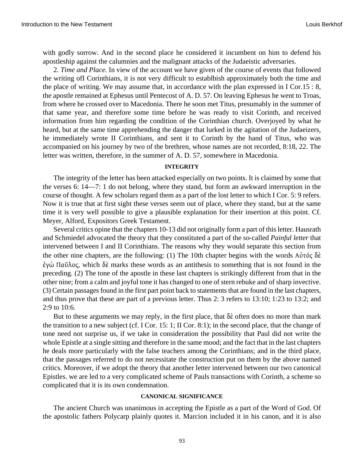with godly sorrow. And in the second place he considered it incumbent on him to defend his apostleship against the calumnies and the malignant attacks of the Judaeistic adversaries.

2. *Time and Place.* In view of the account we have given of the course of events that followed the writing ofI Corinthians, it is not very difficult to establbish approximately both the time and the place of writing. We may assume that, in accordance with the plan expressed in I Cor.15 : 8, the apostle remained at Ephesus until Pentecost of A. D. 57. On leaving Ephesus he went to Troas, from where he crossed over to Macedonia. There he soon met Titus, presumably in the summer of that same year, and therefore some time before he was ready to visit Corinth, and received information from him regarding the condition of the Corinthian church. Overjoyed by what he heard, but at the same time apprehending the danger that lurked in the agitation of the Judaeizers, he immediately wrote II Corinthians, and sent it to Corinth by the hand of Titus, who was accompanied on his journey by two of the brethren, whose names are not recorded, 8:18, 22. The letter was written, therefore, in the summer of A. D. 57, somewhere in Macedonia.

### **INTEGRITY**

The integrity of the letter has been attacked especially on two points. It is claimed by some that the verses 6: 14—7: 1 do not belong, where they stand, but form an awkward interruption in the course of thought. A few scholars regard them as a part of the lost letter to which [I Cor. 5:](http://www.ccel.org/b/bible/asv/xml/asv.iCor..xml#iCor..) 9 refers. Now it is true that at first sight these verses seem out of place, where they stand, but at the same time it is very well possible to give a plausible explanation for their insertion at this point. Cf. Meyer, Alford, Expositors Greek Testament.

Several critics opine that the chapters 10-13 did not originally form a part of this letter. Hausrath and Schmiedel advocated the theory that they constituted a part of the so-called *Painful letter* that intervened between I and II Corinthians. The reasons why they would separate this section from the other nine chapters, are the following: (1) The 10th chapter begins with the words Αὐτός δὲ ἐγὼ Παῦλος, which δὲ marks these words as an antithesis to something that is not found in the preceding. (2) The tone of the apostle in these last chapters is strikingly different from that in the other nine; from a calm and joyful tone it has changed to one of stern rebuke and of sharp invective. (3) Certain passages found in the first part point back to statements that are found in the last chapters, and thus prove that these are part of a previous letter. Thus 2: 3 refers to 13:10; 1:23 to 13:2; and 2:9 to 10:6.

But to these arguments we may reply, in the first place, that  $\delta \dot{\epsilon}$  often does no more than mark the transition to a new subject (cf. [I Cor. 15](http://www.ccel.org/b/bible/asv/xml/asv.iCor..xml#iCor..): 1; [II Cor. 8:1\)](http://www.ccel.org/b/bible/asv/xml/asv.iiCor.8.xml#iiCor.8.1); in the second place, that the change of tone need not surprise us, if we take in consideration the possibility that Paul did not write the whole Epistle at a single sitting and therefore in the same mood; and the fact that in the last chapters he deals more particularly with the false teachers among the Corinthians; and in the third place, that the passages referred to do not necessitate the construction put on them by the above named critics. Moreover, if we adopt the theory that another letter intervened between our two canonical Epistles. we are led to a very complicated scheme of Pauls transactions with Corinth, a scheme so complicated that it is its own condemnation.

## **CANONICAL SIGNIFICANCE**

The ancient Church was unanimous in accepting the Epistle as a part of the Word of God. Of the apostolic fathers Polycarp plainly quotes it. Marcion included it in his canon, and it is also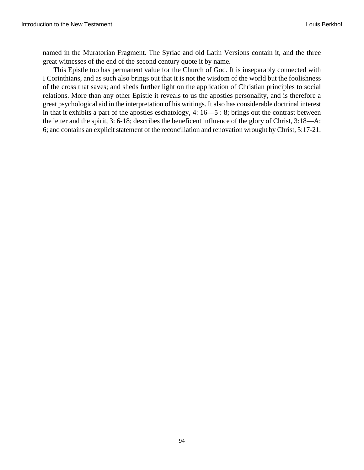named in the Muratorian Fragment. The Syriac and old Latin Versions contain it, and the three great witnesses of the end of the second century quote it by name.

This Epistle too has permanent value for the Church of God. It is inseparably connected with I Corinthians, and as such also brings out that it is not the wisdom of the world but the foolishness of the cross that saves; and sheds further light on the application of Christian principles to social relations. More than any other Epistle it reveals to us the apostles personality, and is therefore a great psychological aid in the interpretation of his writings. It also has considerable doctrinal interest in that it exhibits a part of the apostles eschatology, 4: 16—5 : 8; brings out the contrast between the letter and the spirit, 3: 6-18; describes the beneficent influence of the glory of Christ, 3:18—A: 6; and contains an explicit statement of the reconciliation and renovation wrought by Christ, 5:17-21.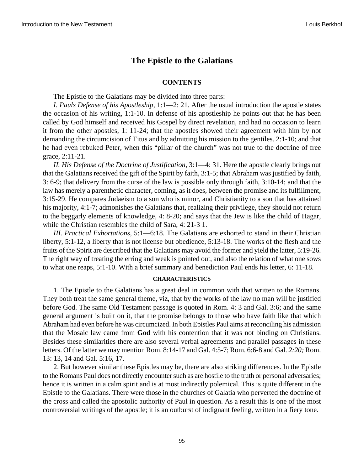# **The Epistle to the Galatians**

# **CONTENTS**

The Epistle to the Galatians may be divided into three parts:

*I. Pauls Defense of his Apostleship,* 1:1—2: 21. After the usual introduction the apostle states the occasion of his writing, 1:1-10. In defense of his apostleship he points out that he has been called by God himself and received his Gospel by direct revelation, and had no occasion to learn it from the other apostles, 1: 11-24; that the apostles showed their agreement with him by not demanding the circumcision of Titus and by admitting his mission to the gentiles. 2:1-10; and that he had even rebuked Peter, when this "pillar of the church" was not true to the doctrine of free grace, 2:11-21.

*II. His Defense of the Doctrine of Justification,* 3:1—4: 31. Here the apostle clearly brings out that the Galatians received the gift of the Spirit by faith, 3:1-5; that Abraham was justified by faith, 3: 6-9; that delivery from the curse of the law is possible only through faith, 3:10-14; and that the law has merely a parenthetic character, coming, as it does, between the promise and its fulfillment, 3:15-29. He compares Judaeism to a son who is minor, and Christianity to a son that has attained his majority, 4:1-7; admonishes the Galatians that, realizing their privilege, they should not return to the beggarly elements of knowledge, 4: 8-20; and says that the Jew is like the child of Hagar, while the Christian resembles the child of Sara, 4: 21-3 1.

*III. Practical Exhortations,* 5:1—6:18. The Galatians are exhorted to stand in their Christian liberty, 5:1-12, a liberty that is not license but obedience, 5:13-18. The works of the flesh and the fruits of the Spirit are described that the Galatians may avoid the former and yield the latter, 5:19-26. The right way of treating the erring and weak is pointed out, and also the relation of what one sows to what one reaps, 5:1-10. With a brief summary and benediction Paul ends his letter, 6: 11-18.

## **CHARACTERISTICS**

1. The Epistle to the Galatians has a great deal in common with that written to the Romans. They both treat the same general theme, viz, that by the works of the law no man will be justified before God. The same Old Testament passage is quoted in [Rom. 4](http://www.ccel.org/b/bible/asv/xml/asv.Rom..xml#Rom..): 3 and [Gal. 3:6;](http://www.ccel.org/b/bible/asv/xml/asv.Gal.3.xml#Gal.3.6) and the same general argument is built on it, that the promise belongs to those who have faith like that which Abraham had even before he was circumcized. In both Epistles Paul aims at reconciling his admission that the Mosaic law came from **God** with his contention that it was not binding on Christians. Besides these similarities there are also several verbal agreements and parallel passages in these letters. Of the latter we may mention [Rom. 8:14-17](http://www.ccel.org/b/bible/asv/xml/asv.Rom.8.xml#Rom.8.14) and [Gal. 4:5-7;](http://www.ccel.org/b/bible/asv/xml/asv.Gal.4.xml#Gal.4.5) [Rom. 6:6-8](http://www.ccel.org/b/bible/asv/xml/asv.Rom.6.xml#Rom.6.6) and Gal. *2:20;* [Rom.](http://www.ccel.org/b/bible/asv/xml/asv.Rom..xml#Rom..) [13](http://www.ccel.org/b/bible/asv/xml/asv.Rom..xml#Rom..): 13, 14 and [Gal. 5:16, 17](http://www.ccel.org/b/bible/asv/xml/asv.Gal.5.xml#Gal.5.16 Bible:Gal.5.17).

2. But however similar these Epistles may be, there are also striking differences. In the Epistle to the Romans Paul does not directly encounter such as are hostile to the truth or personal adversaries; hence it is written in a calm spirit and is at most indirectly polemical. This is quite different in the Epistle to the Galatians. There were those in the churches of Galatia who perverted the doctrine of the cross and called the apostolic authority of Paul in question. As a result this is one of the most controversial writings of the apostle; it is an outburst of indignant feeling, written in a fiery tone.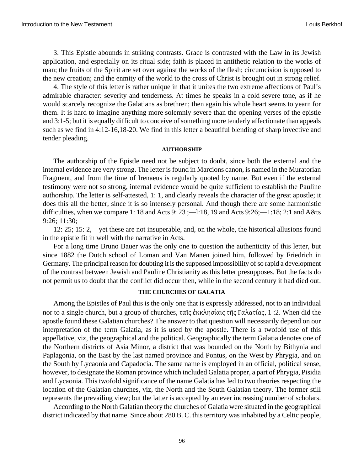3. This Epistle abounds in striking contrasts. Grace is contrasted with the Law in its Jewish application, and especially on its ritual side; faith is placed in antithetic relation to the works of man; the fruits of the Spirit are set over against the works of the flesh; circumcision is opposed to the new creation; and the enmity of the world to the cross of Christ is brought out in strong relief.

4. The style of this letter is rather unique in that it unites the two extreme affections of Paul's admirable character: severity and tenderness. At times he speaks in a cold severe tone, as if he would scarcely recognize the Galatians as brethren; then again his whole heart seems to yearn for them. It is hard to imagine anything more solemnly severe than the opening verses of the epistle and 3:1-5; but it is equally difficult to conceive of something more tenderly affectionate than appeals such as we find in 4:12-16,18-20. We find in this letter a beautiful blending of sharp invective and tender pleading.

#### **AUTHORSHIP**

The authorship of the Epistle need not be subject to doubt, since both the external and the internal evidence are very strong. The letter is found in Marcions canon, is named in the Muratorian Fragment, and from the time of Irenaeus is regularly quoted by name. But even if the external testimony were not so strong, internal evidence would be quite sufficient to establish the Pauline authorship. The letter is self-attested, 1: 1, and clearly reveals the character of the great apostle; it does this all the better, since it is so intensely personal. And though there are some harmonistic difficulties, when we compare 1: 18 and [Acts 9](http://www.ccel.org/b/bible/asv/xml/asv.Acts..xml#Acts..): 23 ;—l:18, 19 and [Acts 9:26](http://www.ccel.org/b/bible/asv/xml/asv.Acts.9.xml#Acts.9.26);—1:18; 2:1 and A&ts 9:26; 11:30;

12: 25; 15: 2,—yet these are not insuperable, and, on the whole, the historical allusions found in the epistle fit in well with the narrative in Acts.

For a long time Bruno Bauer was the only one to question the authenticity of this letter, but since 1882 the Dutch school of Loman and Van Manen joined him, followed by Friedrich in Germany. The principal reason for doubting it is the supposed impossibility of so rapid a development of the contrast between Jewish and Pauline Christianity as this letter presupposes. But the facts do not permit us to doubt that the conflict did occur then, while in the second century it had died out.

### **THE CHURCHES OF GALATIA**

Among the Epistles of Paul this is the only one that is expressly addressed, not to an individual nor to a single church, but a group of churches, ταῖς ἐκκλησίαις τῆς Γαλατίας, 1 :2. When did the apostle found these Galatian churches? The answer to that question will necessarily depend on our interpretation of the term Galatia, as it is used by the apostle. There is a twofold use of this appellative, viz, the geographical and the political. Geographically the term Galatia denotes one of the Northern districts of Asia Minor, a district that was bounded on the North by Bithynia and Paplagonia, on the East by the last named province and Pontus, on the West by Phrygia, and on the South by Lycaonia and Capadocia. The same name is employed in an official, political sense, however, to designate the Roman province which included Galatia proper, a part of Phrygia, Pisidia and Lycaonia. This twofold significance of the name Galatia has led to two theories respecting the location of the Galatian churches, viz, the North and the South Galatian theory. The former still represents the prevailing view; but the latter is accepted by an ever increasing number of scholars.

According to the North Galatian theory the churches of Galatia were situated in the geographical district indicated by that name. Since about 280 B. C. this territory was inhabited by a Celtic people,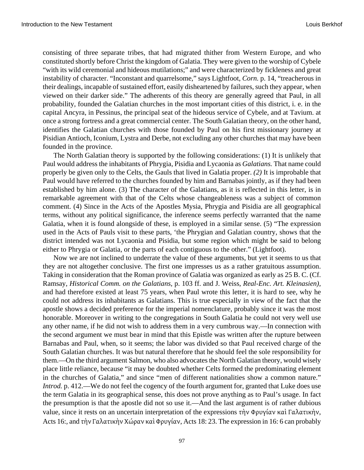consisting of three separate tribes, that had migrated thither from Western Europe, and who constituted shortly before Christ the kingdom of Galatia. They were given to the worship of Cybele "with its wild ceremonial and hideous mutilations;" and were characterized by fickleness and great instability of character. "Inconstant and quarrelsome," says Lightfoot, *Corn.* p. 14, "treacherous in their dealings, incapable of sustained effort, easily disheartened by failures, such they appear, when viewed on their darker side." The adherents of this theory are generally agreed that Paul, in all probability, founded the Galatian churches in the most important cities of this district, i. e. in the capital Ancyra, in Pessinus, the principal seat of the hideous service of Cybele, and at Tavium. at once a strong fortress and a great commercial center. The South Galatian theory, on the other hand, identifies the Galatian churches with those founded by Paul on his first missionary journey at Pisidian Antioch, Iconium, Lystra and Derbe, not excluding any other churches that may have been founded in the province.

The North Galatian theory is supported by the following considerations: (1) It is unlikely that Paul would address the inhabitants of Phrygia, Pisidia and Lycaonia as *Galatians.* That name could properly be given only to the Celts, the Gauls that lived in Galatia proper. *(2)* It is improbable that Paul would have referred to the churches founded by him and Barnabas jointly, as if they had been established by him alone. (3) The character of the Galatians, as it is reflected in this letter, is in remarkable agreement with that of the Celts whose changeableness was a subject of common comment. (4) Since in the Acts of the Apostles Mysia, Phrygia and Pisidia are all geographical terms, without any political significance, the inference seems perfectly warranted that the name Galatia, when it is found alongside of these, is employed in a similar sense. (5) "The expression used in the Acts of Pauls visit to these parts, 'the Phrygian and Galatian country, shows that the district intended was not Lycaonia and Pisidia, but some region which might be said to belong either to Phrygia or Galatia, or the parts of each contiguous to the other." (Lightfoot).

Now we are not inclined to underrate the value of these arguments, but yet it seems to us that they are not altogether conclusive. The first one impresses us as a rather gratuitous assumption. Taking in consideration that the Roman province of Galatia was organized as early as 25 B. C. (Cf. Ramsay, *Historical Comm. on the Galatians,* p. 103 ff. and J. Weiss, *Real-Enc. Art. Kleinasien),* and had therefore existed at least 75 years, when Paul wrote this letter, it is hard to see, why he could not address its inhabitants as Galatians. This is true especially in view of the fact that the apostle shows a decided preference for the imperial nomenclature, probably since it was the most honorable. Moreover in writing to the congregations in South Galatia he could not very well use any other name, if he did not wish to address them in a very cumbrous way.—In connection with the second argument we must bear in mind that this Epistle was written after the rupture between Barnabas and Paul, when, so it seems; the labor was divided so that Paul received charge of the South Galatian churches. It was but natural therefore that he should feel the sole responsibility for them.—On the third argument Salmon, who also advocates the North Galatian theory, would wisely place little reliance, because "it may be doubted whether Celts formed the predominating element in the churches of Galatia," and since "men of different nationalities show a common nature." *Introd.* p. 412.—We do not feel the cogency of the fourth argument for, granted that Luke does use the term Galatia in its geographical sense, this does not prove anything as to Paul's usage. In fact the presumption is that the apostle did not so use it.—And the last argument is of rather dubious value, since it rests on an uncertain interpretation of the expressions τὴν Φρυγίαν καὶ Γαλατικὴν, [Acts 16](http://www.ccel.org/b/bible/asv/xml/asv.Acts..xml#Acts..):, and τὴν Γαλατικὴν Χώραν καὶ Φρυγίαν, [Acts 18:](http://www.ccel.org/b/bible/asv/xml/asv.Acts..xml#Acts..) 23. The expression in 16: 6 can probably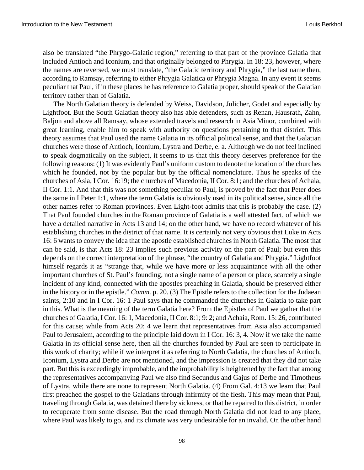also be translated "the Phrygo-Galatic region," referring to that part of the province Galatia that included Antioch and Iconium, and that originally belonged to Phrygia. In 18: 23, however, where the names are reversed, we must translate, "the Galatic territory and Phrygia," the last name then, according to Ramsay, referring to either Phrygia Galatica or Phrygia Magna. In any event it seems peculiar that Paul, if in these places he has reference to Galatia proper, should speak of the Galatian territory rather than of Galatia.

The North Galatian theory is defended by Weiss, Davidson, Julicher, Godet and especially by Lightfoot. But the South Galatian theory also has able defenders, such as Renan, Hausrath, Zahn, Baljon and above all Ramsay, whose extended travels and research in Asia Minor, combined with great learning, enable him to speak with authority on questions pertaining to that district. This theory assumes that Paul used the name Galatia in its official political sense, and that the Galatian churches were those of Antioch, Iconium, Lystra and Derbe, e. a. Although we do not feel inclined to speak dogmatically on the subject, it seems to us that this theory deserves preference for the following reasons: (1) It was evidently Paul's uniform custom to denote the location of the churches which he founded, not by the popular but by the official nomenclature. Thus he speaks of the churches of Asia, [I Cor. 16:19](http://www.ccel.org/b/bible/asv/xml/asv.iCor.16.xml#iCor.16.19); the churches of Macedonia, [II Cor. 8:1;](http://www.ccel.org/b/bible/asv/xml/asv.iiCor.8.xml#iiCor.8.1) and the churches of Achaia, [II Cor. 1:1](http://www.ccel.org/b/bible/asv/xml/asv.iiCor.1.xml#iiCor.1.1). And that this was not something peculiar to Paul, is proved by the fact that Peter does the same in [I Peter 1:1,](http://www.ccel.org/b/bible/asv/xml/asv.iPet.1.xml#iPet.1.1) where the term Galatia is obviously used in its political sense, since all the other names refer to Roman provinces. Even Light-foot admits that this is probably the case. (2) That Paul founded churches in the Roman province of Galatia is a well attested fact, of which we have a detailed narrative in [Acts 13](http://www.ccel.org/b/bible/asv/xml/asv.Acts..xml#Acts..) and 14; on the other hand, we have no record whatever of his establishing churches in the district of that name. It is certainly not very obvious that Luke in [Acts](http://www.ccel.org/b/bible/asv/xml/asv.Acts..xml#Acts..) [16](http://www.ccel.org/b/bible/asv/xml/asv.Acts..xml#Acts..): 6 wants to convey the idea that the apostle established churches in North Galatia. The most that can be said, is that [Acts 18](http://www.ccel.org/b/bible/asv/xml/asv.Acts..xml#Acts..): 23 implies such previous activity on the part of Paul; but even this depends on the correct interpretation of the phrase, "the country of Galatia and Phrygia." Lightfoot himself regards it as "strange that, while we have more or less acquaintance with all the other important churches of St. Paul's founding, not a single name of a person or place, scarcely a single incident of any kind, connected with the apostles preaching in Galatia, should be preserved either in the history or in the epistle." *Comm.* p. 20. (3) The Epistle refers to the collection for the Judaean saints, 2:10 and in [I Cor. 16:](http://www.ccel.org/b/bible/asv/xml/asv.iCor..xml#iCor..) 1 Paul says that he commanded the churches in Galatia to take part in this. What is the meaning of the term Galatia here? From the Epistles of Paul we gather that the churches of Galatia, [I Cor. 16](http://www.ccel.org/b/bible/asv/xml/asv.iCor..xml#iCor..): 1, Macedonia, [II Cor. 8:1](http://www.ccel.org/b/bible/asv/xml/asv.iiCor.8.xml#iiCor.8.1); 9: 2; and Achaia, [Rom. 15:](http://www.ccel.org/b/bible/asv/xml/asv.Rom..xml#Rom..) 26, contributed for this cause; while from [Acts 20](http://www.ccel.org/b/bible/asv/xml/asv.Acts..xml#Acts..): 4 we learn that representatives from Asia also accompanied Paul to Jerusalem, according to the principle laid down in [I Cor. 16:](http://www.ccel.org/b/bible/asv/xml/asv.iCor..xml#iCor..) 3, 4. Now if we take the name Galatia in its official sense here, then all the churches founded by Paul are seen to participate in this work of charity; while if we interpret it as referring to North Galatia, the churches of Antioch, Iconium, Lystra and Derbe are not mentioned, and the impression is created that they did not take part. But this is exceedingly improbable, and the improbability is heightened by the fact that among the representatives accompanying Paul we also find Secundus and Gajus of Derbe and Timotheus of Lystra, while there are none to represent North Galatia. (4) From [Gal. 4:13](http://www.ccel.org/b/bible/asv/xml/asv.Gal.4.xml#Gal.4.13) we learn that Paul first preached the gospel to the Galatians through infirmity of the flesh. This may mean that Paul, traveling through Galatia, was detained there by sickness, or that he repaired to this district, in order to recuperate from some disease. But the road through North Galatia did not lead to any place, where Paul was likely to go, and its climate was very undesirable for an invalid. On the other hand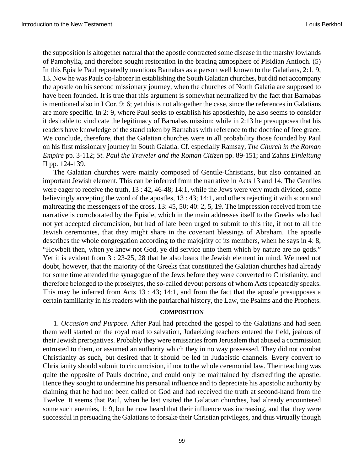the supposition is altogether natural that the apostle contracted some disease in the marshy lowlands of Pamphylia, and therefore sought restoration in the bracing atmosphere of Pisidian Antioch. (5) In this Epistle Paul repeatedly mentions Barnabas as a person well known to the Galatians, 2:1, 9, 13. Now he was Pauls co-laborer in establishing the South Galatian churches, but did not accompany the apostle on his second missionary journey, when the churches of North Galatia are supposed to have been founded. It is true that this argument is somewhat neutralized by the fact that Barnabas is mentioned also in [I Cor. 9:](http://www.ccel.org/b/bible/asv/xml/asv.iCor..xml#iCor..) 6; yet this is not altogether the case, since the references in Galatians are more specific. In 2: 9, where Paul seeks to establish his apostleship, he also seems to consider it desirable to vindicate the legitimacy of Barnabas mission; while in 2:13 he presupposes that his readers have knowledge of the stand taken by Barnabas with reference to the doctrine of free grace. We conclude, therefore, that the Galatian churches were in all probability those founded by Paul on his first missionary journey in South Galatia. Cf. especially Ramsay, *The Church in the Roman Empire* pp. 3-112; *St. Paul the Traveler and the Roman Citizen* pp. 89-151; and Zahns *Einleitung* II pp. 124-139.

The Galatian churches were mainly composed of Gentile-Christians, but also contained an important Jewish element. This can be inferred from the narrative in [Acts 13](http://www.ccel.org/b/bible/asv/xml/asv.Acts..xml#Acts..) and 14. The Gentiles were eager to receive the truth, 13 : 42, 46-48; 14:1, while the Jews were very much divided, some believingly accepting the word of the apostles, 13 : 43; 14:1, and others rejecting it with scorn and maltreating the messengers of the cross, 13: 45, 50; 40: 2, 5, 19. The impression received from the narrative is corroborated by the Epistle, which in the main addresses itself to the Greeks who had not yet accepted circumcision, but had of late been urged to submit to this rite, if not to all the Jewish ceremonies, that they might share in the covenant blessings of Abraham. The apostle describes the whole congregation according to the majojrity of its members, when he says in 4: 8, "Howbeit then, when ye knew not God, ye did service unto them which by nature are no gods." Yet it is evident from 3 : 23-25, 28 that he also bears the Jewish element in mind. We need not doubt, however, that the majority of the Greeks that constituted the Galatian churches had already for some time attended the synagogue of the Jews before they were converted to Christianity, and therefore belonged to the proselytes, the so-called devout persons of whom Acts repeatedly speaks. This may be inferred from [Acts 13](http://www.ccel.org/b/bible/asv/xml/asv.Acts..xml#Acts..) : 43; 14:1, and from the fact that the apostle presupposes a certain familiarity in his readers with the patriarchal history, the Law, the Psalms and the Prophets.

## **COMPOSITION**

1. *Occasion and Purpose.* After Paul had preached the gospel to the Galatians and had seen them well started on the royal road to salvation, Judaeizing teachers entered the field, jealous of their Jewish prerogatives. Probably they were emissaries from Jerusalem that abused a commission entrusted to them, or assumed an authority which they in no way possessed. They did not combat Christianity as such, but desired that it should be led in Judaeistic channels. Every convert to Christianity should submit to circumcision, if not to the whole ceremonial law. Their teaching was quite the opposite of Pauls doctrine, and could only be maintained by discrediting the apostle. Hence they sought to undermine his personal influence and to depreciate his apostolic authority by claiming that he had not been called of God and had received the truth at second-hand from the Twelve. It seems that Paul, when he last visited the Galatian churches, had already encountered some such enemies, 1: 9, but he now heard that their influence was increasing, and that they were successful in persuading the Galatians to forsake their Christian privileges, and thus virtually though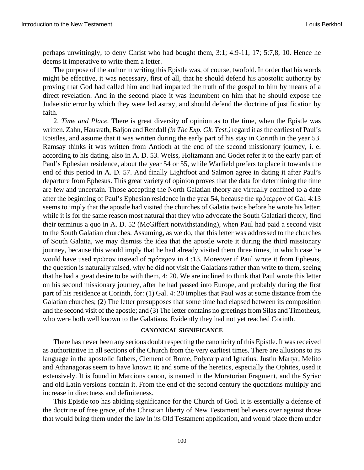perhaps unwittingly, to deny Christ who had bought them, 3:1; 4:9-11, 17; 5:7,8, 10. Hence he deems it imperative to write them a letter.

The purpose of the author in writing this Epistle was, of course, twofold. In order that his words might be effective, it was necessary, first of all, that he should defend his apostolic authority by proving that God had called him and had imparted the truth of the gospel to him by means of a direct revelation. And in the second place it was incumbent on him that he should expose the Judaeistic error by which they were led astray, and should defend the doctrine of justification by faith.

2. *Time and Place.* There is great diversity of opinion as to the time, when the Epistle was written. Zahn, Hausrath, Baljon and Rendall *(in The Exp. Gk. Test.)* regard it as the earliest of Paul's Epistles, and assume that it was written during the early part of his stay in Corinth in the year 53. Ramsay thinks it was written from Antioch at the end of the second missionary journey, i. e. according to his dating, also in A. D. 53. Weiss, Holtzmann and Godet refer it to the early part of Paul's Ephesian residence, about the year 54 or 55, while Warfield prefers to place it towards the end of this period in A. D. 57. And finally Lightfoot and Salmon agree in dating it after Paul's departure from Ephesus. This great variety of opinion proves that the data for determining the time are few and uncertain. Those accepting the North Galatian theory are virtually confined to a date after the beginning of Paul's Ephesian residence in the year 54, because the πρότερρον of [Gal. 4:13](http://www.ccel.org/b/bible/asv/xml/asv.Gal.4.xml#Gal.4.13) seems to imply that the apostle had visited the churches of Galatia twice before he wrote his letter; while it is for the same reason most natural that they who advocate the South Galatiari theory, find their terminus a quo in A. D. 52 (McGiffert notwithstanding), when Paul had paid a second visit to the South Galatian churches. Assuming, as we do, that this letter was addressed to the churches of South Galatia, we may dismiss the idea that the apostle wrote it during the third missionary journey, because this would imply that he had already visited them three times, in which case he would have used πρῶτον instead of πρότερον in 4 :13. Moreover if Paul wrote it from Ephesus, the question is naturally raised, why he did not visit the Galatians rather than write to them, seeing that he had a great desire to be with them, 4: 20. We are inclined to think that Paul wrote this letter on his second missionary journey, after he had passed into Europe, and probably during the first part of his residence at Corinth, for: (1) [Gal. 4:](http://www.ccel.org/b/bible/asv/xml/asv.Gal..xml#Gal..) 20 implies that Paul was at some distance from the Galatian churches; (2) The letter presupposes that some time had elapsed between its composition and the second visit of the apostle; and (3) The letter contains no greetings from Silas and Timotheus, who were both well known to the Galatians. Evidently they had not yet reached Corinth.

### **CANONICAL SIGNIFICANCE**

There has never been any serious doubt respecting the canonicity of this Epistle. It was received as authoritative in all sections of the Church from the very earliest times. There are allusions to its language in the apostolic fathers, Clement of Rome, Polycarp and Ignatius. Justin Martyr, Melito and Athanagoras seem to have known it; and some of the heretics, especially the Ophites, used it extensively. It is found in Marcions canon, is named in the Muratorian Fragment, and the Syriac and old Latin versions contain it. From the end of the second century the quotations multiply and increase in directness and definiteness.

This Epistle too has abiding significance for the Church of God. It is essentially a defense of the doctrine of free grace, of the Christian liberty of New Testament believers over against those that would bring them under the law in its Old Testament application, and would place them under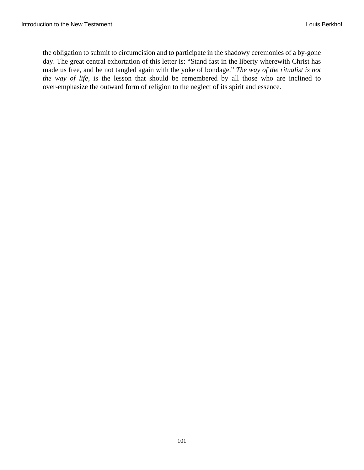the obligation to submit to circumcision and to participate in the shadowy ceremonies of a by-gone day. The great central exhortation of this letter is: "Stand fast in the liberty wherewith Christ has made us free, and be not tangled again with the yoke of bondage." *The way of the ritualist is not the way of life,* is the lesson that should be remembered by all those who are inclined to over-emphasize the outward form of religion to the neglect of its spirit and essence.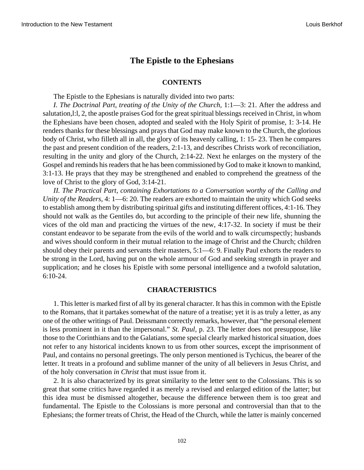# **The Epistle to the Ephesians**

## **CONTENTS**

The Epistle to the Ephesians is naturally divided into two parts:

*I. The Doctrinal Part, treating of the Unity of the Church,* 1:1—3: 21. After the address and salutation,l:l, 2, the apostle praises God for the great spiritual blessings received in Christ, in whom the Ephesians have been chosen, adopted and sealed with the Holy Spirit of promise, 1: 3-14. He renders thanks for these blessings and prays that God may make known to the Church, the glorious body of Christ, who filleth all in all, the glory of its heavenly calling, 1: 15- 23. Then he compares the past and present condition of the readers, 2:1-13, and describes Christs work of reconciliation, resulting in the unity and glory of the Church, 2:14-22. Next he enlarges on the mystery of the Gospel and reminds his readers that he has been commissioned by God to make it known to mankind, 3:1-13. He prays that they may be strengthened and enabled to comprehend the greatness of the love of Christ to the glory of God, 3:14-21.

*II. The Practical Part, containing Exhortations to a Conversation worthy of the Calling and Unity of the Readers,* 4: 1—6: 20. The readers are exhorted to maintain the unity which God seeks to establish among them by distributing spiritual gifts and instituting different offices, 4:1-16. They should not walk as the Gentiles do, but according to the principle of their new life, shunning the vices of the old man and practicing the virtues of the new, 4:17-32. In society if must be their constant endeavor to be separate from the evils of the world and to walk circumspectly; husbands and wives should conform in their mutual relation to the image of Christ and the Church; children should obey their parents and servants their masters, 5:1—6: 9. Finally Paul exhorts the readers to be strong in the Lord, having put on the whole armour of God and seeking strength in prayer and supplication; and he closes his Epistle with some personal intelligence and a twofold salutation, 6:10-24.

### **CHARACTERISTICS**

1. This letter is marked first of all by its general character. It has this in common with the Epistle to the Romans, that it partakes somewhat of the nature of a treatise; yet it is as truly a letter, as any one of the other writings of Paul. Deissmann correctly remarks, however, that "the personal element is less prominent in it than the impersonal." *St. Paul,* p. 23. The letter does not presuppose, like those to the Corinthians and to the Galatians, some special clearly marked historical situation, does not refer to any historical incidents known to us from other sources, except the imprisonment of Paul, and contains no personal greetings. The only person mentioned is Tychicus, the bearer of the letter. It treats in a profound and sublime manner of the unity of all believers in Jesus Christ, and of the holy conversation *in Christ* that must issue from it.

2. It is also characterized by its great similarity to the letter sent to the Colossians. This is so great that some critics have regarded it as merely a revised and enlarged edition of the latter; but this idea must be dismissed altogether, because the difference between them is too great and fundamental. The Epistle to the Colossians is more personal and controversial than that to the Ephesians; the former treats of Christ, the Head of the Church, while the latter is mainly concerned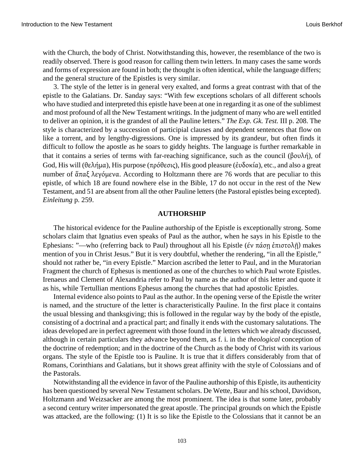with the Church, the body of Christ. Notwithstanding this, however, the resemblance of the two is readily observed. There is good reason for calling them twin letters. In many cases the same words and forms of expression are found in both; the thought is often identical, while the language differs; and the general structure of the Epistles is very similar.

3. The style of the letter is in general very exalted, and forms a great contrast with that of the epistle to the Galatians. Dr. Sanday says: "With few exceptions scholars of all different schools who have studied and interpreted this epistle have been at one in regarding it as one of the sublimest and most profound of all the New Testament writings. In the judgment of many who are well entitled to deliver an opinion, it is the grandest of all the Pauline letters." *The Exp. Gk. Test.* III p. 208. The style is characterized by a succession of participial clauses and dependent sentences that flow on like a torrent, and by lengthy-digressions. One is impressed by its grandeur, but often finds it difficult to follow the apostle as he soars to giddy heights. The language is further remarkable in that it contains a series of terms with far-reaching significance, such as the council (βουλή), of God, His will (θελήμα), His purpose (πρόθεσις), His good pleasure (ἐυδοκία), etc., and also a great number of ἅπαξ λεγόμενα. According to Holtzmann there are 76 words that are peculiar to this epistle, of which 18 are found nowhere else in the Bible, 17 do not occur in the rest of the New Testament, and 51 are absent from all the other Pauline letters (the Pastoral epistles being excepted). *Einleitung* p. 259.

## **AUTHORSHIP**

The historical evidence for the Pauline authorship of the Epistle is exceptionally strong. Some scholars claim that Ignatius even speaks of Paul as the author, when he says in his Epistle to the Ephesians: "—who (referring back to Paul) throughout all his Epistle (έν πάση ἐπιστολῆ) makes mention of you in Christ Jesus." But it is very doubtful, whether the rendering, "in all the Epistle," should not rather be, "in every Epistle." Marcion ascribed the letter to Paul, and in the Muratorian Fragment the church of Ephesus is mentioned as one of the churches to which Paul wrote Epistles. Irenaeus and Clement of Alexandria refer to Paul by name as the author of this letter and quote it as his, while Tertullian mentions Ephesus among the churches that had apostolic Epistles.

Internal evidence also points to Paul as the author. In the opening verse of the Epistle the writer is named, and the structure of the letter is characteristically Pauline. In the first place it contains the usual blessing and thanksgiving; this is followed in the regular way by the body of the epistle, consisting of a doctrinal and a practical part; and finally it ends with the customary salutations. The ideas developed are in perfect agreement with those found in the letters which we already discussed, although in certain particulars they advance beyond them, as f. i. in the *theological* conception of the doctrine of redemption; and in the doctrine of the Church as the body of Christ with its various organs. The style of the Epistle too is Pauline. It is true that it differs considerably from that of Romans, Corinthians and Galatians, but it shows great affinity with the style of Colossians and of the Pastorals.

Notwithstanding all the evidence in favor of the Pauline authorship of this Epistle, its authenticity has been questioned by several New Testament scholars. De Wette, Baur and his school, Davidson, Holtzmann and Weizsacker are among the most prominent. The idea is that some later, probably a second century writer impersonated the great apostle. The principal grounds on which the Epistle was attacked, are the following: (1) It is so like the Epistle to the Colossians that it cannot be an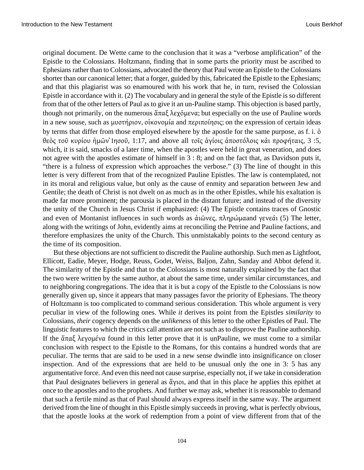original document. De Wette came to the conclusion that it was a "verbose amplification" of the Epistle to the Colossians. Holtzmann, finding that in some parts the priority must be ascribed to Ephesians rather than to Colossians, advocated the theory that Paul wrote an Epistle to the Colossians shorter than our canonical letter; that a forger, guided by this, fabricated the Epistle to the Ephesians; and that this plagiarist was so enamoured with his work that he, in turn, revised the Colossian Epistle in accordance with it. (2) The vocabulary and in general the style of the Epistle is so different from that of the other letters of Paul as to give it an un-Pauline stamp. This objection is based partly, though not primarily, on the numerous ἅπαξ λεχόμενα; but especially on the use of Pauline words in a new souse, such as μυστήριον, οἰκονομία and περιποίησις; on the expression of certain ideas by terms that differ from those employed elsewhere by the apostle for the same purpose, as f. i. ὁ θεὸς τοῦ κυρίου ἡμῶν ̓Ιησοῦ, 1:17, and above all τοῖς ἁγίοις ἀποστόλοις κἀι προφήταις, 3 :5, which, it is said, smacks of a later time, when the apostles were held in great veneration, and does not agree with the apostles estimate of himself in 3 : 8; and on the fact that, as Davidson puts it, "there is a fulness of expression which approaches the verbose." (3) The line of thought in this letter is very different from that of the recognized Pauline Epistles. The law is contemplated, not in its moral and religious value, but only as the cause of enmity and separation between Jew and Gentile; the death of Christ is not dwelt on as much as in the other Epistles, while his exaltation is made far more prominent; the parousia is placed in the distant future; and instead of the diversity the unity of the Church in Jesus Christ if emphasized: (4) The Epistle contains traces of Gnostic and even of Montanist influences in such words as ἀιῶνες, πληρώμαand γενεάι (5) The letter, along with the writings of John, evidently aims at reconciling the Petrine and Pauline factions, and therefore emphasizes the unity of the Church. This unmistakably points to the second century as the time of its composition.

But these objections are not sufficient to discredit the Pauline authorship. Such men as Lightfoot, Ellicott, Eadie, Meyer, Hodge, Reuss, Godet, Weiss, Baljon, Zahn, Sanday and Abbot defend it. The similarity of the Epistle and that to the Colossians is most naturally explained by the fact that the two were written by the same author, at about the same time, under similar circumstances, and to neighboring congregations. The idea that it is but a copy of the Epistle to the Colossians is now generally given up, since it appears that many passages favor the priority of Ephesians. The theory of Holtzmann is too complicated to command serious consideration. This whole argument is very peculiar in view of the following ones. While *it* derives its point from the Epistles *similarity* to Colossians, *their* cogency depends on the *unlikeness* of this letter to the other Epistles of Paul. The linguistic features to which the critics call attention are not such as to disprove the Pauline authorship. If the ἅπαξ λεγομένα found in this letter prove that it is unPauline, we must come to a similar conclusion with respect to the Epistle to the Romans, for this contains a hundred words that are peculiar. The terms that are said to be used in a new sense dwindle into insignificance on closer inspection. And of the expressions that are held to be unusual only the one in 3: 5 has any argumentative force. And even this need not cause surprise, especially not, if we take in consideration that Paul designates believers in general as ἅγιοι, and that in this place he applies this epithet at once to the apostles and to the prophets. And further we may ask, whether it is reasonable to demand that such a fertile mind as that of Paul should always express itself in the same way. The argument derived from the line of thought in this Epistle simply succeeds in proving, what is perfectly obvious, that the apostle looks at the work of redemption from a point of view different from that of the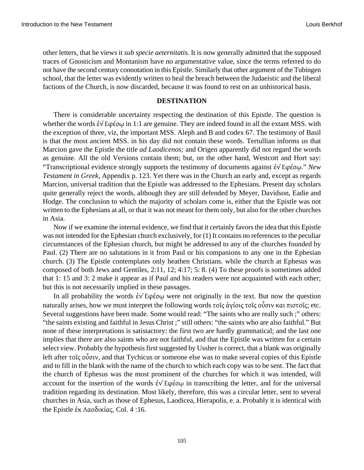other letters, that he views it *sub specie aeternitatis.* It is now generally admitted that the supposed traces of Gnosticism and Montanism have no argumentative value, since the terms referred to do not have the second century connotation in this Epistle. Similarly that other argument of the Tubingen school, that the letter was evidently written to heal the breach between the Judaeistic and the liberal factions of the Church, is now discarded, because it was found to rest on an unhistorical basis.

### **DESTINATION**

There is considerable uncertainty respecting the destination of this Epistle. The question is whether the words ἐν Ἐφέσῳ in 1:1 are genuine. They are indeed found in all the extant MSS, with the exception of three, viz, the important MSS. Aleph and B and codex 67. The testimony of Basil is that the most ancient MSS. in his day did not contain these words. Tertullian informs us that Marcion gave the Epistle the title *ad Laodicenos;* and Origen apparently did not regard the words as genuine. All the old Versions contain them; but, on the other hand, Westcott and Hort say: "Transcriptional evidence strongly supports the testimony of documents against ἐν ̓Εφέσῳ." *New Testament in Greek,* Appendix p. 123. Yet there was in the Church an early and, except as regards Marcion, universal tradition that the Epistle was addressed to the Ephesians. Present day scholars quite generally reject the words, although they are still defended by Meyer, Davidson, Eadie and Hodge. The conclusion to which the majority of scholars come is, either that the Epistle was not written to the Ephesians at all, or that it was not meant for them only, but also for the other churches in Asia.

Now if we examine the internal evidence, we find that it certainly favors the idea that this Epistle was not intended for the Ephesian church exclusively, for (1) It contains no references to the peculiar circumstances of the Ephesian church, but might be addressed to any of the churches founded by Paul. (2) There are no salutations in it from Paul or his companions to any one in the Ephesian church. (3) The Epistle contemplates only heathen Christians. while the church at Ephesus was composed of both Jews and Gentiles, 2:11, 12; 4:17; 5: 8. (4) To these proofs is sometimes added that 1: 15 and 3: 2 make it appear as if Paul and his readers were not acquainted with each other; but this is not necessarily implied in these passages.

In all probability the words ἐν'Εφέσῳ were not originally in the text. But now the question naturally arises, how we must interpret the following words τοῖς ἁγίοις τοῖς οὖσιν και πιστοῖς; etc. Several suggestions have been made. Some would read: "The saints who are really such ;" others: "the saints existing and faithful in Jesus Christ ;" still others: "the saints who are also faithful." But none of these interpretations is satistactory: the first two are hardly grammatical; and the last one implies that there are also saints who are not faithful, and that the Epistle was written for a certain select view. Probably the hypothesis first suggested by Ussher is correct, that a blank was originally left after τοῖς οὖσιν, and that Tychicus or someone else was to make several copies of this Epistle and to fill in the blank with the name of the church to which each copy was to be sent. The fact that the church of Ephesus was the most prominent of the churches for which it was intended, will account for the insertion of the words ἐν'Εφέσω in transcribing the letter, and for the universal tradition regarding its destination. Most likely, therefore, this was a circular letter, sent to several churches in Asia, such as those of Ephesus, Laodicea, Hierapolis, e. a. Probably it is identical with the Epistle ἐκ Λαοδικίας, [Col. 4](http://www.ccel.org/b/bible/asv/xml/asv.Col..xml#Col..) :16.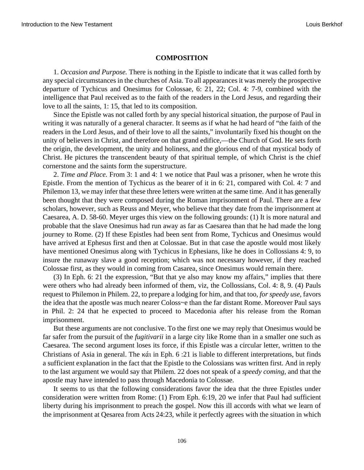#### **COMPOSITION**

1. *Occasion and Purpose.* There is nothing in the Epistle to indicate that it was called forth by any special circumstances in the churches of Asia. To all appearances it was merely the prospective departure of Tychicus and Onesimus for Colossae, 6: 21, 22; [Col. 4](http://www.ccel.org/b/bible/asv/xml/asv.Col..xml#Col..): 7-9, combined with the intelligence that Paul received as to the faith of the readers in the Lord Jesus, and regarding their love to all the saints, 1: 15, that led to its composition.

Since the Epistle was not called forth by any special historical situation, the purpose of Paul in writing it was naturally of a general character. It seems as if what he had heard of "the faith of the readers in the Lord Jesus, and of their love to all the saints," involuntarily fixed his thought on the unity of believers in Christ, and therefore on that grand edifice,—the Church of God. He sets forth the origin, the development, the unity and holiness, and the glorious end of that mystical body of Christ. He pictures the transcendent beauty of that spiritual temple, of which Christ is the chief cornerstone and the saints form the superstructure.

2. *Time and Place.* From 3: 1 and 4: 1 we notice that Paul was a prisoner, when he wrote this Epistle. From the mention of Tychicus as the bearer of it in 6: 21, compared with [Col. 4:](http://www.ccel.org/b/bible/asv/xml/asv.Col..xml#Col..) 7 and [Philemon 13,](http://www.ccel.org/b/bible/asv/xml/asv.Phlm.1.xml#Phlm.1.13) we may infer that these three letters were written at the same time. And it has generally been thought that they were composed during the Roman imprisonment of Paul. There are a few scholars, however, such as Reuss and Meyer, who believe that they date from the imprisonment at Caesarea, A. D. 58-60. Meyer urges this view on the following grounds: (1) It is more natural and probable that the slave Onesimus had run away as far as Caesarea than that he had made the long journey to Rome. (2) If these Epistles had been sent from Rome, Tychicus and Onesimus would have arrived at Ephesus first and then at Colossae. But in that case the apostle would most likely have mentioned Onesimus along with Tychicus in Ephesians, like he does in Collossians 4: 9, to insure the runaway slave a good reception; which was not necessary however, if they reached Colossae first, as they would in coming from Casarea, since Onesimus would remain there.

(3) In [Eph. 6](http://www.ccel.org/b/bible/asv/xml/asv.Eph..xml#Eph..): 21 the expression, "But that ye also may know my affairs," implies that there were others who had already been informed of them, viz, the Collossians, [Col. 4](http://www.ccel.org/b/bible/asv/xml/asv.Col..xml#Col..): 8, 9. (4) Pauls request to Philemon in [Philem. 22,](http://www.ccel.org/b/bible/asv/xml/asv.Phlm.1.xml#Phlm.1.22) to prepare a lodging for him, and that too, *for speedy use,* favors the idea that the apostle was much nearer Coloss~e than the far distant Rome. Moreover Paul says in [Phil. 2](http://www.ccel.org/b/bible/asv/xml/asv.Phil..xml#Phil..): 24 that he expected to proceed to Macedonia after his release from the Roman imprisonment.

But these arguments are not conclusive. To the first one we may reply that Onesimus would be far safer from the pursuit of the *fugitivarii* in a large city like Rome than in a smaller one such as Caesarea. The second argument loses its force, if this Epistle was a circular letter, written to the Christians of Asia in general. The κάι in [Eph. 6](http://www.ccel.org/b/bible/asv/xml/asv.Eph..xml#Eph..) :21 is liable to different interpretations, but finds a sufficient explanation in the fact that the Epistle to the Colossians was written first. And in reply to the last argument we would say that [Philem. 22](http://www.ccel.org/b/bible/asv/xml/asv.Phlm.1.xml#Phlm.1.22) does not speak of a *speedy coming,* and that the apostle may have intended to pass through Macedonia to Colossae.

It seems to us that the following considerations favor the idea that the three Epistles under consideration were written from Rome: (1) From [Eph. 6:19, 20](http://www.ccel.org/b/bible/asv/xml/asv.Eph.6.xml#Eph.6.19 Bible:Eph.6.20) we infer that Paul had sufficient liberty during his imprisonment to preach the gospel. Now this ill accords with what we learn of the imprisonment at Qesarea from [Acts 24:23,](http://www.ccel.org/b/bible/asv/xml/asv.Acts.24.xml#Acts.24.23) while it perfectly agrees with the situation in which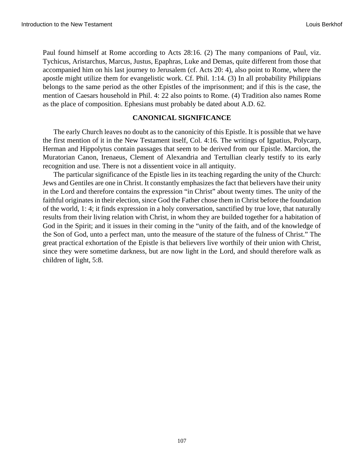Paul found himself at Rome according to [Acts 28:16](http://www.ccel.org/b/bible/asv/xml/asv.Acts.28.xml#Acts.28.16). (2) The many companions of Paul, viz. Tychicus, Aristarchus, Marcus, Justus, Epaphras, Luke and Demas, quite different from those that accompanied him on his last journey to Jerusalem (cf. [Acts 20:](http://www.ccel.org/b/bible/asv/xml/asv.Acts..xml#Acts..) 4), also point to Rome, where the apostle might utilize them for evangelistic work. Cf. [Phil. 1:14.](http://www.ccel.org/b/bible/asv/xml/asv.Phil.1.xml#Phil.1.14) (3) In all probability Philippians belongs to the same period as the other Epistles of the imprisonment; and if this is the case, the mention of Caesars household in [Phil. 4](http://www.ccel.org/b/bible/asv/xml/asv.Phil..xml#Phil..): 22 also points to Rome. (4) Tradition also names Rome as the place of composition. Ephesians must probably be dated about A.D. 62.

### **CANONICAL SIGNIFICANCE**

The early Church leaves no doubt as to the canonicity of this Epistle. It is possible that we have the first mention of it in the New Testament itself, [Col. 4:16.](http://www.ccel.org/b/bible/asv/xml/asv.Col.4.xml#Col.4.16) The writings of Igpatius, Polycarp, Herman and Hippolytus contain passages that seem to be derived from our Epistle. Marcion, the Muratorian Canon, Irenaeus, Clement of Alexandria and Tertullian clearly testify to its early recognition and use. There is not a dissentient voice in all antiquity.

The particular significance of the Epistle lies in its teaching regarding the unity of the Church: Jews and Gentiles are one in Christ. It constantly emphasizes the fact that believers have their unity in the Lord and therefore contains the expression "in Christ" about twenty times. The unity of the faithful originates in their election, since God the Father chose them in Christ before the foundation of the world, 1: 4; it finds expression in a holy conversation, sanctified by true love, that naturally results from their living relation with Christ, in whom they are builded together for a habitation of God in the Spirit; and it issues in their coming in the "unity of the faith, and of the knowledge of the Son of God, unto a perfect man, unto the measure of the stature of the fulness of Christ." The great practical exhortation of the Epistle is that believers live worthily of their union with Christ, since they were sometime darkness, but are now light in the Lord, and should therefore walk as children of light, 5:8.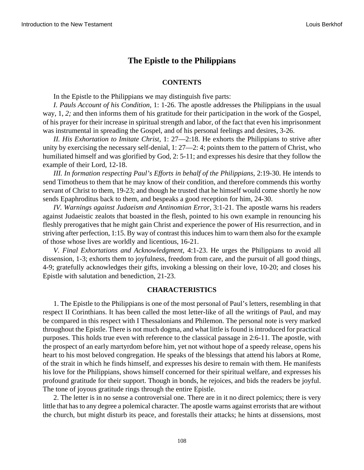# **The Epistle to the Philippians**

### **CONTENTS**

In the Epistle to the Philippians we may distinguish five parts:

*I. Pauls Account of his Condition,* 1: 1-26. The apostle addresses the Philippians in the usual way, 1, *2;* and then informs them of his gratitude for their participation in the work of the Gospel, of his prayer for their increase in spiritual strength and labor, of the fact that even his imprisonment was instrumental in spreading the Gospel, and of his personal feelings and desires, 3-26.

*II. His Exhortation to Imitate Christ,* 1: 27—2:18. He exhorts the Philippians to strive after unity by exercising the necessary self-denial, 1: 27—2: 4; points them to the pattern of Christ, who humiliated himself and was glorified by God, 2: 5-11; and expresses his desire that they follow the example of their Lord, 12-18.

*III. In formation respecting Paul's Efforts in behalf of the Philippians,* 2:19-30. He intends to send Timotheus to them that he may know of their condition, and therefore commends this worthy servant of Christ to them, 19-23; and though he trusted that he himself would come shortly he now sends Epaphroditus back to them, and bespeaks a good reception for him, 24-30.

*IV. Warnings against Judaeism and Antinomian Error,* 3:1-21. The apostle warns his readers against Judaeistic zealots that boasted in the flesh, pointed to his own example in renouncing his fleshly prerogatives that he might gain Christ and experience the power of His resurrection, and in striving after perfection, 1:15. By way of contrast this induces him to warn them also for the example of those whose lives are worldly and licentious, 16-21.

*V. Final Exhortations and Acknowledgment,* 4:1-23. He urges the Philippians to avoid all dissension, 1-3; exhorts them to joyfulness, freedom from care, and the pursuit of all good things, 4-9; gratefully acknowledges their gifts, invoking a blessing on their love, 10-20; and closes his Epistle with salutation and benediction, 21-23.

#### **CHARACTERISTICS**

1. The Epistle to the Philippians is one of the most personal of Paul's letters, resembling in that respect II Corinthians. It has been called the most letter-like of all the writings of Paul, and may be compared in this respect with I Thessalonians and Philemon. The personal note is very marked throughout the Epistle. There is not much dogma, and what little is found is introduced for practical purposes. This holds true even with reference to the classical passage in 2:6-11. The apostle, with the prospect of an early martyrdom before him, yet not without hope of a speedy release, opens his heart to his most beloved congregation. He speaks of the blessings that attend his labors at Rome, of the strait in which he finds himself, and expresses his desire to remain with them. He manifests his love for the Philippians, shows himself concerned for their spiritual welfare, and expresses his profound gratitude for their support. Though in bonds, he rejoices, and bids the readers be joyful. The tone of joyous gratitude rings through the entire Epistle.

2. The letter is in no sense a controversial one. There are in it no direct polemics; there is very little that has to any degree a polemical character. The apostle warns against errorists that are without the church, but might disturb its peace, and forestalls their attacks; he hints at dissensions, most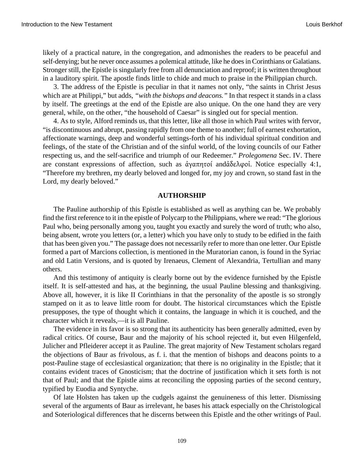likely of a practical nature, in the congregation, and admonishes the readers to be peaceful and self-denying; but he never once assumes a polemical attitude, like he does in Corinthians or Galatians. Stronger still, the Epistle is singularly free from all denunciation and reproof; it is written throughout in a lauditory spirit. The apostle finds little to chide and much to praise in the Philippian church.

3. The address of the Epistle is peculiar in that it names not only, "the saints in Christ Jesus which are at Philippi," but adds, "*with the bishops and deacons*." In that respect it stands in a class by itself. The greetings at the end of the Epistle are also unique. On the one hand they are very general, while, on the other, "the household of Caesar" is singled out for special mention.

4. As to style, Alford reminds us, that this letter, like all those in which Paul writes with fervor, "is discontinuous and abrupt, passing rapidly from one theme to another; full of earnest exhortation, affectionate warnings, deep and wonderful settings-forth of his individual spiritual condition and feelings, of the state of the Christian and of the sinful world, of the loving councils of our Father respecting us, and the self-sacrifice and triumph of our Redeemer." *Prolegomena* Sec. IV. There are constant expressions of affection, such as ἀγαπητοί andἀδελφοἰ. Notice especially 4:1, "Therefore my brethren, my dearly beloved and longed for, my joy and crown, so stand fast in the Lord, my dearly beloved."

### **AUTHORSHIP**

The Pauline authorship of this Epistle is established as well as anything can be. We probably find the first reference to it in the epistle of Polycarp to the Philippians, where we read: "The glorious Paul who, being personally among you, taught you exactly and surely the word of truth; who also, being absent, wrote you letters (or, a letter) which you have only to study to be edified in the faith that has been given you." The passage does not necessarily refer to more than one letter. Our Epistle formed a part of Marcions collection, is mentioned in the Muratorian canon, is found in the Syriac and old Latin Versions, and is quoted by Irenaeus, Clement of Alexandria, Tertullian and many others.

And this testimony of antiquity is clearly borne out by the evidence furnished by the Epistle itself. It is self-attested and has, at the beginning, the usual Pauline blessing and thanksgiving. Above all, however, it is like II Corinthians in that the personality of the apostle is so strongly stamped on it as to leave little room for doubt. The historical circumstances which the Epistle presupposes, the type of thought which it contains, the language in which it is couched, and the character which it reveals,—it is all Pauline.

The evidence in its favor is so strong that its authenticity has been generally admitted, even by radical critics. Of course, Baur and the majority of his school rejected it, but even Hilgenfeld, Julicher and Pfleiderer accept it as Pauline. The great majority of New Testament scholars regard the objections of Baur as frivolous, as f. i. that the mention of bishops and deacons points to a post-Pauline stage of ecclesiastical organization; that there is no originality in the Epistle; that it contains evident traces of Gnosticism; that the doctrine of justification which it sets forth is not that of Paul; and that the Epistle aims at reconciling the opposing parties of the second century, typified by Euodia and Syntyche.

Of late Holsten has taken up the cudgels against the genuineness of this letter. Dismissing several of the arguments of Baur as irrelevant, he bases his attack especially on the Christological and Soteriological differences that he discerns between this Epistle and the other writings of Paul.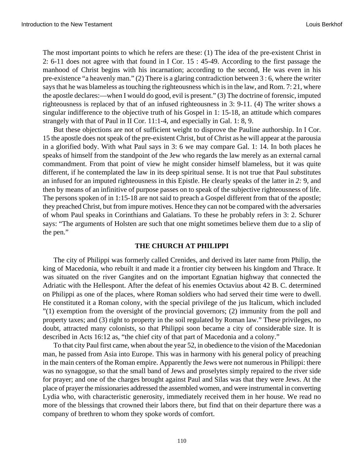The most important points to which he refers are these: (1) The idea of the pre-existent Christ in 2: 6-11 does not agree with that found in [I Cor. 15](http://www.ccel.org/b/bible/asv/xml/asv.iCor..xml#iCor..) : 45-49. According to the first passage the manhood of Christ begins with his incarnation; according to the second, He was even in his pre-existence "a heavenly man." (2) There is a glaring contradiction between 3 : 6, where the writer says that he was blameless as touching the righteousness which is in the law, and [Rom. 7:](http://www.ccel.org/b/bible/asv/xml/asv.Rom..xml#Rom..) 21, where the apostle declares:—when I would do good, evil is present." (3) The doctrine of forensic, imputed righteousness is replaced by that of an infused righteousness in 3: 9-11. (4) The writer shows a singular indifference to the objective truth of his Gospel in 1: 15-18, an attitude which compares strangely with that of Paul in [II Cor. 11:1-4](http://www.ccel.org/b/bible/asv/xml/asv.iiCor.11.xml#iiCor.11.1), and especially in [Gal. 1](http://www.ccel.org/b/bible/asv/xml/asv.Gal..xml#Gal..): 8, 9.

But these objections are not of sufficient weight to disprove the Pauline authorship. In [I Cor.](http://www.ccel.org/b/bible/asv/xml/asv.iCor..xml#iCor..) [15](http://www.ccel.org/b/bible/asv/xml/asv.iCor..xml#iCor..) the apostle does not speak of the pre-existent Christ, but of Christ as he will appear at the parousia in a glorified body. With what Paul says in 3: 6 we may compare [Gal. 1:](http://www.ccel.org/b/bible/asv/xml/asv.Gal..xml#Gal..) 14. In both places he speaks of himself from the standpoint of the Jew who regards the law merely as an external carnal commandment. From that point of view he might consider himself blameless, but it was quite different, if he contemplated the law in its deep spiritual sense. It is not true that Paul substitutes an infused for an imputed righteousness in this Epistle. He clearly speaks of the latter in *2:* 9, and then by means of an infinitive of purpose passes on to speak of the subjective righteousness of life. The persons spoken of in 1:15-18 are not said to preach a Gospel different from that of the apostle; they preached Christ, but from impure motives. Hence they can not be compared with the adversaries of whom Paul speaks in Corinthians and Galatians. To these he probably refers in 3: 2. Schurer says: "The arguments of Holsten are such that one might sometimes believe them due to a slip of the pen."

#### **THE CHURCH AT PHILIPPI**

The city of Philippi was formerly called Crenides, and derived its later name from Philip, the king of Macedonia, who rebuilt it and made it a frontier city between his kingdom and Thrace. It was situated on the river Gangites and on the important Egnatian highway that connected the Adriatic with the Hellespont. After the defeat of his enemies Octavius about 42 B. C. determined on Philippi as one of the places, where Roman soldiers who had served their time were to dwell. He constituted it a Roman colony, with the special privilege of the jus Italicum, which included "(1) exemption from the oversight of the provincial governors; (2) immunity from the poll and property taxes; and (3) right to property in the soil regulated by Roman law." These privileges, no doubt, attracted many colonists, so that Philippi soon became a city of considerable size. It is described in [Acts 16:12](http://www.ccel.org/b/bible/asv/xml/asv.Acts.16.xml#Acts.16.12) as, "the chief city of that part of Macedonia and a colony."

To that city Paul first came, when about the year 52, in obedience to the vision of the Macedonian man, he passed from Asia into Europe. This was in harmony with his general policy of preaching in the main centers of the Roman empire. Apparently the Jews were not numerous in Philippi: there was no synagogue, so that the small band of Jews and proselytes simply repaired to the river side for prayer; and one of the charges brought against Paul and Silas was that they were Jews. At the place of prayer the missionaries addressed the assembled women, and were instrumental in converting Lydia who, with characteristic generosity, immediately received them in her house. We read no more of the blessings that crowned their labors there, but find that on their departure there was a company of brethren to whom they spoke words of comfort.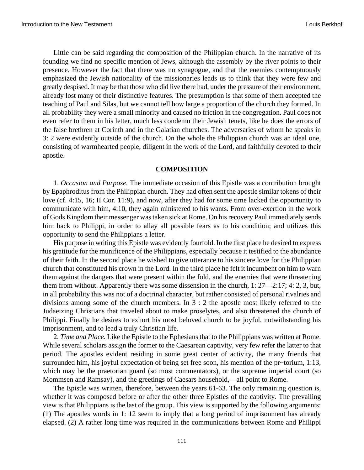Little can be said regarding the composition of the Philippian church. In the narrative of its founding we find no specific mention of Jews, although the assembly by the river points to their presence. However the fact that there was no synagogue, and that the enemies contemptuously emphasized the Jewish nationality of the missionaries leads us to think that they were few and greatly despised. It may be that those who did live there had, under the pressure of their environment, already lost many of their distinctive features. The presumption is that some of them accepted the teaching of Paul and Silas, but we cannot tell how large a proportion of the church they formed. In all probability they were a small minority and caused no friction in the congregation. Paul does not even refer to them in his letter, much less condemn their Jewish tenets, like he does the errors of the false brethren at Corinth and in the Galatian churches. The adversaries of whom he speaks in 3: 2 were evidently outside of the church. On the whole the Philippian church was an ideal one, consisting of warmhearted people, diligent in the work of the Lord, and faithfully devoted to their apostle.

#### **COMPOSITION**

1. *Occasion and Purpose.* The immediate occasion of this Epistle was a contribution brought by Epaphroditus from the Philippian church. They had often sent the apostle similar tokens of their love (cf. 4:15, 16; [II Cor. 11:9](http://www.ccel.org/b/bible/asv/xml/asv.iiCor.11.xml#iiCor.11.9)), and now, after they had for some time lacked the opportunity to communicate with him, 4:10, they again ministered to his wants. From over-exertion in the work of Gods Kingdom their messenger was taken sick at Rome. On his recovery Paul immediately sends him back to Philippi, in order to allay all possible fears as to his condition; and utilizes this opportunity to send the Philippians a letter.

His purpose in writing this Epistle was evidently fourfold. In the first place he desired to express his gratitude for the munificence of the Philippians, especially because it testified to the abundance of their faith. In the second place he wished to give utterance to his sincere love for the Philippian church that constituted his crown in the Lord. In the third place he felt it incumbent on him to warn them against the dangers that were present within the fold, and the enemies that were threatening them from without. Apparently there was some dissension in the church, 1: 27—2:17; 4: 2, 3, but, in all probability this was not of a doctrinal character, but rather consisted of personal rivalries and divisions among some of the church members. In 3 : 2 the apostle most likely referred to the Judaeizing Christians that traveled about to make proselytes, and also threatened the church of Philippi. Finally he desires to exhort his most beloved church to be joyful, notwithstanding his imprisonment, and to lead a truly Christian life.

2. *Time and Place.* Like the Epistle to the Ephesians that to the Philippians was written at Rome. While several scholars assign the former to the Caesarean captivity, very few refer the latter to that period. The apostles evident residing in some great center of activity, the many friends that surrounded him, his joyful expectation of being set free soon, his mention of the pr~torium, 1:13, which may be the praetorian guard (so most commentators), or the supreme imperial court (so Mommsen and Ramsay), and the greetings of Caesars household,—all point to Rome.

The Epistle was written, therefore, between the years 61-63. The only remaining question is, whether it was composed before or after the other three Epistles of the captivity. The prevailing view is that Philippians is the last of the group. This view is supported by the following arguments: (1) The apostles words in 1: 12 seem to imply that a long period of imprisonment has already elapsed. (2) A rather long time was required in the communications between Rome and Philippi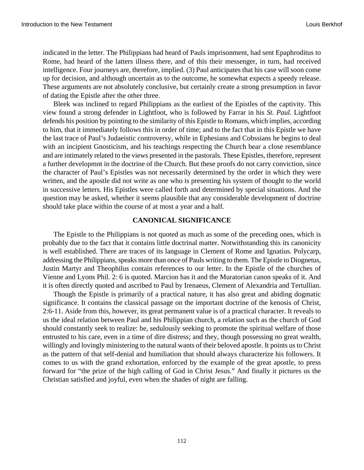indicated in the letter. The Philippians had heard of Pauls imprisonment, had sent Epaphroditus to Rome, had heard of the latters illness there, and of this their messenger, in turn, had received intelligence. Four journeys are, therefore, implied. (3) Paul anticipates that his case will soon come up for decision, and although uncertain as to the outcome, he somewhat expects a speedy release. These arguments are not absolutely conclusive, but certainly create a strong presumption in favor of dating the Epistle after the other three.

Bleek was inclined to regard Philippians as the earliest of the Epistles of the captivity. This view found a strong defender in Lightfoot, who is followed by Farrar in his *St. Paul.* Lightfoot defends his position by pointing to the similarity of this Epistle to Romans, which implies, according to him, that it immediately follows this in order of time; and to the fact that in this Epistle we have the last trace of Paul's Judaeistic controversy, while in Ephesians and Cobssians he begins to deal with an incipient Gnosticism, and his teachings respecting the Church bear a close resemblance and are intimately related to the views presented in the pastorals. These Epistles, therefore, represent a further developmnt in the doctrine of the Church. But these proofs do not carry conviction, since the character of Paul's Epistles was not necessarily determined by the order in which they were written, and the apostle did not write as one who is presenting his system of thought to the world in successive letters. His Epistles were called forth and determined by special situations. And the question may be asked, whether it seems plausible that any considerable development of doctrine should take place within the course of at most a year and a half.

### **CANONICAL SIGNIFICANCE**

The Epistle to the Philippians is not quoted as much as some of the preceding ones, which is probably due to the fact that it contains little doctrinal matter. Notwithstanding this its canonicity is well established. There are traces of its language in Clement of Rome and Ignatius. Polycarp, addressing the Philippians, speaks more than once of Pauls writing to them. The Epistle to Diognetus, Justin Martyr and Theophilus contain references to our letter. In the Epistle of the churches of Vienne and Lyons [Phil. 2](http://www.ccel.org/b/bible/asv/xml/asv.Phil..xml#Phil..): 6 is quoted. Marcion has it and the Muratorian canon speaks of it. And it is often directly quoted and ascribed to Paul by Irenaeus, Clement of Alexandria and Tertullian.

Though the Epistle is primarily of a practical nature, it has also great and abiding dogmatic significance. It contains the classical passage on the important doctrine of the kenosis of Christ, 2:6-11. Aside from this, however, its great permanent value is of a practical character. It reveals to us the ideal relation between Paul and his Philippian church, a relation such as the church of God should constantly seek to realize: he, sedulously seeking to promote the spiritual welfare of those entrusted to his care, even in a time of dire distress; and they, though possessing no great wealth, willingly and lovingly ministering to the natural wants of their beloved apostle. It points us to Christ as the pattern of that self-denial and humiliation that should always characterize his followers. It comes to us with the grand exhortation, enforced by the example of the great apostle, to press forward for "the prize of the high calling of God in Christ Jesus." And finally it pictures us the Christian satisfied and joyful, even when the shades of night are falling.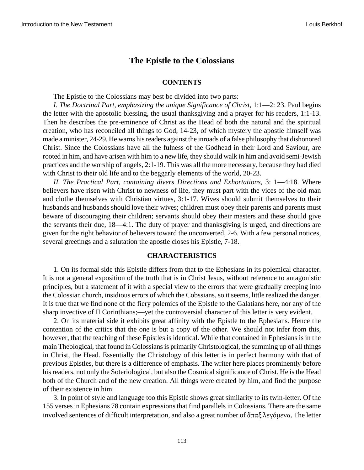## **The Epistle to the Colossians**

#### **CONTENTS**

The Epistle to the Colossians may best be divided into two parts:

*I. The Doctrinal Part, emphasizing the unique Significance of Christ,* 1:1—2: 23. Paul begins the letter with the apostolic blessing, the usual thanksgiving and a prayer for his readers, 1:1-13. Then he describes the pre-eminence of Christ as the Head of both the natural and the spiritual creation, who has reconciled all things to God, 14-23, of which mystery the apostle himself was made a minister, 24-29. He warns his readers against the inroads of a false philosophy that dishonored Christ. Since the Colossians have all the fulness of the Godhead in their Lord and Saviour, are rooted in him, and have arisen with him to a new life, they should walk in him and avoid semi-Jewish practices and the worship of angels, 2:1-19. This was all the more necessary, because they had died with Christ to their old life and to the beggarly elements of the world, 20-23.

*II. The Practical Part, containing divers Directions and Exhortations,* 3: 1—4:18. Where believers have risen with Christ to newness of life, they must part with the vices of the old man and clothe themselves with Christian virtues, 3:1-17. Wives should submit themselves to their husbands and husbands should love their wives; children must obey their parents and parents must beware of discouraging their children; servants should obey their masters and these should give the servants their due, 18—4:1. The duty of prayer and thanksgiving is urged, and directions are given for the right behavior of believers toward the unconverted, 2-6. With a few personal notices, several greetings and a salutation the apostle closes his Epistle, 7-18.

### **CHARACTERISTICS**

1. On its formal side this Epistle differs from that to the Ephesians in its polemical character. It is not a general exposition of the truth that is in Christ Jesus, without reference to antagonistic principles, but a statement of it with a special view to the errors that were gradually creeping into the Colossian church, insidious errors of which the Cobssians, so it seems, little realized the danger. It is true that we find none of the fiery polemics of the Epistle to the Galatians here, nor any of the sharp invective of II Corinthians;—yet the controversial character of this letter is very evident.

2. On its material side it exhibits great affinity with the Epistle to the Ephesians. Hence the contention of the critics that the one is but a copy of the other. We should not infer from this, however, that the teaching of these Epistles is identical. While that contained in Ephesians is in the main Theological, that found in Colossians is primarily Christological, the summing up of all things in Christ, the Head. Essentially the Christology of this letter is in perfect harmony with that of previous Epistles, but there is a difference of emphasis. The writer here places prominently before his readers, not only the Soteriological, but also the Cosmical significance of Christ. He is the Head both of the Church and of the new creation. All things were created by him, and find the purpose of their existence in him.

3. In point of style and language too this Epistle shows great similarity to its twin-letter. Of the 155 verses in [Ephesians 78](http://www.ccel.org/b/bible/asv/xml/asv.Eph..xml#Eph..) contain expressions that find parallels in Colossians. There are the same involved sentences of difficult interpretation, and also a great number of ἅπαξ λεγόμενα. The letter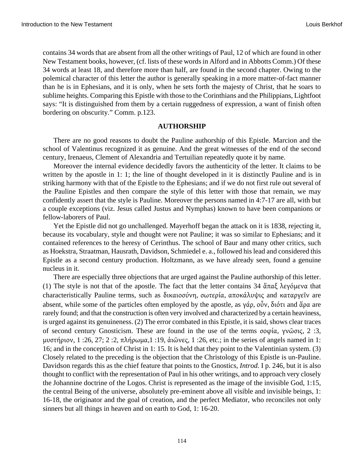contains 34 words that are absent from all the other writings of Paul, 12 of which are found in other New Testament books, however, (cf. lists of these words in Alford and in Abbotts Comm.) Of these 34 words at least 18, and therefore more than half, are found in the second chapter. Owing to the polemical character of this letter the author is generally speaking in a more matter-of-fact manner than he is in Ephesians, and it is only, when he sets forth the majesty of Christ, that he soars to sublime heights. Comparing this Epistle with those to the Corinthians and the Philippians, Lightfoot says: "It is distinguished from them by a certain ruggedness of expression, a want of finish often bordering on obscurity." Comm. p.123.

### **AUTHORSHIP**

There are no good reasons to doubt the Pauline authorship of this Epistle. Marcion and the school of Valentinus recognized it as genuine. And the great witnesses of the end of the second century, Irenaeus, Clement of Alexandria and Tertuilian repeatedly quote it by name.

Moreover the internal evidence decidedly favors the authenticity of the letter. It claims to be written by the apostle in 1: 1; the line of thought developed in it is distinctly Pauline and is in striking harmony with that of the Epistle to the Ephesians; and if we do not first rule out several of the Pauline Epistles and then compare the style of this letter with those that remain, we may confidently assert that the style is Pauline. Moreover the persons named in 4:7-17 are all, with but a couple exceptions (viz. Jesus called Justus and Nymphas) known to have been companions or fellow-laborers of Paul.

Yet the Epistle did not go unchallenged. Mayerhoff began the attack on it is 1838, rejecting it, because its vocabulary, style and thought were not Pauline; it was so similar to Ephesians; and it contained references to the heresy of Cerinthus. The school of Baur and many other critics, such as Hoekstra, Straatman, Hausrath, Davidson, Schmiedel e. a., followed his lead and considered this Epistle as a second century production. Holtzmann, as we have already seen, found a genuine nucleus in it.

There are especially three objections that are urged against the Pauline authorship of this letter. (1) The style is not that of the apostle. The fact that the letter contains 34 ἅπαξ λεγόμενα that characteristically Pauline terms, such as δικαιοσύνη, σωτερία, αποκάλυψις and καταργεῖν are absent, while some of the particles often employed by the apostle, as γάρ, οὖν, διότι and ἄρα are rarely found; and that the construction is often very involved and characterized by a certain heaviness, is urged against its genuineness. (2) The error combated in this Epistle, it is said, shows clear traces of second century Gnosticism. These are found in the use of the terms σοφία, γνῶσις, 2 :3, μυστήριον, 1 :26, 27; 2 :2, πλήρωμα,1 :19, ἀιῶνες, 1 :26, etc.; in the series of angels named in 1: 16; and in the conception of Christ in 1: 15. It is held that they point to the Valentinian system. (3) Closely related to the preceding is the objection that the Christology of this Epistle is un-Pauline. Davidson regards this as the chief feature that points to the Gnostics, *Introd.* I p. 246, but it is also thought to conflict with the representation of Paul in his other writings, and to approach very closely the Johannine doctrine of the Logos. Christ is represented as the image of the invisible God, 1:15, the central Being of the universe, absolutely pre-eminent above all visible and invisible beings, 1: 16-18, the originator and the goal of creation, and the perfect Mediator, who reconciles not only sinners but all things in heaven and on earth to God, 1: 16-20.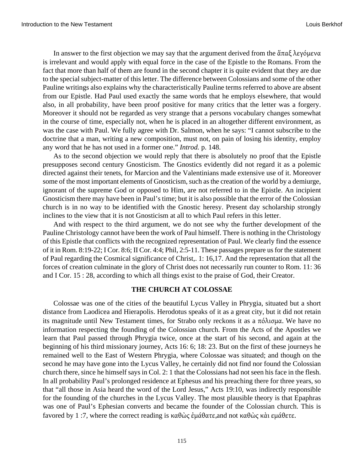In answer to the first objection we may say that the argument derived from the ἅπαξ λεγόμενα is irrelevant and would apply with equal force in the case of the Epistle to the Romans. From the fact that more than half of them are found in the second chapter it is quite evident that they are due to the special subject-matter of this letter. The difference between Colossians and some of the other Pauline writings also explains why the characteristically Pauline terms referred to above are absent from our Epistle. Had Paul used exactly the same words that he employs elsewhere, that would also, in all probability, have been proof positive for many critics that the letter was a forgery. Moreover it should not be regarded as very strange that a persons vocabulary changes somewhat in the course of time, especially not, when he is placed in an altogether different environment, as was the case with Paul. We fully agree with Dr. Salmon, when he says: "I cannot subscribe to the doctrine that a man, writing a new composition, must not, on pain of losing his identity, employ any word that he has not used in a former one." *Introd.* p. 148.

As to the second objection we would reply that there is absolutely no proof that the Epistle presupposes second century Gnosticism. The Gnostics evidently did not regard it as a polemic directed against their tenets, for Marcion and the Valentinians made extensive use of it. Moreover some of the most important elements of Gnosticism, such as the creation of the world by a demiurge, ignorant of the supreme God or opposed to Him, are not referred to in the Epistle. An incipient Gnosticism there may have been in Paul's time; but it is also possible that the error of the Colossian church is in no way to be identified with the Gnostic heresy. Present day scholarship strongly inclines to the view that it is not Gnosticism at all to which Paul refers in this letter.

And with respect to the third argument, we do not see why the further development of the Pauline Christology cannot have been the work of Paul himself. There is nothing in the Christology of this Epistle that conflicts with the recognized representation of Paul. We clearly find the essence of it in [Rom. 8:19-22](http://www.ccel.org/b/bible/asv/xml/asv.Rom.8.xml#Rom.8.19); [I Cor. 8:6;](http://www.ccel.org/b/bible/asv/xml/asv.iCor.8.xml#iCor.8.6) [II Cor. 4:4](http://www.ccel.org/b/bible/asv/xml/asv.iiCor.4.xml#iiCor.4.4); Phil, 2:5-11. These passages prepare us for the statement of Paul regarding the Cosmical significance of Christ,. 1: 16,17. And the representation that all the forces of creation culminate in the glory of Christ does not necessarily run counter to [Rom. 11:](http://www.ccel.org/b/bible/asv/xml/asv.Rom..xml#Rom..) 36 and [I Cor. 15](http://www.ccel.org/b/bible/asv/xml/asv.iCor..xml#iCor..) : 28, according to which all things exist to the praise of God, their Creator.

### **THE CHURCH AT COLOSSAE**

Colossae was one of the cities of the beautiful Lycus Valley in Phrygia, situated but a short distance from Laodicea and Hierapolis. Herodotus speaks of it as a great city, but it did not retain its magnitude until New Testament times, for Strabo only reckons it as a πόλισμα. We have no information respecting the founding of the Colossian church. From the Acts of the Apostles we learn that Paul passed through Phrygia twice, once at the start of his second, and again at the beginning of his third missionary journey, [Acts 16:](http://www.ccel.org/b/bible/asv/xml/asv.Acts..xml#Acts..) 6; 18: 23. But on the first of these journeys he remained well to the East of Western Phrygia, where Colossae was situated; and though on the second he may have gone into the Lycus Valley, he certainly did not find nor found the Colossian church there, since he himself says in [Col. 2](http://www.ccel.org/b/bible/asv/xml/asv.Col..xml#Col..): 1 that the Colossians had not seen his face in the flesh. In all probability Paul's prolonged residence at Ephesus and his preaching there for three years, so that "all those in Asia heard the word of the Lord Jesus," [Acts 19:10](http://www.ccel.org/b/bible/asv/xml/asv.Acts.19.xml#Acts.19.10), was indirectly responsible for the founding of the churches in the Lycus Valley. The most plausible theory is that Epaphras was one of Paul's Ephesian converts and became the founder of the Colossian church. This is favored by 1:7, where the correct reading is καθὼς ἐμάθατε, and not καθὼς κὰι εμάθετε.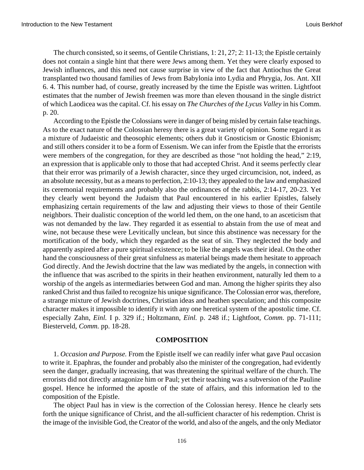The church consisted, so it seems, of Gentile Christians, 1: 21, 27; 2: 11-13; the Epistle certainly does not contain a single hint that there were Jews among them. Yet they were clearly exposed to Jewish influences, and this need not cause surprise in view of the fact that Antiochus the Great transplanted two thousand families of Jews from Babylonia into Lydia and Phrygia, Jos. Ant. XII 6. 4. This number had, of course, greatly increased by the time the Epistle was written. Lightfoot estimates that the number of Jewish freemen was more than eleven thousand in the single district of which Laodicea was the capital. Cf. his essay on *The Churches of the Lycus Valley* in his Comm. p. 20.

According to the Epistle the Colossians were in danger of being misled by certain false teachings. As to the exact nature of the Colossian heresy there is a great variety of opinion. Some regard it as a mixture of Judaeistic and theosophic elements; others dub it Gnosticism or Gnostic Ebionism; and still others consider it to be a form of Essenism. We can infer from the Epistle that the errorists were members of the congregation, for they are described as those "not holding the head," 2:19, an expression that is applicable only to those that had accepted Christ. And it seems perfectly clear that their error was primarily of a Jewish character, since they urged circumcision, not, indeed, as an absolute necessity, but as a means to perfection, 2:10-13; they appealed to the law and emphasized its ceremonial requirements and probably also the ordinances of the rabbis, 2:14-17, 20-23. Yet they clearly went beyond the Judaism that Paul encountered in his earlier Epistles, falsely emphasizing certain requirements of the law and adjusting their views to those of their Gentile neighbors. Their dualistic conception of the world led them, on the one hand, to an asceticism that was not demanded by the law. They regarded it as essential to abstain from the use of meat and wine, not because these were Levitically unclean, but since this abstinence was necessary for the mortification of the body, which they regarded as the seat of sin. They neglected the body and apparently aspired after a pure spiritual existence; to be like the angels was their ideal. On the other hand the consciousness of their great sinfulness as material beings made them hesitate to approach God directly. And the Jewish doctrine that the law was mediated by the angels, in connection with the influence that was ascribed to the spirits in their heathen environment, naturally led them to a worship of the angels as intermediaries between God and man. Among the higher spirits they also ranked Christ and thus failed to recognize his unique significance. The Colossian error was, therefore, a strange mixture of Jewish doctrines, Christian ideas and heathen speculation; and this composite character makes it impossible to identify it with any one heretical system of the apostolic time. Cf. especially Zahn, *Einl.* I p. 329 if.; Holtzmann, *Einl.* p. 248 if.; Lightfoot, *Comm.* pp. 71-111; Biesterveld, *Comm.* pp. 18-28.

### **COMPOSITION**

1. *Occasion and Purpose.* From the Epistle itself we can readily infer what gave Paul occasion to write it. Epaphras, the founder and probably also the minister of the congregation, had evidently seen the danger, gradually increasing, that was threatening the spiritual welfare of the church. The errorists did not directly antagonize him or Paul; yet their teaching was a subversion of the Pauline gospel. Hence he informed the apostle of the state of affairs, and this information led to the composition of the Epistle.

The object Paul has in view is the correction of the Colossian heresy. Hence he clearly sets forth the unique significance of Christ, and the all-sufficient character of his redemption. Christ is the image of the invisible God, the Creator of the world, and also of the angels, and the only Mediator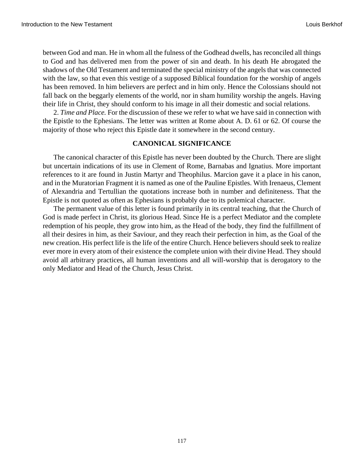between God and man. He in whom all the fulness of the Godhead dwells, has reconciled all things to God and has delivered men from the power of sin and death. In his death He abrogated the shadows of the Old Testament and terminated the special ministry of the angels that was connected with the law, so that even this vestige of a supposed Biblical foundation for the worship of angels has been removed. In him believers are perfect and in him only. Hence the Colossians should not fall back on the beggarly elements of the world, nor in sham humility worship the angels. Having their life in Christ, they should conform to his image in all their domestic and social relations.

2. *Time and Place.* For the discussion of these we refer to what we have said in connection with the Epistle to the Ephesians. The letter was written at Rome about A. D. 61 or 62. Of course the majority of those who reject this Epistle date it somewhere in the second century.

### **CANONICAL SIGNIFICANCE**

The canonical character of this Epistle has never been doubted by the Church. There are slight but uncertain indications of its use in Clement of Rome, Barnabas and Ignatius. More important references to it are found in Justin Martyr and Theophilus. Marcion gave it a place in his canon, and in the Muratorian Fragment it is named as one of the Pauline Epistles. With Irenaeus, Clement of Alexandria and Tertullian the quotations increase both in number and definiteness. That the Epistle is not quoted as often as Ephesians is probably due to its polemical character.

The permanent value of this letter is found primarily in its central teaching, that the Church of God is made perfect in Christ, its glorious Head. Since He is a perfect Mediator and the complete redemption of his people, they grow into him, as the Head of the body, they find the fulfillment of all their desires in him, as their Saviour, and they reach their perfection in him, as the Goal of the new creation. His perfect life is the life of the entire Church. Hence believers should seek to realize ever more in every atom of their existence the complete union with their divine Head. They should avoid all arbitrary practices, all human inventions and all will-worship that is derogatory to the only Mediator and Head of the Church, Jesus Christ.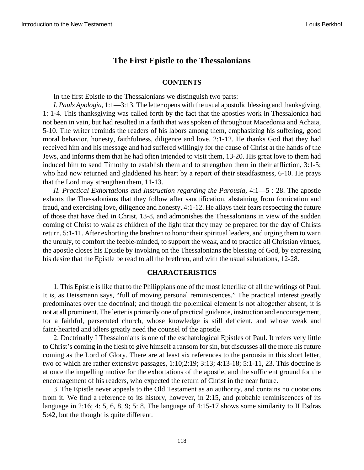# **The First Epistle to the Thessalonians**

### **CONTENTS**

In the first Epistle to the Thessalonians we distinguish two parts:

*I. Pauls Apologia,* 1:1—3:13. The letter opens with the usual apostolic blessing and thanksgiving, 1: 1-4. This thanksgiving was called forth by the fact that the apostles work in Thessalonica had not been in vain, but had resulted in a faith that was spoken of throughout Macedonia and Achaia, 5-10. The writer reminds the readers of his labors among them, emphasizing his suffering, good moral behavior, honesty, faithfulness, diligence and love, 2:1-12. He thanks God that they had received him and his message and had suffered willingly for the cause of Christ at the hands of the Jews, and informs them that he had often intended to visit them, 13-20. His great love to them had induced him to send Timothy to establish them and to strengthen them in their affliction, 3:1-5; who had now returned and gladdened his heart by a report of their steadfastness, 6-10. He prays that the Lord may strengthen them, 11-13.

*II. Practical Exhortations and Instruction regarding the Parousia,* 4:1—5 : 28. The apostle exhorts the Thessalonians that they follow after sanctification, abstaining from fornication and fraud, and exercising love, diligence and honesty, 4:1-12. He allays their fears respecting the future of those that have died in Christ, 13-8, and admonishes the Thessalonians in view of the sudden coming of Christ to walk as children of the light that they may be prepared for the day of Christs return, 5:1-11. After exhorting the brethren to honor their spiritual leaders, and urging them to warn the unruly, to comfort the feeble-minded, to support the weak, and to practice all Christian virtues, the apostle closes his Epistle by invoking on the Thessalonians the blessing of God, by expressing his desire that the Epistle be read to all the brethren, and with the usual salutations, 12-28.

#### **CHARACTERISTICS**

1. This Epistle is like that to the Philippians one of the most letterlike of all the writings of Paul. It is, as Deissmann says, "full of moving personal reminiscences." The practical interest greatly predominates over the doctrinal; and though the polemical element is not altogether absent, it is not at all prominent. The letter is primarily one of practical guidance, instruction and encouragement, for a faithful, persecuted church, whose knowledge is still deficient, and whose weak and faint-hearted and idlers greatly need the counsel of the apostle.

2. Doctrinally I Thessalonians is one of the eschatological Epistles of Paul. It refers very little to Christ's coming in the flesh to give himself a ransom for sin, but discusses all the more his future coming as the Lord of Glory. There are at least six references to the parousia in this short letter, two of which are rather extensive passages, 1:10;2:19; 3:13; 4:13-18; 5:1-11, 23. This doctrine is at once the impelling motive for the exhortations of the apostle, and the sufficient ground for the encouragement of his readers, who expected the return of Christ in the near future.

3. The Epistle never appeals to the Old Testament as an authority, and contains no quotations from it. We find a reference to its history, however, in 2:15, and probable reminiscences of its language in 2:16; 4: 5, 6, 8, 9; 5: 8. The language of 4:15-17 shows some similarity to [II Esdras](http://www.ccel.org/b/bible/asv/xml/asv.iiEsd.5.xml#iiEsd.5.42) [5:42](http://www.ccel.org/b/bible/asv/xml/asv.iiEsd.5.xml#iiEsd.5.42), but the thought is quite different.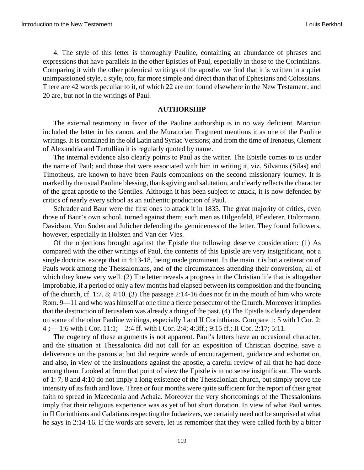4. The style of this letter is thoroughly Pauline, containing an abundance of phrases and expressions that have parallels in the other Epistles of Paul, especially in those to the Corinthians. Comparing it with the other polemical writings of the apostle, we find that it is written in a quiet unimpassioned style, a style, too, far more simple and direct than that of Ephesians and Colossians. There are 42 words peculiar to it, of which 22 are not found elsewhere in the New Testament, and 20 are, but not in the writings of Paul.

### **AUTHORSHIP**

The external testimony in favor of the Pauline authorship is in no way deficient. Marcion included the letter in his canon, and the Muratorian Fragment mentions it as one of the Pauline writings. It is contained in the old Latin and Syriac Versions; and from the time of Irenaeus, Clement of Alexandria and Tertullian it is regularly quoted by name.

The internal evidence also clearly points to Paul as the writer. The Epistle comes to us under the name of Paul; and those that were associated with him in writing it, viz. Silvanus (Silas) and Timotheus, are known to have been Pauls companions on the second missionary journey. It is marked by the usual Pauline blessing, thanksgiving and salutation, and clearly reflects the character of the great apostle to the Gentiles. Although it has been subject to attack, it is now defended by critics of nearly every school as an authentic production of Paul.

Schrader and Baur were the first ones to attack it in 1835. The great majority of critics, even those of Baur's own school, turned against them; such men as Hilgenfeld, Pfleiderer, Holtzmann, Davidson, Von Soden and Julicher defending the genuineness of the letter. They found followers, however, especially in Holsten and Van der Vies.

Of the objections brought against the Epistle the following deserve consideration: (1) As compared with the other writings of Paul, the contents of this Epistle are very insignificant, not a single doctrine, except that in 4:13-18, being made prominent. In the main it is but a reiteration of Pauls work among the Thessalonians, and of the circumstances attending their conversion, all of which they knew very well. (2) The letter reveals a progress in the Christian life that is altogether improbable, if a period of only a few months had elapsed between its composition and the founding of the church, cf. 1:7, 8; 4:10. (3) The passage 2:14-16 does not fit in the mouth of him who wrote [Rom. 9](http://www.ccel.org/b/bible/asv/xml/asv.Rom..xml#Rom..)—11 and who was himself at one time a fierce persecutor of the Church. Moreover it implies that the destruction of Jerusalem was already a thing of the past. (4) The Epistle is clearly dependent on some of the other Pauline writings, especially I and II Corinthians. Compare 1: 5 with [I Cor. 2:](http://www.ccel.org/b/bible/asv/xml/asv.iCor..xml#iCor..) 4 **;—** 1:6 with [I Cor. 11:1](http://www.ccel.org/b/bible/asv/xml/asv.iCor.11.xml#iCor.11.1);—2:4 ff. with [I Cor. 2:4](http://www.ccel.org/b/bible/asv/xml/asv.iCor.2.xml#iCor.2.4); 4:3ff.; 9:15 ff.; [II Cor. 2:17](http://www.ccel.org/b/bible/asv/xml/asv.iiCor.2.xml#iiCor.2.17); 5:11.

The cogency of these arguments is not apparent. Paul's letters have an occasional character, and the situation at Thessalonica did not call for an exposition of Christian doctrine, save a deliverance on the parousia; but did require words of encouragement, guidance and exhortation, and also, in view of the insinuations against the apostle, a careful review of all that he had done among them. Looked at from that point of view the Epistle is in no sense insignificant. The words of 1: 7, 8 and 4:10 do not imply a long existence of the Thessalonian church, but simply prove the intensity of its faith and love. Three or four months were quite sufficient for the report of their great faith to spread in Macedonia and Achaia. Moreover the very shortcomings of the Thessalonians imply that their religious experience was as yet of but short duration. In view of what Paul writes in II Corinthians and Galatians respecting the Judaeizers, we certainly need not be surprised at what he says in 2:14-16. If the words are severe, let us remember that they were called forth by a bitter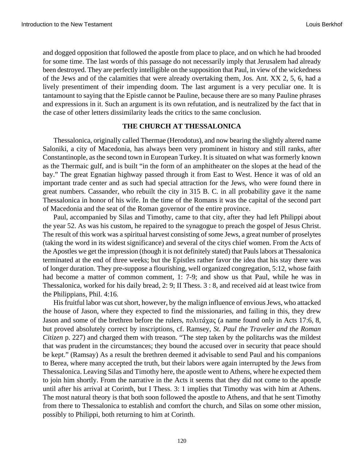and dogged opposition that followed the apostle from place to place, and on which he had brooded for some time. The last words of this passage do not necessarily imply that Jerusalem had already been destroyed. They are perfectly intelligible on the supposition that Paul, in view of the wickedness of the Jews and of the calamities that were already overtaking them, Jos. Ant. XX 2, 5, 6, had a lively presentiment of their impending doom. The last argument is a very peculiar one. It is tantamount to saying that the Epistle cannot be Pauline, because there are so many Pauline phrases and expressions in it. Such an argument is its own refutation, and is neutralized by the fact that in the case of other letters dissimilarity leads the critics to the same conclusion.

### **THE CHURCH AT THESSALONICA**

Thessalonica, originally called Thermae (Herodotus), and now bearing the slightly altered name Saloniki, a city of Macedonia, has always been very prominent in history and still ranks, after Constantinople, as the second town in European Turkey. It is situated on what was formerly known as the Thermaic gulf, and is built "in the form of an amphitheater on the slopes at the head of the bay." The great Egnatian highway passed through it from East to West. Hence it was of old an important trade center and as such had special attraction for the Jews, who were found there in great numbers. Cassander, who rebuilt the city in 315 B. C. in all probability gave it the name Thessalonica in honor of his wife. In the time of the Romans it was the capital of the second part of Macedonia and the seat of the Roman governor of the entire province.

Paul, accompanied by Silas and Timothy, came to that city, after they had left Philippi about the year 52. As was his custom, he repaired to the synagogue to preach the gospel of Jesus Christ. The result of this work was a spiritual harvest consisting of some Jews, a great number of proselytes (taking the word in its widest significance) and several of the citys chief women. From the Acts of the Apostles we get the impression (though it is not definitely stated) that Pauls labors at Thessalonica terminated at the end of three weeks; but the Epistles rather favor the idea that his stay there was of longer duration. They pre-suppose a flourishing, well organized congregation, 5:12, whose faith had become a matter of common comment, 1: 7-9; and show us that Paul, while he was in Thessalonica, worked for his daily bread, 2: 9; [II Thess. 3](http://www.ccel.org/b/bible/asv/xml/asv.iiThess..xml#iiThess..) : 8, and received aid at least twice from the Philippians, [Phil. 4:16](http://www.ccel.org/b/bible/asv/xml/asv.Phil.4.xml#Phil.4.16).

His fruitful labor was cut short, however, by the malign influence of envious Jews, who attacked the house of Jason, where they expected to find the missionaries, and failing in this, they drew Jason and some of the brethren before the rulers, πολιτάχας (a name found only in [Acts 17:6, 8,](http://www.ccel.org/b/bible/asv/xml/asv.Acts.17.xml#Acts.17.6 Bible:Acts.17.8) but proved absolutely correct by inscriptions, cf. Ramsey, *St. Paul the Traveler and the Roman Citizen* p. 227) and charged them with treason. "The step taken by the politarchs was the mildest that was prudent in the circumstances; they bound the accused over in security that peace should be kept." (Ramsay) As a result the brethren deemed it advisable to send Paul and his companions to Berea, where many accepted the truth, but their labors were again interrupted by the Jews from Thessalonica. Leaving Silas and Timothy here, the apostle went to Athens, where he expected them to join him shortly. From the narrative in the Acts it seems that they did not come to the apostle until after his arrival at Corinth, but [I Thess. 3:](http://www.ccel.org/b/bible/asv/xml/asv.iThess..xml#iThess..) 1 implies that Timothy was with him at Athens. The most natural theory is that both soon followed the apostle to Athens, and that he sent Timothy from there to Thessalonica to establish and comfort the church, and Silas on some other mission, possibly to Philippi, both returning to him at Corinth.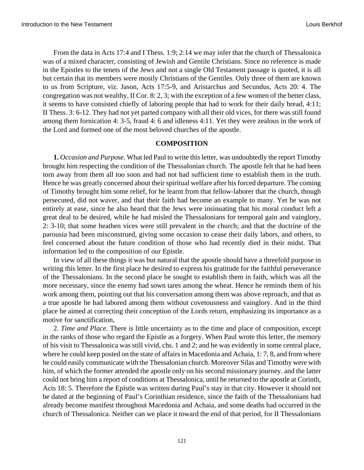From the data in [Acts 17:4](http://www.ccel.org/b/bible/asv/xml/asv.Acts.17.xml#Acts.17.4) and [I Thess. 1:9;](http://www.ccel.org/b/bible/asv/xml/asv.iThess.1.xml#iThess.1.9) 2:14 we may infer that the church of Thessalonica was of a mixed character, consisting of Jewish and Gentile Christians. Since no reference is made in the Epistles to the tenets of the Jews and not a single Old Testament passage is quoted, it is all but certain that its members were mostly Christians of the Gentiles. Only three of them are known to us from Scripture, viz. Jason, [Acts 17:5-9,](http://www.ccel.org/b/bible/asv/xml/asv.Acts.17.xml#Acts.17.5) and Aristarchus and Secundus, [Acts 20:](http://www.ccel.org/b/bible/asv/xml/asv.Acts..xml#Acts..) 4. The congregation was not wealthy, [II Cor. 8:](http://www.ccel.org/b/bible/asv/xml/asv.iiCor..xml#iiCor..) 2, 3; with the exception of a few women of the better class, it seems to have consisted chiefly of laboring people that had to work for their daily bread, 4:11; [II Thess. 3](http://www.ccel.org/b/bible/asv/xml/asv.iiThess..xml#iiThess..): 6-12. They had not yet parted company with all their old vices, for there was still found among them fornication 4: 3-5, fraud 4: 6 and idleness 4:11. Yet they were zealous in the work of the Lord and formed one of the most beloved churches of the apostle.

### **COMPOSITION**

**1.** *Occasion and Purpose.* What led Paul to write this letter, was undoubtedly the report Timothy brought him respecting the condition of the Thessalonian church. The apostle felt that he had been torn away from them all too soon and had not had sufficient time to establish them in the truth. Hence he was greatly concerned about their spiritual welfare after his forced departure. The coming of Timothy brought him some relief, for he learnt from that fellow-laborer that the church, though persecuted, did not waver, and that their faith had become an example to many. Yet he was not entirely at ease, since he also heard that the Jews were insinuating that his moral conduct left a great deal to be desired, while he had misled the Thessalonians for temporal gain and vainglory, 2: 3-10; that some heathen vices were still prevalent in the church; and that the doctrine of the parousia had been misconstrued, giving some occasion to cease their daily labors, and others, to feel concerned about the future condition of those who had recently died in their midst. That information led to the composition of our Epistle.

In view of all these things it was but natural that the apostle should have a threefold purpose in writing this letter. In the first place he desired to express his gratitude for the faithful perseverance of the Thessalonians. In the second place he sought to establish them in faith, which was all the more necessary, since the enemy had sown tares among the wheat. Hence he reminds them of his work among them, pointing out that his conversation among them was above reproach, and that as a true apostle he had labored among them without covetousness and vainglory. And in the third place he aimed at correcting their conception of the Lords return, emphasizing its importance as a motive for sanctification,

2. *Time and Place.* There is little uncertainty as to the time and place of composition, except in the ranks of those who regard the Epistle as a forgery. When Paul wrote this letter, the memory of his visit to Thessalonica was still vivid, chs. 1 and 2; and he was evidently in some central place, where he could keep posted on the state of affairs in Macedonia and Achaia, 1: 7, 8, and from where he could easily communicate with the Thessalonian church. Moreover Silas and Timothy were with him, of which the former attended the apostle only on his second missionary journey. and the latter could not bring him a report of conditions at Thessalonica, until he returned to the apostle at Corinth, [Acts 18:](http://www.ccel.org/b/bible/asv/xml/asv.Acts..xml#Acts..) 5. Therefore the Epistle was written during Paul's stay in that city. However it should not be dated at the beginning of Paul's Corinthian residence, since the faith of the Thessalonians had already become manifest throughout Macedonia and Achaia, and some deaths had occurred in the church of Thessalonica. Neither can we place it toward the end of that period, for II Thessalonians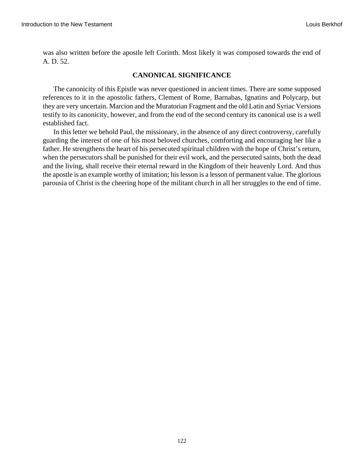was also written before the apostle left Corinth. Most likely it was composed towards the end of A. D. 52.

### **CANONICAL SIGNIFICANCE**

The canonicity of this Epistle was never questioned in ancient times. There are some supposed references to it in the apostolic fathers, Clement of Rome, Barnabas, Ignatins and Polycarp, but they are very uncertain. Marcion and the Muratorian Fragment and the old Latin and Syriac Versions testify to its canonicity, however, and from the end of the second century its canonical use is a well established fact.

In this letter we behold Paul, the missionary, in the absence of any direct controversy, carefully guarding the interest of one of his most beloved churches, comforting and encouraging her like a father. He strengthens the heart of his persecuted spiritual children with the hope of Christ's return, when the persecutors shall be punished for their evil work, and the persecuted saints, both the dead and the living, shall receive their eternal reward in the Kingdom of their heavenly Lord. And thus the apostle is an example worthy of imitation; his lesson is a lesson of permanent value. The glorious parousia of Christ is the cheering hope of the militant church in all her struggles to the end of time.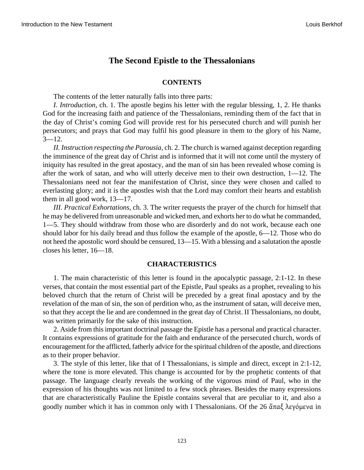# **The Second Epistle to the Thessalonians**

### **CONTENTS**

The contents of the letter naturally falls into three parts:

*I. Introduction,* ch. 1. The apostle begins his letter with the regular blessing, 1, 2. He thanks God for the increasing faith and patience of the Thessalonians, reminding them of the fact that in the day of Christ's coming God will provide rest for his persecuted church and will punish her persecutors; and prays that God may fulfil his good pleasure in them to the glory of his Name,  $3 - 12.$ 

*II. Instruction respecting the Parousia,* ch. 2. The church is warned against deception regarding the imminence of the great day of Christ and is informed that it will not come until the mystery of iniquity has resulted in the great apostacy, and the man of sin has been revealed whose coming is after the work of satan, and who will utterly deceive men to their own destruction, 1—12. The Thessalonians need not fear the manifestation of Christ, since they were chosen and called to everlasting glory; and it is the apostles wish that the Lord may comfort their hearts and establish them in all good work, 13—17.

*III. Practical Exhortations,* ch. 3. The writer requests the prayer of the church for himself that he may be delivered from unreasonable and wicked men, and exhorts her to do what he commanded, 1—5. They should withdraw from those who are disorderly and do not work, because each one should labor for his daily bread and thus follow the example of the apostle, 6—12. Those who do not heed the apostolic word should be censured, 13—15. With a blessing and a salutation the apostle closes his letter, 16—18.

### **CHARACTERISTICS**

1. The main characteristic of this letter is found in the apocalyptic passage, 2:1-12. In these verses, that contain the most essential part of the Epistle, Paul speaks as a prophet, revealing to his beloved church that the return of Christ will be preceded by a great final apostacy and by the revelation of the man of sin, the son of perdition who, as the instrument of satan, will deceive men, so that they accept the lie and are condemned in the great day of Christ. II Thessalonians, no doubt, was written primarily for the sake of this instruction.

2. Aside from this important doctrinal passage the Epistle has a personal and practical character. It contains expressions of gratitude for the faith and endurance of the persecuted church, words of encouragement for the afflicted, fatherly advice for the spiritual children of the apostle, and directions as to their proper behavior.

3. The style of this letter, like that of I Thessalonians, is simple and direct, except in 2:1-12, where the tone is more elevated. This change is accounted for by the prophetic contents of that passage. The language clearly reveals the working of the vigorous mind of Paul, who in the expression of his thoughts was not limited to a few stock phrases. Besides the many expressions that are characteristically Pauline the Epistle contains several that are peculiar to it, and also a goodly number which it has in common only with I Thessalonians. Of the 26 ἅπαξ λεγόμενα in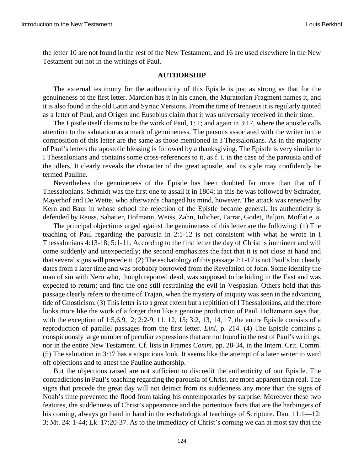the letter 10 are not found in the rest of the New Testament, and 16 are used elsewhere in the New Testament but not in the writings of Paul.

#### **AUTHORSHIP**

The external testimony for the authenticity of this Epistle is just as strong as that for the genuineness of the first letter. Marcion has it in his canon, the Muratorian Fragment names it, and it is also found in the old Latin and Syriac Versions. From the time of Irenaeus it is regularly quoted as a letter of Paul, and Origen and Eusebius claim that it was universally received in their time.

The Epistle itself claims to be the work of Paul, 1: 1; and again in 3:17, where the apostle calls attention to the salutation as a mark of genuineness. The persons associated with the writer in the composition of this letter are the same as those mentioned in I Thessalonians. As in the majority of Paul's letters the apostolic blessing is followed by a thanksgiving. The Epistle is very similar to I Thessalonians and contains some cross-references to it, as f. i. in the case of the parousia and of the idlers. It clearly reveals the character of the great apostle, and its style may confidently be termed Pauline.

Nevertheless the genuineness of the Epistle has been doubted far more than that of I Thessalonians. Schmidt was the first one to assail it in 1804; in this he was followed by Schrader, Mayerhof and De Wette, who afterwards changed his mind, however. The attack was renewed by Kern and Baur in whose school the rejection of the Epistle became general. Its authenticity is defended by Reuss, Sabatier, Hofmann, Weiss, Zahn, Julicher, Farrar, Godet, Baljon, Moffat e. a.

The principal objections urged against the genuineness of this letter are the following: (1) The teaching of Paul regarding the parousia in 2:1-12 is not consistent with what he wrote in [I](http://www.ccel.org/b/bible/asv/xml/asv.iThess.4.xml#iThess.4.13) [Thessalonians 4:13-18](http://www.ccel.org/b/bible/asv/xml/asv.iThess.4.xml#iThess.4.13); 5:1-11. According to the first letter the day of Christ is imminent and will come suddenly and unexpectedly; the second emphasizes the fact that it is not close at hand and that several signs will precede it. (2) The eschatology of this passage 2:1-12 is not Paul's but clearly dates from a later time and was probably borrowed from the Revelation of John. Some identify the man of sin with Nero who, though reported dead, was supposed to be hiding in the East and was expected to return; and find the one still restraining the evil in Vespasian. Others hold that this passage clearly refers to the time of Trajan, when the mystery of iniquity was seen in the advancing tide of Gnosticism. (3) This letter is to a great extent but a repitition of I Thessalonians, and therefore looks more like the work of a forger than like a genuine production of Paul. Holtzmann says that, with the exception of 1:5,6,9,12; 2:2-9, 11, 12, 15; 3:2, 13, 14, 17, the entire Epistle consists of a reproduction of parallel passages from the first letter. *Einl.* p. 214. (4) The Epistle contains a conspicuously large number of peculiar expressions that are not found in the rest of Paul's writings, nor in the entire New Testament. Cf. lists in Frames *Comm.* pp. 28-34, in the Intern. Crit. Comm. (5) The salutation in 3:17 has a suspicious look. It seems like the attempt of a later writer to ward off objections and to attest the Pauline authorship.

But the objections raised are not sufficient to discredit the authenticity of our Epistle. The contradictions in Paul's teaching regarding the parousia of Christ, are more apparent than real. The signs that precede the great day will not detract from its suddenness any more than the signs of Noah's time prevented the flood from taking his contemporaries by surprise. Moreover these two features, the suddenness of Christ's appearance and the portentous facts that are the harbingers of his coming, always go hand in hand in the eschatological teachings of Scripture. [Dan. 11:1—](http://www.ccel.org/b/bible/asv/xml/asv.Dan.11.xml#Dan.11.1)12: 3; [Mt. 24:](http://www.ccel.org/b/bible/asv/xml/asv.Matt..xml#Matt..) 1-44; [Lk. 17:20-37](http://www.ccel.org/b/bible/asv/xml/asv.Luke.17.xml#Luke.17.20). As to the immediacy of Christ's coming we can at most say that the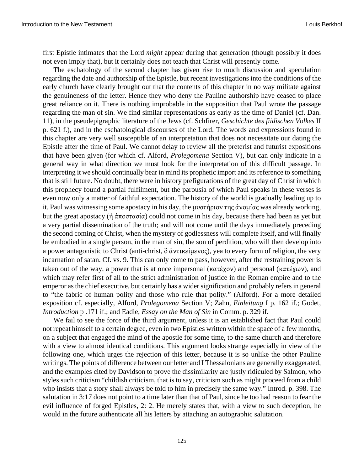first Epistle intimates that the Lord *might* appear during that generation (though possibly it does not even imply that), but it certainly does not teach that Christ will presently come.

The eschatology of the second chapter has given rise to much discussion and speculation regarding the date and authorship of the Epistle, but recent investigations into the conditions of the early church have clearly brought out that the contents of this chapter in no way militate against the genuineness of the letter. Hence they who deny the Pauline authorship have ceased to place great reliance on it. There is nothing improbable in the supposition that Paul wrote the passage regarding the man of sin. We find similar representations as early as the time of Daniel (cf. [Dan.](http://www.ccel.org/b/bible/asv/xml/asv.Dan..xml#Dan..) [11](http://www.ccel.org/b/bible/asv/xml/asv.Dan..xml#Dan..)), in the pseudepigraphic literature of the Jews (cf. Schfirer, *Geschichte des fiidischen Volkes* II p. 621 f.), and in the eschatological discourses of the Lord. The words and expressions found in this chapter are very well susceptible of an interpretation that does not necessitate our dating the Epistle after the time of Paul. We cannot delay to review all the preterist and futurist expositions that have been given (for which cf. Alford, *Prolegomena* Section V), but can only indicate in a general way in what direction we must look for the interpretation of this difficult passage. In interpreting it we should continually bear in mind its prophetic import and its reference to something that is still future. No doubt, there were in history prefigurations of the great day of Christ in which this prophecy found a partial fulfilment, but the parousia of which Paul speaks in these verses is even now only a matter of faithful expectation. The history of the world is gradually leading up to it. Paul was witnessing some apostacy in his day, the μυστήριον της ἀνομίας was already working, but the great apostacy (ἡ ἀποστασία) could not come in his day, because there had been as yet but a very partial dissemination of the truth; and will not come until the days immediately preceding the second coming of Christ, when the mystery of godlessness will complete itself, and will finally be embodied in a single person, in the man of sin, the son of perdition, who will then develop into a power antagonistic to Christ (anti-christ, ὃ ἀντικείμενος), yea to every form of religion, the very incarnation of satan. Cf. vs. 9. This can only come to pass, however, after the restraining power is taken out of the way, a power that is at once impersonal (κατέχον) and personal (κατέχων), and which may refer first of all to the strict administration of justice in the Roman empire and to the emperor as the chief executive, but certainly has a wider signification and probably refers in general to "the fabric of human polity and those who rule that polity." (Alford). For a more detailed exposition cf. especially, Alford, *Prolegomena* Section V; Zahn, *Einleitung* I p. 162 if.; Godet, *Introduction* p .171 if.; and Eadie, *Essay on the Man of Sin* in Comm. p. 329 if.

We fail to see the force of the third argument, unless it is an established fact that Paul could not repeat himself to a certain degree, even in two Epistles written within the space of a few months, on a subject that engaged the mind of the apostle for some time, to the same church and therefore with a view to almost identical conditions. This argument looks strange especially in view of the following one, which urges the rejection of this letter, because it is so unlike the other Pauline writings. The points of difference between our letter and I Thessalonians are generally exaggerated, and the examples cited by Davidson to prove the dissimilarity are justly ridiculed by Salmon, who styles such criticism "childish criticism, that is to say, criticism such as might proceed from a child who insists that a story shall always be told to him in precisely the same way." Introd. p. 398. The salutation in 3:17 does not point to a time later than that of Paul, since he too had reason to fear the evil influence of forged Epistles, 2: 2. He merely states that, with a view to such deception, he would in the future authenticate all his letters by attaching an autographic salutation.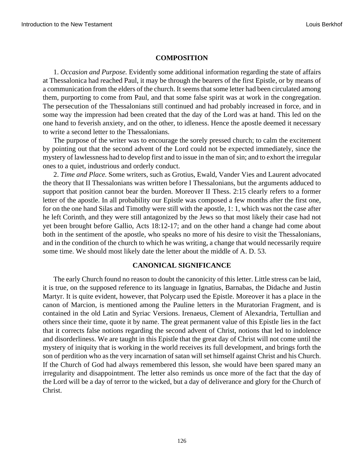### **COMPOSITION**

1. *Occasion and Purpose.* Evidently some additional information regarding the state of affairs at Thessalonica had reached Paul, it may be through the bearers of the first Epistle, or by means of a communication from the elders of the church. It seems that some letter had been circulated among them, purporting to come from Paul, and that some false spirit was at work in the congregation. The persecution of the Thessalonians still continued and had probably increased in force, and in some way the impression had been created that the day of the Lord was at hand. This led on the one hand to feverish anxiety, and on the other, to idleness. Hence the apostle deemed it necessary to write a second letter to the Thessalonians.

The purpose of the writer was to encourage the sorely pressed church; to calm the excitement by pointing out that the second advent of the Lord could not be expected immediately, since the mystery of lawlessness had to develop first and to issue in the man of sin; and to exhort the irregular ones to a quiet, industrious and orderly conduct.

2. *Time and Place.* Some writers, such as Grotius, Ewald, Vander Vies and Laurent advocated the theory that II Thessalonians was written before I Thessalonians, but the arguments adduced to support that position cannot bear the burden. Moreover [II Thess. 2:15](http://www.ccel.org/b/bible/asv/xml/asv.iiThess.2.xml#iiThess.2.15) clearly refers to a former letter of the apostle. In all probability our Epistle was composed a few months after the first one, for on the one hand Silas and Timothy were still with the apostle, 1: 1, which was not the case after he left Corinth, and they were still antagonized by the Jews so that most likely their case had not yet been brought before Gallio, [Acts 18:12-17](http://www.ccel.org/b/bible/asv/xml/asv.Acts.18.xml#Acts.18.12); and on the other hand a change had come about both in the sentiment of the apostle, who speaks no more of his desire to visit the Thessalonians, and in the condition of the church to which he was writing, a change that would necessarily require some time. We should most likely date the letter about the middle of A. D. 53.

### **CANONICAL SIGNIFICANCE**

The early Church found no reason to doubt the canonicity of this letter. Little stress can be laid, it is true, on the supposed reference to its language in Ignatius, Barnabas, the Didache and Justin Martyr. It is quite evident, however, that Polycarp used the Epistle. Moreover it has a place in the canon of Marcion, is mentioned among the Pauline letters in the Muratorian Fragment, and is contained in the old Latin and Syriac Versions. Irenaeus, Clement of Alexandria, Tertullian and others since their time, quote it by name. The great permanent value of this Epistle lies in the fact that it corrects false notions regarding the second advent of Christ, notions that led to indolence and disorderliness. We are taught in this Epistle that the great day of Christ will not come until the mystery of iniquity that is working in the world receives its full development, and brings forth the son of perdition who as the very incarnation of satan will set himself against Christ and his Church. If the Church of God had always remembered this lesson, she would have been spared many an irregularity and disappointment. The letter also reminds us once more of the fact that the day of the Lord will be a day of terror to the wicked, but a day of deliverance and glory for the Church of Christ.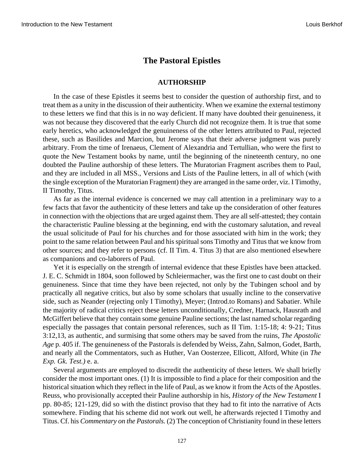# **The Pastoral Epistles**

#### **AUTHORSHIP**

In the case of these Epistles it seems best to consider the question of authorship first, and to treat them as a unity in the discussion of their authenticity. When we examine the external testimony to these letters we find that this is in no way deficient. If many have doubted their genuineness, it was not because they discovered that the early Church did not recognize them. It is true that some early heretics, who acknowledged the genuineness of the other letters attributed to Paul, rejected these, such as Basilides and Marcion, but Jerome says that their adverse judgment was purely arbitrary. From the time of Irenaeus, Clement of Alexandria and Tertullian, who were the first to quote the New Testament books by name, until the beginning of the nineteenth century, no one doubted the Pauline authorship of these letters. The Muratorian Fragment ascribes them to Paul, and they are included in all MSS., Versions and Lists of the Pauline letters, in all of which (with the single exception of the Muratorian Fragment) they are arranged in the same order, viz. I Timothy, II Timothy, Titus.

As far as the internal evidence is concerned we may call attention in a preliminary way to a few facts that favor the authenticity of these letters and take up the consideration of other features in connection with the objections that are urged against them. They are all self-attested; they contain the characteristic Pauline blessing at the beginning, end with the customary salutation, and reveal the usual solicitude of Paul for his churches and for those associated with him in the work; they point to the same relation between Paul and his spiritual sons Timothy and Titus that we know from other sources; and they refer to persons (cf. [II Tim. 4.](http://www.ccel.org/b/bible/asv/xml/asv.iiTim..xml#iiTim..) [Titus 3\)](http://www.ccel.org/b/bible/asv/xml/asv.Titus..xml#Titus..) that are also mentioned elsewhere as companions and co-laborers of Paul.

Yet it is especially on the strength of internal evidence that these Epistles have been attacked. J. E. C. Schmidt in 1804, soon followed by Schleiermacher, was the first one to cast doubt on their genuineness. Since that time they have been rejected, not only by the Tubingen school and by practically all negative critics, but also by some scholars that usually incline to the conservative side, such as Neander (rejecting only I Timothy), Meyer; (Introd.to Romans) and Sabatier. While the majority of radical critics reject these letters unconditionally, Credner, Harnack, Hausrath and McGiffert believe that they contain some genuine Pauline sections; the last named scholar regarding especially the passages that contain personal references, such as [II Tim. 1:15-18;](http://www.ccel.org/b/bible/asv/xml/asv.iiTim.1.xml#iiTim.1.15) 4: 9-21; [Titus](http://www.ccel.org/b/bible/asv/xml/asv.Titus.3.xml#Titus.3.12 Bible:Titus.3.13) [3:12,13](http://www.ccel.org/b/bible/asv/xml/asv.Titus.3.xml#Titus.3.12 Bible:Titus.3.13), as authentic, and surmising that some others may be saved from the ruins, *The Apostolic Age* p. 405 if. The genuineness of the Pastorals is defended by Weiss, Zahn, Salmon, Godet, Barth, and nearly all the Commentators, such as Huther, Van Oosterzee, Ellicott, Alford, White (in *The Exp. Gk. Test.)* e. a.

Several arguments are employed to discredit the authenticity of these letters. We shall briefly consider the most important ones. (1) It is impossible to find a place for their composition and the historical situation which they reflect in the life of Paul, as we know it from the Acts of the Apostles. Reuss, who provisionally accepted their Pauline authorship in his, *History of the New Testament* I pp. 80-85; 121-129, did so with the distinct proviso that they had to fit into the narrative of Acts somewhere. Finding that his scheme did not work out well, he afterwards rejected I Timothy and Titus. Cf. his *Commentary on the Pastorals.* (2) The conception of Christianity found in these letters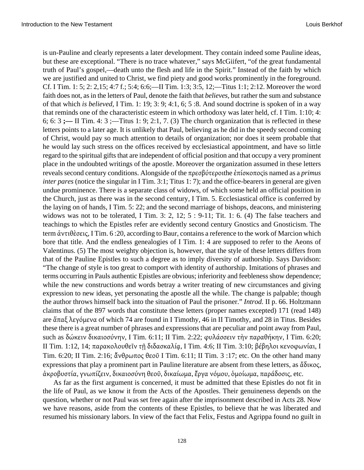is un-Pauline and clearly represents a later development. They contain indeed some Pauline ideas, but these are exceptional. "There is no trace whatever," says McGiifert, "of the great fundamental truth of Paul's gospel,—death unto the flesh and life in the Spirit." Instead of the faith by which we are justified and united to Christ, we find piety and good works prominently in the foreground. Cf. [I Tim. 1:](http://www.ccel.org/b/bible/asv/xml/asv.iTim..xml#iTim..) 5; 2: 2,15; 4:7 f.; 5:4; 6:6;—II Tim. 1:3; 3:5, 12;—Titus 1:1; 2:12. Moreover the word faith does not, as in the letters of Paul, denote the faith that *believes,* but rather the sum and substance of that which *is believed,* [I Tim. 1](http://www.ccel.org/b/bible/asv/xml/asv.iTim..xml#iTim..): 19; 3: 9; 4:1, 6; 5 :8. And sound doctrine is spoken of in a way that reminds one of the characteristic esteem in which orthodoxy was later held, cf. [I Tim. 1:10;](http://www.ccel.org/b/bible/asv/xml/asv.iTim.1.xml#iTim.1.10) 4: 6; 6: 3 **;—** [II Tim. 4](http://www.ccel.org/b/bible/asv/xml/asv.iiTim..xml#iiTim..): 3 ;—Titus 1: 9; 2:1, 7. (3) The church organization that is reflected in these letters points to a later age. It is unlikely that Paul, believing as he did in the speedy second coming of Christ, would pay so much attention to details of organization; nor does it seem probable that he would lay such stress on the offices received by ecclesiastical appointment, and have so little regard to the spiritual gifts that are independent of official position and that occupy a very prominent place in the undoubted writings of the apostle. Moreover the organization assumed in these letters reveals second century conditions. Alongside of the πρεσβύτεροιthe ἐπίσκοποςis named as a *primus inter pares* (notice the singular in [I Tim. 3:1;](http://www.ccel.org/b/bible/asv/xml/asv.iTim.3.xml#iTim.3.1) [Titus 1:](http://www.ccel.org/b/bible/asv/xml/asv.Titus..xml#Titus..) 7); and the office-bearers in general are given undue prominence. There is a separate class of widows, of which some held an official position in the Church, just as there was in the second century, [I Tim. 5](http://www.ccel.org/b/bible/asv/xml/asv.iTim..xml#iTim..). Ecclesiastical office is conferred by the laying on of hands, [I Tim. 5](http://www.ccel.org/b/bible/asv/xml/asv.iTim..xml#iTim..): 22; and the second marriage of bishops, deacons, and ministering widows was not to be tolerated, [I Tim. 3:](http://www.ccel.org/b/bible/asv/xml/asv.iTim..xml#iTim..) 2, 12; 5 : 9-11; [Tit. 1](http://www.ccel.org/b/bible/asv/xml/asv.Titus..xml#Titus..): 6. (4) The false teachers and teachings to which the Epistles refer are evidently second century Gnostics and Gnosticism. The term ἀντιθὲσεις, [I Tim. 6](http://www.ccel.org/b/bible/asv/xml/asv.iTim..xml#iTim..) :20, according to Baur, contains a reference to the work of Marcion which bore that title. And the endless genealogies of [I Tim. 1:](http://www.ccel.org/b/bible/asv/xml/asv.iTim..xml#iTim..) 4 are supposed to refer to the Aeons of Valentinus. (5) The most weighty objection is, however, that the style of these letters differs from that of the Pauline Epistles to such a degree as to imply diversity of authorship. Says Davidson: "The change of style is too great to comport with identity of authorship. Imitations of phrases and terms occurring in Pauls authentic Epistles are obvious; inferiority and feebleness show dependence; while the new constructions and words betray a writer treating of new circumstances and giving expression to new ideas, yet personating the apostle all the while. The change is palpable; though the author throws himself back into the situation of Paul the prisoner." *Introd.* II p. 66. Holtzmann claims that of the 897 words that constitute these letters (proper names excepted) 171 (read 148) are ἅπαξ λεγόμενα of which 74 are found in I Timothy, 46 in II Timothy, and 28 in Titus. Besides these there is a great number of phrases and expressions that are peculiar and point away from Paul, such as δώκειν δικαιοσύνην, Ι Tim. 6:11; ΙΙ Tim. 2:22; φυλάσσειν την παραθήκην, Ι Tim. 6:20; [II Tim. 1:12, 14;](http://www.ccel.org/b/bible/asv/xml/asv.iiTim.1.xml#iiTim.1.12 Bible:2Tim.1.14) παρακολουθεῖν τῇ διδασκαλία, [I Tim. 4:6;](http://www.ccel.org/b/bible/asv/xml/asv.iTim.4.xml#iTim.4.6) [II Tim. 3:10;](http://www.ccel.org/b/bible/asv/xml/asv.iiTim.3.xml#iiTim.3.10) βέβηλοι κενοφωνίαι, [I](http://www.ccel.org/b/bible/asv/xml/asv.iTim.6.xml#iTim.6.20) [Tim. 6:20;](http://www.ccel.org/b/bible/asv/xml/asv.iTim.6.xml#iTim.6.20) [II Tim. 2:16;](http://www.ccel.org/b/bible/asv/xml/asv.iiTim.2.xml#iiTim.2.16) ἅ̓νθρωπος θεοῦ [I Tim. 6:11](http://www.ccel.org/b/bible/asv/xml/asv.iTim.6.xml#iTim.6.11); [II Tim. 3](http://www.ccel.org/b/bible/asv/xml/asv.iiTim..xml#iiTim..) :17; etc. On the other hand many expressions that play a prominent part in Pauline literature are absent from these letters, as ἄδικος, ἀκροβυστία, γνωπίζειν, δικαιοσύνη θεοῦ, δικαίωμα, ἔ̓́ργα νόμου, ὁμοίωμα, παράδοσις, etc.

As far as the first argument is concerned, it must be admitted that these Epistles do not fit in the life of Paul, as we know it from the Acts of the Apostles. Their genuineness depends on the question, whether or not Paul was set free again after the imprisonment described in [Acts 28.](http://www.ccel.org/b/bible/asv/xml/asv.Acts..xml#Acts..) Now we have reasons, aside from the contents of these Epistles, to believe that he was liberated and resumed his missionary labors. In view of the fact that Felix, Festus and Agrippa found no guilt in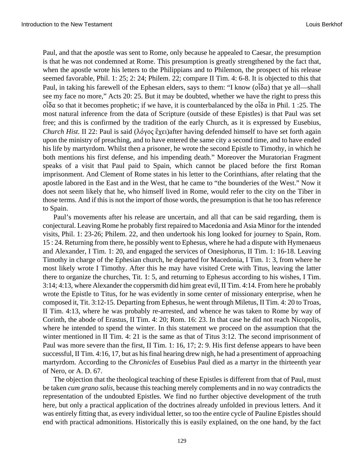Paul, and that the apostle was sent to Rome, only because he appealed to Caesar, the presumption is that he was not condemned at Rome. This presumption is greatly strengthened by the fact that, when the apostle wrote his letters to the Philippians and to Philemon, the prospect of his release seemed favorable, [Phil. 1:](http://www.ccel.org/b/bible/asv/xml/asv.Phil..xml#Phil..) 25; 2: 24; [Philem. 22;](http://www.ccel.org/b/bible/asv/xml/asv.Phlm.1.xml#Phlm.1.22) compare [II Tim. 4:](http://www.ccel.org/b/bible/asv/xml/asv.iiTim..xml#iiTim..) 6-8. It is objected to this that Paul, in taking his farewell of the Ephesan elders, says to them: "I know ( $o<sup>î</sup>δα$ ) that ye all—shall see my face no more," [Acts 20](http://www.ccel.org/b/bible/asv/xml/asv.Acts..xml#Acts..): 25. But it may be doubted, whether we have the right to press this οἷδα so that it becomes prophetic; if we have, it is counterbalanced by the οἷδα in [Phil. 1](http://www.ccel.org/b/bible/asv/xml/asv.Phil..xml#Phil..) :25. The most natural inference from the data of Scripture (outside of these Epistles) is that Paul was set free; and this is confirmed by the tradition of the early Church, as it is expressed by Eusebius, *Church Hist.* II 22: Paul is said (λόγος ἓχει)after having defended himself to have set forth again upon the ministry of preaching, and to have entered the same city a second time, and to have ended his life by martyrdom. Whilst then a prisoner, he wrote the second Epistle to Timothy, in which he both mentions his first defense, and his impending death." Moreover the Muratorian Fragment speaks of a visit that Paul paid to Spain, which cannot be placed before the first Roman imprisonment. And Clement of Rome states in his letter to the Corinthians, after relating that the apostle labored in the East and in the West, that he came to "the bounderies of the West." Now it does not seem likely that he, who himself lived in Rome, would refer to the city on the Tiber in those terms. And if this is not the import of those words, the presumption is that he too has reference to Spain.

Paul's movements after his release are uncertain, and all that can be said regarding, them is conjectural. Leaving Rome he probably first repaired to Macedonia and Asia Minor for the intended visits, [Phil. 1](http://www.ccel.org/b/bible/asv/xml/asv.Phil..xml#Phil..): 23-26; [Philem. 22](http://www.ccel.org/b/bible/asv/xml/asv.Phlm.1.xml#Phlm.1.22), and then undertook his long looked for journey to Spain, [Rom.](http://www.ccel.org/b/bible/asv/xml/asv.Rom..xml#Rom..) [15](http://www.ccel.org/b/bible/asv/xml/asv.Rom..xml#Rom..) : 24. Returning from there, he possibly went to Ephesus, where he had a dispute with Hymenaeus and Alexander, [I Tim. 1](http://www.ccel.org/b/bible/asv/xml/asv.iTim..xml#iTim..): 20, and engaged the services of Onesiphorus, [II Tim. 1:](http://www.ccel.org/b/bible/asv/xml/asv.iiTim..xml#iiTim..) 16-18. Leaving Timothy in charge of the Ephesian church, he departed for Macedonia, [I Tim. 1](http://www.ccel.org/b/bible/asv/xml/asv.iTim..xml#iTim..): 3, from where he most likely wrote I Timothy. After this he may have visited Crete with Titus, leaving the latter there to organize the churches, [Tit. 1:](http://www.ccel.org/b/bible/asv/xml/asv.Titus..xml#Titus..) 5, and returning to Ephesus according to his wishes, [I Tim.](http://www.ccel.org/b/bible/asv/xml/asv.iTim.3.xml#iTim.3.14) [3:14](http://www.ccel.org/b/bible/asv/xml/asv.iTim.3.xml#iTim.3.14); 4:13, where Alexander the coppersmith did him great evil, [II Tim. 4:14](http://www.ccel.org/b/bible/asv/xml/asv.iiTim.4.xml#iiTim.4.14). From here he probably wrote the Epistle to Titus, for he was evidently in some center of missionary enterprise, when he composed it, [Tit. 3:12-15.](http://www.ccel.org/b/bible/asv/xml/asv.Titus.3.xml#Titus.3.12) Departing from Ephesus, he went through Miletus, [II Tim. 4](http://www.ccel.org/b/bible/asv/xml/asv.iiTim..xml#iiTim..): 20 to Troas, [II Tim. 4:13](http://www.ccel.org/b/bible/asv/xml/asv.iiTim.4.xml#iiTim.4.13), where he was probably re-arrested, and whence he was taken to Rome by way of Corinth, the abode of Erastus, [II Tim. 4:](http://www.ccel.org/b/bible/asv/xml/asv.iiTim..xml#iiTim..) 20; [Rom. 16:](http://www.ccel.org/b/bible/asv/xml/asv.Rom..xml#Rom..) 23. In that case he did not reach Nicopolis, where he intended to spend the winter. In this statement we proceed on the assumption that the winter mentioned in [II Tim. 4:](http://www.ccel.org/b/bible/asv/xml/asv.iiTim..xml#iiTim..) 21 is the same as that of [Titus 3:12.](http://www.ccel.org/b/bible/asv/xml/asv.Titus.3.xml#Titus.3.12) The second imprisonment of Paul was more severe than the first, [II Tim. 1:](http://www.ccel.org/b/bible/asv/xml/asv.iiTim..xml#iiTim..) 16, 17; 2: 9. His first defense appears to have been successful, [II Tim. 4:16, 17,](http://www.ccel.org/b/bible/asv/xml/asv.iiTim.4.xml#iiTim.4.16 Bible:2Tim.4.17) but as his final hearing drew nigh, he had a presentiment of approaching martyrdom. According to the *Chronicles* of Eusebius Paul died as a martyr in the thirteenth year of Nero, or A. D. 67.

The objection that the theological teaching of these Epistles is different from that of Paul, must be taken *cum grano salis,* because this teaching merely complements and in no way contradicts the representation of the undoubted Epistles. We find no further objective development of the truth here, but only a practical application of the doctrines already unfolded in previous letters. And it was entirely fitting that, as every individual letter, so too the entire cycle of Pauline Epistles should end with practical admonitions. Historically this is easily explained, on the one hand, by the fact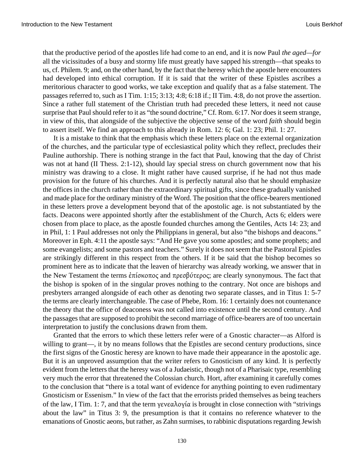that the productive period of the apostles life had come to an end, and it is now Paul *the aged—for* all the vicissitudes of a busy and stormy life must greatly have sapped his strength—that speaks to us, cf. [Philem. 9](http://www.ccel.org/b/bible/asv/xml/asv.Phlm.1.xml#Phlm.1.9); and, on the other hand, by the fact that the heresy which the apostle here encounters had developed into ethical corruption. If it is said that the writer of these Epistles ascribes a meritorious character to good works, we take exception and qualify that as a false statement. The passages referred to, such as [I Tim. 1:15;](http://www.ccel.org/b/bible/asv/xml/asv.iTim.1.xml#iTim.1.15) 3:13; 4:8; 6:18 if.; [II Tim. 4:8](http://www.ccel.org/b/bible/asv/xml/asv.iiTim.4.xml#iiTim.4.8), do not prove the assertion. Since a rather full statement of the Christian truth had preceded these letters, it need not cause surprise that Paul should refer to it as "the sound doctrine," Cf. [Rom. 6:17.](http://www.ccel.org/b/bible/asv/xml/asv.Rom.6.xml#Rom.6.17) Nor does it seem strange, in view of this, that alongside of the subjective the objective sense of the word *faith* should begin to assert itself. We find an approach to this already in [Rom. 12:](http://www.ccel.org/b/bible/asv/xml/asv.Rom..xml#Rom..) 6; [Gal. 1:](http://www.ccel.org/b/bible/asv/xml/asv.Gal..xml#Gal..) 23; [Phil. 1:](http://www.ccel.org/b/bible/asv/xml/asv.Phil..xml#Phil..) 27.

It is a mistake to think that the emphasis which these letters place on the external organization of the churches, and the particular type of ecclesiastical polity which they reflect, precludes their Pauline authorship. There is nothing strange in the fact that Paul, knowing that the day of Christ was not at hand ([II Thess. 2:1-12\)](http://www.ccel.org/b/bible/asv/xml/asv.iiThess.2.xml#iiThess.2.1), should lay special stress on church government now that his ministry was drawing to a close. It might rather have caused surprise, if he had not thus made provision for the future of his churches. And it is perfectly natural also that he should emphasize the offices in the church rather than the extraordinary spiritual gifts, since these gradually vanished and made place for the ordinary ministry of the Word. The position that the office-bearers mentioned in these letters prove a development beyond that of the apostolic age. is not substantiated by the facts. Deacons were appointed shortly after the establishment of the Church, [Acts 6;](http://www.ccel.org/b/bible/asv/xml/asv.Acts..xml#Acts..) elders were chosen from place to place, as the apostle founded churches among the Gentiles, [Acts 14](http://www.ccel.org/b/bible/asv/xml/asv.Acts..xml#Acts..): 23; and in Phil, 1: 1 Paul addresses not only the Philippians in general, but also "the bishops and deacons." Moreover in [Eph. 4:11](http://www.ccel.org/b/bible/asv/xml/asv.Eph.4.xml#Eph.4.11) the apostle says: "And He gave you some apostles; and some prophets; and some evangelists; and some pastors and teachers." Surely it does not seem that the Pastoral Epistles are strikingly different in this respect from the others. If it be said that the bishop becomes so prominent here as to indicate that the leaven of hierarchy was already working, we answer that in the New Testament the terms ἐπίσκοπος and πρεσβύτερος; are clearly synonymous. The fact that the bishop is spoken of in the singular proves nothing to the contrary. Not once are bishops and presbyters arranged alongside of each other as denoting two separate classes, and in [Titus 1](http://www.ccel.org/b/bible/asv/xml/asv.Titus..xml#Titus..): 5-7 the terms are clearly interchangeable. The case of Phebe, [Rom. 16:](http://www.ccel.org/b/bible/asv/xml/asv.Rom..xml#Rom..) 1 certainly does not countenance the theory that the office of deaconess was not called into existence until the second century. And the passages that are supposed to prohibit the second marriage of office-bearers are of too uncertain interpretation to justify the conclusions drawn from them.

Granted that the errors to which these letters refer were of a Gnostic character—as Alford is willing to grant—, it by no means follows that the Epistles are second century productions, since the first signs of the Gnostic heresy are known to have made their appearance in the apostolic age. But it is an unproved assumption that the writer refers to Gnosticism of any kind. It is perfectly evident from the letters that the heresy was of a Judaeistic, though not of a Pharisaic type, resembling very much the error that threatened the Colossian church. Hort, after examining it carefully comes to the conclusion that "there is a total want of evidence for anything pointing to even rudimentary Gnosticism or Essenism." In view of the fact that the errorists prided themselves as being teachers of the law, [I Tim. 1:](http://www.ccel.org/b/bible/asv/xml/asv.iTim..xml#iTim..) 7, and that the term γενεαλογία is brought in close connection with "strivings about the law" in [Titus 3](http://www.ccel.org/b/bible/asv/xml/asv.Titus..xml#Titus..): 9, the presumption is that it contains no reference whatever to the emanations of Gnostic aeons, but rather, as Zahn surmises, to rabbinic disputations regarding Jewish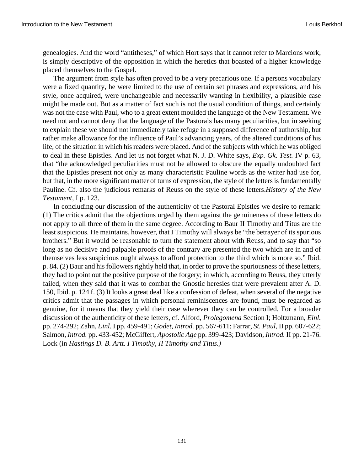genealogies. And the word "antitheses," of which Hort says that it cannot refer to Marcions work, is simply descriptive of the opposition in which the heretics that boasted of a higher knowledge placed themselves to the Gospel.

The argument from style has often proved to be a very precarious one. If a persons vocabulary were a fixed quantity, he were limited to the use of certain set phrases and expressions, and his style, once acquired, were unchangeable and necessarily wanting in flexibility, a plausible case might be made out. But as a matter of fact such is not the usual condition of things, and certainly was not the case with Paul, who to a great extent moulded the language of the New Testament. We need not and cannot deny that the language of the Pastorals has many peculiarities, but in seeking to explain these we should not immediately take refuge in a supposed difference of authorship, but rather make allowance for the influence of Paul's advancing years, of the altered conditions of his life, of the situation in which his readers were placed. And of the subjects with which he was obliged to deal in these Epistles. And let us not forget what N*.* J. D. White says, *Exp. Gk. Test.* IV p. 63, that "the acknowledged peculiarities must not be allowed to obscure the equally undoubted fact that the Epistles present not only as many characteristic Pauline words as the writer had use for, but that, in the more significant matter of turns of expression, the style of the letters is fundamentally Pauline. Cf. also the judicious remarks of Reuss on the style of these letters.*History of the New Testament,* I p. 123.

In concluding our discussion of the authenticity of the Pastoral Epistles we desire to remark: (1) The critics admit that the objections urged by them against the genuineness of these letters do not apply to all three of them in the same degree. According to Baur II Timothy and Titus are the least suspicious. He maintains, however, that I Timothy will always be "the betrayer of its spurious brothers." But it would be reasonable to turn the statement about with Reuss, and to say that "so long as no decisive and palpable proofs of the contrary are presented the two which are in and of themselves less suspicious ought always to afford protection to the third which is more so." Ibid. p. 84. (2) Baur and his followers rightly held that, in order to prove the spuriousness of these letters, they had to point out the positive purpose of the forgery; in which, according to Reuss, they utterly failed, when they said that it was to combat the Gnostic heresies that were prevalent after A. D. 150, Ibid. p. 124 f. (3) It looks a great deal like a confession of defeat, when several of the negative critics admit that the passages in which personal reminiscences are found, must be regarded as genuine, for it means that they yield their case wherever they can be controlled. For a broader discussion of the authenticity of these letters, cf. Alford, *Prolegomena* Section I; Holtzmann, *Einl.* pp. 274-292; Zahn, *Einl.* I pp. 459-491; *Godet, Introd.* pp. 567-611; Farrar, *St. Paul,* II pp. 607-622; Salmon, *Introd.* pp. 433-452; McGiffert, *Apostolic Age* pp. 399-423; Davidson, *Introd.* II pp. 21-76. Lock (in *Hastings D. B. Artt. I Timothy, II Timothy and Titus.)*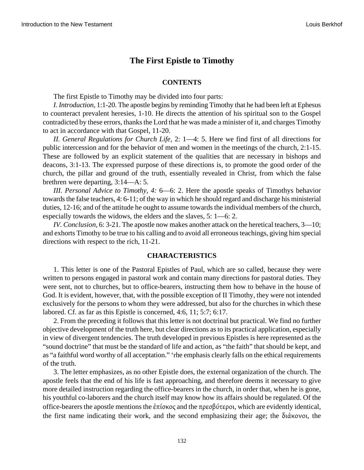# **The First Epistle to Timothy**

#### **CONTENTS**

The first Epistle to Timothy may be divided into four parts:

*I. Introduction,* 1:1-20. The apostle begins by reminding Timothy that he had been left at Ephesus to counteract prevalent heresies, 1-10. He directs the attention of his spiritual son to the Gospel contradicted by these errors, thanks the Lord that he was made a minister of it, and charges Timothy to act in accordance with that Gospel, 11-20.

*II. General Regulations for Church Life,* 2: 1—4: 5. Here we find first of all directions for public intercession and for the behavior of men and women in the meetings of the church, 2:1-15. These are followed by an explicit statement of the qualities that are necessary in bishops and deacons, 3:1-13. The expressed purpose of these directions is, to promote the good order of the church, the pillar and ground of the truth, essentially revealed in Christ, from which the false brethren were departing, 3:14—A: 5.

*III. Personal Advice to Timothy, 4:* 6—6: 2. Here the apostle speaks of Timothys behavior towards the false teachers, 4: 6-11; of the way in which he should regard and discharge his ministerial duties, 12-16; and of the attitude he ought to assume towards the individual members of the church, especially towards the widows, the elders and the slaves, 5: 1—6: 2.

*IV. Conclusion,* 6: 3-21. The apostle now makes another attack on the heretical teachers, 3—10; and exhorts Timothy to be true to his calling and to avoid all erroneous teachings, giving him special directions with respect to the rich, 11-21.

### **CHARACTERISTICS**

1. This letter is one of the Pastoral Epistles of Paul, which are so called, because they were written to persons engaged in pastoral work and contain many directions for pastoral duties. They were sent, not to churches, but to office-bearers, instructing them how to behave in the house of God. It is evident, however, that, with the possible exception of II Timothy, they were not intended exclusively for the persons to whom they were addressed, but also for the churches in which these labored. Cf. as far as this Epistle is concerned, 4:6, 11; 5:7; 6:17.

2. From the preceding it follows that this letter is not doctrinal but practical. We find no further objective development of the truth here, but clear directions as to its practical application, especially in view of divergent tendencies. The truth developed in previous Epistles is here represented as the "sound doctrine" that must be the standard of life and action, as "the faith" that should be kept, and as "a faithful word worthy of all acceptation." 'rhe emphasis clearly falls on the ethical requirements of the truth.

3. The letter emphasizes, as no other Epistle does, the external organization of the church. The apostle feels that the end of his life is fast approaching, and therefore deems it necessary to give more detailed instruction regarding the office-bearers in the church, in order that, when he is gone, his youthful co-laborers and the church itself may know how its affairs should be regulated. Of the office-bearers the apostle mentions the ἐπίσκος and the πρεσβύτεροι, which are evidently identical, the first name indicating their work, and the second emphasizing their age; the διάκονοι, the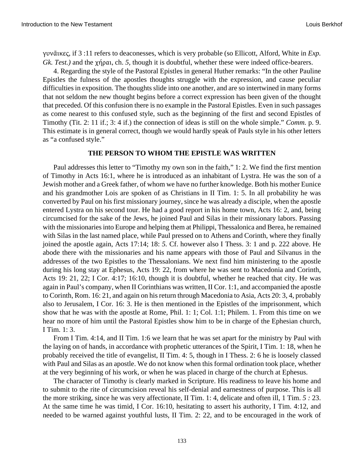γυνᾶικες, if 3 :11 refers to deaconesses, which is very probable (so Ellicott, Alford, White in *Exp. Gk. Test.)* and the χήραι, ch. *5,* though it is doubtful, whether these were indeed office-bearers.

4. Regarding the style of the Pastoral Epistles in general Huther remarks: "In the other Pauline Epistles the fulness of the apostles thoughts struggle with the expression, and cause peculiar difficulties in exposition. The thoughts slide into one another, and are so intertwined in many forms that not seldom the new thought begins before a correct expression has been given of the thought that preceded. Of this confusion there is no example in the Pastoral Epistles. Even in such passages as come nearest to this confused style, such as the beginning of the first and second Epistles of Timothy ([Tit. 2:](http://www.ccel.org/b/bible/asv/xml/asv.Titus..xml#Titus..) 11 if.; 3: 4 if.) the connection of ideas is still on the whole simple." *Comm.* p. 9. This estimate is in general correct, though we would hardly speak of Pauls style in his other letters as "a confused style."

### **THE PERSON TO WHOM THE EPISTLE WAS WRITTEN**

Paul addresses this letter to "Timothy my own son in the faith," 1: 2. We find the first mention of Timothy in [Acts 16:1](http://www.ccel.org/b/bible/asv/xml/asv.Acts.16.xml#Acts.16.1), where he is introduced as an inhabitant of Lystra. He was the son of a Jewish mother and a Greek father, of whom we have no further knowledge. Both his mother Eunice and his grandmother Lois are spoken of as Christians in [II Tim. 1](http://www.ccel.org/b/bible/asv/xml/asv.iiTim..xml#iiTim..): 5. In all probability he was converted by Paul on his first missionary journey, since he was already a disciple, when the apostle entered Lystra on his second tour. He had a good report in his home town, [Acts 16](http://www.ccel.org/b/bible/asv/xml/asv.Acts..xml#Acts..): 2, and, being circumcised for the sake of the Jews, he joined Paul and Silas in their missionary labors. Passing with the missionaries into Europe and helping them at Philippi, Thessalonica and Berea, he remained with Silas in the last named place, while Paul pressed on to Athens and Corinth, where they finally joined the apostle again, [Acts 17:14;](http://www.ccel.org/b/bible/asv/xml/asv.Acts.17.xml#Acts.17.14) 18: *5.* Cf. however also [I Thess. 3](http://www.ccel.org/b/bible/asv/xml/asv.iThess..xml#iThess..): 1 and p. 222 above. He abode there with the missionaries and his name appears with those of Paul and Silvanus in the addresses of the two Epistles to the Thessalonians. We next find him ministering to the apostle during his long stay at Ephesus, [Acts 19:](http://www.ccel.org/b/bible/asv/xml/asv.Acts..xml#Acts..) 22, from where he was sent to Macedonia and Corinth, [Acts 19:](http://www.ccel.org/b/bible/asv/xml/asv.Acts..xml#Acts..) 21, 22; [I Cor. 4:17](http://www.ccel.org/b/bible/asv/xml/asv.iCor.4.xml#iCor.4.17); 16:10, though it is doubtful, whether he reached that city. He was again in Paul's company, when II Corinthians was written, [II Cor. 1:1,](http://www.ccel.org/b/bible/asv/xml/asv.iiCor.1.xml#iiCor.1.1) and accompanied the apostle to Corinth, [Rom. 16](http://www.ccel.org/b/bible/asv/xml/asv.Rom..xml#Rom..): 21, and again on his return through Macedonia to Asia, [Acts 20](http://www.ccel.org/b/bible/asv/xml/asv.Acts..xml#Acts..): 3, 4, probably also to Jerusalem, [I Cor. 16](http://www.ccel.org/b/bible/asv/xml/asv.iCor..xml#iCor..): 3. He is then mentioned in the Epistles of the imprisonment, which show that he was with the apostle at Rome, [Phil. 1:](http://www.ccel.org/b/bible/asv/xml/asv.Phil..xml#Phil..) 1; [Col. 1:1](http://www.ccel.org/b/bible/asv/xml/asv.Col.1.xml#Col.1.1); [Philem. 1](http://www.ccel.org/b/bible/asv/xml/asv.Phlm.1.xml#Phlm.1.1). From this time on we hear no more of him until the Pastoral Epistles show him to be in charge of the Ephesian church, [I Tim. 1](http://www.ccel.org/b/bible/asv/xml/asv.iTim..xml#iTim..): 3.

From [I Tim. 4:14,](http://www.ccel.org/b/bible/asv/xml/asv.iTim.4.xml#iTim.4.14) and [II Tim. 1:6](http://www.ccel.org/b/bible/asv/xml/asv.iiTim.1.xml#iiTim.1.6) we learn that he was set apart for the ministry by Paul with the laying on of hands, in accordance with prophetic utterances of the Spirit, [I Tim. 1](http://www.ccel.org/b/bible/asv/xml/asv.iTim..xml#iTim..): 18, when he probably received the title of evangelist, [II Tim. 4](http://www.ccel.org/b/bible/asv/xml/asv.iiTim..xml#iiTim..): 5, though in [I Thess. 2:](http://www.ccel.org/b/bible/asv/xml/asv.iThess..xml#iThess..) 6 he is loosely classed with Paul and Silas as an apostle. We do not know when this formal ordination took place, whether at the very beginning of his work, or when he was placed in charge of the church at Ephesus.

The character of Timothy is clearly marked in Scripture. His readiness to leave his home and to submit to the rite of circumcision reveal his self-denial and earnestness of purpose. This is all the more striking, since he was very affectionate, [II Tim. 1](http://www.ccel.org/b/bible/asv/xml/asv.iiTim..xml#iiTim..): 4, delicate and often ill, 1 Tim. *5 :* 23. At the same time he was timid, [I Cor. 16:10,](http://www.ccel.org/b/bible/asv/xml/asv.iCor.16.xml#iCor.16.10) hesitating to assert his authority, [I Tim. 4:12,](http://www.ccel.org/b/bible/asv/xml/asv.iTim.4.xml#iTim.4.12) and needed to be warned against youthful lusts, [II Tim. 2](http://www.ccel.org/b/bible/asv/xml/asv.iiTim..xml#iiTim..): 22, and to be encouraged in the work of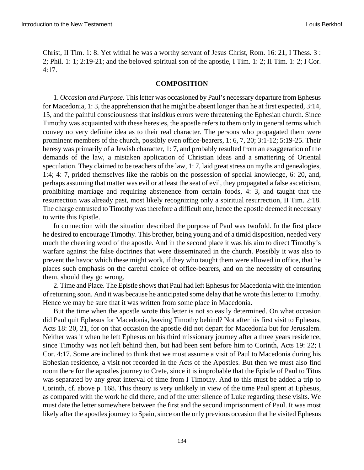Christ, [II Tim. 1:](http://www.ccel.org/b/bible/asv/xml/asv.iiTim..xml#iiTim..) 8. Yet withal he was a worthy servant of Jesus Christ, [Rom. 16:](http://www.ccel.org/b/bible/asv/xml/asv.Rom..xml#Rom..) 21, [I Thess. 3](http://www.ccel.org/b/bible/asv/xml/asv.iThess..xml#iThess..) : 2; [Phil. 1:](http://www.ccel.org/b/bible/asv/xml/asv.Phil..xml#Phil..) 1; 2:19-21; and the beloved spiritual son of the apostle, [I Tim. 1:](http://www.ccel.org/b/bible/asv/xml/asv.iTim..xml#iTim..) 2; [II Tim. 1:](http://www.ccel.org/b/bible/asv/xml/asv.iiTim..xml#iiTim..) 2; [I Cor.](http://www.ccel.org/b/bible/asv/xml/asv.iCor.4.xml#iCor.4.17) [4:17](http://www.ccel.org/b/bible/asv/xml/asv.iCor.4.xml#iCor.4.17).

### **COMPOSITION**

1. *Occasion and Purpose.* This letter was occasioned by Paul's necessary departure from Ephesus for Macedonia, 1: 3, the apprehension that he might be absent longer than he at first expected, 3:14, 15, and the painful consciousness that insidkus errors were threatening the Ephesian church. Since Timothy was acquainted with these heresies, the apostle refers to them only in general terms which convey no very definite idea as to their real character. The persons who propagated them were prominent members of the church, possibly even office-bearers, 1: 6, 7, 20; 3:1-12; 5:19-25. Their heresy was primarily of a Jewish character, 1: 7, and probably resulted from an exaggeration of the demands of the law, a mistaken application of Christian ideas and a smattering of Oriental speculation. They claimed to be teachers of the law, 1: 7, laid great stress on myths and genealogies, 1:4; 4: 7, prided themselves like the rabbis on the possession of special knowledge, 6: 20, and, perhaps assuming that matter was evil or at least the seat of evil, they propagated a false asceticism, prohibiting marriage and requiring abstenence from certain foods, 4: 3, and taught that the resurrection was already past, most likely recognizing only a spiritual resurrection, [II Tim. 2:18.](http://www.ccel.org/b/bible/asv/xml/asv.iiTim.2.xml#iiTim.2.18) The charge entrusted to Timothy was therefore a difficult one, hence the apostle deemed it necessary to write this Epistle.

In connection with the situation described the purpose of Paul was twofold. In the first place he desired to encourage Timothy. This brother, being young and of a timid disposition, needed very much the cheering word of the apostle. And in the second place it was his aim to direct Timothy's warfare against the false doctrines that were disseminated in the church. Possibly it was also to prevent the havoc which these might work, if they who taught them were allowed in office, that he places such emphasis on the careful choice of office-bearers, and on the necessity of censuring them, should they go wrong.

2. Time and Place. The Epistle shows that Paul had left Ephesus for Macedonia with the intention of returning soon. And it was because he anticipated some delay that he wrote this letter to Timothy. Hence we may be sure that it was written from some place in Macedonia.

But the time when the apostle wrote this letter is not so easily determined. On what occasion did Paul quit Ephesus for Macedonia, leaving Timothy behind? Not after his first visit to Ephesus, [Acts 18](http://www.ccel.org/b/bible/asv/xml/asv.Acts..xml#Acts..): 20, 21, for on that occasion the apostle did not depart for Macedonia but for Jerusalem. Neither was it when he left Ephesus on his third missionary journey after a three years residence, since Timothy was not left behind then, but had been sent before him to Corinth, [Acts 19:](http://www.ccel.org/b/bible/asv/xml/asv.Acts..xml#Acts..) 22; [I](http://www.ccel.org/b/bible/asv/xml/asv.iCor.4.xml#iCor.4.17) [Cor. 4:17](http://www.ccel.org/b/bible/asv/xml/asv.iCor.4.xml#iCor.4.17). Some are inclined to think that we must assume a visit of Paul to Macedonia during his Ephesian residence, a visit not recorded in the Acts of the Apostles. But then we must also find room there for the apostles journey to Crete, since it is improbable that the Epistle of Paul to Titus was separated by any great interval of time from I Timothy. And to this must be added a trip to Corinth, cf. above p. 168. This theory is very unlikely in view of the time Paul spent at Ephesus, as compared with the work he did there, and of the utter silence of Luke regarding these visits. We must date the letter somewhere between the first and the second imprisonment of Paul. It was most likely after the apostles journey to Spain, since on the only previous occasion that he visited Ephesus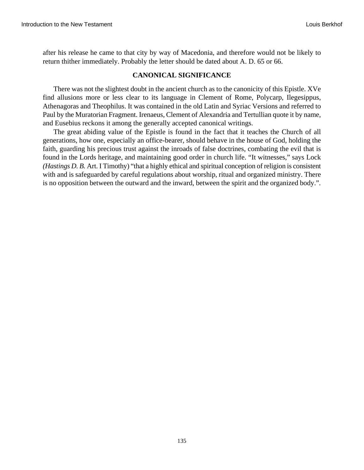after his release he came to that city by way of Macedonia, and therefore would not be likely to return thither immediately. Probably the letter should be dated about A. D. 65 or 66.

# **CANONICAL SIGNIFICANCE**

There was not the slightest doubt in the ancient church as to the canonicity of this Epistle. XVe find allusions more or less clear to its language in Clement of Rome, Polycarp, Ilegesippus, Athenagoras and Theophilus. It was contained in the old Latin and Syriac Versions and referred to Paul by the Muratorian Fragment. Irenaeus, Clement of Alexandria and Tertullian quote it by name, and Eusebius reckons it among the generally accepted canonical writings.

The great abiding value of the Epistle is found in the fact that it teaches the Church of all generations, how one, especially an office-bearer, should behave in the house of God, holding the faith, guarding his precious trust against the inroads of false doctrines, combating the evil that is found in the Lords heritage, and maintaining good order in church life. "It witnesses," says Lock *(Hastings D. B.* Art. I Timothy) "that a highly ethical and spiritual conception of religion is consistent with and is safeguarded by careful regulations about worship, ritual and organized ministry. There is no opposition between the outward and the inward, between the spirit and the organized body."*.*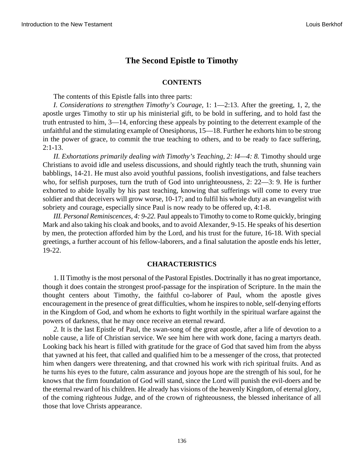# **The Second Epistle to Timothy**

### **CONTENTS**

### The contents of this Epistle falls into three parts:

*I. Considerations to strengthen Timothy's Courage,* 1: 1—2:13. After the greeting, 1, 2, the apostle urges Timothy to stir up his ministerial gift, to be bold in suffering, and to hold fast the truth entrusted to him, 3—14, enforcing these appeals by pointing to the deterrent example of the unfaithful and the stimulating example of Onesiphorus, 15—18. Further he exhorts him to be strong in the power of grace, to commit the true teaching to others, and to be ready to face suffering,  $2:1-13.$ 

*II. Exhortations primarily dealing with Timothy's Teaching, 2: l4—4: 8.* Timothy should urge Christians to avoid idle and useless discussions, and should rightly teach the truth, shunning vain babblings, 14-21. He must also avoid youthful passions, foolish investigations, and false teachers who, for selfish purposes, turn the truth of God into unrighteousness, 2: 22—3: 9. He is further exhorted to abide loyally by his past teaching, knowing that sufferings will come to every true soldier and that deceivers will grow worse, 10-17; and to fulfil his whole duty as an evangelist with sobriety and courage, especially since Paul is now ready to be offered up, 4:1-8.

*III. Personal Reminiscences, 4: 9-22.* Paul appeals to Timothy to come to Rome quickly, bringing Mark and also taking his cloak and books, and to avoid Alexander, 9-15. He speaks of his desertion by men, the protection afforded him by the Lord, and his trust for the future, 16-18. With special greetings, a further account of his fellow-laborers, and a final salutation the apostle ends his letter, 19-22.

### **CHARACTERISTICS**

1. II Timothy is the most personal of the Pastoral Epistles. Doctrinally it has no great importance, though it does contain the strongest proof-passage for the inspiration of Scripture. In the main the thought centers about Timothy, the faithful co-laborer of Paul, whom the apostle gives encouragement in the presence of great difficulties, whom he inspires to noble, self-denying efforts in the Kingdom of God, and whom he exhorts to fight worthily in the spiritual warfare against the powers of darkness, that he may once receive an eternal reward.

*2.* It is the last Epistle of Paul, the swan-song of the great apostle, after a life of devotion to a noble cause, a life of Christian service. We see him here with work done, facing a martyrs death. Looking back his heart is filled with gratitude for the grace of God that saved him from the abyss that yawned at his feet, that called and qualified him to be a messenger of the cross, that protected him when dangers were threatening, and that crowned his work with rich spiritual fruits. And as he turns his eyes to the future, calm assurance and joyous hope are the strength of his soul, for he knows that the firm foundation of God will stand, since the Lord will punish the evil-doers and be the eternal reward of his children. He already has visions of the heavenly Kingdom, of eternal glory, of the coming righteous Judge, and of the crown of righteousness, the blessed inheritance of all those that love Christs appearance.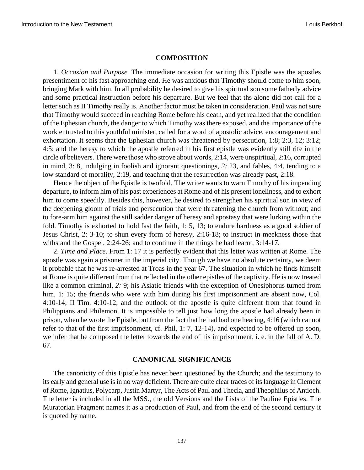#### **COMPOSITION**

1. *Occasion and Purpose.* The immediate occasion for writing this Epistle was the apostles presentiment of his fast approaching end. He was anxious that Timothy should come to him soon, bringing Mark with him. In all probability he desired to give his spiritual son some fatherly advice and some practical instruction before his departure. But we feel that ths alone did not call for a letter such as II Timothy really is. Another factor must be taken in consideration. Paul was not sure that Timothy would succeed in reaching Rome before his death, and yet realized that the condition of the Ephesian church, the danger to which Timothy was there exposed, and the importance of the work entrusted to this youthful minister, called for a word of apostolic advice, encouragement and exhortation. It seems that the Ephesian church was threatened by persecution, 1:8; 2:3, 12; 3:12; 4:5; and the heresy to which the apostle referred in his first epistle was evidently still rife in the circle of believers. There were those who strove about words, 2:14, were unspiritual, 2:16, corrupted in mind, 3: 8, indulging in foolish and ignorant questionings, *2:* 23, and fables, 4:4, tending to a low standard of morality, 2:19, and teaching that the resurrection was already past, 2:18.

Hence the object of the Epistle is twofold. The writer wants to warn Timothy of his impending departure, to inform him of his past experiences at Rome and of his present loneliness, and to exhort him to come speedily. Besides this, however, he desired to strengthen his spiritual son in view of the deepening gloom of trials and persecution that were threatening the church from without; and to fore-arm him against the still sadder danger of heresy and apostasy that were lurking within the fold. Timothy is exhorted to hold fast the faith, 1: 5, 13; to endure hardness as a good soldier of Jesus Christ, 2: 3-10; to shun every form of heresy, 2:16-18; to instruct in meekness those that withstand the Gospel, 2:24-26; and to continue in the things he had learnt, 3:14-17.

2. *Time and Place.* From 1: 17 it is perfectly evident that this letter was written at Rome. The apostle was again a prisoner in the imperial city. Though we have no absolute certainty, we deem it probable that he was re-arrested at Troas in the year 67. The situation in which he finds himself at Rome is quite different from that reflected in the other epistles of the captivity. He is now treated like a common criminal, *2:* 9; his Asiatic friends with the exception of Onesiphorus turned from him, 1: 15; the friends who were with him during his first imprisonment are absent now, [Col.](http://www.ccel.org/b/bible/asv/xml/asv.Col.4.xml#Col.4.10) [4:10-14](http://www.ccel.org/b/bible/asv/xml/asv.Col.4.xml#Col.4.10); [II Tim. 4:10-12](http://www.ccel.org/b/bible/asv/xml/asv.iiTim.4.xml#iiTim.4.10); and the outlook of the apostle is quite different from that found in Philippians and Philemon. It is impossible to tell just how long the apostle had already been in prison, when he wrote the Epistle, but from the fact that he had had one hearing, 4:16 (which cannot refer to that of the first imprisonment, cf. Phil, 1: 7, 12-14), and expected to be offered up soon, we infer that he composed the letter towards the end of his imprisonment, i. e. in the fall of A. D. 67.

### **CANONICAL SIGNIFICANCE**

The canonicity of this Epistle has never been questioned by the Church; and the testimony to its early and general use is in no way deficient. There are quite clear traces of its language in Clement of Rome, Ignatius, Polycarp, Justin Martyr, The Acts of Paul and Thecla, and Theophilus of Antioch. The letter is included in all the MSS., the old Versions and the Lists of the Pauline Epistles. The Muratorian Fragment names it as a production of Paul, and from the end of the second century it is quoted by name.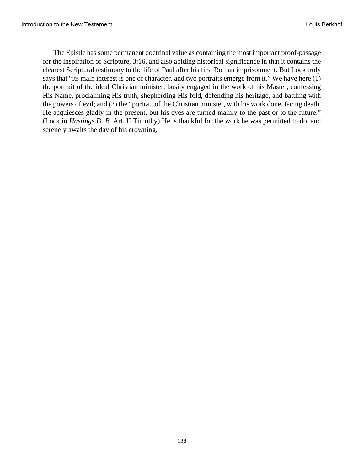The Epistle has some permanent doctrinal value as containing the most important proof-passage for the inspiration of Scripture, 3:16, and also abiding historical significance in that it contains the clearest Scriptural testimony to the life of Paul after his first Roman imprisonment. But Lock truly says that "its main interest is one of character, and two portraits emerge from it." We have here (1) the portrait of the ideal Christian minister, busily engaged in the work of his Master, confessing His Name, proclaiming His truth, shepherding His fold, defending his heritage, and battling with the powers of evil; and (2) the "portrait of the Christian minister, with his work done, facing death. He acquiesces gladly in the present, but his eyes are turned mainly to the past or to the future." (Lock in *Hastings D. B.* Art. II Timothy) He is thankful for the work he was permitted to do, and serenely awaits the day of his crowning.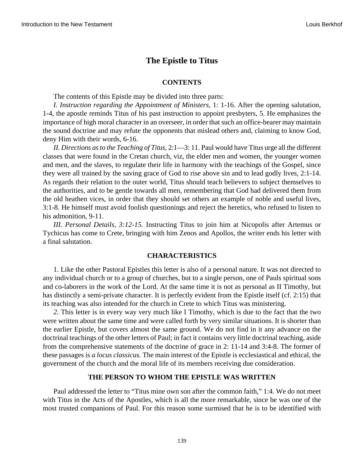# **The Epistle to Titus**

#### **CONTENTS**

The contents of this Epistle may be divided into three parts:

*I. Instruction regarding the Appointment of Ministers,* 1: 1-16. After the opening salutation, 1-4, the apostle reminds Titus of his past instruction to appoint presbyters, 5. He emphasizes the importance of high moral character in an overseer, in order that such an office-bearer may maintain the sound doctrine and may refute the opponents that mislead others and, claiming to know God, deny Him with their words, 6-16.

*II. Directions as to the Teaching of Titus,* 2:1—3: 11. Paul would have Titus urge all the different classes that were found in the Cretan church, viz, the elder men and women, the younger women and men, and the slaves, to regulate their life in harmony with the teachings of the Gospel, since they were all trained by the saving grace of God to rise above sin and to lead godly lives, 2:1-14. As regards their relation to the outer world, Titus should teach believers to subject themselves to the authorities, and to be gentle towards all men, remembering that God had delivered them from the old heathen vices, in order that they should set others an example of noble and useful lives, 3:1-8. He himself must avoid foolish questionings and reject the heretics, who refused to listen to his admonition, 9-11.

*III. Personal Details, 3:12-15.* Instructing Titus to join him at Nicopolis after Artemus or Tychicus has come to Crete, bringing with him Zenos and Apollos, the writer ends his letter with a final salutation.

### **CHARACTERISTICS**

1. Like the other Pastoral Epistles this letter is also of a personal nature. It was not directed to any individual church or to a group of churches, but to a single person, one of Pauls spiritual sons and co-laborers in the work of the Lord. At the same time it is not as personal as II Timothy, but has distinctly a semi-private character. It is perfectly evident from the Epistle itself (cf. 2:15) that its teaching was also intended for the church in Crete to which Titus was ministering.

*2.* This letter is in every way very much like I Timothy, which is due to the fact that the two were written about the same time and were called forth by very similar situations. It is shorter than the earlier Epistle, but covers almost the same ground. We do not find in it any advance on the doctrinal teachings of the other letters of Paul; in fact it contains very little doctrinal teaching, aside from the comprehensive statements of the doctrine of grace in 2: 11-14 and 3:4-8. The former of these passages is *a locus classicus.* The main interest of the Epistle is ecclesiastical and ethical, the government of the church and the moral life of its members receiving due consideration.

### **THE PERSON TO WHOM THE EPISTLE WAS WRITTEN**

Paul addressed the letter to "Titus mine own son after the common faith," 1:4. We do not meet with Titus in the Acts of the Apostles, which is all the more remarkable, since he was one of the most trusted companions of Paul. For this reason some surmised that he is to be identified with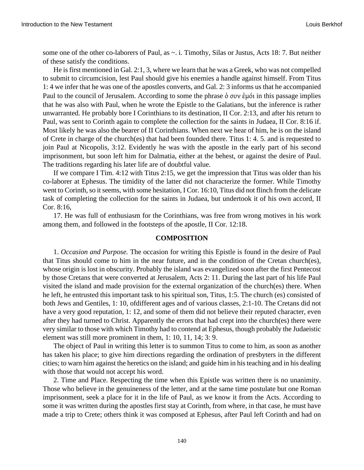some one of the other co-laborers of Paul, as ~. i. Timothy, Silas or Justus, [Acts 18](http://www.ccel.org/b/bible/asv/xml/asv.Acts..xml#Acts..): 7. But neither of these satisfy the conditions.

He is first mentioned in [Gal. 2:1, 3,](http://www.ccel.org/b/bible/asv/xml/asv.Gal.2.xml#Gal.2.1 Bible:Gal.2.3) where we learn that he was a Greek, who was not compelled to submit to circumcision, lest Paul should give his enemies a handle against himself. From [Titus](http://www.ccel.org/b/bible/asv/xml/asv.Titus..xml#Titus..) [1](http://www.ccel.org/b/bible/asv/xml/asv.Titus..xml#Titus..): 4 we infer that he was one of the apostles converts, and [Gal. 2](http://www.ccel.org/b/bible/asv/xml/asv.Gal..xml#Gal..): 3 informs us that he accompanied Paul to the council of Jerusalem. According to some the phrase ὁ συν ἐμόι in this passage implies that he was also with Paul, when he wrote the Epistle to the Galatians, but the inference is rather unwarranted. He probably bore I Corinthians to its destination, [II Cor. 2:13](http://www.ccel.org/b/bible/asv/xml/asv.iiCor.2.xml#iiCor.2.13), and after his return to Paul, was sent to Corinth again to complete the collection for the saints in Judaea, [II Cor. 8:16](http://www.ccel.org/b/bible/asv/xml/asv.iiCor.8.xml#iiCor.8.16) if. Most likely he was also the bearer of II Corinthians. When next we hear of him, he is on the island of Crete in charge of the church(es) that had been founded there. [Titus 1:](http://www.ccel.org/b/bible/asv/xml/asv.Titus..xml#Titus..) 4. 5. and is requested to join Paul at Nicopolis, 3:12. Evidently he was with the apostle in the early part of his second imprisonment, but soon left him for Dalmatia, either at the behest, or against the desire of Paul. The traditions regarding his later life are of doubtful value.

If we compare [I Tim. 4:12](http://www.ccel.org/b/bible/asv/xml/asv.iTim.4.xml#iTim.4.12) with [Titus 2:15,](http://www.ccel.org/b/bible/asv/xml/asv.Titus.2.xml#Titus.2.15) we get the impression that Titus was older than his co-laborer at Ephesus. The timidity of the latter did not characterize the former. While Timothy went to Corinth, so it seems, with some hesitation, [I Cor. 16:10](http://www.ccel.org/b/bible/asv/xml/asv.iCor.16.xml#iCor.16.10), Titus did not flinch from the delicate task of completing the collection for the saints in Judaea, but undertook it of his own accord, [II](http://www.ccel.org/b/bible/asv/xml/asv.iiCor.8.xml#iiCor.8.16) [Cor. 8:16](http://www.ccel.org/b/bible/asv/xml/asv.iiCor.8.xml#iiCor.8.16),

17. He was full of enthusiasm for the Corinthians, was free from wrong motives in his work among them, and followed in the footsteps of the apostle, [II Cor. 12:18.](http://www.ccel.org/b/bible/asv/xml/asv.iiCor.12.xml#iiCor.12.18)

#### **COMPOSITION**

1. *Occasion and Purpose.* The occasion for writing this Epistle is found in the desire of Paul that Titus should come to him in the near future, and in the condition of the Cretan church(es), whose origin is lost in obscurity. Probably the island was evangelized soon after the first Pentecost by those Cretans that were converted at Jerusalem, [Acts 2](http://www.ccel.org/b/bible/asv/xml/asv.Acts..xml#Acts..): 11. During the last part of his life Paul visited the island and made provision for the external organization of the church(es) there. When he left, he entrusted this important task to his spiritual son, Titus, 1:5. The church (es) consisted of both Jews and Gentiles, 1: 10, ofdifferent ages and of various classes, 2:1-10. The Cretans did not have a very good reputation, 1: 12, and some of them did not believe their reputed character, even after they had turned to Christ. Apparently the errors that had crept into the church(es) there were very similar to those with which Timothy had to contend at Ephesus, though probably the Judaeistic element was still more prominent in them, 1: 10, 11, 14; 3: 9.

The object of Paul in writing this letter is to summon Titus to come to him, as soon as another has taken his place; to give him directions regarding the ordination of presbyters in the different cities; to warn him against the heretics on the island; and guide him in his teaching and in his dealing with those that would not accept his word.

2. Time and Place. Respecting the time when this Epistle was written there is no unanimity. Those who believe in the genuineness of the letter, and at the same time postulate but one Roman imprisonment, seek a place for it in the life of Paul, as we know it from the Acts. According to some it was written during the apostles first stay at Corinth, from where, in that case, he must have made a trip to Crete; others think it was composed at Ephesus, after Paul left Corinth and had on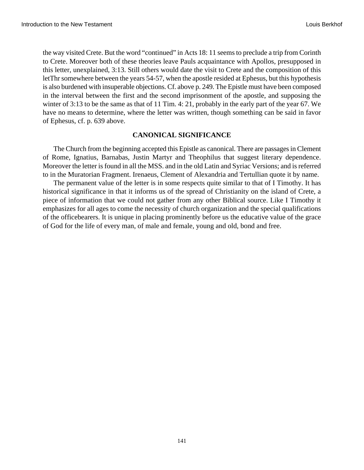the way visited Crete. But the word "continued" in [Acts 18](http://www.ccel.org/b/bible/asv/xml/asv.Acts..xml#Acts..): 11 seems to preclude a trip from Corinth to Crete. Moreover both of these theories leave Pauls acquaintance with Apollos, presupposed in this letter, unexplained, 3:13. Still others would date the visit to Crete and the composition of this letThr somewhere between the years 54-57, when the apostle resided at Ephesus, but this hypothesis is also burdened with insuperable objections. Cf. above p. 249. The Epistle must have been composed in the interval between the first and the second imprisonment of the apostle, and supposing the winter of 3:13 to be the same as that of 11 Tim. 4: 21, probably in the early part of the year 67. We have no means to determine, where the letter was written, though something can be said in favor of Ephesus, cf. p. 639 above.

## **CANONICAL SIGNIFICANCE**

The Church from the beginning accepted this Epistle as canonical. There are passages in Clement of Rome, Ignatius, Barnabas, Justin Martyr and Theophilus that suggest literary dependence. Moreover the letter is found in all the MSS. and in the old Latin and Syriac Versions; and is referred to in the Muratorian Fragment. Irenaeus, Clement of Alexandria and Tertullian quote it by name.

The permanent value of the letter is in some respects quite similar to that of I Timothy. It has historical significance in that it informs us of the spread of Christianity on the island of Crete, a piece of information that we could not gather from any other Biblical source. Like I Timothy it emphasizes for all ages to come the necessity of church organization and the special qualifications of the officebearers. It is unique in placing prominently before us the educative value of the grace of God for the life of every man, of male and female, young and old, bond and free.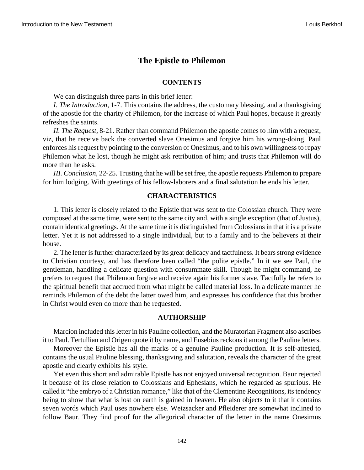# **The Epistle to Philemon**

## **CONTENTS**

We can distinguish three parts in this brief letter:

*I. The Introduction,* 1-7. This contains the address, the customary blessing, and a thanksgiving of the apostle for the charity of Philemon, for the increase of which Paul hopes, because it greatly refreshes the saints.

*II. The Request,* 8-21. Rather than command Philemon the apostle comes to him with a request, viz, that he receive back the converted slave Onesimus and forgive him his wrong-doing. Paul enforces his request by pointing to the conversion of Onesimus, and to his own willingness to repay Philemon what he lost, though he might ask retribution of him; and trusts that Philemon will do more than he asks.

*III. Conclusion,* 22-25. Trusting that he will be set free, the apostle requests Philemon to prepare for him lodging. With greetings of his fellow-laborers and a final salutation he ends his letter.

# **CHARACTERISTICS**

1. This letter is closely related to the Epistle that was sent to the Colossian church. They were composed at the same time, were sent to the same city and, with a single exception (that of Justus), contain identical greetings. At the same time it is distinguished from Colossians in that it is a private letter. Yet it is not addressed to a single individual, but to a family and to the believers at their house.

2. The letter is further characterized by its great delicacy and tactfulness. It bears strong evidence to Christian courtesy, and has therefore been called "the polite epistle." In it we see Paul, the gentleman, handling a delicate question with consummate skill. Though he might command, he prefers to request that Philemon forgive and receive again his former slave. Tactfully he refers to the spiritual benefit that accrued from what might be called material loss. In a delicate manner he reminds Philemon of the debt the latter owed him, and expresses his confidence that this brother in Christ would even do more than he requested.

## **AUTHORSHIP**

Marcion included this letter in his Pauline collection, and the Muratorian Fragment also ascribes it to Paul. Tertullian and Origen quote it by name, and Eusebius reckons it among the Pauline letters.

Moreover the Epistle has all the marks of a genuine Pauline production. It is self-attested, contains the usual Pauline blessing, thanksgiving and salutation, reveals the character of the great apostle and clearly exhibits his style.

Yet even this short and admirable Epistle has not enjoyed universal recognition. Baur rejected it because of its close relation to Colossians and Ephesians, which he regarded as spurious. He called it "the embryo of a Christian romance," like that of the Clementine Recognitions, its tendency being to show that what is lost on earth is gained in heaven. He also objects to it that it contains seven words which Paul uses nowhere else. Weizsacker and Pfleiderer are somewhat inclined to follow Baur. They find proof for the allegorical character of the letter in the name Onesimus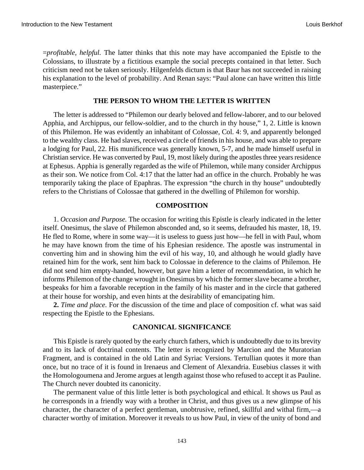=*profitable, helpful.* The latter thinks that this note may have accompanied the Epistle to the Colossians, to illustrate by a fictitious example the social precepts contained in that letter. Such criticism need not be taken seriously. Hilgenfelds dictum is that Baur has not succeeded in raising his explanation to the level of probability. And Renan says: "Paul alone can have written this little masterpiece."

## **THE PERSON TO WHOM THE LETTER IS WRITTEN**

The letter is addressed to "Philemon our dearly beloved and fellow-laborer, and to our beloved Apphia, and Archippus, our fellow-soldier, and to the church in thy house," 1, 2. Little is known of this Philemon. He was evidently an inhabitant of Colossae, [Col. 4:](http://www.ccel.org/b/bible/asv/xml/asv.Col..xml#Col..) 9, and apparently belonged to the wealthy class. He had slaves, received a circle of friends in his house, and was able to prepare a lodging for Paul, 22. His munificence was generally known, 5-7, and he made himself useful in Christian service. He was converted by Paul, 19, most likely during the apostles three years residence at Ephesus. Apphia is generally regarded as the wife of Philemon, while many consider Archippus as their son. We notice from [Col. 4:17](http://www.ccel.org/b/bible/asv/xml/asv.Col.4.xml#Col.4.17) that the latter had an office in the church. Probably he was temporarily taking the place of Epaphras. The expression "the church in thy house" undoubtedly refers to the Christians of Colossae that gathered in the dwelling of Philemon for worship.

## **COMPOSITION**

1. *Occasion and Purpose.* The occasion for writing this Epistle is clearly indicated in the letter itself. Onesimus, the slave of Philemon absconded and, so it seems, defrauded his master, 18, 19. He fled to Rome, where in some way—it is useless to guess just how—he fell in with Paul, whom he may have known from the time of his Ephesian residence. The apostle was instrumental in converting him and in showing him the evil of his way, 10, and although he would gladly have retained him for the work, sent him back to Colossae in deference to the claims of Philemon. He did not send him empty-handed, however, but gave him a letter of recommendation, in which he informs Philemon of the change wrought in Onesimus by which the former slave became a brother, bespeaks for him a favorable reception in the family of his master and in the circle that gathered at their house for worship, and even hints at the desirability of emancipating him.

**2.** *Time and place.* For the discussion of the time and place of composition cf. what was said respecting the Epistle to the Ephesians.

## **CANONICAL SIGNIFICANCE**

This Epistle is rarely quoted by the early church fathers, which is undoubtedly due to its brevity and to its lack of doctrinal contents. The letter is recognized by Marcion and the Muratorian Fragment, and is contained in the old Latin and Syriac Versions. Tertullian quotes it more than once, but no trace of it is found in Irenaeus and Clement of Alexandria. Eusebius classes it with the Homologoumena and Jerome argues at length against those who refused to accept it as Pauline. The Church never doubted its canonicity.

The permanent value of this little letter is both psychological and ethical. It shows us Paul as he corresponds in a friendly way with a brother in Christ, and thus gives us a new glimpse of his character, the character of a perfect gentleman, unobtrusive, refined, skillful and withal firm,—a character worthy of imitation. Moreover it reveals to us how Paul, in view of the unity of bond and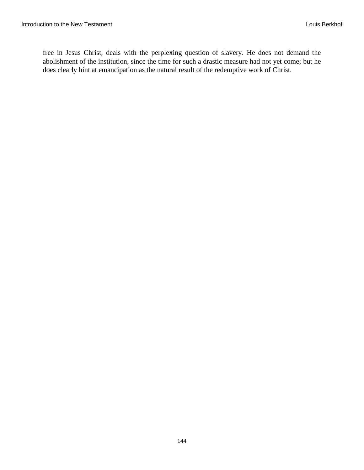free in Jesus Christ, deals with the perplexing question of slavery. He does not demand the abolishment of the institution, since the time for such a drastic measure had not yet come; but he does clearly hint at emancipation as the natural result of the redemptive work of Christ.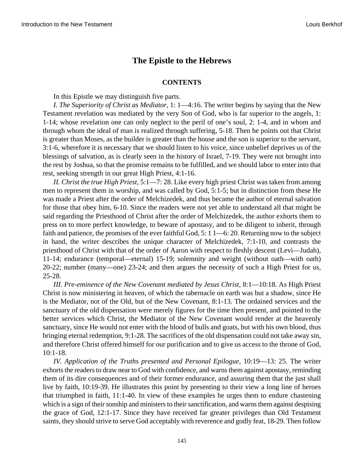# **The Epistle to the Hebrews**

## **CONTENTS**

In this Epistle we may distinguish five parts.

*I. The Superiority of Christ as Mediator,* 1: 1—4:16. The writer begins by saying that the New Testament revelation was mediated by the very Son of God, who is far superior to the angels, 1: 1-14; whose revelation one can only neglect to the peril of one's soul, 2: 1-4, and in whom and through whom the ideal of man is realized through suffering, 5-18. Then he points out that Christ is greater than Moses, as the builder is greater than the house and the son is superior to the servant, 3:1-6, wherefore it is necessary that we should listen to his voice, since unbelief deprives us of the blessings of salvation, as is clearly seen in the history of Israel, 7-19. They were not brought into the rest by Joshua, so that the promise remains to be fulfilled, and we should labor to enter into that rest, seeking strength in our great High Priest, 4:1-16.

*II. Christ the true High Priest,* 5:1—7: 28. Like every high priest Christ was taken from among men to represent them in worship, and was called by God, 5:1-5; but in distinction from these He was made a Priest after the order of Melchizedek, and thus became the author of eternal salvation for those that obey him, 6-10. Since the readers were not yet able to understand all that might be said regarding the Priesthood of Christ after the order of Melchizedek, the author exhorts them to press on to more perfect knowledge, to beware of apostasy, and to be diligent to inherit, through faith and patience, the promises of the ever faithful God, 5: 1 1—6: 20. Returning now to the subject in hand, the writer describes the unique character of Melchizedek, 7:1-10, and contrasts the priesthood of Christ with that of the order of Aaron with respect to fleshly descent (Levi—Judah), 11-14; endurance (temporal—eternal) 15-19; solemnity and weight (without oath—with oath) 20-22; number (many—one) 23-24; and then argues the necessity of such a High Priest for us, 25-28.

*III. Pre-eminence of the New Covenant mediated by Jesus Christ,* 8:1—10:18. As High Priest Christ is now ministering in heaven, of which the tabernacle on earth was but a shadow, since He is the Mediator, not of the Old, but of the New Covenant, 8:1-13. The ordained services and the sanctuary of the old dispensation were merely figures for the time then present, and pointed to the better services which Christ, the Mediator of the New Covenant would render at the heavenly sanctuary, since He would not enter with the blood of bulls and goats, but with his own blood, thus bringing eternal redemption, 9:1-28. The sacrifices of the old dispensation could not take away sin, and therefore Christ offered himself for our purification and to give us access to the throne of God, 10:1-18.

*IV. Application of the Truths presented and Personal Epilogue,* 10:19—13: 25. The writer exhorts the readers to draw near to God with confidence, and warns them against apostasy, reminding them of its dire consequences and of their former endurance, and assuring them that the just shall live by faith, 10:19-39. He illustrates this point by presenting to their view a long line of heroes that triumphed in faith, 11:1-40. In view of these examples he urges them to endure chastening which is a sign of their sonship and ministers to their sanctification, and warns them against despising the grace of God, 12:1-17. Since they have received far greater privileges than Old Testament saints, they should strive to serve God acceptably with reverence and godly feat, 18-29. Then follow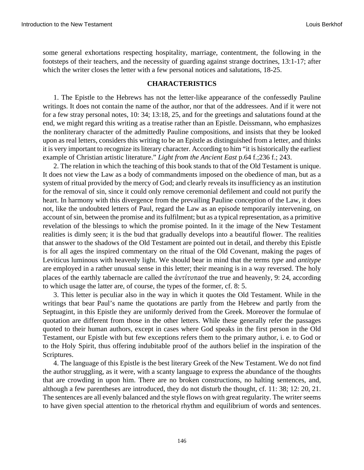some general exhortations respecting hospitality, marriage, contentment, the following in the footsteps of their teachers, and the necessity of guarding against strange doctrines, 13:1-17; after which the writer closes the letter with a few personal notices and salutations, 18-25.

## **CHARACTERISTICS**

1. The Epistle to the Hebrews has not the letter-like appearance of the confessedly Pauline writings. It does not contain the name of the author, nor that of the addressees. And if it were not for a few stray personal notes, 10: 34; 13:18, 25, and for the greetings and salutations found at the end, we might regard this writing as a treatise rather than an Epistle. Deissmann, who emphasizes the nonliterary character of the admittedly Pauline compositions, and insists that they be looked upon as real letters, considers this writing to be an Epistle as distinguished from a letter, and thinks it is very important to recognize its literary character. According to him "it is historically the earliest example of Christian artistic literature." *Light from the Ancient East* p.64 f.;236 f.; 243.

2. The relation in which the teaching of this book stands to that of the Old Testament is unique. It does not view the Law as a body of commandments imposed on the obedience of man, but as a system of ritual provided by the mercy of God; and clearly reveals its insufficiency as an institution for the removal of sin, since it could only remove ceremonial defilement and could not purify the heart. In harmony with this divergence from the prevailing Pauline conception of the Law, it does not, like the undoubted letters of Paul, regard the Law as an episode temporarily intervening, on account of sin, between the promise and its fulfilment; but as a typical representation, as a primitive revelation of the blessings to which the promise pointed. In it the image of the New Testament realities is dimly seen; it is the bud that gradually develops into a beautiful flower. The realities that answer to the shadows of the Old Testament are pointed out in detail, and thereby this Epistle is for all ages the inspired commentary on the ritual of the Old Covenant, making the pages of Leviticus luminous with heavenly light. We should bear in mind that the terms *type* and *antitype* are employed in a rather unusual sense in this letter; their meaning is in a way reversed. The holy places of the earthly tabernacle are called the ἀντίτυπαof the true and heavenly, 9: 24, according to which usage the latter are, of course, the types of the former, cf. 8: 5.

3. This letter is peculiar also in the way in which it quotes the Old Testament. While in the writings that bear Paul's name the quotations are partly from the Hebrew and partly from the Septuagint, in this Epistle they are uniformly derived from the Greek. Moreover the formulae of quotation are different from those in the other letters. While these generally refer the passages quoted to their human authors, except in cases where God speaks in the first person in the Old Testament, our Epistle with but few exceptions refers them to the primary author, i. e. to God or to the Holy Spirit, thus offering indubitable proof of the authors belief in the inspiration of the Scriptures.

4. The language of this Epistle is the best literary Greek of the New Testament. We do not find the author struggling, as it were, with a scanty language to express the abundance of the thoughts that are crowding in upon him. There are no broken constructions, no halting sentences, and, although a few parentheses are introduced, they do not disturb the thought, cf. 11: 38; 12: 20, 21. The sentences are all evenly balanced and the style flows on with great regularity. The writer seems to have given special attention to the rhetorical rhythm and equilibrium of words and sentences.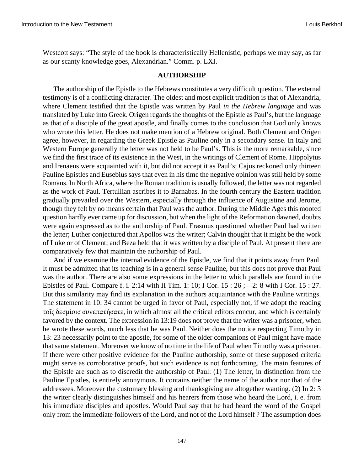Westcott says: "The style of the book is characteristically Hellenistic, perhaps we may say, as far as our scanty knowledge goes, Alexandrian." Comm. p. LXI.

#### **AUTHORSHIP**

The authorship of the Epistle to the Hebrews constitutes a very difficult question. The external testimony is of a conflicting character. The oldest and most explicit tradition is that of Alexandria, where Clement testified that the Epistle was written by Paul *in the Hebrew language* and was translated by Luke into Greek. Origen regards the thoughts of the Epistle as Paul's, but the language as that of a disciple of the great apostle, and finally comes to the conclusion that God only knows who wrote this letter. He does not make mention of a Hebrew original. Both Clement and Origen agree, however, in regarding the Greek Epistle as Pauline only in a secondary sense. In Italy and Western Europe generally the letter was not held to be Paul's. This is the more remarkable, since we find the first trace of its existence in the West, in the writings of Clement of Rome. Hippolytus and Irenaeus were acquainted with it, but did not accept it as Paul's; Cajus reckoned only thirteen Pauline Epistles and Eusebius says that even in his time the negative opinion was still held by some Romans. In North Africa, where the Roman tradition is usually followed, the letter was not regarded as the work of Paul. Tertullian ascribes it to Barnabas. In the fourth century the Eastern tradition gradually prevailed over the Western, especially through the influence of Augustine and Jerome, though they felt by no means certain that Paul was the author. During the Middle Ages this mooted question hardly ever came up for discussion, but when the light of the Reformation dawned, doubts were again expressed as to the authorship of Paul. Erasmus questioned whether Paul had written the letter; Luther conjectured that Apollos was the writer; Calvin thought that it might be the work of Luke or of Clement; and Beza held that it was written by a disciple of Paul. At present there are comparatively few that maintain the authorship of Paul.

And if we examine the internal evidence of the Epistle, we find that it points away from Paul. It must be admitted that its teaching is in a general sense Pauline, but this does not prove that Paul was the author. There are also some expressions in the letter to which parallels are found in the Epistles of Paul. Compare f. i. 2:14 with [II Tim. 1:](http://www.ccel.org/b/bible/asv/xml/asv.iiTim..xml#iiTim..) 10; [I Cor. 15](http://www.ccel.org/b/bible/asv/xml/asv.iCor..xml#iCor..) : 26 ;—2: 8 with [I Cor. 15](http://www.ccel.org/b/bible/asv/xml/asv.iCor..xml#iCor..) : 27. But this similarity may find its explanation in the authors acquaintance with the Pauline writings. The statement in 10: 34 cannot be urged in favor of Paul, especially not, if we adopt the reading τοῖς δεσμίοισ συνεπατήσατε, in which almost all the critical editors concur, and which is certainly favored by the context. The expression in 13:19 does not prove that the writer was a prisoner, when he wrote these words, much less that he was Paul. Neither does the notice respecting Timothy in 13: 23 necessarily point to the apostle, for some of the older companions of Paul might have made that same statement. Moreover we know of no time in the life of Paul when Timothy was a prisoner. If there were other positive evidence for the Pauline authorship, some of these supposed criteria might serve as corroborative proofs, but such evidence is not forthcoming. The main features of the Epistle are such as to discredit the authorship of Paul: (1) The letter, in distinction from the Pauline Epistles, is entirely anonymous. It contains neither the name of the author nor that of the addressees. Moreover the customary blessing and thanksgiving are altogether wanting. (2) In 2: 3 the writer clearly distinguishes himself and his hearers from those who heard the Lord, i. e. from his immediate disciples and apostles. Would Paul say that he had heard the word of the Gospel only from the immediate followers of the Lord, and not of the Lord himself ? The assumption does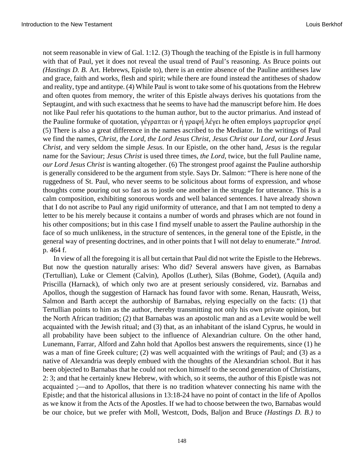not seem reasonable in view of [Gal. 1:12](http://www.ccel.org/b/bible/asv/xml/asv.Gal.1.xml#Gal.1.12). (3) Though the teaching of the Epistle is in full harmony with that of Paul, yet it does not reveal the usual trend of Paul's reasoning. As Bruce points out *(Hastings D. B.* Art. Hebrews, Epistle to), there is an entire absence of the Pauline antitheses law and grace, faith and works, flesh and spirit; while there are found instead the antitheses of shadow and reality, type and antitype. (4) While Paul is wont to take some of his quotations from the Hebrew and often quotes from memory, the writer of this Epistle always derives his quotations from the Septaugint, and with such exactness that he seems to have had the manuscript before him. He does not like Paul refer his quotations to the human author, but to the auctor primarius. And instead of the Pauline formuke of quotation, γέγραπται or ἡ γραφή λέγει he often employs μαρτυρεῖor φησί (5) There is also a great difference in the names ascribed to the Mediator. In the writings of Paul we find the names, *Christ, the Lord, the Lord Jesus Christ, Jesus Christ our Lord, our Lord Jesus Christ,* and very seldom the simple *Jesus.* In our Epistle, on the other hand, *Jesus* is the regular name for the Saviour; *Jesus Christ* is used three times, *the Lord,* twice, but the full Pauline name, *our Lord Jesus Christ* is wanting altogether. (6) The strongest proof against the Pauline authorship is generally considered to be the argument from style. Says Dr. Salmon: "There is here none of the ruggedness of St. Paul, who never seems to be solicitous about forms of expression, and whose thoughts come pouring out so fast as to jostle one another in the struggle for utterance. This is a calm composition, exhibiting sonorous words and well balanced sentences. I have already shown that I do not ascribe to Paul any rigid uniformity of utterance, and that I am not tempted to deny a letter to be his merely because it contains a number of words and phrases which are not found in his other compositions; but in this case I find myself unable to assert the Pauline authorship in the face of so much unlikeness, in the structure of sentences, in the general tone of the Epistle, in the general way of presenting doctrines, and in other points that I will not delay to enumerate." *Introd.* p. 464 f.

In view of all the foregoing it is all but certain that Paul did not write the Epistle to the Hebrews. But now the question naturally arises: Who did? Several answers have given, as Barnabas (Tertullian), Luke or Clement (Calvin), Apollos (Luther), Silas (Bohme, Godet), (Aquila and) Priscilla (Harnack), of which only two are at present seriously considered, viz. Barnabas and Apollos, though the suggestion of Harnack has found favor with some. Renan, Hausrath, Weiss, Salmon and Barth accept the authorship of Barnabas, relying especially on the facts: (1) that Tertullian points to him as the author, thereby transmitting not only his own private opinion, but the North African tradition; (2) that Barnabas was an apostolic man and as a Levite would be well acquainted with the Jewish ritual; and (3) that, as an inhabitant of the island Cyprus, he would in all probability have been subject to the influence of Alexandrian culture. On the other hand, Lunemann, Farrar, Alford and Zahn hold that Apollos best answers the requirements, since (1) he was a man of fine Greek culture; (2) was well acquainted with the writings of Paul; and (3) as a native of Alexandria was deeply embued with the thoughts of the Alexandrian school. But it has been objected to Barnabas that he could not reckon himself to the second generation of Christians, 2: 3; and that he certainly knew Hebrew, with which, so it seems, the author of this Epistle was not acquainted ;—and to Apollos, that there is no tradition whatever connecting his name with the Epistle; and that the historical allusions in 13:18-24 have no point of contact in the life of Apollos as we know it from the Acts of the Apostles. If we had to choose between the two, Barnabas would be our choice, but we prefer with Moll, Westcott, Dods, Baljon and Bruce *(Hastings D. B.)* to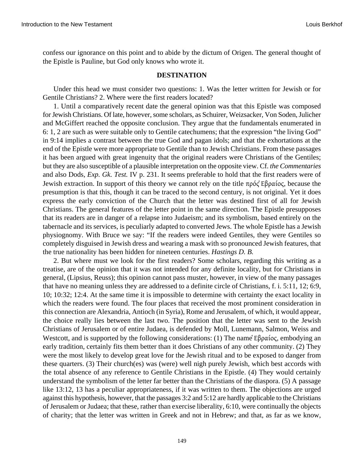confess our ignorance on this point and to abide by the dictum of Origen. The general thought of the Epistle is Pauline, but God only knows who wrote it.

## **DESTINATION**

Under this head we must consider two questions: 1. Was the letter written for Jewish or for Gentile Christians? 2. Where were the first readers located?

1. Until a comparatively recent date the general opinion was that this Epistle was composed for Jewish Christians. Of late, however, some scholars, as Schuirer, Weizsacker, Von Soden, Julicher and McGiffert reached the opposite conclusion. They argue that the fundamentals enumerated in 6: 1, 2 are such as were suitable only to Gentile catechumens; that the expression "the living God" in 9:14 implies a contrast between the true God and pagan idols; and that the exhortations at the end of the Epistle were more appropriate to Gentile than to Jewish Christians. From these passages it has been argued with great ingenuity that the original readers were Christians of the Gentiles; but they are also susceptible of a plausible interpretation on the opposite view. Cf. *the Commentaries* and also Dods, *Exp. Gk. Test.* IV p. 231. It seems preferable to hold that the first readers were of Jewish extraction. In support of this theory we cannot rely on the title πρός Εβραίος, because the presumption is that this, though it can be traced to the second century, is not original. Yet it does express the early conviction of the Church that the letter was destined first of all for Jewish Christians. The general features of the letter point in the same direction. The Epistle presupposes that its readers are in danger of a relapse into Judaeism; and its symbolism, based entirely on the tabernacle and its services, is peculiarly adapted to converted Jews. The whole Epistle has a Jewish physiognomy. With Bruce we say: "If the readers were indeed Gentiles, they were Gentiles so completely disguised in Jewish dress and wearing a mask with so pronounced Jewish features, that the true nationality has been hidden for nineteen centuries. *Hastings D. B.*

2. But where must we look for the first readers? Some scholars, regarding this writing as a treatise, are of the opinion that it was not intended for any definite locality, but for Christians in general, (Lipsius, Reuss); this opinion cannot pass muster, however, in view of the many passages that have no meaning unless they are addressed to a definite circle of Christians, f. i. 5:11, 12; 6:9, 10; 10:32; 12:4. At the same time it is impossible to determine with certainty the exact locality in which the readers were found. The four places that received the most prominent consideration in this connection are Alexandria, Antioch (in Syria), Rome and Jerusalem, of which, it would appear, the choice really lies between the last two. The position that the letter was sent to the Jewish Christians of Jerusalem or of entire Judaea, is defended by Moll, Lunemann, Salmon, Weiss and Westcott, and is supported by the following considerations: (1) The name Έβραίος, embodying an early tradition, certainly fits them better than it does Christians of any other community. (2) They were the most likely to develop great love for the Jewish ritual and to be exposed to danger from these quarters. (3) Their church(es) was (were) well nigh purely Jewish, which best accords with the total absence of any reference to Gentile Christians in the Epistle. (4) They would certainly understand the symbolism of the letter far better than the Christians of the diaspora. (5) A passage like 13:12, 13 has a peculiar appropriateness, if it was written to them. The objections are urged against this hypothesis, however, that the passages 3:2 and 5:12 are hardly applicable to the Christians of Jerusalem or Judaea; that these, rather than exercise liberality, 6:10, were continually the objects of charity; that the letter was written in Greek and not in Hebrew; and that, as far as we know,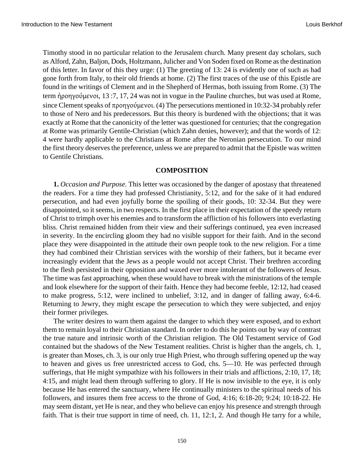Timothy stood in no particular relation to the Jerusalem church. Many present day scholars, such as Alford, Zahn, Baljon, Dods, Holtzmann, Julicher and Von Soden fixed on Rome as the destination of this letter. In favor of this they urge: (1) The greeting of 13: 24 is evidently one of such as had gone forth from Italy, to their old friends at home. (2) The first traces of the use of this Epistle are found in the writings of Clement and in the Shepherd of Hermas, both issuing from Rome. (3) The term ἡροηγούμενοι, 13 :7, 17, 24 was not in vogue in the Pauline churches, but was used at Rome, since Clement speaks of προηγούμενοι. (4) The persecutions mentioned in 10:32-34 probably refer to those of Nero and his predecessors. But this theory is burdened with the objections; that it was exactly at Rome that the canonicity of the letter was questioned for centuries; that the congregation at Rome was primarily Gentile-Christian (which Zahn denies, however); and that the words of 12: 4 were hardly applicable to the Christians at Rome after the Neronian persecution. To our mind the first theory deserves the preference, unless we are prepared to admit that the Epistle was written to Gentile Christians.

## **COMPOSITION**

**1.** *Occasion and Purpose.* This letter was occasioned by the danger of apostasy that threatened the readers. For a time they had professed Christianity, 5:12, and for the sake of it had endured persecution, and had even joyfully borne the spoiling of their goods, 10: 32-34. But they were disappointed, so it seems, in two respects. In the first place in their expectation of the speedy return of Christ to trimph over his enemies and to transform the affliction of his followers into everlasting bliss. Christ remained hidden from their view and their sufferings continued, yea even increased in severity. In the encircling gloom they had no visible support for their faith. And in the second place they were disappointed in the attitude their own people took to the new religion. For a time they had combined their Christian services with the worship of their fathers, but it became ever increasingly evident that the Jews as a people would not accept Christ. Their brethren according to the flesh persisted in their opposition and waxed ever more intolerant of the followers of Jesus. The time was fast approaching, when these would have to break with the ministrations of the temple and look elsewhere for the support of their faith. Hence they had become feeble, 12:12, had ceased to make progress, 5:12, were inclined to unbelief, 3:12, and in danger of falling away, 6:4-6. Returning to Jewry, they might escape the persecution to which they were subjected, and enjoy their former privileges.

The writer desires to warn them against the danger to which they were exposed, and to exhort them to remain loyal to their Christian standard. In order to do this he points out by way of contrast the true nature and intrinsic worth of the Christian religion. The Old Testament service of God contained but the shadows of the New Testament realities. Christ is higher than the angels, ch. 1, is greater than Moses, ch. 3, is our only true High Priest, who through suffering opened up the way to heaven and gives us free unrestricted access to God, chs. 5—10. He was perfected through sufferings, that He might sympathize with his followers in their trials and afflictions, 2:10, 17, 18; 4:15, and might lead them through suffering to glory. If He is now invisible to the eye, it is only because He has entered the sanctuary, where He continually ministers to the spiritual needs of his followers, and insures them free access to the throne of God, 4:16; 6:18-20; 9:24; 10:18-22. He may seem distant, yet He is near, and they who believe can enjoy his presence and strength through faith. That is their true support in time of need, ch. 11, 12:1, 2. And though He tarry for a while,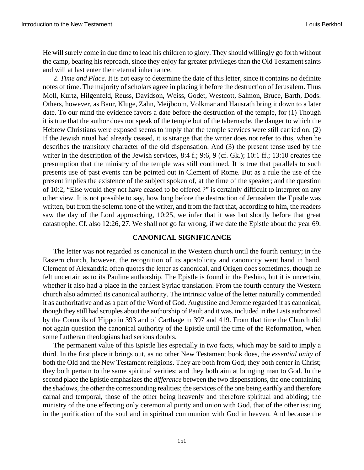He will surely come in due time to lead his children to glory. They should willingly go forth without the camp, bearing his reproach, since they enjoy far greater privileges than the Old Testament saints and will at last enter their eternal inheritance.

2. *Time and Place.* It is not easy to determine the date of this letter, since it contains no definite notes of time. The majority of scholars agree in placing it before the destruction of Jerusalem. Thus Moll, Kurtz, Hilgenfeld, Reuss, Davidson, Weiss, Godet, Westcott, Salmon, Bruce, Barth, Dods. Others, however, as Baur, Kluge, Zahn, Meijboom, Volkmar and Hausrath bring it down to a later date. To our mind the evidence favors a date before the destruction of the temple, for (1) Though it is true that the author does not speak of the temple but of the tabernacle, the danger to which the Hebrew Christians were exposed seems to imply that the temple services were still carried on. (2) If the Jewish ritual had already ceased, it is strange that the writer does not refer to this, when he describes the transitory character of the old dispensation. And (3) the present tense used by the writer in the description of the Jewish services, 8:4 f.; 9:6, 9 (cf. Gk.); 10:1 ff.; 13:10 creates the presumption that the ministry of the temple was still continued. It is true that parallels to such presents use of past events can be pointed out in Clement of Rome. But as a rule the use of the present implies the existence of the subject spoken of, at the time of the speaker; and the question of 10:2, "Else would they not have ceased to be offered ?" is certainly difficult to interpret on any other view. It is not possible to say, how long before the destruction of Jerusalem the Epistle was written, but from the solemn tone of the writer, and from the fact that, according to him, the readers saw the day of the Lord approaching, 10:25, we infer that it was but shortly before that great catastrophe. Cf. also 12:26, 27. We shall not go far wrong, if we date the Epistle about the year 69.

## **CANONICAL SIGNIFICANCE**

The letter was not regarded as canonical in the Western church until the fourth century; in the Eastern church, however, the recognition of its apostolicity and canonicity went hand in hand. Clement of Alexandria often quotes the letter as canonical, and Origen does sometimes, though he felt uncertain as to its Pauline authorship. The Epistle is found in the Peshito, but it is uncertain, whether it also had a place in the earliest Syriac translation. From the fourth century the Western church also admitted its canonical authority. The intrinsic value of the letter naturally commended it as authoritative and as a part of the Word of God. Augustine and Jerome regarded it as canonical, though they still had scruples about the authorship of Paul; and it was. included in the Lists authorized by the Councils of Hippo in 393 and of Carthage in 397 and 419. From that time the Church did not again question the canonical authority of the Epistle until the time of the Reformation, when some Lutheran theologians had serious doubts.

The permanent value of this Epistle lies especially in two facts, which may be said to imply a third. In the first place it brings out, as no other New Testament book does, the *essential unity* of both the Old and the New Testament religions. They are both from God; they both center in Christ; they both pertain to the same spiritual verities; and they both aim at bringing man to God. In the second place the Epistle emphasizes the *difference* between the two dispensations, the one containing the shadows, the other the corresponding realities; the services of the one being earthly and therefore carnal and temporal, those of the other being heavenly and therefore spiritual and abiding; the ministry of the one effecting only ceremonial purity and union with God, that of the other issuing in the purification of the soul and in spiritual communion with God in heaven. And because the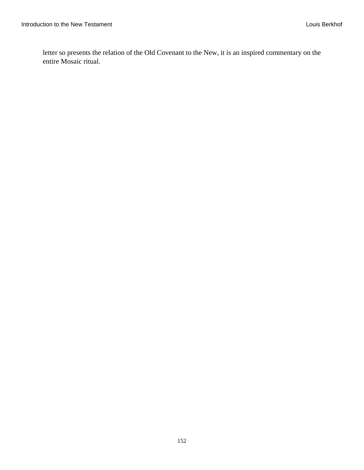letter so presents the relation of the Old Covenant to the New, it is an inspired commentary on the entire Mosaic ritual.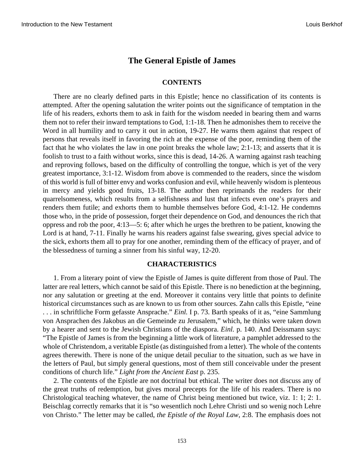# **The General Epistle of James**

#### **CONTENTS**

There are no clearly defined parts in this Epistle; hence no classification of its contents is attempted. After the opening salutation the writer points out the significance of temptation in the life of his readers, exhorts them to ask in faith for the wisdom needed in bearing them and warns them not to refer their inward temptations to God, 1:1-18. Then he admonishes them to receive the Word in all humility and to carry it out in action, 19-27. He warns them against that respect of persons that reveals itself in favoring the rich at the expense of the poor, reminding them of the fact that he who violates the law in one point breaks the whole law; 2:1-13; and asserts that it is foolish to trust to a faith without works, since this is dead, 14-26. A warning against rash teaching and reproving follows, based on the difficulty of controlling the tongue, which is yet of the very greatest importance, 3:1-12. Wisdom from above is commended to the readers, since the wisdom of this world is full of bitter envy and works confusion and evil, while heavenly wisdom is plenteous in mercy and yields good fruits, 13-18. The author then reprimands the readers for their quarrelsomeness, which results from a selfishness and lust that infects even one's prayers and renders them futile; and exhorts them to humble themselves before God, 4:1-12. He condemns those who, in the pride of possession, forget their dependence on God, and denounces the rich that oppress and rob the poor, 4:13—5: 6; after which he urges the brethren to be patient, knowing the Lord is at hand, 7-11. Finally he warns his readers against false swearing, gives special advice to the sick, exhorts them all to pray for one another, reminding them of the efficacy of prayer, and of the blessedness of turning a sinner from his sinful way, 12-20.

## **CHARACTERISTICS**

1. From a literary point of view the Epistle of James is quite different from those of Paul. The latter are real letters, which cannot be said of this Epistle. There is no benediction at the beginning, nor any salutation or greeting at the end. Moreover it contains very little that points to definite historical circumstances such as are known to us from other sources. Zahn calls this Epistle, "eine . . . in schriftliche Form gefasste Ansprache." *Einl.* I p. 73. Barth speaks of it as, "eine Sammlung von Ansprachen des Jakobus an die Gemeinde zu Jerusalem," which, he thinks were taken down by a hearer and sent to the Jewish Christians of the diaspora. *Einl.* p. 140. And Deissmann says: "The Epistle of James is from the beginning a little work of literature, a pamphlet addressed to the whole of Christendom, a veritable Epistle (as distinguished from a letter). The whole of the contents agrees therewith. There is none of the unique detail peculiar to the situation, such as we have in the letters of Paul, but simply general questions, most of them still conceivable under the present conditions of church life." *Light from the Ancient East* p. 235.

2. The contents of the Epistle are not doctrinal but ethical. The writer does not discuss any of the great truths of redemption, but gives moral precepts for the life of his readers. There is no Christological teaching whatever, the name of Christ being mentioned but twice, viz. 1: 1; 2: 1. Beischlag correctly remarks that it is "so wesentlich noch Lehre Christi und so wenig noch Lehre von Christo." The letter may be called, *the Epistle of the Royal Law,* 2:8. The emphasis does not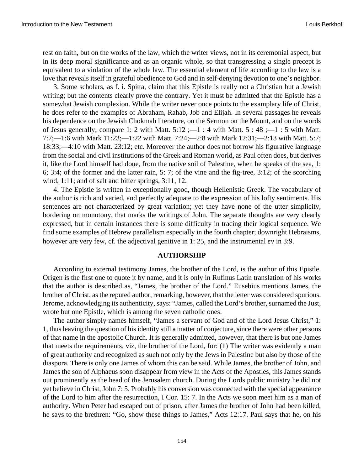rest on faith, but on the works of the law, which the writer views, not in its ceremonial aspect, but in its deep moral significance and as an organic whole, so that transgressing a single precept is equivalent to a violation of the whole law. The essential element of life according to the law is a love that reveals itself in grateful obedience to God and in self-denying devotion to one's neighbor.

3. Some scholars, as f. i. Spitta, claim that this Epistle is really not a Christian but a Jewish writing; but the contents clearly prove the contrary. Yet it must be admitted that the Epistle has a somewhat Jewish complexion. While the writer never once points to the examplary life of Christ, he does refer to the examples of Abraham, Rahab, Job and Elijah. In several passages he reveals his dependence on the Jewish Chokmah literature, on the Sermon on the Mount, and on the words of Jesus generally; compare 1: 2 with [Matt.](http://www.ccel.org/b/bible/asv/xml/asv.Matt.7.xml#Matt.7.7)  $5:12$ ;  $-1$ : 4 with Matt.  $5:48$ ;  $-1:5$  with Matt. [7:7](http://www.ccel.org/b/bible/asv/xml/asv.Matt.7.xml#Matt.7.7);—1:6 with [Mark 11:23](http://www.ccel.org/b/bible/asv/xml/asv.Mark.11.xml#Mark.11.23);—1:22 with [Matt. 7:24](http://www.ccel.org/b/bible/asv/xml/asv.Matt.7.xml#Matt.7.24);—2:8 with [Mark 12:31;](http://www.ccel.org/b/bible/asv/xml/asv.Mark.12.xml#Mark.12.31)—2:13 with [Matt. 5:7;](http://www.ccel.org/b/bible/asv/xml/asv.Matt.5.xml#Matt.5.7) 18:33;—4:10 with [Matt. 23:12;](http://www.ccel.org/b/bible/asv/xml/asv.Matt.23.xml#Matt.23.12) etc. Moreover the author does not borrow his figurative language from the social and civil institutions of the Greek and Roman world, as Paul often does, but derives it, like the Lord himself had done, from the native soil of Palestine, when he speaks of the sea, 1: 6; 3:4; of the former and the latter rain, 5: 7; of the vine and the fig-tree, 3:12; of the scorching wind, 1:11; and of salt and bitter springs, 3:11, 12.

4. The Epistle is written in exceptionally good, though Hellenistic Greek. The vocabulary of the author is rich and varied, and perfectly adequate to the expression of his lofty sentiments. His sentences are not characterized by great variation; yet they have none of the utter simplicity, bordering on monotony, that marks the writings of John. The separate thoughts are very clearly expressed, but in certain instances there is some difficulty in tracing their logical sequence. We find some examples of Hebrew parallelism especially in the fourth chapter; downright Hebraisms, however are very few, cf. the adjectival genitive in 1: 25, and the instrumental εν in 3:9.

#### **AUTHORSHIP**

According to external testimony James, the brother of the Lord, is the author of this Epistle. Origen is the first one to quote it by name, and it is only in Rufinus Latin translation of his works that the author is described as, "James, the brother of the Lord." Eusebius mentions James, the brother of Christ, as the reputed author, remarking, however, that the letter was considered spurious. Jerome, acknowledging its authenticity, says: "James, called the Lord's brother, surnamed the Just, wrote but one Epistle, which is among the seven catholic ones.

The author simply names himself, "James a servant of God and of the Lord Jesus Christ," 1: 1, thus leaving the question of his identity still a matter of conjecture, since there were other persons of that name in the apostolic Church. It is generally admitted, however, that there is but one James that meets the requirements, viz, the brother of the Lord, for: (1) The writer was evidently a man of great authority and recognized as such not only by the Jews in Palestine but also by those of the diaspora. There is only one James of whom this can be said. While James, the brother of John, and James the son of Alphaeus soon disappear from view in the Acts of the Apostles, this James stands out prominently as the head of the Jerusalem church. During the Lords public ministry he did not yet believe in Christ, [John 7:](http://www.ccel.org/b/bible/asv/xml/asv.John..xml#John..) 5. Probably his conversion was connected with the special appearance of the Lord to him after the resurrection, [I Cor. 15:](http://www.ccel.org/b/bible/asv/xml/asv.iCor..xml#iCor..) 7. In the Acts we soon meet him as a man of authority. When Peter had escaped out of prison, after James the brother of John had been killed, he says to the brethren: "Go, show these things to James," [Acts 12:17](http://www.ccel.org/b/bible/asv/xml/asv.Acts.12.xml#Acts.12.17). Paul says that he, on his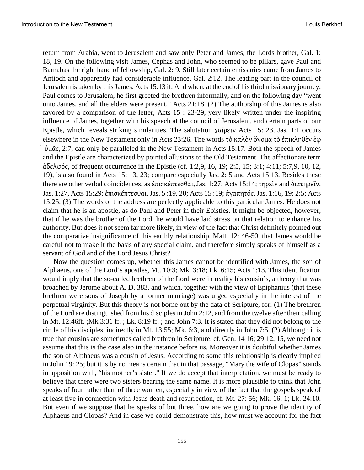return from Arabia, went to Jerusalem and saw only Peter and James, the Lords brother, [Gal. 1:](http://www.ccel.org/b/bible/asv/xml/asv.Gal..xml#Gal..) 18, 19. On the following visit James, Cephas and John, who seemed to be pillars, gave Paul and Barnabas the right hand of fellowship, [Gal. 2:](http://www.ccel.org/b/bible/asv/xml/asv.Gal..xml#Gal..) 9. Still later certain emissaries came from James to Antioch and apparently had considerable influence, [Gal. 2:12](http://www.ccel.org/b/bible/asv/xml/asv.Gal.2.xml#Gal.2.12). The leading part in the council of Jerusalem is taken by this James, [Acts 15:13](http://www.ccel.org/b/bible/asv/xml/asv.Acts.15.xml#Acts.15.13) if. And when, at the end of his third missionary journey, Paul comes to Jerusalem, he first greeted the brethren informally, and on the following day "went unto James, and all the elders were present," [Acts 21:18](http://www.ccel.org/b/bible/asv/xml/asv.Acts.21.xml#Acts.21.18). (2) The authorship of this James is also favored by a comparison of the letter, [Acts 15](http://www.ccel.org/b/bible/asv/xml/asv.Acts..xml#Acts..) : 23-29, yery likely written under the inspiring influence of James, together with his speech at the council of Jerusalem, and certain parts of our Epistle, which reveals striking similarities. The salutation χαίρειν [Acts 15:](http://www.ccel.org/b/bible/asv/xml/asv.Acts..xml#Acts..) 23, [Jas. 1:1](http://www.ccel.org/b/bible/asv/xml/asv.Jas.1.xml#Jas.1.1) occurs elsewhere in the New Testament only in [Acts 23:26](http://www.ccel.org/b/bible/asv/xml/asv.Acts.23.xml#Acts.23.26). The words τὸ καλὸν ὄνομα τὸ ἐπικληθὲν ἐφ  $'$  ὑμᾶς, 2:7, can only be paralleled in the New Testament in [Acts 15:17.](http://www.ccel.org/b/bible/asv/xml/asv.Acts.15.xml#Acts.15.17) Both the speech of James and the Epistle are characterized by pointed allusions to the Old Testament. The affectionate term ἀδελφός, of frequent occurrence in the Epistle (cf. 1:2,9, 16, 19; 2:5, 15; 3:1; 4:11; 5:7,9, 10, 12, 19), is also found in [Acts 15:](http://www.ccel.org/b/bible/asv/xml/asv.Acts..xml#Acts..) 13, 23; compare especially [Jas. 2](http://www.ccel.org/b/bible/asv/xml/asv.Jas..xml#Jas..): 5 and [Acts 15:13](http://www.ccel.org/b/bible/asv/xml/asv.Acts.15.xml#Acts.15.13). Besides these there are other verbal coincidences, as ἐπισκέπτεσθαι, [Jas. 1:27;](http://www.ccel.org/b/bible/asv/xml/asv.Jas.1.xml#Jas.1.27) [Acts 15:14](http://www.ccel.org/b/bible/asv/xml/asv.Acts.15.xml#Acts.15.14); τηρεῖν and διατηρεῖν, [Jas. 1:27,](http://www.ccel.org/b/bible/asv/xml/asv.Jas.1.xml#Jas.1.27) [Acts 15:29;](http://www.ccel.org/b/bible/asv/xml/asv.Acts.15.xml#Acts.15.29) ἐπισκέπτεσθαι, [Jas. 5](http://www.ccel.org/b/bible/asv/xml/asv.Jas..xml#Jas..) :19, 20; [Acts 15](http://www.ccel.org/b/bible/asv/xml/asv.Acts..xml#Acts..) :19; ἀγαπητός, [Jas. 1:16, 19;](http://www.ccel.org/b/bible/asv/xml/asv.Jas.1.xml#Jas.1.16 Bible:Jas.1.19) 2:5; [Acts](http://www.ccel.org/b/bible/asv/xml/asv.Acts.15.xml#Acts.15.25) [15:25](http://www.ccel.org/b/bible/asv/xml/asv.Acts.15.xml#Acts.15.25). (3) The words of the address are perfectly applicable to this particular James. He does not claim that he is an apostle, as do Paul and Peter in their Epistles. It might be objected, however, that if he was the brother of the Lord, he would have laid stress on that relation to enhance his authority. But does it not seem far more likely, in view of the fact that Christ definitely pointed out the comparative insignificance of this earthly relationship, [Matt. 12](http://www.ccel.org/b/bible/asv/xml/asv.Matt..xml#Matt..): 46-50, that James would be careful not to make it the basis of any special claim, and therefore simply speaks of himself as a servant of God and of the Lord Jesus Christ?

Now the question comes up, whether this James cannot be identified with James, the son of Alphaeus, one of the Lord's apostles, [Mt. 10:3;](http://www.ccel.org/b/bible/asv/xml/asv.Matt.10.xml#Matt.10.3) [Mk. 3:18;](http://www.ccel.org/b/bible/asv/xml/asv.Mark.3.xml#Mark.3.18) [Lk. 6:15;](http://www.ccel.org/b/bible/asv/xml/asv.Luke.6.xml#Luke.6.15) [Acts 1:13.](http://www.ccel.org/b/bible/asv/xml/asv.Acts.1.xml#Acts.1.13) This identification would imply that the so-called brethren of the Lord were in reality his cousin's, a theory that was broached by Jerome about A. D. 383, and which, together with the view of Epiphanius (that these brethren were sons of Joseph by a former marriage) was urged especially in the interest of the perpetual virginity. But this theory is not borne out by the data of Scripture, for: (1) The brethren of the Lord are distinguished from his disciples in [John 2:12,](http://www.ccel.org/b/bible/asv/xml/asv.John.2.xml#John.2.12) and from the twelve after their calling in [Mt. 12:46f](http://www.ccel.org/b/bible/asv/xml/asv.Matt.12.xml#Matt.12.46)f. ;[Mk 3:31](http://www.ccel.org/b/bible/asv/xml/asv.Mark.3.xml#Mark.3.31) ff. ; [Lk. 8:19](http://www.ccel.org/b/bible/asv/xml/asv.Luke.8.xml#Luke.8.19) ff. ; and [John 7:3](http://www.ccel.org/b/bible/asv/xml/asv.John.7.xml#John.7.3). It is stated that they did not belong to the circle of his disciples, indirectly in [Mt. 13:55;](http://www.ccel.org/b/bible/asv/xml/asv.Matt.13.xml#Matt.13.55) [Mk. 6:3](http://www.ccel.org/b/bible/asv/xml/asv.Mark.6.xml#Mark.6.3), and directly in [John 7:5](http://www.ccel.org/b/bible/asv/xml/asv.John.7.xml#John.7.5). (2) Although it is true that cousins are sometimes called brethren in Scripture, cf. [Gen. 14](http://www.ccel.org/b/bible/asv/xml/asv.Gen..xml#Gen..) 16; 29:12, 15, we need not assume that this is the case also in the instance before us. Moreover it is doubtful whether James the son of Alphaeus was a cousin of Jesus. According to some this relationship is clearly implied in [John 19:](http://www.ccel.org/b/bible/asv/xml/asv.John..xml#John..) 25; but it is by no means certain that in that passage, "Mary the wife of Clopas" stands in apposition with, "his mother's sister." If we do accept that interpretation, we must be ready to believe that there were two sisters bearing the same name. It is more plausible to think that John speaks of four rather than of three women, especially in view of the fact that the gospels speak of at least five in connection with Jesus death and resurrection, cf. [Mt. 27:](http://www.ccel.org/b/bible/asv/xml/asv.Matt..xml#Matt..) 56; [Mk. 16](http://www.ccel.org/b/bible/asv/xml/asv.Mark..xml#Mark..): 1; [Lk. 24:10.](http://www.ccel.org/b/bible/asv/xml/asv.Luke.24.xml#Luke.24.10) But even if we suppose that he speaks of but three, how are we going to prove the identity of Alphaeus and Clopas? And in case we could demonstrate this, how must we account for the fact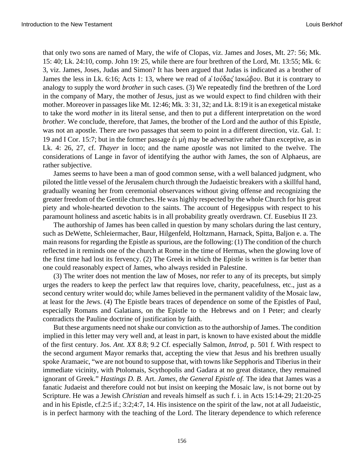that only two sons are named of Mary, the wife of Clopas, viz. James and Joses, [Mt. 27](http://www.ccel.org/b/bible/asv/xml/asv.Matt..xml#Matt..): 56; [Mk.](http://www.ccel.org/b/bible/asv/xml/asv.Mark..xml#Mark..) [15](http://www.ccel.org/b/bible/asv/xml/asv.Mark..xml#Mark..): 40; [Lk. 24:10](http://www.ccel.org/b/bible/asv/xml/asv.Luke.24.xml#Luke.24.10), comp. [John 19](http://www.ccel.org/b/bible/asv/xml/asv.John..xml#John..): 25, while there are four brethren of the Lord, [Mt. 13:55;](http://www.ccel.org/b/bible/asv/xml/asv.Matt.13.xml#Matt.13.55) [Mk. 6:](http://www.ccel.org/b/bible/asv/xml/asv.Mark..xml#Mark..) 3, viz. James, Joses, Judas and Simon? It has been argued that Judas is indicated as a brother of James the less in [Lk. 6:16;](http://www.ccel.org/b/bible/asv/xml/asv.Luke.6.xml#Luke.6.16) [Acts 1](http://www.ccel.org/b/bible/asv/xml/asv.Acts..xml#Acts..): 13, where we read of a ̓Ιούδας ̓Ιακώβου. But it is contrary to analogy to supply the word *brother* in such cases. (3) We repeatedly find the brethren of the Lord in the company of Mary, the mother of Jesus, just as we would expect to find children with their mother. Moreover in passages like [Mt. 12:46](http://www.ccel.org/b/bible/asv/xml/asv.Matt.12.xml#Matt.12.46); [Mk. 3:](http://www.ccel.org/b/bible/asv/xml/asv.Mark..xml#Mark..) 31, 32; and [Lk. 8:19](http://www.ccel.org/b/bible/asv/xml/asv.Luke.8.xml#Luke.8.19) it is an exegetical mistake to take the word *mother* in its literal sense, and then to put a different interpretation on the word *brother.* We conclude, therefore, that James, the brother of the Lord and the author of this Epistle, was not an apostle. There are two passages that seem to point in a different direction, viz. [Gal. 1:](http://www.ccel.org/b/bible/asv/xml/asv.Gal..xml#Gal..) 19 and [I Cor. 15:7](http://www.ccel.org/b/bible/asv/xml/asv.iCor.15.xml#iCor.15.7); but in the former passage ἐι μὴ may be adversative rather than exceptive, as in [Lk. 4:](http://www.ccel.org/b/bible/asv/xml/asv.Luke..xml#Luke..) 26, 27, cf. *Thayer* in loco; and the name *apostle* was not limited to the twelve. The considerations of Lange in favor of identifying the author with James, the son of Alphaeus, are rather subjective.

James seems to have been a man of good common sense, with a well balanced judgment, who piloted the little vessel of the Jerusalem church through the Judaeistic breakers with a skillful hand, gradually weaning her from ceremonial observances without giving offense and recognizing the greater freedom of the Gentile churches. He was highly respected by the whole Church for his great piety and whole-hearted devotion to the saints. The account of Hegesippus with respect to his paramount holiness and ascetic habits is in all probability greatly overdrawn. Cf. Eusebius II 23.

The authorship of James has been called in question by many scholars during the last century, such as DeWette, Schleiermacher, Baur, Hilgenfeld, Holtzmann, Harnack, Spitta, Baljon e. a. The main reasons for regarding the Epistle as spurious, are the following: (1) The condition of the church reflected in it reminds one of the church at Rome in the time of Hermas, when the glowing love of the first time had lost its fervency. (2) The Greek in which the Epistle is written is far better than one could reasonably expect of James, who always resided in Palestine.

(3) The writer does not mention the law of Moses, nor refer to any of its precepts, but simply urges the readers to keep the perfect law that requires love, charity, peacefulness, etc., just as a second century writer would do; while James believed in the permanent validity of the Mosaic law, at least for the Jews. (4) The Epistle bears traces of dependence on some of the Epistles of Paul, especially Romans and Galatians, on the Epistle to the Hebrews and on I Peter; and clearly contradicts the Pauline doctrine of justification by faith.

But these arguments need not shake our conviction as to the authorship of James. The condition implied in this letter may very well and, at least in part, is known to have existed about the middle of the first century. Jos. *Ant. XX* 8.8; 9.2 Cf. especially Salmon, *Introd,* p. 501 f. With respect to the second argument Mayor remarks that, accepting the view that Jesus and his brethren usually spoke Aramaeic, "we are not bound to suppose that, with towns like Sepphoris and Tiberius in their immediate vicinity, with Ptolomais, Scythopolis and Gadara at no great distance, they remained ignorant of Greek." *Hastings D. B.* Art. *James, the General Epistle of.* The idea that James was a fanatic Judaeist and therefore could not but insist on keeping the Mosaic law, is not borne out by Scripture. He was a Jewish *Christian* and reveals himself as such f. i. in [Acts 15:14-29](http://www.ccel.org/b/bible/asv/xml/asv.Acts.15.xml#Acts.15.14); 21:20-25 and in his Epistle, cf.2:5 if.; 3:2;4:7, 14. His insistence on the spirit of the law, not at all Judaeistic, is in perfect harmony with the teaching of the Lord. The literary dependence to which reference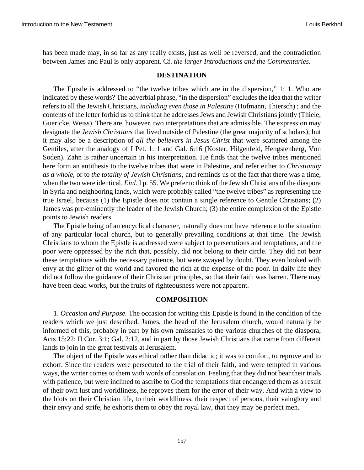has been made may, in so far as any really exists, just as well be reversed, and the contradiction between James and Paul is only apparent. Cf. *the larger Introductions and the Commentaries.*

## **DESTINATION**

The Epistle is addressed to "the twelve tribes which are in the dispersion," 1: 1. Who are indicated by these words? The adverbial phrase, "in the dispersion" excludes the idea that the writer refers to all the Jewish Christians, *including even those in Palestine* (Hofmann, Thiersch) ; and the contents of the letter forbid us to think that he addresses Jews and Jewish Christians jointly (Thiele, Guericke, Weiss). There are, however, two interpretations that are admissible. The expression may designate the *Jewish Christians* that lived outside of Palestine (the great majority of scholars); but it may also be a description of *all the believers in Jesus Christ* that were scattered among the Gentiles, after the analogy of [I Pet. 1:](http://www.ccel.org/b/bible/asv/xml/asv.iPet..xml#iPet..) 1 and [Gal. 6:16](http://www.ccel.org/b/bible/asv/xml/asv.Gal.6.xml#Gal.6.16) (Koster, Hilgenfeld, Hengstenberg, Von Soden). Zahn is rather uncertain in his interpretation. He finds that the twelve tribes mentioned here form an antithesis to the twelve tribes that were in Palestine, and refer either to *Christianity as a whole,* or to *the totality of Jewish Christians;* and reminds us of the fact that there was a time, when the two were identical. *Einl*. I p. 55. We prefer to think of the Jewish Christians of the diaspora in Syria and neighboring lands, which were probably called "the twelve tribes" as representing the true Israel, because (1) the Epistle does not contain a single reference to Gentile Christians; (2) James was pre-eminently the leader of the Jewish Church; (3) the entire complexion of the Epistle points to Jewish readers.

The Epistle being of an encyclical character, naturally does not have reference to the situation of any particular local church, but to generally prevailing conditions at that time. The Jewish Christians to whom the Epistle is addressed were subject to persecutions and temptations, and the poor were oppressed by the rich that, possibly, did not belong to their circle. They did not bear these temptations with the necessary patience, but were swayed by doubt. They even looked with envy at the glitter of the world and favored the rich at the expense of the poor. In daily life they did not follow the guidance of their Christian principles, so that their faith was barren. There may have been dead works, but the fruits of righteousness were not apparent.

## **COMPOSITION**

1. *Occasion and Purpose.* The occasion for writing this Epistle is found in the condition of the readers which we just described. James, the head of the Jerusalem church, would naturally be informed of this, probably in part by his own emissaries to the various churches of the diaspora, [Acts 15:22](http://www.ccel.org/b/bible/asv/xml/asv.Acts.15.xml#Acts.15.22); [II Cor. 3:1;](http://www.ccel.org/b/bible/asv/xml/asv.iiCor.3.xml#iiCor.3.1) [Gal. 2:12,](http://www.ccel.org/b/bible/asv/xml/asv.Gal.2.xml#Gal.2.12) and in part by those Jewish Christians that came from different lands to join in the great festivals at Jerusalem.

The object of the Epistle was ethical rather than didactic; it was to comfort, to reprove and to exhort. Since the readers were persecuted to the trial of their faith, and were tempted in various ways, the writer comes to them with words of consolation. Feeling that they did not bear their trials with patience, but were inclined to ascribe to God the temptations that endangered them as a result of their own lust and worldliness, he reproves them for the error of their way. And with a view to the blots on their Christian life, to their worldliness, their respect of persons, their vainglory and their envy and strife, he exhorts them to obey the royal law, that they may be perfect men.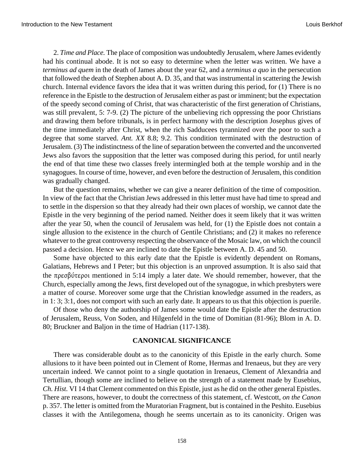2. *Time and Place.* The place of composition was undoubtedly Jerusalem, where James evidently had his continual abode. It is not so easy to determine when the letter was written. We have a *terminus ad quem* in the death of James about the year 62, and a *terminus a quo* in the persecution that followed the death of Stephen about A. D. 35, and that was instrumental in scattering the Jewish church. Internal evidence favors the idea that it was written during this period, for (1) There is no reference in the Epistle to the destruction of Jerusalem either as past or imminent; but the expectation of the speedy second coming of Christ, that was characteristic of the first generation of Christians, was still prevalent, 5: 7-9. (2) The picture of the unbelieving rich oppressing the poor Christians and drawing them before tribunals, is in perfect harmony with the description Josephus gives of the time immediately after Christ, when the rich Sadducees tyrannized over the poor to such a degree that some starved. *Ant. XX* 8.8; 9.2. This condition terminated with the destruction of Jerusalem. (3) The indistinctness of the line of separation between the converted and the unconverted Jews also favors the supposition that the letter was composed during this period, for until nearly the end of that time these two classes freely intermingled both at the temple worship and in the synagogues. In course of time, however, and even before the destruction of Jerusalem, this condition was gradually changed.

But the question remains, whether we can give a nearer definition of the time of composition. In view of the fact that the Christian Jews addressed in this letter must have had time to spread and to settle in the dispersion so that they already had their own places of worship, we cannot date the Epistle in the very beginning of the period named. Neither does it seem likely that it was written after the year 50, when the council of Jerusalem was held, for (1) the Epistle does not contain a single allusion to the existence in the church of Gentile Christians; and (2) it makes no reference whatever to the great controversy respecting the observance of the Mosaic law, on which the council passed a decision. Hence we are inclined to date the Epistle between A. D. 45 and 50.

Some have objected to this early date that the Epistle is evidently dependent on Romans, Galatians, Hebrews and I Peter; but this objection is an unproved assumption. It is also said that the πρεσβύτεροι mentioned in 5:14 imply a later date. We should remember, however, that the Church, especially among the Jews, first developed out of the synagogue, in which presbyters were a matter of course. Moreover some urge that the Christian knowledge assumed in the readers, as in 1: 3; 3:1, does not comport with such an early date. It appears to us that this objection is puerile.

Of those who deny the authorship of James some would date the Epistle after the destruction of Jerusalem, Reuss, Von Soden, and Hilgenfeld in the time of Domitian (81-96); Blom in A. D. 80; Bruckner and Baljon in the time of Hadrian (117-138).

## **CANONICAL SIGNIFICANCE**

There was considerable doubt as to the canonicity of this Epistle in the early church. Some allusions to it have been pointed out in Clement of Rome, Hermas and Irenaeus, but they are very uncertain indeed. We cannot point to a single quotation in Irenaeus, Clement of Alexandria and Tertullian, though some are inclined to believe on the strength of a statement made by Eusebius, *Ch. Hist.* VI 14 that Clement commented on this Epistle, just as he did on the other general Epistles. There are reasons, however, to doubt the correctness of this statement, cf. Westcott, *on the Canon* p. 357. The letter is omitted from the Muratorian Fragment, but is contained in the Peshito. Eusebius classes it with the Antilegomena, though he seems uncertain as to its canonicity. Origen was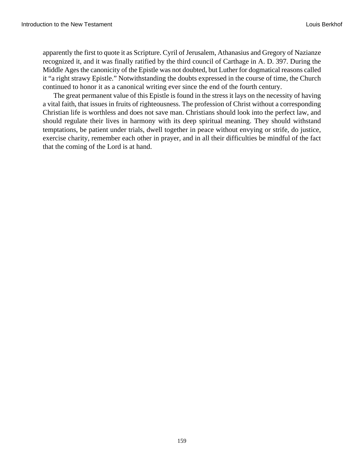apparently the first to quote it as Scripture. Cyril of Jerusalem, Athanasius and Gregory of Nazianze recognized it, and it was finally ratified by the third council of Carthage in A. D. 397. During the Middle Ages the canonicity of the Epistle was not doubted, but Luther for dogmatical reasons called it "a right strawy Epistle." Notwithstanding the doubts expressed in the course of time, the Church continued to honor it as a canonical writing ever since the end of the fourth century.

The great permanent value of this Epistle is found in the stress it lays on the necessity of having a vital faith, that issues in fruits of righteousness. The profession of Christ without a corresponding Christian life is worthless and does not save man. Christians should look into the perfect law, and should regulate their lives in harmony with its deep spiritual meaning. They should withstand temptations, be patient under trials, dwell together in peace without envying or strife, do justice, exercise charity, remember each other in prayer, and in all their difficulties be mindful of the fact that the coming of the Lord is at hand.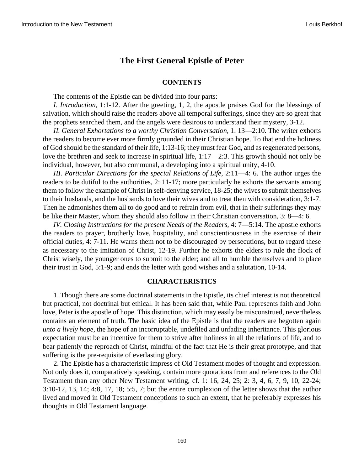# **The First General Epistle of Peter**

#### **CONTENTS**

The contents of the Epistle can be divided into four parts:

*I. Introduction,* 1:1-12. After the greeting, 1, 2, the apostle praises God for the blessings of salvation, which should raise the readers above all temporal sufferings, since they are so great that the prophets searched them, and the angels were desirous to understand their mystery, 3-12.

*II. General Exhortations to a worthy Christian Conversation,* 1: 13—2:10. The writer exhorts the readers to become ever more firmly grounded in their Christian hope. To that end the holiness of God should be the standard of their life, 1:13-16; they must fear God, and as regenerated persons, love the brethren and seek to increase in spiritual life, 1:17—2:3. This growth should not only be individual, however, but also communal, a developing into a spiritual unity, 4-10.

*III. Particular Directions for the special Relations of Life,* 2:11—4: 6. The author urges the readers to be dutiful to the authorities, 2: 11-17; more particularly he exhorts the servants among them to follow the example of Christ in self-denying service, 18-25; the wives to submit themselves to their husbands, and the husbands to love their wives and to treat then with consideration, 3:1-7. Then he admonishes them all to do good and to refrain from evil, that in their sufferings they may be like their Master, whom they should also follow in their Christian conversation, 3: 8—4: 6.

*IV. Closing Instructions for the present Needs of the Readers,* 4: 7—5:14. The apostle exhorts the readers to prayer, brotherly love, hospitality, and conscientiousness in the exercise of their official duties, 4: 7-11. He warns them not to be discouraged by persecutions, but to regard these as necessary to the imitation of Christ, 12-19. Further he exhorts the elders to rule the flock of Christ wisely, the younger ones to submit to the elder; and all to humble themselves and to place their trust in God, 5:1-9; and ends the letter with good wishes and a salutation, 10-14.

#### **CHARACTERISTICS**

1. Though there are some doctrinal statements in the Epistle, its chief interest is not theoretical but practical, not doctrinal but ethical. It has been said that, while Paul represents faith and John love, Peter is the apostle of hope. This distinction, which may easily be misconstrued, nevertheless contains an element of truth. The basic idea of the Epistle is that the readers are begotten again *unto a lively hope,* the hope of an incorruptable, undefiled and unfading inheritance. This glorious expectation must be an incentive for them to strive after holiness in all the relations of life, and to bear patiently the reproach of Christ, mindful of the fact that He is their great prototype, and that suffering is the pre-requisite of everlasting glory.

2. The Epistle has a characteristic impress of Old Testament modes of thought and expression. Not only does it, comparatively speaking, contain more quotations from and references to the Old Testament than any other New Testament writing, cf. 1: 16, 24, 25; 2: 3, 4, 6, 7, 9, 10, 22-24; 3:10-12, 13, 14; 4:8, 17, 18; 5:5, 7; but the entire complexion of the letter shows that the author lived and moved in Old Testament conceptions to such an extent, that he preferably expresses his thoughts in Old Testament language.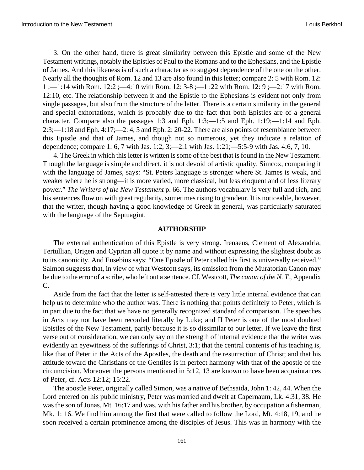3. On the other hand, there is great similarity between this Epistle and some of the New Testament writings, notably the Epistles of Paul to the Romans and to the Ephesians, and the Epistle of James. And this likeness is of such a character as to suggest dependence of the one on the other. Nearly all the thoughts of [Rom. 12](http://www.ccel.org/b/bible/asv/xml/asv.Rom..xml#Rom..) and 13 are also found in this letter; compare 2: 5 with [Rom. 12:](http://www.ccel.org/b/bible/asv/xml/asv.Rom..xml#Rom..) 1 ;—1:14 with [Rom. 12:2](http://www.ccel.org/b/bible/asv/xml/asv.Rom.12.xml#Rom.12.2) ;—4:10 with [Rom. 12](http://www.ccel.org/b/bible/asv/xml/asv.Rom..xml#Rom..): 3-8 ;—1 :22 with [Rom. 12](http://www.ccel.org/b/bible/asv/xml/asv.Rom..xml#Rom..): 9 ;—2:17 with [Rom.](http://www.ccel.org/b/bible/asv/xml/asv.Rom.12.xml#Rom.12.10) [12:10](http://www.ccel.org/b/bible/asv/xml/asv.Rom.12.xml#Rom.12.10), etc. The relationship between it and the Epistle to the Ephesians is evident not only from single passages, but also from the structure of the letter. There is a certain similarity in the general and special exhortations, which is probably due to the fact that both Epistles are of a general character. Compare also the passages 1:3 and [Eph. 1:3;](http://www.ccel.org/b/bible/asv/xml/asv.Eph.1.xml#Eph.1.3)—1:5 and [Eph. 1:19](http://www.ccel.org/b/bible/asv/xml/asv.Eph.1.xml#Eph.1.19);—1:14 and [Eph.](http://www.ccel.org/b/bible/asv/xml/asv.Eph.2.xml#Eph.2.3) [2:3](http://www.ccel.org/b/bible/asv/xml/asv.Eph.2.xml#Eph.2.3);—1:18 and [Eph. 4:17](http://www.ccel.org/b/bible/asv/xml/asv.Eph.4.xml#Eph.4.17);—2: 4, 5 and [Eph. 2:](http://www.ccel.org/b/bible/asv/xml/asv.Eph..xml#Eph..) 20-22. There are also points of resemblance between this Epistle and that of James, and though not so numerous, yet they indicate a relation of dependence; compare 1: 6, 7 with [Jas. 1:2, 3;](http://www.ccel.org/b/bible/asv/xml/asv.Jas.1.xml#Jas.1.2 Bible:Jas.1.3)—2:1 with [Jas. 1:21;](http://www.ccel.org/b/bible/asv/xml/asv.Jas.1.xml#Jas.1.21)—5:5-9 with [Jas. 4:6, 7, 10.](http://www.ccel.org/b/bible/asv/xml/asv.Jas.4.xml#Jas.4.6 Bible:Jas.4.7 Bible:Jas.4.10)

4. The Greek in which this letter is written is some of the best that is found in the New Testament. Though the language is simple and direct, it is not devoid of artistic quality. Simcox, comparing it with the language of James, says: "St. Peters language is stronger where St. James is weak, and weaker where he is strong—it is more varied, more classical, but less eloquent and of less literary power." *The Writers of the New Testament* p. 66. The authors vocabulary is very full and rich, and his sentences flow on with great regularity, sometimes rising to grandeur. It is noticeable, however, that the writer, though having a good knowledge of Greek in general, was particularly saturated with the language of the Septuagint.

#### **AUTHORSHIP**

The external authentication of this Epistle is very strong. Irenaeus, Clement of Alexandria, Tertullian, Origen and Cyprian all quote it by name and without expressing the slightest doubt as to its canonicity. And Eusebius says: "One Epistle of Peter called his first is universally received." Salmon suggests that, in view of what Westcott says, its omission from the Muratorian Canon may be due to the error of a scribe, who left out a sentence. Cf. Westcott, *The canon of the N. T.,* Appendix C.

Aside from the fact that the letter is self-attested there is very little internal evidence that can help us to determine who the author was. There is nothing that points definitely to Peter, which is in part due to the fact that we have no generally recognized standard of comparison. The speeches in Acts may not have been recorded literally by Luke; and II Peter is one of the most doubted Epistles of the New Testament, partly because it is so dissimilar to our letter. If we leave the first verse out of consideration, we can only say on the strength of internal evidence that the writer was evidently an eyewitness of the sufferings of Christ, 3:1; that the central contents of his teaching is, like that of Peter in the Acts of the Apostles, the death and the resurrection of Christ; and that his attitude toward the Christians of the Gentiles is in perfect harmony with that of the apostle of the circumcision. Moreover the persons mentioned in 5:12, 13 are known to have been acquaintances of Peter, cf. [Acts 12:12](http://www.ccel.org/b/bible/asv/xml/asv.Acts.12.xml#Acts.12.12); 15:22.

The apostle Peter, originally called Simon, was a native of Bethsaida, [John 1](http://www.ccel.org/b/bible/asv/xml/asv.John..xml#John..): 42, 44. When the Lord entered on his public ministry, Peter was married and dwelt at Capernaum, [Lk. 4:31, 38.](http://www.ccel.org/b/bible/asv/xml/asv.Luke.4.xml#Luke.4.31 Bible:Luke.4.38) He was the son of Jonas, [Mt. 16:17](http://www.ccel.org/b/bible/asv/xml/asv.Matt.16.xml#Matt.16.17) and was, with his father and his brother, by occupation a fisherman, [Mk. 1:](http://www.ccel.org/b/bible/asv/xml/asv.Mark..xml#Mark..) 16. We find him among the first that were called to follow the Lord, [Mt. 4:18, 19,](http://www.ccel.org/b/bible/asv/xml/asv.Matt.4.xml#Matt.4.18 Bible:Matt.4.19) and he soon received a certain prominence among the disciples of Jesus. This was in harmony with the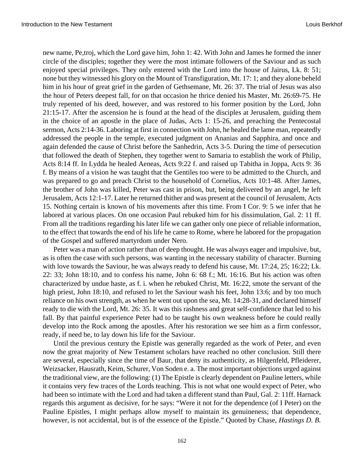new name, Pe,troj, which the Lord gave him, [John 1:](http://www.ccel.org/b/bible/asv/xml/asv.John..xml#John..) 42. With John and James he formed the inner circle of the disciples; together they were the most intimate followers of the Saviour and as such enjoyed special privileges. They only entered with the Lord into the house of Jairus, [Lk. 8](http://www.ccel.org/b/bible/asv/xml/asv.Luke..xml#Luke..): 51; none but they witnessed his glory on the Mount of Transfiguration, [Mt. 17](http://www.ccel.org/b/bible/asv/xml/asv.Matt..xml#Matt..): 1; and they alone beheld him in his hour of great grief in the garden of Gethsemane, [Mt. 26](http://www.ccel.org/b/bible/asv/xml/asv.Matt..xml#Matt..): 37. The trial of Jesus was also the hour of Peters deepest fall, for on that occasion he thrice denied his Master, [Mt. 26:69-75.](http://www.ccel.org/b/bible/asv/xml/asv.Matt.26.xml#Matt.26.69) He truly repented of his deed, however, and was restored to his former position by the Lord, [John](http://www.ccel.org/b/bible/asv/xml/asv.John.21.xml#John.21.15) [21:15-17](http://www.ccel.org/b/bible/asv/xml/asv.John.21.xml#John.21.15). After the ascension he is found at the head of the disciples at Jerusalem, guiding them in the choice of an apostle in the place of Judas, [Acts 1](http://www.ccel.org/b/bible/asv/xml/asv.Acts..xml#Acts..): 15-26, and preaching the Pentecostal sermon, [Acts 2:14-36.](http://www.ccel.org/b/bible/asv/xml/asv.Acts.2.xml#Acts.2.14) Laboring at first in connection with John, he healed the lame man, repeatedly addressed the people in the temple, executed judgment on Ananias and Sapphira, and once and again defended the cause of Christ before the Sanhedrin, [Acts 3-](http://www.ccel.org/b/bible/asv/xml/asv.Acts..xml#Acts..)5. During the time of persecution that followed the death of Stephen, they together went to Samaria to establish the work of Philip, [Acts 8:14](http://www.ccel.org/b/bible/asv/xml/asv.Acts.8.xml#Acts.8.14) ff. In Lydda he healed Aeneas, [Acts 9:22](http://www.ccel.org/b/bible/asv/xml/asv.Acts.9.xml#Acts.9.22) f. and raised up Tabitha in Joppa, [Acts 9](http://www.ccel.org/b/bible/asv/xml/asv.Acts..xml#Acts..): 36 f. By means of a vision he was taught that the Gentiles too were to be admitted to the Church, and was prepared to go and preach Christ to the household of Cornelius, [Acts 10:1-48](http://www.ccel.org/b/bible/asv/xml/asv.Acts.10.xml#Acts.10.1). After James, the brother of John was killed, Peter was cast in prison, but, being delivered by an angel, he left Jerusalem, [Acts 12:1-17.](http://www.ccel.org/b/bible/asv/xml/asv.Acts.12.xml#Acts.12.1) Later he returned thither and was present at the council of Jerusalem, [Acts](http://www.ccel.org/b/bible/asv/xml/asv.Acts..xml#Acts..) [15](http://www.ccel.org/b/bible/asv/xml/asv.Acts..xml#Acts..). Nothing certain is known of his movements after this time. From [I Cor. 9:](http://www.ccel.org/b/bible/asv/xml/asv.iCor..xml#iCor..) 5 we infer that he labored at various places. On one occasion Paul rebuked him for his dissimulation, [Gal. 2:](http://www.ccel.org/b/bible/asv/xml/asv.Gal..xml#Gal..) 11 ff. From all the traditions regarding his later life we can gather only one piece of reliable information, to the effect that towards the end of his life he came to Rome, where he labored for the propagation of the Gospel and suffered martyrdom under Nero.

Peter was a man of action rather than of deep thought. He was always eager and impulsive, but, as is often the case with such persons, was wanting in the necessary stability of character. Burning with love towards the Saviour, he was always ready to defend his cause, [Mt. 17:24, 25](http://www.ccel.org/b/bible/asv/xml/asv.Matt.17.xml#Matt.17.24 Bible:Matt.17.25); 16:22; [Lk.](http://www.ccel.org/b/bible/asv/xml/asv.Luke..xml#Luke..) [22](http://www.ccel.org/b/bible/asv/xml/asv.Luke..xml#Luke..): 33; [John 18:10](http://www.ccel.org/b/bible/asv/xml/asv.John.18.xml#John.18.10), and to confess his name, [John 6](http://www.ccel.org/b/bible/asv/xml/asv.John..xml#John..): 68 f.; [Mt. 16:16.](http://www.ccel.org/b/bible/asv/xml/asv.Matt.16.xml#Matt.16.16) But his action was often characterized by undue haste, as f. i. when he rebuked Christ, [Mt. 16:22,](http://www.ccel.org/b/bible/asv/xml/asv.Matt.16.xml#Matt.16.22) smote the servant of the high priest, [John 18:10,](http://www.ccel.org/b/bible/asv/xml/asv.John.18.xml#John.18.10) and refused to let the Saviour wash his feet, [John 13:6](http://www.ccel.org/b/bible/asv/xml/asv.John.13.xml#John.13.6); and by too much reliance on his own strength, as when he went out upon the sea, [Mt. 14:28-31,](http://www.ccel.org/b/bible/asv/xml/asv.Matt.14.xml#Matt.14.28) and declared himself ready to die with the Lord, [Mt. 26](http://www.ccel.org/b/bible/asv/xml/asv.Matt..xml#Matt..): 35. It was this rashness and great self-confidence that led to his fall. By that painful experience Peter had to be taught his own weakness before he could really develop into the Rock among the apostles. After his restoration we see him as a firm confessor, ready, if need be, to lay down his life for the Saviour.

Until the previous century the Epistle was generally regarded as the work of Peter, and even now the great majority of New Testament scholars have reached no other conclusion. Still there are several, especially since the time of Baur, that deny its authenticity, as Hilgenfeld, Pfleiderer, Weizsacker, Hausrath, Keim, Schurer, Von Soden e. a. The most important objections urged against the traditional view, are the following: (1) The Epistle is clearly dependent on Pauline letters, while it contains very few traces of the Lords teaching. This is not what one would expect of Peter, who had been so intimate with the Lord and had taken a different stand than Paul, [Gal. 2:](http://www.ccel.org/b/bible/asv/xml/asv.Gal..xml#Gal..) 11ff. Harnack regards this argument as decisive, for he says: "Were it not for the dependence (of I Peter) on the Pauline Epistles, I might perhaps allow myself to maintain its genuineness; that dependence, however, is not accidental, but is of the essence of the Epistle." Quoted by Chase, *Hastings D. B.*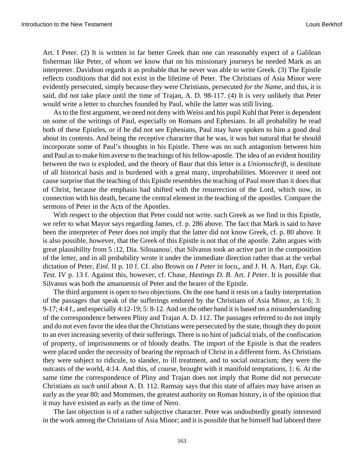Art. I Peter. (2) It is written in far better Greek than one can reasonably expect of a Galilean fisherman like Peter, of whom we know that on his missionary journeys he needed Mark as an interpreter. Davidson regards it as probable that he never was able to write Greek. (3) The Epistle reflects conditions that did not exist in the lifetime of Peter. The Christians of Asia Minor were evidently persecuted, simply because they were Christians, persecuted *for the Name,* and this, it is said, did not take place until the time of Trajan, A. D. 98-117. (4) It is very unlikely that Peter would write a letter to churches founded by Paul, while the latter was still living.

As to the first argument, we need not deny with Weiss and his pupil Kuhl that Peter is dependent on some of the writings of Paul, especially on Romans and Ephesians. In all probability he read both of these Epistles, or if he did not see Ephesians, Paul may have spoken to him a good deal about its contents. And being the receptive character that he was, it was but natural that he should incorporate some of Paul's thoughts in his Epistle. There was no such antagonism between him and Paul as to make him averse to the teachings of his fellow-apostle. The idea of an evident hostility between the two is exploded, and the theory of Baur that this letter is a *Unionsschrift,* is destitute of all historical basis and is burdened with a great many, improbabilities. Moreover it need not cause surprise that the teaching of this Epistle resembles the teaching of Paul more than it does that of Christ, because the emphasis had shifted with the resurrection of the Lord, which now, in connection with his death, became the central element in the teaching of the apostles. Compare the sermons of Peter in the Acts of the Apostles.

With respect to the objection that Peter could not write. such Greek as we find in this Epistle, we refer to what Mayor says regarding James, cf. p. 286 above. The fact that Mark is said to have been the interpreter of Peter does not imply that the latter did not know Greek, cf. p. 80 above. It is also possible, however, that the Greek of this Epistle is not that of the apostle. Zahn argues with great plausibility from 5 :12, Dia. Silouanou/, that Silvanus took an active part in the composition of the letter, and in all probability wrote it under the immediate direction rather than at the verbal dictation of Peter, *Einl.* II p. 10 f. Cf. also Brown on *I Peter* in loco,, and J. H. A. Hart, *Exp.* Gk. *Test.* IV p. 13 f. Against this, however, cf. Chase, *Hastings D. B.* Art. *I Peter.* It is possible that Silvanus was both the amanuensis of Peter and the bearer of the Epistle.

The third argument is open to two objections. On the one hand it rests on a faulty interpretation of the passages that speak of the sufferings endured by the Christians of Asia Minor, as 1:6; 3: 9-17; 4:4 f., and especially 4:12-19; 5: 8-12. And on the other hand it is based on a misunderstanding of the correspondence between Pliny and Trajan A. D. 112. The passages referred to do not imply and do not even favor the idea that the Christians were persecuted by the state, though they do point to an ever increasing severity of their sufferings. There is no hint of judicial trials, of the confiscation of property, of imprisonments or of bloody deaths. The import of the Epistle is that the readers were placed under the necessity of bearing the reproach of Christ in a different form. As Christians they were subject to ridicule, to slander, to ill treatment, and to social ostracism; they were the outcasts of the world, 4:14. And this, of course, brought with it manifold temptations, 1: 6. At the same time the correspondence of Pliny and Trajan does not imply that Rome did not persecute Christians *as such* until about A. D. 112. Ramsay says that this state of affairs may have arisen as early as the year 80; and Mommsen, the greatest authority on Roman history, is of the opinion that it may have existed as early as the time of Nero.

The last objection is of a rather subjective character. Peter was undoubtedly greatly interested in the work among the Christians of Asia Minor; and it is possible that he himself had labored there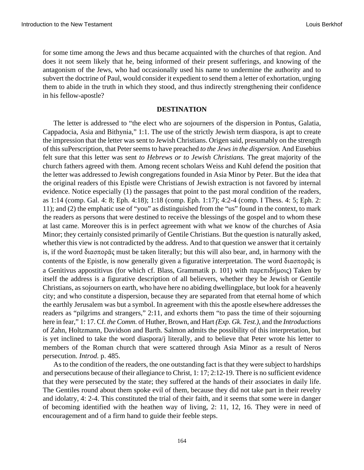for some time among the Jews and thus became acquainted with the churches of that region. And does it not seem likely that he, being informed of their present sufferings, and knowing of the antagonism of the Jews, who had occasionally used his name to undermine the authority and to subvert the doctrine of Paul, would consider it expedient to send them a letter of exhortation, urging them to abide in the truth in which they stood, and thus indirectly strengthening their confidence in his fellow-apostle?

## **DESTINATION**

The letter is addressed to "the elect who are sojourners of the dispersion in Pontus, Galatia, Cappadocia, Asia and Bithynia," 1:1. The use of the strictly Jewish term diaspora, is apt to create the impression that the letter was sent to Jewish Christians. Origen said, presumably on the strength of this suPerscription, that Peter seems to have preached *to the Jews in the dispersion.* And Eusebius felt sure that this letter was sent *to Hebrews or to Jewish Christians.* The great majority of the church fathers agreed with them. Among recent scholars Weiss and Kuhl defend the position that the letter was addressed to Jewish congregations founded in Asia Minor by Peter. But the idea that the original readers of this Epistle were Christians of Jewish extraction is not favored by internal evidence. Notice especially (1) the passages that point to the past moral condition of the readers, as 1:14 (comp. [Gal. 4](http://www.ccel.org/b/bible/asv/xml/asv.Gal..xml#Gal..): 8; [Eph. 4:18\)](http://www.ccel.org/b/bible/asv/xml/asv.Eph.4.xml#Eph.4.18); 1:18 (comp. [Eph. 1:17\)](http://www.ccel.org/b/bible/asv/xml/asv.Eph.1.xml#Eph.1.17); 4:2-4 (comp. [I Thess. 4:](http://www.ccel.org/b/bible/asv/xml/asv.iThess..xml#iThess..) 5; [Eph. 2:](http://www.ccel.org/b/bible/asv/xml/asv.Eph..xml#Eph..) 11); and (2) the emphatic use of "you" as distinguished from the "us" found in the context, to mark the readers as persons that were destined to receive the blessings of the gospel and to whom these at last came. Moreover this is in perfect agreement with what we know of the churches of Asia Minor; they certainly consisted primarily of Gentile Christians. But the question is naturally asked, whether this view is not contradicted by the address. And to that question we answer that it certainly is, if the word διασπορᾶς must be taken literally; but this will also bear, and, in harmony with the contents of the Epistle, is now generally given a figurative interpretation. The word διασπορᾶς is a Genitivus appostitivus (for which cf. Blass, Grammatik p. 101) with παρεπιδήμοις) Taken by itself the address is a figurative description of all believers, whether they be Jewish or Gentile Christians, as sojourners on earth, who have here no abiding dwellingplace, but look for a heavenly city; and who constitute a dispersion, because they are separated from that eternal home of which the earthly Jerusalem was but a symbol. In agreement with this the apostle elsewhere addresses the readers as "pilgrims and strangers," 2:11, and exhorts them "to pass the time of their sojourning here in fear," 1: 17. Cf. *the Comm.* of Huther, Brown, and Hart *(Exp. Gk. Test.),* and the *Introductions* of Zahn, Holtzmann, Davidson and Barth. Salmon admits the possibility of this interpretation, but is yet inclined to take the word diaspora/j literally, and to believe that Peter wrote his letter to members of the Roman church that were scattered through Asia Minor as a result of Neros persecution. *Introd.* p. 485.

As to the condition of the readers, the one outstanding fact is that they were subject to hardships and persecutions because of their allegiance to Christ, 1: 17; 2:12-19. There is no sufficient evidence that they were persecuted by the state; they suffered at the hands of their associates in daily life. The Gentiles round about them spoke evil of them, because they did not take part in their revelry and idolatry, 4: 2-4. This constituted the trial of their faith, and it seems that some were in danger of becoming identified with the heathen way of living, 2: 11, 12, 16. They were in need of encouragement and of a firm hand to guide their feeble steps.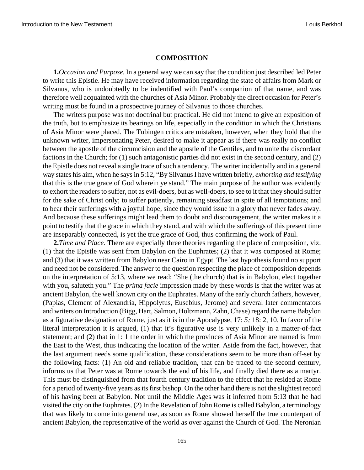#### **COMPOSITION**

**1.***Occasion and Purpose.* In a general way we can say that the condition just described led Peter to write this Epistle. He may have received information regarding the state of affairs from Mark or Silvanus, who is undoubtedly to be indentified with Paul's companion of that name, and was therefore well acquainted with the churches of Asia Minor. Probably the direct occasion for Peter's writing must be found in a prospective journey of Silvanus to those churches.

The writers purpose was not doctrinal but practical. He did not intend to give an exposition of the truth, but to emphasize its bearings on life, especially in the condition in which the Christians of Asia Minor were placed. The Tubingen critics are mistaken, however, when they hold that the unknown writer, impersonating Peter, desired to make it appear as if there was really no conflict between the apostle of the circumcision and the apostle of the Gentiles, and to unite the discordant factions in the Church; for (1) such antagonistic parties did not exist in the second century, and (2) the Epistle does not reveal a single trace of such a tendency. The writer incidentally and in a general way states his aim, when he says in 5:12, "By Silvanus I have written briefly, *exhorting and testifying* that this is the true grace of God wherein ye stand." The main purpose of the author was evidently to exhort the readers to suffer, not as evil-doers, but as well-doers, to see to it that they should suffer for the sake of Christ only; to suffer patiently, remaining steadfast in spite of all temptations; and to bear their sufferings with a joyful hope, since they would issue in a glory that never fades away. And because these sufferings might lead them to doubt and discouragement, the writer makes it a point to testify that the grace in which they stand, and with which the sufferings of this present time are inseparably connected, is yet the true grace of God, thus confirming the work of Paul.

**2.***Time and Place.* There are especially three theories regarding the place of composition, viz. (1) that the Epistle was sent from Babylon on the Euphrates; (2) that it was composed at Rome; and (3) that it was written from Babylon near Cairo in Egypt. The last hypothesis found no support and need not be considered. The answer to the question respecting the place of composition depends on the interpretation of 5:13, where we read: "She (the church) that is in Babylon, elect together with you, saluteth you." The *prima facie* impression made by these words is that the writer was at ancient Babylon, the well known city on the Euphrates. Many of the early church fathers, however, (Papias, Clement of Alexandria, Hippolytus, Eusebius, Jerome) and several later commentators and writers on Introduction (Bigg, Hart, Salmon, Holtzmann, Zahn, Chase) regard the name Babylon as a figurative designation of Rome, just as it is in the Apocalypse, 17: *5;* 18: 2, 10. In favor of the literal interpretation it is argued, (1) that it's figurative use is very unlikely in a matter-of-fact statement; and (2) that in 1: 1 the order in which the provinces of Asia Minor are named is from the East to the West, thus indicating the location of the writer. Aside from the fact, however, that the last argument needs some qualification, these considerations seem to be more than off-set by the following facts: (1) An old and reliable tradition, that can be traced to the second century, informs us that Peter was at Rome towards the end of his life, and finally died there as a martyr. This must be distinguished from that fourth century tradition to the effect that he resided at Rome for a period of twenty-five years as its first bishop. On the other hand there is not the slightest record of his having been at Babylon. Not until the Middle Ages was it inferred from 5:13 that he had visited the city on the Euphrates. (2) In the Revelation of John Rome is called Babylon, a terminology that was likely to come into general use, as soon as Rome showed herself the true counterpart of ancient Babylon, the representative of the world as over against the Church of God. The Neronian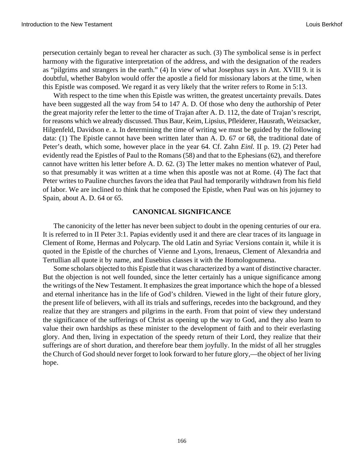persecution certainly began to reveal her character as such. (3) The symbolical sense is in perfect harmony with the figurative interpretation of the address, and with the designation of the readers as "pilgrims and strangers in the earth." (4) In view of what Josephus says in Ant. XVIII 9. it is doubtful, whether Babylon would offer the apostle a field for missionary labors at the time, when this Epistle was composed. We regard it as very likely that the writer refers to Rome in 5:13.

With respect to the time when this Epistle was written, the greatest uncertainty prevails. Dates have been suggested all the way from 54 to 147 A. D. Of those who deny the authorship of Peter the great majority refer the letter to the time of Trajan after A. D. 112, the date of Trajan's rescript, for reasons which we already discussed. Thus Baur, Keim, Lipsius, Pfleiderer, Hausrath, Weizsacker, Hilgenfeld, Davidson e. a. In determining the time of writing we must be guided by the following data: (1) The Epistle cannot have been written later than A. D. 67 or 68, the traditional date of Peter's death, which some, however place in the year 64. Cf. Zahn *Einl.* II p. 19. (2) Peter had evidently read the Epistles of Paul to the Romans (58) and that to the Ephesians (62), and therefore cannot have written his letter before A. D. 62. (3) The letter makes no mention whatever of Paul, so that presumably it was written at a time when this apostle was not at Rome. (4) The fact that Peter writes to Pauline churches favors the idea that Paul had temporarily withdrawn from his field of labor. We are inclined to think that he composed the Epistle, when Paul was on his jojurney to Spain, about A. D. 64 or 65.

## **CANONICAL SIGNIFICANCE**

The canonicity of the letter has never been subject to doubt in the opening centuries of our era. It is referred to in [II Peter 3:1.](http://www.ccel.org/b/bible/asv/xml/asv.iiPet.3.xml#iiPet.3.1) Papias evidently used it and there are clear traces of its language in Clement of Rome, Hermas and Polycarp. The old Latin and Syriac Versions contain it, while it is quoted in the Epistle of the churches of Vienne and Lyons, Irenaeus, Clement of Alexandria and Tertullian all quote it by name, and Eusebius classes it with the Homologoumena.

Some scholars objected to this Epistle that it was characterized by a want of distinctive character. But the objection is not well founded, since the letter certainly has a unique significance among the writings of the New Testament. It emphasizes the great importance which the hope of a blessed and eternal inheritance has in the life of God's children. Viewed in the light of their future glory, the present life of believers, with all its trials and sufferings, recedes into the background, and they realize that they are strangers and pilgrims in the earth. From that point of view they understand the significance of the sufferings of Christ as opening up the way to God, and they also learn to value their own hardships as these minister to the development of faith and to their everlasting glory. And then, living in expectation of the speedy return of their Lord, they realize that their sufferings are of short duration, and therefore bear them joyfully. In the midst of all her struggles the Church of God should never forget to look forward to her future glory,—the object of her living hope.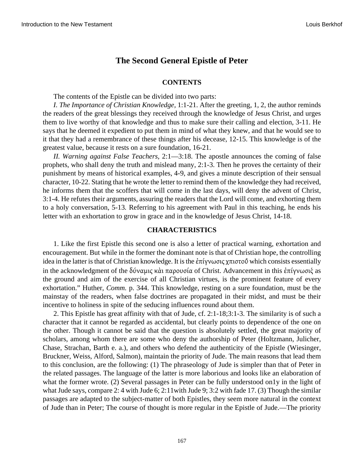# **The Second General Epistle of Peter**

#### **CONTENTS**

The contents of the Epistle can be divided into two parts:

*I. The Importance of Christian Knowledge,* 1:1-21. After the greeting, 1, 2, the author reminds the readers of the great blessings they received through the knowledge of Jesus Christ, and urges them to live worthy of that knowledge and thus to make sure their calling and election, 3-11. He says that he deemed it expedient to put them in mind of what they knew, and that he would see to it that they had a remembrance of these things after his decease, 12-15. This knowledge is of the greatest value, because it rests on a sure foundation, 16-21.

*II. Warning against False Teachers,* 2:1—3:18. The apostle announces the coming of false prophets, who shall deny the truth and mislead many, 2:1-3. Then he proves the certainty of their punishment by means of historical examples, 4-9, and gives a minute description of their sensual character, 10-22. Stating that he wrote the letter to remind them of the knowledge they had received, he informs them that the scoffers that will come in the last days, will deny the advent of Christ, 3:1-4. He refutes their arguments, assuring the readers that the Lord will come, and exhorting them to a holy conversation, 5-13*.* Referring to his agreement with Paul in this teaching, he ends his letter with an exhortation to grow in grace and in the knowledge of Jesus Christ, 14-18.

## **CHARACTERISTICS**

1. Like the first Epistle this second one is also a letter of practical warning, exhortation and encouragement. But while in the former the dominant note is that of Christian hope, the controlling idea in the latter is that of Christian knowledge. It is the ἐπίγνωσις χπιστοῦ́ which consists essentially in the acknowledgment of the δύναμις κὰι παρουσία of Christ. Advancement in this ἐπίγνωσις as the ground and aim of the exercise of all Christian virtues, is the prominent feature of every exhortation." Huther, *Comm.* p. 344. This knowledge, resting on a sure foundation, must be the mainstay of the readers, when false doctrines are propagated in their midst, and must be their incentive to holiness in spite of the seducing influences round about them.

2. This Epistle has great affinity with that of Jude, cf. 2:1-18;3:1-3. The similarity is of such a character that it cannot be regarded as accidental, but clearly points to dependence of the one on the other. Though it cannot be said that the question is absolutely settled, the great majority of scholars, among whom there are some who deny the authorship of Peter (Holtzmann, Julicher, Chase, Strachan, Barth e. a.), and others who defend the authenticity of the Epistle (Wiesinger, Bruckner, Weiss, Alford, Salmon), maintain the priority of Jude. The main reasons that lead them to this conclusion, are the following: (1) The phraseology of Jude is simpler than that of Peter in the related passages. The language of the latter is more laborious and looks like an elaboration of what the former wrote. (2) Several passages in Peter can be fully understood on 1y in the light of what Jude says, compare 2: 4 with [Jude 6;](http://www.ccel.org/b/bible/asv/xml/asv.Jude.1.xml#Jude.1.6) 2:11with [Jude 9](http://www.ccel.org/b/bible/asv/xml/asv.Jude.1.xml#Jude.1.9); 3:2 with fade 17. (3) Though the similar passages are adapted to the subject-matter of both Epistles, they seem more natural in the context of Jude than in Peter; The course of thought is more regular in the Epistle of Jude.—The priority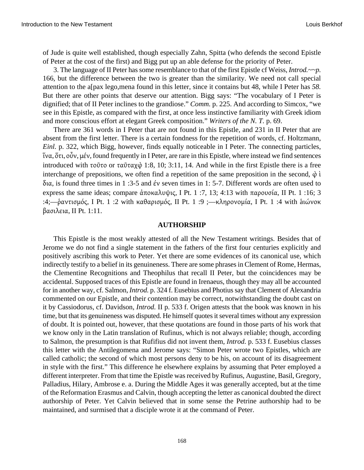of Jude is quite well established, though especially Zahn, Spitta (who defends the second Epistle of Peter at the cost of the first) and Bigg put up an able defense for the priority of Peter.

3. The language of II Peter has some resemblance to that of the first Epistle cf Weiss, *Introd.~~p.* 166, but the difference between the two is greater than the similarity. We need not call special attention to the a[pax lego,mena found in this letter, since it contains but 48, while I Peter has *58.* But there are other points that deserve our attention. Bigg says: "The vocabulary of I Peter is dignified; that of II Peter inclines to the grandiose." *Comm.* p. 225. And according to Simcox, "we see in this Epistle, as compared with the first, at once less instinctive familiarity with Greek idiom and more conscious effort at elegant Greek composition." *Writers of the N. T.* p. 69.

There are 361 words in I Peter that are not found in this Epistle, and 231 in II Peter that are absent from the first letter. There is a certain fondness for the repetition of words, cf. Holtzmann, *Einl.* p. 322, which Bigg, however, finds equally noticeable in I Peter. The connecting particles, ἵνα, ὅτι, οὖν, μέν, found frequently in I Peter, are rare in this Epistle, where instead we find sentences introduced with τοῦτο or ταῦταχφ̀ 1:8, 10; 3:11, 14. And while in the first Epistle there is a free interchange of prepositions, we often find a repetition of the same preposition in the second,  $\phi$  ί δια, is found three times in 1 :3-5 and έν seven times in 1: 5-7. Different words are often used to express the same ideas; compare ἀποκαλυψις, I Pt. 1:7, 13; 4:13 with παρουσία, II Pt. 1:16; 3 :4;— ραντισμός, I Pt. 1 :2 with καθαρισμός, II Pt. 1 :9 ;— κληρονομία, I Pt. 1 :4 with atώνοκ βασιλεια, II Pt. 1:11.

## **AUTHORSHIP**

This Epistle is the most weakly attested of all the New Testament writings. Besides that of Jerome we do not find a single statement in the fathers of the first four centuries explicitly and positively ascribing this work to Peter. Yet there are some evidences of its canonical use, which indirectly testify to a belief in its genuineness. There are some phrases in Clement of Rome, Hermas, the Clementine Recognitions and Theophilus that recall II Peter, but the coincidences may be accidental. Supposed traces of this Epistle are found in Irenaeus, though they may all be accounted for in another way, cf. Salmon, *Introd.* p. 324 f. Eusebius and Photius say that Clement of Alexandria commented on our Epistle, and their contention may be correct, notwithstanding the doubt cast on it by Cassiodorus, cf. Davidson, *Introd.* II p. 533 f. Origen attests that the book was known in his time, but that its genuineness was disputed. He himself quotes it several times without any expression of doubt. It is pointed out, however, that these quotations are found in those parts of his work that we know only in the Latin translation of Rufinus, which is not always reliable; though, according to Salmon, the presumption is that Rufifius did not invent them, *Introd.* p. 533 f. Eusebius classes this letter with the Antilegomena and Jerome says: "Simon Peter wrote two Epistles, which are called catholic; the second of which most persons deny to be his, on account of its disagreement in style with the first." This difference he elsewhere explains by assuming that Peter employed a different interpreter. From that time the Epistle was received by Rufinus, Augustine, Basil, Gregory, Palladius, Hilary, Ambrose e. a. During the Middle Ages it was generally accepted, but at the time of the Reformation Erasmus and Calvin, though accepting the letter as canonical doubted the direct authorship of Peter. Yet Calvin believed that in some sense the Petrine authorship had to be maintained, and surmised that a disciple wrote it at the command of Peter.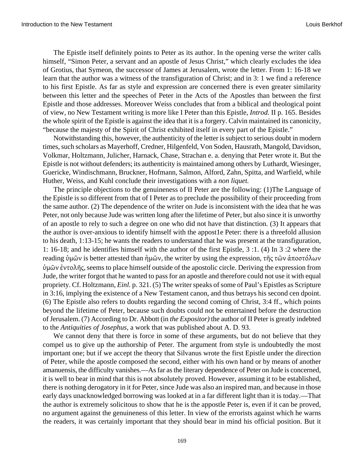The Epistle itself definitely points to Peter as its author. In the opening verse the writer calls himself, "Simon Peter, a servant and an apostle of Jesus Christ," which clearly excludes the idea of Grotius, that Symeon, the successor of James at Jerusalem, wrote the letter. From 1: 16-18 we learn that the author was a witness of the transfiguration of Christ; and in 3: 1 we find a reference to his first Epistle. As far as style and expression are concerned there is even greater similarity between this letter and the speeches of Peter in the Acts of the Apostles than between the first Epistle and those addresses. Moreover Weiss concludes that from a biblical and theological point of view, no New Testament writing is more like I Peter than this Epistle, *Introd.* II p. 165. Besides the whole spirit of the Epistle is against the idea that it is a forgery. Calvin maintained its canonicity, "because the majesty of the Spirit of Christ exhibited itself in every part of the Epistle."

Notwithstanding this, however, the authenticity of the letter is subject to serious doubt in modern times, such scholars as Mayerhoff, Credner, Hilgenfeld, Von Soden, Hausrath, Mangold, Davidson, Volkmar, Holtzmann, Julicher, Harnack, Chase, Strachan e. a. denying that Peter wrote it. But the Epistle is not without defenders; its authenticity is maintained among others by Luthardt, Wiesinger, Guericke, Windischmann, Bruckner, Hofmann, Salmon, Alford, Zahn, Spitta, and Warfield, while Huther, Weiss, and Kuhl conclude their investigations with a *non liquet.*

The principle objections to the genuineness of II Peter are the following: (1)The Language of the Epistle is so different from that of I Peter as to preclude the possibility of their proceeding from the same author. (2) The dependence of the writer on Jude is inconsistent with the idea that he was Peter, not only because Jude was written long after the lifetime of Peter, but also since it is unworthy of an apostle to rely to such a degree on one who did not have that distinction. (3) It appears that the author is over-anxious to identify himself with the appost1e Peter: there is a threefold allusion to his death, 1:13-15; he wants the readers to understand that he was present at the transfiguration, 1: 16-18; and he identifies himself with the author of the first Epistle, 3 :1. (4) In 3 :2 where the reading ὑμῶν is better attested than ἡμῶν, the writer by using the expression, τῆς τῶν ἀποστόλων ὑμῶν ἐντολῆς, seems to place himself outside of the apostolic circle. Deriving the expression from Jude, the writer forgot that he wanted to pass for an apostle and therefore could not use it with equal propriety. Cf. Holtzmann, *Einl.* p. 321. (5) The writer speaks of some of Paul's Epistles as Scripture in 3:16, implying the existence of a New Testament canon, and thus betrays his second cen dpoint. (6) The Epistle also refers to doubts regarding the second coming of Christ, 3:4 ff., which points beyond the lifetime of Peter, because such doubts could not be entertained before the destruction of Jerusalem. (7) According to Dr. Abbott (in *the Expositor)* the author of II Peter is greatly indebted to the *Antiquities of Josephus,* a work that was published about A. D. 93.

We cannot deny that there is force in some of these arguments, but do not believe that they compel us to give up the authorship of Peter. The argument from style is undoubtedly the most important one; but if we accept the theory that Silvanus wrote the first Epistle under the direction of Peter, while the apostle composed the second, either with his own hand or by means of another amanuensis, the difficulty vanishes.—As far as the literary dependence of Peter on Jude is concerned, it is well to bear in mind that this is not absolutely proved. However, assuming it to be established, there is nothing derogatory in it for Peter, since Jude was also an inspired man, and because in those early days unacknowledged borrowing was looked at in a far different light than it is today.—That the author is extremely solicitous to show that he is the appostle Peter is, even if it can be proved, no argument against the genuineness of this letter. In view of the errorists against which he warns the readers, it was certainly important that they should bear in mind his official position. But it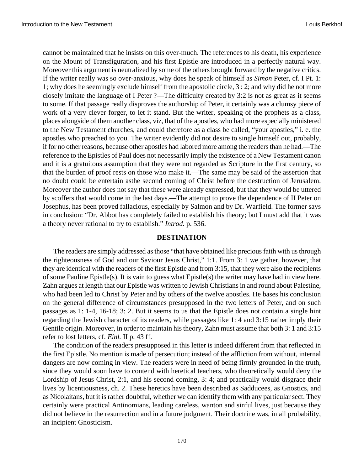cannot be maintained that he insists on this over-much. The references to his death, his experience on the Mount of Transfiguration, and his first Epistle are introduced in a perfectly natural way. Moreover this argument is neutralized by some of the others brought forward by the negative critics. If the writer really was so over-anxious, why does he speak of himself as *Simon* Peter, cf. I Pt. 1: 1; why does he seemingly exclude himself from the apostolic circle, 3 : 2; and why did he not more closely imitate the language of I Peter ?—The difficulty created by 3:2 is not as great as it seems to some. If that passage really disproves the authorship of Peter, it certainly was a clumsy piece of work of a very clever forger, to let it stand. But the writer, speaking of the prophets as a class, places alongside of them another class, viz, that of the apostles, who had more especially ministered to the New Testament churches, and could therefore as a class be called, "your apostles," i. e. the apostles who preached to you. The writer evidently did not desire to single himself out, probably, if for no other reasons, because other apostles had labored more among the readers than he had.—The reference to the Epistles of Paul does not necessarily imply the existence of a New Testament canon and it is a gratuitous assumption that they were not regarded as Scripture in the first century, so that the burden of proof rests on those who make it.—The same may be said of the assertion that no doubt could be entertain asthe second coming of Christ before the destruction of Jerusalem. Moreover the author does not say that these were already expressed, but that they would be uttered by scoffers that would come in the last days.—The attempt to prove the dependence of II Peter on Josephus, has been proved fallacious, especially by Salmon and by Dr. Warfield. The former says in conclusion: "Dr. Abbot has completely failed to establish his theory; but I must add that it was a theory never rational to try to establish." *Introd.* p. 536.

## **DESTINATION**

The readers are simply addressed as those "that have obtained like precious faith with us through the righteousness of God and our Saviour Jesus Christ," 1:1. From 3: 1 we gather, however, that they are identical with the readers of the first Epistle and from 3:15, that they were also the recipients of some Pauline Epistle(s). It is vain to guess what Epistle(s) the writer may have had in view here. Zahn argues at length that our Epistle was written to Jewish Christians in and round about Palestine, who had been led to Christ by Peter and by others of the twelve apostles. He bases his conclusion on the general difference of circumstances presupposed in the two letters of Peter, and on such passages as 1: 1-4, 16-18; 3: 2. But it seems to us that the Epistle does not contain a single hint regarding the Jewish character of its readers, while passages like 1: 4 and 3:15 rather imply their Gentile origin. Moreover, in order to maintain his theory, Zahn must assume that both 3: 1 and 3:15 refer to lost letters, cf. *Einl.* II p. 43 ff.

The condition of the readers presupposed in this letter is indeed different from that reflected in the first Epistle. No mention is made of persecution; instead of the affliction from without, internal dangers are now coming in view. The readers were in need of being firmly grounded in the truth, since they would soon have to contend with heretical teachers, who theoretically would deny the Lordship of Jesus Christ, 2:1, and his second coming, 3: 4; and practically would disgrace their lives by licentiousness, ch. 2. These heretics have been described as Sadducees, as Gnostics, and as Nicolaitans, but it is rather doubtful, whether we can identify them with any particular sect. They certainly were practical Antinomians, leading careless, wanton and sinful lives, just because they did not believe in the resurrection and in a future judgment. Their doctrine was, in all probability, an incipient Gnosticism.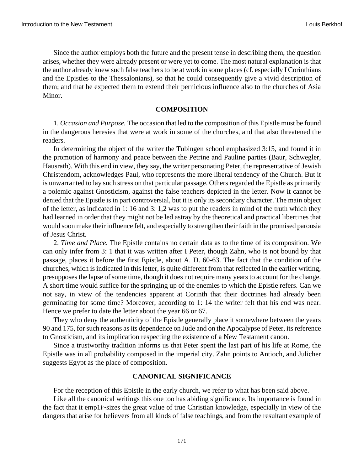Since the author employs both the future and the present tense in describing them, the question arises, whether they were already present or were yet to come. The most natural explanation is that the author already knew such false teachers to be at work in some places (cf. especially I Corinthians and the Epistles to the Thessalonians), so that he could consequently give a vivid description of them; and that he expected them to extend their pernicious influence also to the churches of Asia Minor.

## **COMPOSITION**

1. *Occasion and Purpose.* The occasion that led to the composition of this Epistle must be found in the dangerous heresies that were at work in some of the churches, and that also threatened the readers.

In determining the object of the writer the Tubingen school emphasized 3:15, and found it in the promotion of harmony and peace between the Petrine and Pauline parties (Baur, Schwegler, Hausrath). With this end in view, they say, the writer personating Peter, the representative of Jewish Christendom, acknowledges Paul, who represents the more liberal tendency of the Church. But it is unwarranted to lay such stress on that particular passage. Others regarded the Epistle as primarily a polemic against Gnosticism, against the false teachers depicted in the letter. Now it cannot be denied that the Epistle is in part controversial, but it is only its secondary character. The main object of the letter, as indicated in 1: 16 and 3: 1,2 was to put the readers in mind of the truth which they had learned in order that they might not be led astray by the theoretical and practical libertines that would soon make their influence felt, and especially to strengthen their faith in the promised parousia of Jesus Christ.

2. *Time and Place.* The Epistle contains no certain data as to the time of its composition. We can only infer from 3: 1 that it was written after I Peter, though Zahn, who is not bound by that passage, places it before the first Epistle, about A. D. 60-63. The fact that the condition of the churches, which is indicated in this letter, is quite different from that reflected in the earlier writing, presupposes the lapse of some time, though it does not require many years to account for the change. A short time would suffice for the springing up of the enemies to which the Epistle refers. Can we not say, in view of the tendencies apparent at Corinth that their doctrines had already been germinating for some time? Moreover, according to 1: 14 the writer felt that his end was near. Hence we prefer to date the letter about the year 66 or 67.

They who deny the authenticity of the Epistle generally place it somewhere between the years 90 and 175, for such reasons as its dependence on Jude and on the Apocalypse of Peter, its reference to Gnosticism, and its implication respecting the existence of a New Testament canon.

Since a trustworthy tradition informs us that Peter spent the last part of his life at Rome, the Epistle was in all probability composed in the imperial city. Zahn points to Antioch, and Julicher suggests Egypt as the place of composition.

## **CANONICAL SIGNIFICANCE**

For the reception of this Epistle in the early church, we refer to what has been said above.

Like all the canonical writings this one too has abiding significance. Its importance is found in the fact that it emp1i~sizes the great value of true Christian knowledge, especially in view of the dangers that arise for believers from all kinds of false teachings, and from the resultant example of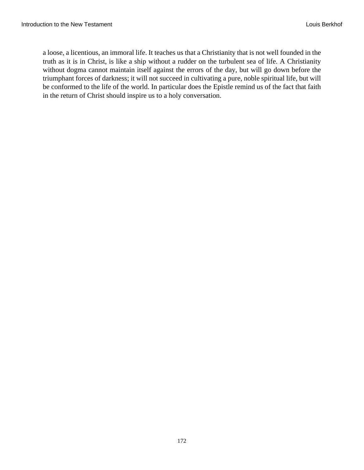a loose, a licentious, an immoral life. It teaches us that a Christianity that is not well founded in the truth as it is in Christ, is like a ship without a rudder on the turbulent sea of life. A Christianity without dogma cannot maintain itself against the errors of the day, but will go down before the triumphant forces of darkness; it will not succeed in cultivating a pure, noble spiritual life, but will be conformed to the life of the world. In particular does the Epistle remind us of the fact that faith in the return of Christ should inspire us to a holy conversation.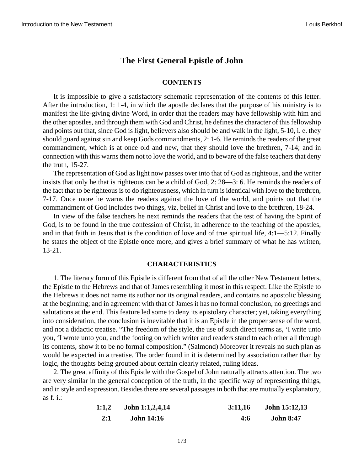# **The First General Epistle of John**

#### **CONTENTS**

It is impossible to give a satisfactory schematic representation of the contents of this letter. After the introduction, 1: 1-4, in which the apostle declares that the purpose of his ministry is to manifest the life-giving divine Word, in order that the readers may have fellowship with him and the other apostles, and through them with God and Christ, he defines the character of this fellowship and points out that, since God is light, believers also should be and walk in the light, 5-10, i. e. they should guard against sin and keep Gods commandments, 2: 1-6. He reminds the readers of the great commandment, which is at once old and new, that they should love the brethren, 7-14; and in connection with this warns them not to love the world, and to beware of the false teachers that deny the truth, 15-27.

The representation of God as light now passes over into that of God as righteous, and the writer insists that only he that is righteous can be a child of God, 2: 28—3: 6. He reminds the readers of the fact that to be righteous is to do righteousness, which in turn is identical with love to the brethren, 7-17. Once more he warns the readers against the love of the world, and points out that the commandment of God includes two things, viz, belief in Christ and love to the brethren, 18-24.

In view of the false teachers he next reminds the readers that the test of having the Spirit of God, is to be found in the true confession of Christ, in adherence to the teaching of the apostles, and in that faith in Jesus that is the condition of love and of true spiritual life, 4:1—5:12. Finally he states the object of the Epistle once more, and gives a brief summary of what he has written, 13-21.

#### **CHARACTERISTICS**

1. The literary form of this Epistle is different from that of all the other New Testament letters, the Epistle to the Hebrews and that of James resembling it most in this respect. Like the Epistle to the Hebrews it does not name its author nor its original readers, and contains no apostolic blessing at the beginning; and in agreement with that of James it has no formal conclusion, no greetings and salutations at the end. This feature led some to deny its epistolary character; yet, taking everything into consideration, the conclusion is inevitable that it is an Epistle in the proper sense of the word, and not a didactic treatise. "The freedom of the style, the use of such direct terms as, 'I write unto you, 'I wrote unto you, and the footing on which writer and readers stand to each other all through its contents, show it to be no formal composition." (Salmond) Moreover it reveals no such plan as would be expected in a treatise. The order found in it is determined by association rather than by logic, the thoughts being grouped about certain clearly related, ruling ideas.

2. The great affinity of this Epistle with the Gospel of John naturally attracts attention. The two are very similar in the general conception of the truth, in the specific way of representing things, and in style and expression. Besides there are several passages in both that are mutually explanatory, as f. i.:

| 1:1,2 | John 1:1,2,4,14   | 3:11,16 | <b>John 15:12,13</b> |
|-------|-------------------|---------|----------------------|
| 2:1   | <b>John 14:16</b> | 4:6     | <b>John 8:47</b>     |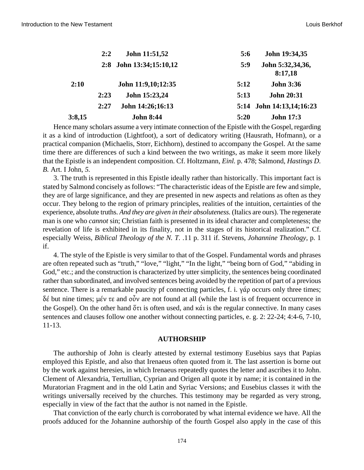|        | 2:2  | John 11:51,52       | 5:6  | John 19:34,35               |
|--------|------|---------------------|------|-----------------------------|
|        | 2:8  | John 13:34;15:10,12 | 5:9  | John 5:32,34,36,<br>8:17,18 |
| 2:10   |      | John 11:9,10;12:35  | 5:12 | <b>John 3:36</b>            |
|        | 2:23 | John 15:23,24       | 5:13 | <b>John 20:31</b>           |
|        | 2:27 | John 14:26;16:13    |      | 5:14 John 14:13,14;16:23    |
| 3:8,15 |      | <b>John 8:44</b>    | 5:20 | <b>John 17:3</b>            |

Hence many scholars assume a very intimate connection of the Epistle with the Gospel, regarding it as a kind of introduction (Lightfoot), a sort of dedicatory writing (Hausrath, Hofmann), or a practical companion (Michaelis, Storr, Eichhorn), destined to accompany the Gospel. At the same time there are differences of such a kind between the two writings, as make it seem more likely that the Epistle is an independent composition. Cf. Holtzmann, *Einl.* p. 478; Salmond, *Hastings D. B.* Art. I John, *5.*

3. The truth is represented in this Epistle ideally rather than historically. This important fact is stated by Salmond concisely as follows: "The characteristic ideas of the Epistle are few and simple, they are of large significance, and they are presented in new aspects and relations as often as they occur. They belong to the region of primary principles, realities of the intuition, certainties of the experience, absolute truths. *And they are given in their absoluteness.* (Italics are ours). The regenerate man is one who *cannot* sin; Christian faith is presented in its ideal character and completeness; the revelation of life is exhibited in its finality, not in the stages of its historical realization." Cf. especially Weiss, *Biblical Theology of the N. T.* .11 p. 311 if. Stevens, *Johannine Theology,* p. 1 if.

4. The style of the Epistle is very similar to that of the Gospel. Fundamental words and phrases are often repeated such as "truth," "love," "light," "In the light," "being born of God," "abiding in God," etc.; and the construction is characterized by utter simplicity, the sentences being coordinated rather than subordinated, and involved sentences being avoided by the repetition of part of a previous sentence. There is a remarkable paucity pf connecting particles, f. i. γάρ occurs only three times; δέ but nine times; μέν τε and οὖν are not found at all (while the last is of frequent occurrence in the Gospel). On the other hand ὅτι is often used, and κάι is the regular connective. In many cases sentences and clauses follow one another without connecting particles, e. g. 2: 22-24; 4:4-6, 7-10, 11-13.

#### **AUTHORSHIP**

The authorship of John is clearly attested by external testimony Eusebius says that Papias employed this Epistle, and also that Irenaeus often quoted from it. The last assertion is borne out by the work against heresies, in which Irenaeus repeatedly quotes the letter and ascribes it to John. Clement of Alexandria, Tertullian, Cyprian and Origen all quote it by name; it is contained in the Muratorian Fragment and in the old Latin and Syriac Versions; and Eusebius classes it with the writings universally received by the churches. This testimony may be regarded as very strong, especially in view of the fact that the author is not named in the Epistle.

That conviction of the early church is corroborated by what internal evidence we have. All the proofs adduced for the Johannine authorship of the fourth Gospel also apply in the case of this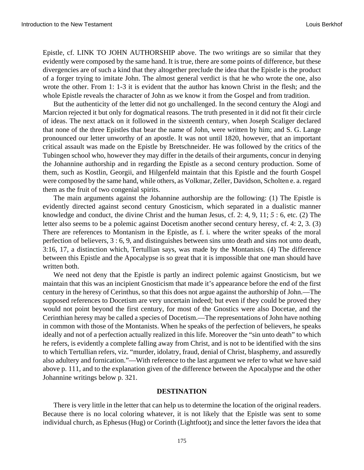Epistle, cf. LINK TO JOHN AUTHORSHIP above. The two writings are so similar that they evidently were composed by the same hand. It is true, there are some points of difference, but these divergencies are of such a kind that they altogether preclude the idea that the Epistle is the product of a forger trying to imitate John. The almost general verdict is that he who wrote the one, also wrote the other. From 1: 1-3 it is evident that the author has known Christ in the flesh; and the whole Epistle reveals the character of John as we know it from the Gospel and from tradition.

But the authenticity of the letter did not go unchallenged. In the second century the Alogi and Marcion rejected it but only for dogmatical reasons. The truth presented in it did not fit their circle of ideas. The next attack on it followed in the sixteenth century, when Joseph Scaliger declared that none of the three Epistles that bear the name of John, were written by him; and S. G. Lange pronounced our letter unworthy of an apostle. It was not until 1820, however, that an important critical assault was made on the Epistle by Bretschneider. He was followed by the critics of the Tubingen school who, however they may differ in the details of their arguments, concur in denying the Johannine authorship and in regarding the Epistle as a second century production. Some of them, such as Kostlin, Georgii, and Hilgenfeld maintain that this Epistle and the fourth Gospel were composed by the same hand, while others, as Volkmar, Zeller, Davidson, Scholten e. a. regard them as the fruit of two congenial spirits.

The main arguments against the Johannine authorship are the following: (1) The Epistle is evidently directed against second century Gnosticism, which separated in a dualistic manner knowledge and conduct, the divine Christ and the human Jesus, cf. 2: 4, 9, 11; *5* : 6, etc. (2) The letter also seems to be a polemic against Docetism another second century heresy, cf. 4: 2, 3. (3) There are references to Montanism in the Epistle, as f. i. where the writer speaks of the moral perfection of believers, 3 : 6, 9, and distinguishes between sins unto death and sins not unto death, 3:16, 17, a distinction which, Tertullian says, was made by the Montanists. (4) The difference between this Epistle and the Apocalypse is so great that it is impossible that one man should have written both.

We need not deny that the Epistle is partly an indirect polemic against Gnosticism, but we maintain that this was an incipient Gnosticism that made it's appearance before the end of the first century in the heresy of Cerinthus, so that this does not argue against the authorship of John.—The supposed references to Docetism are very uncertain indeed; but even if they could be proved they would not point beyond the first century, for most of the Gnostics were also Docetae, and the Cerinthian heresy may be called a species of Docetism.—The representations of John have nothing in common with those of the Montanists. When he speaks of the perfection of believers, he speaks ideally and not of a perfection actually realized in this life. Moreover the "sin unto death" to which he refers, is evidently a complete falling away from Christ, and is not to be identified with the sins to which Tertullian refers, viz. "murder, idolatry, fraud, denial of Christ, blasphemy, and assuredly also adultery and fornication."—With reference to the last argument we refer to what we have said above p. 111, and to the explanation given of the difference between the Apocalypse and the other Johannine writings below p. 321.

#### **DESTINATION**

There is very little in the letter that can help us to determine the location of the original readers. Because there is no local coloring whatever, it is not likely that the Epistle was sent to some individual church, as Ephesus (Hug) or Corinth (Lightfoot)**;** and since the letter favors the idea that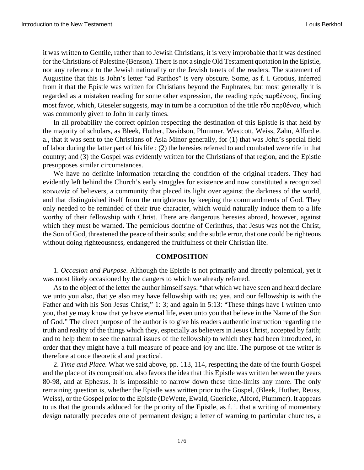it was written to Gentile, rather than to Jewish Christians, it is very improbable that it was destined for the Christians of Palestine (Benson). There is not a single Old Testament quotation in the Epistle, nor any reference to the Jewish nationality or the Jewish tenets of the readers. The statement of Augustine that this is John's letter "ad Parthos" is very obscure. Some, as f. i. Grotius, inferred from it that the Epistle was written for Christians beyond the Euphrates; but most generally it is regarded as a mistaken reading for some other expression, the reading πρός παρθένους, finding most favor, which, Gieseler suggests, may in turn be a corruption of the title τὄυ παρθένου, which was commonly given to John in early times.

In all probability the correct opinion respecting the destination of this Epistle is that held by the majority of scholars, as Bleek, Huther, Davidson, Plummer, Westcott, Weiss, Zahn, Alford e. a., that it was sent to the Christians of Asia Minor generally, for (1) that was John's special field of labor during the latter part of his life ; (2) the heresies referred to and combated were rife in that country; and (3) the Gospel was evidently written for the Christians of that region, and the Epistle presupposes similar circumstances.

We have no definite information retarding the condition of the original readers. They had evidently left behind the Church's early struggles for existence and now constituted a recognized κοινωνία of believers, a community that placed its light over against the darkness of the world, and that distinguished itself from the unrighteous by keeping the commandments of God. They only needed to be reminded of their true character, which would naturally induce them to a life worthy of their fellowship with Christ. There are dangerous heresies abroad, however, against which they must be warned. The pernicious doctrine of Cerinthus, that Jesus was not the Christ, the Son of God, threatened the peace of their souls; and the subtle error, that one could be righteous without doing righteousness, endangered the fruitfulness of their Christian life.

## **COMPOSITION**

1. *Occasion and Purpose.* Although the Epistle is not primarily and directly polemical, yet it was most likely occasioned by the dangers to which we already referred.

As to the object of the letter the author himself says: "that which we have seen and heard declare we unto you also, that ye also may have fellowship with us; yea, and our fellowship is with the Father and with his Son Jesus Christ," 1: 3; and again in 5:13: "These things have I written unto you, that ye may know that ye have eternal life, even unto you that believe in the Name of the Son of God." The direct purpose of the author is to give his readers authentic instruction regarding the truth and reality of the things which they, especially as believers in Jesus Christ, accepted by faith; and to help them to see the natural issues of the fellowship to which they had been introduced, in order that they might have a full measure of peace and joy and life. The purpose of the writer is therefore at once theoretical and practical.

2. *Time and Place.* What we said above, pp. 113, 114, respecting the date of the fourth Gospel and the place of its composition, also favors the idea that this Epistle was written between the years 80-98, and at Ephesus. It is impossible to narrow down these time-limits any more. The only remaining question is, whether the Epistle was written prior to the Gospel, (Bleek, Huther, Reuss, Weiss), or the Gospel prior to the Epistle (DeWette, Ewald, Guericke, Alford, Plummer). It appears to us that the grounds adduced for the priority of the Epistle, as f. i. that a writing of momentary design naturally precedes one of permanent design; a letter of warning to particular churches, a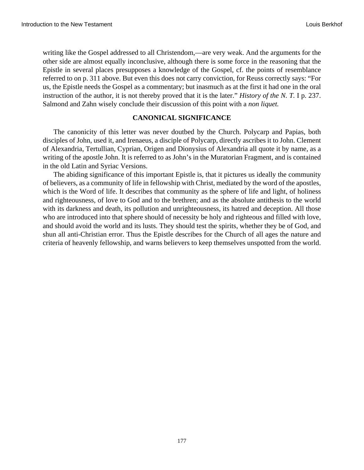writing like the Gospel addressed to all Christendom,—are very weak. And the arguments for the other side are almost equally inconclusive, although there is some force in the reasoning that the Epistle in several places presupposes a knowledge of the Gospel, cf. the points of resemblance referred to on p. 311 above. But even this does not carry conviction, for Reuss correctly says: "For us, the Epistle needs the Gospel as a commentary; but inasmuch as at the first it had one in the oral instruction of the author, it is not thereby proved that it is the later." *History of the N. T.* I p. 237. Salmond and Zahn wisely conclude their discussion of this point with a *non liquet.*

## **CANONICAL SIGNIFICANCE**

The canonicity of this letter was never doutbed by the Church. Polycarp and Papias, both disciples of John, used it, and Irenaeus, a disciple of Polycarp, directly ascribes it to John. Clement of Alexandria, Tertullian, Cyprian, Origen and Dionysius of Alexandria all quote it by name, as a writing of the apostle John. It is referred to as John's in the Muratorian Fragment, and is contained in the old Latin and Syriac Versions.

The abiding significance of this important Epistle is, that it pictures us ideally the community of believers, as a community of life in fellowship with Christ, mediated by the word of the apostles, which is the Word of life. It describes that community as the sphere of life and light, of holiness and righteousness, of love to God and to the brethren; and as the absolute antithesis to the world with its darkness and death, its pollution and unrighteousness, its hatred and deception. All those who are introduced into that sphere should of necessity be holy and righteous and filled with love, and should avoid the world and its lusts. They should test the spirits, whether they be of God, and shun all anti-Christian error. Thus the Epistle describes for the Church of all ages the nature and criteria of heavenly fellowship, and warns believers to keep themselves unspotted from the world.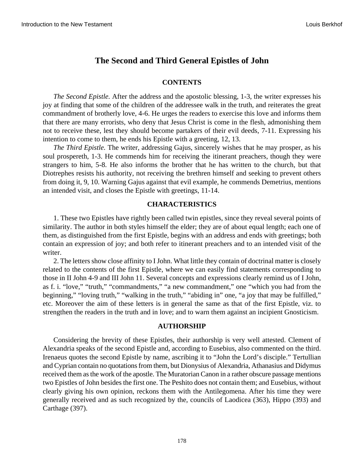## **The Second and Third General Epistles of John**

#### **CONTENTS**

<span id="page-181-1"></span>*The Second Epistle.* After the address and the apostolic blessing, 1-3, the writer expresses his joy at finding that some of the children of the addressee walk in the truth, and reiterates the great commandment of brotherly love, 4-6. He urges the readers to exercise this love and informs them that there are many errorists, who deny that Jesus Christ is come in the flesh, admonishing them not to receive these, lest they should become partakers of their evil deeds, 7-11. Expressing his intention to come to them, he ends his Epistle with a greeting, 12, 13.

*The Third Epistle.* The writer, addressing Gajus, sincerely wishes that he may prosper, as his soul prospereth, 1-3. He commends him for receiving the itinerant preachers, though they were strangers to him, 5-8. He also informs the brother that he has written to the church, but that Diotrephes resists his authority, not receiving the brethren himself and seeking to prevent others from doing it, 9, 10. Warning Gajus against that evil example, he commends Demetrius, mentions an intended visit, and closes the Epistle with greetings, 11-14.

#### **CHARACTERISTICS**

1. These two Epistles have rightly been called twin epistles, since they reveal several points of similarity. The author in both styles himself the elder; they are of about equal length; each one of them, as distinguished from the first Epistle, begins with an address and ends with greetings; both contain an expression of joy; and both refer to itinerant preachers and to an intended visit of the writer.

<span id="page-181-0"></span>2. The letters show close affinity to I John. What little they contain of doctrinal matter is closely related to the contents of the first Epistle, where we can easily find statements corresponding to those in [II John 4-9](http://www.ccel.org/b/bible/asv/xml/asv.iiJohn.1.xml#iiJohn.1.4) and [III John 11](http://www.ccel.org/b/bible/asv/xml/asv.iiiJohn.1.xml#iiiJohn.1.11). Several concepts and expressions clearly remind us of I John, as f. i. "love," "truth," "commandments," "a new commandment," one "which you had from the beginning," "loving truth," "walking in the truth," "abiding in" one, "a joy that may be fulfilled," etc. Moreover the aim of these letters is in general the same as that of the first Epistle, viz. to strengthen the readers in the truth and in love; and to warn them against an incipient Gnosticism.

## **AUTHORSHIP**

Considering the brevity of these Epistles, their authorship is very well attested. Clement of Alexandria speaks of the second Epistle and, according to Eusebius, also commented on the third. Irenaeus quotes the second Epistle by name, ascribing it to "John the Lord's disciple." Tertullian and Cyprian contain no quotations from them, but Dionysius of Alexandria, Athanasius and Didymus received them as the work of the apostle. The Muratorian Canon in a rather obscure passage mentions two Epistles of John besides the first one. The Peshito does not contain them; and Eusebius, without clearly giving his own opinion, reckons them with the Antilegomena. After his time they were generally received and as such recognized by the, councils of Laodicea (363), Hippo (393) and Carthage (397).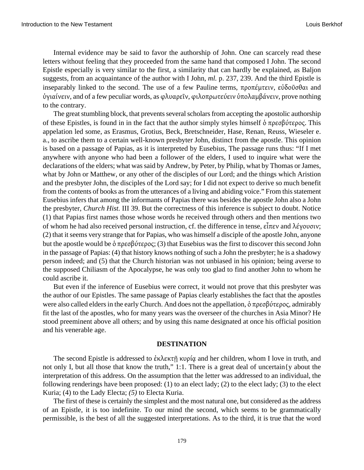Internal evidence may be said to favor the authorship of John. One can scarcely read these letters without feeling that they proceeded from the same hand that composed I John. The second Epistle especially is very similar to the first, a similarity that can hardly be explained, as Baljon suggests, from an acquaintance of the author with I John, *ml.* p. 237, 239. And the third Epistle is inseparably linked to the second. The use of a few Pauline terms, προπέμτειν, εὐδοῦσθαι and ὑγιαίνειν, and of a few peculiar words, as φλυαρεῖν, φιλοπρωτεύειν ὑπολαμβάνειν, prove nothing to the contrary.

The great stumbling block, that prevents several scholars from accepting the apostolic authorship of these Epistles, is found in in the fact that the author simply styles himself ὁ πρεσβύτερος. This appelation led some, as Erasmus, Grotius, Beck, Bretschneider, Hase, Renan, Reuss, Wieseler e. a., to ascribe them to a certain well-known presbyter John, distinct from the apostle. This opinion is based on a passage of Papias, as it is interpreted by Eusebius, The passage runs thus: "If I met anywhere with anyone who had been a follower of the elders, I used to inquire what were the declarations of the elders; what was said by Andrew, by Peter, by Philip, what by Thomas or James, what by John or Matthew, or any other of the disciples of our Lord; and the things which Aristion and the presbyter John, the disciples of the Lord say; for I did not expect to derive so much benefit from the contents of books as from the utterances of a living and abiding voice." From this statement Eusebius infers that among the informants of Papias there was besides the apostle John also a John the presbyter, *Church Hist.* III 39. But the correctness of this inference is subject to doubt. Notice (1) that Papias first names those whose words he received through others and then mentions two of whom he had also received personal instruction, cf. the difference in tense, εἶπεν and λέγουσιν; (2) that it seems very strange that for Papias, who was himself a disciple of the apostle John, anyone but the apostle would be ὁ πρεσβύτερος; (3) that Eusebius was the first to discover this second John in the passage of Papias: (4) that history knows nothing of such a John the presbyter; he is a shadowy person indeed; and (5) that the Church historian was not unbiased in his opinion; being averse to the supposed Chiliasm of the Apocalypse, he was only too glad to find another John to whom he could ascribe it.

But even if the inference of Eusebius were correct, it would not prove that this presbyter was the author of our Epistles. The same passage of Papias clearly establishes the fact that the apostles were also called elders in the early Church. And does not the appellation, ὁ πρεσβύτερος, admirably fit the last of the apostles, who for many years was the overseer of the churches in Asia Minor? He stood preeminent above all others; and by using this name designated at once his official position and his venerable age.

#### **DESTINATION**

The second Epistle is addressed to ἐκλεκτῆ κυρία and her children, whom I love in truth, and not only I, but all those that know the truth," 1:1. There is a great deal of uncertain{y about the interpretation of this address. On the assumption that the letter was addressed to an individual, the following renderings have been proposed: (1) to an elect lady; (2) to the elect lady; (3) to the elect Kuria; (4) to the Lady Electa; *(5)* to Electa Kuria.

The first of these is certainly the simplest and the most natural one, but considered as the address of an Epistle, it is too indefinite. To our mind the second, which seems to be grammatically permissible, is the best of all the suggested interpretations. As to the third, it is true that the word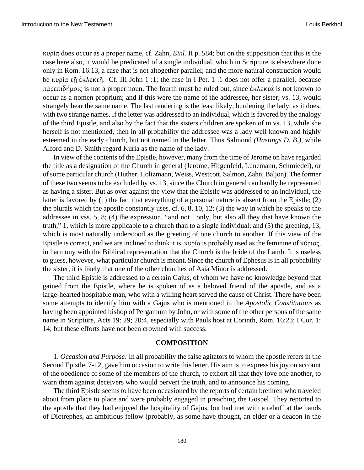<span id="page-183-2"></span><span id="page-183-1"></span>κυρία does occur as a proper name, cf. Zahn, *Einl.* II p. 584; but on the supposition that this is the case here also, it would be predicated of a single individual, which in Scripture is elsewhere done only in [Rom. 16:13](http://www.ccel.org/b/bible/asv/xml/asv.Rom.16.xml#Rom.16.13), a case that is not altogether parallel; and the more natural construction would be κυρία̨ τῇ ἐκλεκτῇ. Cf. [III John 1](http://www.ccel.org/b/bible/asv/xml/asv.iiiJohn.1.xml#iiiJohn.1.1) :1; the case in [I Pet. 1](http://www.ccel.org/b/bible/asv/xml/asv.iPet..xml#iPet..) :1 does not offer a parallel, because παρεπιδήμοις is not a proper noun. The fourth must be ruled out, since ἐκλεκτά is not known to occur as a nomen proprium; and if this were the name of the addressee, her sister, vs. 13, would strangely bear the same name. The last rendering is the least likely, burdening the lady, as it does, with two strange names. If the letter was addressed to an individual, which is favored by the analogy of the third Epistle, and also by the fact that the sisters children are spoken of in vs. 13, while she herself is not mentioned, then in all probability the addressee was a lady well known and highly esteemed in the early church, but not named in the letter. Thus Salmond *(Hastings D. B.),* while Alford and D. Smith regard Kuria as the name of the lady.

In view of the contents of the Epistle, however, many from the time of Jerome on have regarded the title as a designation of the Church in general (Jerome, Hilgenfeld, Lunemann, Schmiedel), or of some particular church (Huther, Holtzmann, Weiss, Westcott, Salmon, Zahn, Baljon). The former of these two seems to be excluded by vs. 13, since the Church in general can hardly be represented as having a sister. But as over against the view that the Epistle was addressed to an individual, the latter is favored by (1) the fact that everything of a personal nature is absent from the Epistle; (2) the plurals which the apostle constantly uses, cf. 6, 8, 10, 12; (3) the way in which he speaks to the addressee in vss. 5, 8; (4) the expression, "and not I only, but also all they that have known the truth," 1, which is more applicable to a church than to a single individual; and (5) the greeting, 13, which is most naturally understood as the greeting of one church to another. If this view of the Epistle is correct, and we are inclined to think it is, κυρία is probably used as the feminine of κύριος, in harmony with the Biblical representation that the Church is the bride of the Lamb. It is useless to guess, however, what particular church is meant. Since the church of Ephesus is in all probability the sister, it is likely that one of the other churches of Asia Minor is addressed.

<span id="page-183-0"></span>The third Epistle is addressed to a certain Gajus, of whom we have no knowledge beyond that gained from the Epistle, where he is spoken of as a beloved friend of the apostle, and as a large-hearted hospitable man, who with a willing heart served the cause of Christ. There have been some attempts to identify him with a Gajus who is mentioned in the *Apostolic Constitutions* as having been appointed bishop of Pergamum by John, or with some of the other persons of the same name in Scripture, [Acts 19:](http://www.ccel.org/b/bible/asv/xml/asv.Acts..xml#Acts..) 29; 20:4, especially with Pauls host at Corinth, [Rom. 16:23;](http://www.ccel.org/b/bible/asv/xml/asv.Rom.16.xml#Rom.16.23) [I Cor. 1:](http://www.ccel.org/b/bible/asv/xml/asv.iCor..xml#iCor..) 14; but these efforts have not been crowned with success.

#### **COMPOSITION**

1. *Occasion and Purpose:* In all probability the false agitators to whom the apostle refers in the Second Epistle, 7-12, gave him occasion to write this letter. His aim is to express his joy on account of the obedience of some of the members of the church, to exhort all that they love one another, to warn them against deceivers who would pervert the truth, and to announce his coming.

The third Epistle seems to have been occasioned by the reports of certain brethren who traveled about from place to place and were probably engaged in preaching the Gospel. They reported to the apostle that they had enjoyed the hospitality of Gajus, but had met with a rebuff at the hands of Diotrephes, an ambitious fellow (probably, as some have thought, an elder or a deacon in the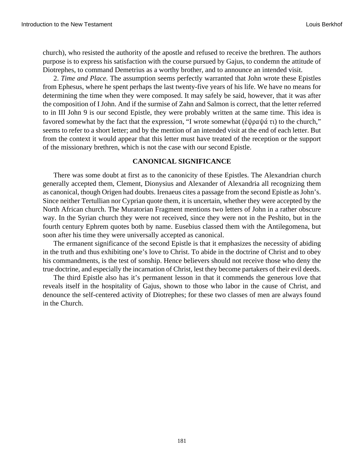church), who resisted the authority of the apostle and refused to receive the brethren. The authors purpose is to express his satisfaction with the course pursued by Gajus, to condemn the attitude of Diotrephes, to command Demetrius as a worthy brother, and to announce an intended visit.

<span id="page-184-0"></span>2. *Time and Place.* The assumption seems perfectly warranted that John wrote these Epistles from Ephesus, where he spent perhaps the last twenty-five years of his life. We have no means for determining the time when they were composed. It may safely be said, however, that it was after the composition of I John. And if the surmise of Zahn and Salmon is correct, that the letter referred to in [III John 9](http://www.ccel.org/b/bible/asv/xml/asv.iiiJohn.1.xml#iiiJohn.1.9) is our second Epistle, they were probably written at the same time. This idea is favored somewhat by the fact that the expression, "I wrote somewhat (ἐψραψά τι) to the church," seems to refer to a short letter; and by the mention of an intended visit at the end of each letter. But from the context it would appear that this letter must have treated of the reception or the support of the missionary brethren, which is not the case with our second Epistle.

## **CANONICAL SIGNIFICANCE**

There was some doubt at first as to the canonicity of these Epistles. The Alexandrian church generally accepted them, Clement, Dionysius and Alexander of Alexandria all recognizing them as canonical, though Origen had doubts. Irenaeus cites a passage from the second Epistle as John's. Since neither Tertullian nor Cyprian quote them, it is uncertain, whether they were accepted by the North African church. The Muratorian Fragment mentions two letters of John in a rather obscure way. In the Syrian church they were not received, since they were not in the Peshito, but in the fourth century Ephrem quotes both by name. Eusebius classed them with the Antilegomena, but soon after his time they were universally accepted as canonical.

The ermanent significance of the second Epistle is that it emphasizes the necessity of abiding in the truth and thus exhibiting one's love to Christ. To abide in the doctrine of Christ and to obey his commandments, is the test of sonship. Hence believers should not receive those who deny the true doctrine, and especially the incarnation of Christ, lest they become partakers of their evil deeds.

The third Epistle also has it's permanent lesson in that it commends the generous love that reveals itself in the hospitality of Gajus, shown to those who labor in the cause of Christ, and denounce the self-centered activity of Diotrephes; for these two classes of men are always found in the Church.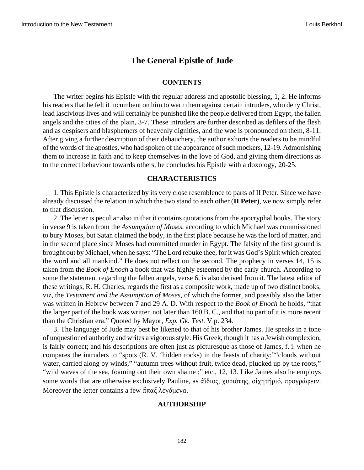# **The General Epistle of Jude**

#### **CONTENTS**

<span id="page-185-0"></span>The writer begins his Epistle with the regular address and apostolic blessing, 1, 2. He informs his readers that he felt it incumbent on him to warn them against certain intruders, who deny Christ, lead lascivious lives and will certainly be punished like the people delivered from Egypt, the fallen angels and the cities of the plain, 3-7. These intruders are further described as defilers of the flesh and as despisers and blasphemers of heavenly dignities, and the woe is pronounced on them, 8-11. After giving a further description of their debauchery, the author exhorts the readers to be mindful of the words of the apostles, who had spoken of the appearance of such mockers, 12-19. Admonishing them to increase in faith and to keep themselves in the love of God, and giving them directions as to the correct behaviour towards others, he concludes his Epistle with a doxology, 20-25.

#### **CHARACTERISTICS**

1. This Epistle is characterized by its very close resemblence to parts of II Peter. Since we have already discussed the relation in which the two stand to each other (**II Peter**), we now simply refer to that discussion.

2. The letter is peculiar also in that it contains quotations from the apocryphal books. The story in verse 9 is taken from the *Assumption of Moses*, according to which Michael was commissioned to bury Moses, but Satan claimed the body, in the first place because he was the lord of matter, and in the second place since Moses had committed murder in Egypt. The falsity of the first ground is brought out by Michael, when he says: "The Lord rebuke thee, for it was God's Spirit which created the word and all mankind." He does not reflect on the second. The prophecy in verses 14, 15 is taken from the *Book of Enoch* a book that was highly esteemed by the early church. According to some the statement regarding the fallen angels, verse 6, is also derived from it. The latest editor of these writings, R. H. Charles, regards the first as a composite work, made up of two distinct books, viz, the *Testament and the Assumption of Moses*, of which the former, and possibly also the latter was written in Hebrew between 7 and 29 A. D. With respect to the *Book of Enoch* he holds, "that the larger part of the book was written not later than 160 B. C., and that no part of it is more recent than the Christian era." Quoted by Mayor, *Exp. Gk. Test.* V p. 234.

3. The language of Jude may best be likened to that of his brother James. He speaks in a tone of unquestioned authority and writes a vigorous style. His Greek, though it has a Jewish complexion, is fairly correct; and his descriptions are often just as picturesque as those of James, f. i. when he compares the intruders to "spots (R. V. 'hidden rocks) in the feasts of charity;""clouds without water, carried along by winds," "autumn trees without fruit, twice dead, plucked up by the roots," "wild waves of the sea, foaming out their own shame ;" etc., 12, 13. Like James also he employs some words that are otherwise exclusively Pauline, as άΐδιος, χυριότης, οίχητήριό, προγράφειν. Moreover the letter contains a few ἅπαξ λεγόμενα.

## **AUTHORSHIP**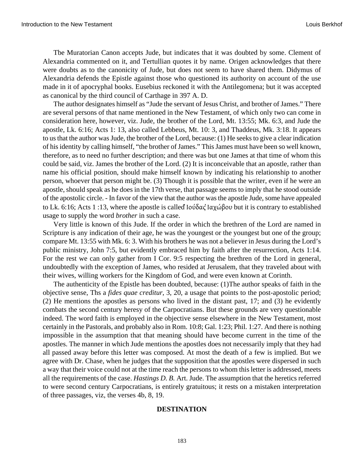Tbe Muratorian Canon accepts Jude, but indicates that it was doubted by some. Clement of Alexandria commented on it, and Tertullian quotes it by name. Origen acknowledges that there were doubts as to the canonicity of Jude, but does not seem to have shared them. Didymus of Alexandria defends the Epistle against those who questioned its authority on account of the use made in it of apocryphal books. Eusebius reckoned it with the Antilegomena; but it was accepted as canonical by the third council of Carthage in 397 A. D.

<span id="page-186-1"></span><span id="page-186-0"></span>The author designates himself as "Jude the servant of Jesus Christ, and brother of James." There are several persons of that name mentioned in the New Testament, of which only two can come in consideration here, however, viz. Jude, the brother of the Lord, [Mt. 13:55](http://www.ccel.org/b/bible/asv/xml/asv.Matt.13.xml#Matt.13.55); [Mk. 6:3](http://www.ccel.org/b/bible/asv/xml/asv.Mark.6.xml#Mark.6.3), and Jude the apostle, [Lk. 6:16](http://www.ccel.org/b/bible/asv/xml/asv.Luke.6.xml#Luke.6.16); [Acts 1](http://www.ccel.org/b/bible/asv/xml/asv.Acts..xml#Acts..): 13, also called Lebbeus, [Mt. 10:](http://www.ccel.org/b/bible/asv/xml/asv.Matt..xml#Matt..) 3, and Thaddeus, [Mk. 3:18](http://www.ccel.org/b/bible/asv/xml/asv.Mark.3.xml#Mark.3.18). It appears to us that the author was Jude, the brother of the Lord, because: (1) He seeks to give a clear indication of his identity by calling himself, "the brother of James." This James must have been so well known, therefore, as to need no further description; and there was but one James at that time of whom this could be said, viz. James the brother of the Lord. (2) It is inconceivable that an apostle, rather than name his official position, should make himself known by indicating his relationship to another person, whoever that person might be. (3) Though it is possible that the writer, even if he were an apostle, should speak as he does in the 17th verse, that passage seems to imply that he stood outside of the apostolic circle. - In favor of the view that the author was the apostle Jude, some have appealed to [Lk. 6:16](http://www.ccel.org/b/bible/asv/xml/asv.Luke.6.xml#Luke.6.16); [Acts 1](http://www.ccel.org/b/bible/asv/xml/asv.Acts..xml#Acts..) :13, where the apostle is called ̓Ιούδας ̓Ιαχώβου but it is contrary to established usage to supply the word *brother* in such a case.

<span id="page-186-6"></span><span id="page-186-4"></span><span id="page-186-3"></span><span id="page-186-2"></span>Very little is known of this Jude. If the order in which the brethren of the Lord are named in Scripture is any indication of their age, he was the youngest or the youngest but one of the group; compare [Mt. 13:55](http://www.ccel.org/b/bible/asv/xml/asv.Matt.13.xml#Matt.13.55) with [Mk. 6](http://www.ccel.org/b/bible/asv/xml/asv.Mark..xml#Mark..): 3. With his brothers he was not a believer in Jesus during the Lord's public ministry, [John 7:5](http://www.ccel.org/b/bible/asv/xml/asv.John.7.xml#John.7.5), but evidently embraced him by faith after the resurrection, [Acts 1:14.](http://www.ccel.org/b/bible/asv/xml/asv.Acts.1.xml#Acts.1.14) For the rest we can only gather from [I Cor. 9:5](http://www.ccel.org/b/bible/asv/xml/asv.iCor.9.xml#iCor.9.5) respecting the brethren of the Lord in general, undoubtedly with the exception of James, who resided at Jerusalem, that they traveled about with their wives, willing workers for the Kingdom of God, and were even known at Corinth.

<span id="page-186-5"></span>The authenticity of the Epistle has been doubted, because: (1)The author speaks of faith in the objective sense, Ths a *fides quae creditur*, 3, 20, a usage that points to the post-apostolic period; (2) He mentions the apostles as persons who lived in the distant past, 17; and (3) he evidently combats the second century heresy of the Carpocratians. But these grounds are very questionable indeed. The word faith is employed in the objective sense elsewhere in the New Testament, most certainly in the Pastorals, and probably also in [Rom. 10:8;](http://www.ccel.org/b/bible/asv/xml/asv.Rom.10.xml#Rom.10.8) [Gal. 1:23](http://www.ccel.org/b/bible/asv/xml/asv.Gal.1.xml#Gal.1.23); [Phil. 1:27](http://www.ccel.org/b/bible/asv/xml/asv.Phil.1.xml#Phil.1.27). And there is nothing impossible in the assumption that that meaning should have become current in the time of the apostles. The manner in which Jude mentions the apostles does not necessarily imply that they had all passed away before this letter was composed. At most the death of a few is implied. But we agree with Dr. Chase, when he judges that the supposition that the apostles were dispersed in such a way that their voice could not at the time reach the persons to whom this letter is addressed, meets all the requirements of the case. *Hastings D. B.* Art. Jude. The assumption that the heretics referred to were second century Carpocratians, is entirely gratuitous; it rests on a mistaken interpretation of three passages, viz, the verses 4b, 8, 19.

## **DESTINATION**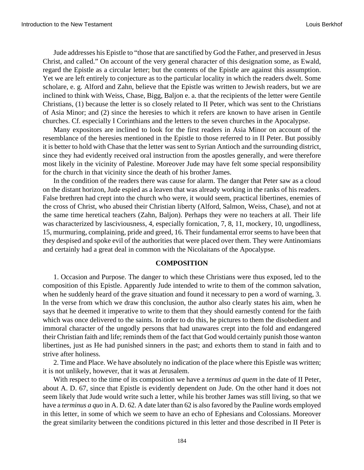Jude addresses his Epistle to "those that are sanctified by God the Father, and preserved in Jesus Christ, and called." On account of the very general character of this designation some, as Ewald, regard the Epistle as a circular letter; but the contents of the Epistle are against this assumption. Yet we are left entirely to conjecture as to the particular locality in which the readers dwelt. Some scholare, e. g. Alford and Zahn, believe that the Epistle was written to Jewish readers, but we are inclined to think with Weiss, Chase, Bigg, Baljon e. a. that the recipients of the letter were Gentile Christians, (1) because the letter is so closely related to II Peter, which was sent to the Christians of Asia Minor; and (2) since the heresies to which it refers are known to have arisen in Gentile churches. Cf. especially I Corinthians and the letters to the seven churches in the Apocalypse.

Many expositors are inclined to look for the first readers in Asia Minor on account of the resemblance of the heresies mentioned in the Epistle to those referred to in II Peter. But possibly it is better to hold with Chase that the letter was sent to Syrian Antioch and the surrounding district, since they had evidently received oral instruction from the apostles generally, and were therefore most likely in the vicinity of Palestine. Moreover Jude may have felt some special responsibility for the church in that vicinity since the death of his brother James.

In the condition of the readers there was cause for alarm. The danger that Peter saw as a cloud on the distant horizon, Jude espied as a leaven that was already working in the ranks of his readers. False brethren had crept into the church who were, it would seem, practical libertines, enemies of the cross of Christ, who abused their Christian liberty (Alford, Salmon, Weiss, Chase), and not at the same time heretical teachers (Zahn, Baljon). Perhaps they were no teachers at all. Their life was characterized by lasciviousness, 4, especially fornication, 7, 8, 11, mockery, 10, ungodliness, 15, murmuring, complaining, pride and greed, 16. Their fundamental error seems to have been that they despised and spoke evil of the authorities that were placed over them. They were Antinomians and certainly had a great deal in common with the Nicolaitans of the Apocalypse.

#### **COMPOSITION**

1. Occasion and Purpose. The danger to which these Christians were thus exposed, led to the composition of this Epistle. Apparently Jude intended to write to them of the common salvation, when he suddenly heard of the grave situation and found it necessary to pen a word of warning, 3. In the verse from which we draw this conclusion, the author also clearly states his aim, when he says that he deemed it imperative to write to them that they should earnestly contend for the faith which was once delivered to the saints. In order to do this, he pictures to them the disobedient and immoral character of the ungodly persons that had unawares crept into the fold and endangered their Christian faith and life; reminds them of the fact that God would certainly punish those wanton libertines, just as He had punished sinners in the past; and exhorts them to stand in faith and to strive after holiness.

2. Time and Place. We have absolutely no indication of the place where this Epistle was written; it is not unlikely, however, that it was at Jerusalem.

With respect to the time of its composition we have a *terminus ad quem* in the date of II Peter, about A. D. 67, since that Epistle is evidently dependent on Jude. On the other hand it does not seem likely that Jude would write such a letter, while his brother James was still living, so that we have a *terminus a quo* in A. D. 62. A date later than 62 is also favored by the Pauline words employed in this letter, in some of which we seem to have an echo of Ephesians and Colossians. Moreover the great similarity between the conditions pictured in this letter and those described in II Peter is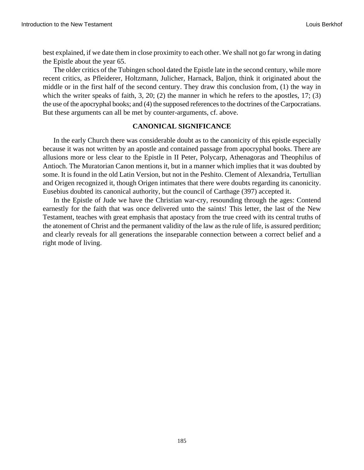best explained, if we date them in close proximity to each other. We shall not go far wrong in dating the Epistle about the year 65.

The older critics of the Tubingen school dated the Epistle late in the second century, while more recent critics, as Pfleiderer, Holtzmann, Julicher, Harnack, Baljon, think it originated about the middle or in the first half of the second century. They draw this conclusion from, (1) the way in which the writer speaks of faith, 3, 20; (2) the manner in which he refers to the apostles, 17; (3) the use of the apocryphal books; and (4) the supposed references to the doctrines of the Carpocratians. But these arguments can all be met by counter-arguments, cf. above.

## **CANONICAL SIGNIFICANCE**

In the early Church there was considerable doubt as to the canonicity of this epistle especially because it was not written by an apostle and contained passage from apocryphal books. There are allusions more or less clear to the Epistle in II Peter, Polycarp, Athenagoras and Theophilus of Antioch. The Muratorian Canon mentions it, but in a manner which implies that it was doubted by some. It is found in the old Latin Version, but not in the Peshito. Clement of Alexandria, Tertullian and Origen recognized it, though Origen intimates that there were doubts regarding its canonicity. Eusebius doubted its canonical authority, but the council of Carthage (397) accepted it.

In the Epistle of Jude we have the Christian war-cry, resounding through the ages: Contend earnestly for the faith that was once delivered unto the saints! This letter, the last of the New Testament, teaches with great emphasis that apostacy from the true creed with its central truths of the atonement of Christ and the permanent validity of the law as the rule of life, is assured perdition; and clearly reveals for all generations the inseparable connection between a correct belief and a right mode of living.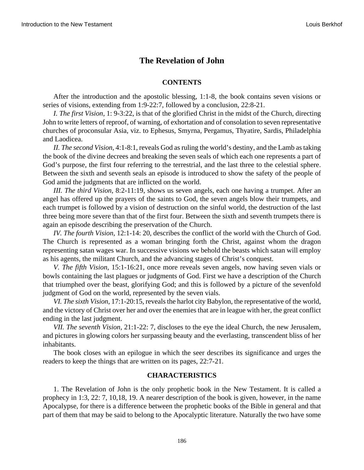# **The Revelation of John**

## **CONTENTS**

<span id="page-189-0"></span>After the introduction and the apostolic blessing, 1:1-8, the book contains seven visions or series of visions, extending from 1:9-22:7, followed by a conclusion, 22:8-21.

*I. The first Vision*, 1: 9-3:22, is that of the glorified Christ in the midst of the Church, directing John to write letters of reproof, of warning, of exhortation and of consolation to seven representative churches of proconsular Asia, viz. to Ephesus, Smyrna, Pergamus, Thyatire, Sardis, Philadelphia and Laodicea.

*II. The second Vision*, 4:1-8:1, reveals God as ruling the world's destiny, and the Lamb as taking the book of the divine decrees and breaking the seven seals of which each one represents a part of God's purpose, the first four referring to the terrestrial, and the last three to the celestial sphere. Between the sixth and seventh seals an episode is introduced to show the safety of the people of God amid the judgments that are inflicted on the world.

*III. The third Vision*, 8:2-11:19, shows us seven angels, each one having a trumpet. After an angel has offered up the prayers of the saints to God, the seven angels blow their trumpets, and each trumpet is followed by a vision of destruction on the sinful world, the destruction of the last three being more severe than that of the first four. Between the sixth and seventh trumpets there is again an episode describing the preservation of the Church.

*IV. The fourth Vision*, 12:1-14: 20, describes the conflict of the world with the Church of God. The Church is represented as a woman bringing forth the Christ, against whom the dragon representing satan wages war. In successive visions we behold the beasts which satan will employ as his agents, the militant Church, and the advancing stages of Christ's conquest.

*V. The fifth Vision*, 15:1-16:21, once more reveals seven angels, now having seven vials or bowls containing the last plagues or judgments of God. First we have a description of the Church that triumphed over the beast, glorifying God; and this is followed by a picture of the sevenfold judgment of God on the world, represented by the seven vials.

*VI. The sixth Vision*, 17:1-20:15, reveals the harlot city Babylon, the representative of the world, and the victory of Christ over her and over the enemies that are in league with her, the great conflict ending in the last judgment.

*VII. The seventh Vision,* 21:1-22: 7, discloses to the eye the ideal Church, the new Jerusalem, and pictures in glowing colors her surpassing beauty and the everlasting, transcendent bliss of her inhabitants.

The book closes with an epilogue in which the seer describes its significance and urges the readers to keep the things that are written on its pages, 22:7-21.

## **CHARACTERISTICS**

1. The Revelation of John is the only prophetic book in the New Testament. It is called a prophecy in 1:3, 22: 7, 10,18, 19. A nearer description of the book is given, however, in the name Apocalypse, for there is a difference between the prophetic books of the Bible in general and that part of them that may be said to belong to the Apocalyptic literature. Naturally the two have some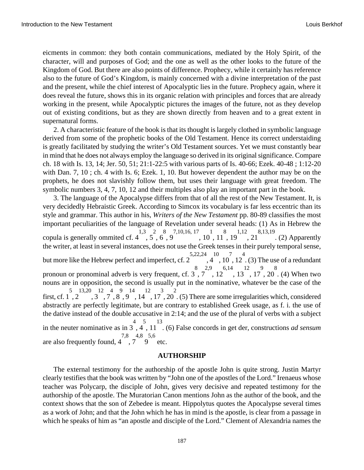eicments in common: they both contain communications, mediated by the Holy Spirit, of the character, will and purposes of God; and the one as well as the other looks to the future of the Kingdom of God. But there are also points of difference. Prophecy, while it certainly has reference also to the future of God's Kingdom, is mainly concerned with a divine interpretation of the past and the present, while the chief interest of Apocalyptic lies in the future. Prophecy again, where it does reveal the future, shows this in its organic relation with principles and forces that are already working in the present, while Apocalyptic pictures the images of the future, not as they develop out of existing conditions, but as they are shown directly from heaven and to a great extent in supernatural forms.

<span id="page-190-1"></span><span id="page-190-0"></span>2. A characteristic feature of the book is that its thought is largely clothed in symbolic language derived from some of the prophetic books of the Old Testament. Hence its correct understaiding is greatly facilitated by studying the writer's Old Testament sources. Yet we must constantly bear in mind that he does not always employ the language so derived in its original significance. Compare ch. 18 with [Is. 13, 14;](http://www.ccel.org/b/bible/asv/xml/asv.Isa.13 Bible:Isa.xml#Isa.13 Bible:Isa.14) [Jer. 50, 51](http://www.ccel.org/b/bible/asv/xml/asv.Jer.50 Bible:Jer.xml#Jer.50 Bible:Jer.51); 21:1-22:5 with various parts of [Is. 40](http://www.ccel.org/b/bible/asv/xml/asv.Isa..xml#Isa..)-66; [Ezek. 40-](http://www.ccel.org/b/bible/asv/xml/asv.Ezek..xml#Ezek..)48 ; 1:12-20 with [Dan. 7, 10](http://www.ccel.org/b/bible/asv/xml/asv.Dan.7 Bible:Dan.xml#Dan.7 Bible:Dan.10) ; ch. 4 with [Is. 6;](http://www.ccel.org/b/bible/asv/xml/asv.Isa..xml#Isa..) [Ezek. 1, 10](http://www.ccel.org/b/bible/asv/xml/asv.Ezek.1 Bible:Ezek.xml#Ezek.1 Bible:Ezek.10). But however dependent the author may be on the prophets, he does not slavishly follow them, but uses their language with great freedom. The symbolic numbers 3, 4, 7, 10, 12 and their multiples also play an important part in the book.

3. The language of the Apocalypse differs from that of all the rest of the New Testament. It, is very decidedly Hebraistic Greek. According to Simcox its vocabulary is far less eccentric than its style and grammar. This author in his, *Writers of the New Testament* pp. 80-89 classifies the most important peculiarities of the language of Revelation under several heads: (1) As in Hebrew the copula is generally ommited cf. 4 , 5 , 6 , 9 1,3 2 8 7,10,16, 17 , 10 , 11 , 19 1 8 1,12 , 21 8,13,19 . (2) Apparently the writer, at least in several instances, does not use the Greek tenses in their purely temporal sense, but more like the Hebrew perfect and imperfect, cf. 2 5,22,24 10 7 , 4 , 10 , 12 4 . (3) The use of a redundant pronoun or pronominal adverb is very frequent, cf. 3 8 , 7 2,9 , 12 6,14 , 13 , 17 , 20 12 9 8 . (4) When two nouns are in opposition, the second is usually put in the nominative, whatever be the case of the first, cf. 1 , 2 5 13,20 12 4 9 14 , 3 , 7 , 8 , 9 , 14 , 17 , 20 . (5) There are some irregularities which, considered 12 3 2 abstractly are perfectly legitimate, but are contrary to established Greek usage, as f. i. the use of the dative instead of the double accusative in 2:14; and the use of the plural of verbs with a subject in the neuter nominative as in 3 , 4 , 11 . (6) False concords in get der, constructions *ad sensum* 4 5 13 are also frequently found, 4 7,8 , 7 4,8 9 5,6 etc.

## **AUTHORSHIP**

The external testimony for the authorship of the apostle John is quite strong. Justin Martyr clearly testifies that the book was written by "John one of the apostles of the Lord." Irenaeus whose teacher was Polycarp, the disciple of John, gives very decisive and repeated testimony for the authorship of the apostle. The Muratorian Canon mentions John as the author of the book, and the context shows that the son of Zebedee is meant. Hippolytus quotes the Apocalypse several times as a work of John; and that the John which he has in mind is the apostle, is clear from a passage in which he speaks of him as "an apostle and disciple of the Lord." Clement of Alexandria names the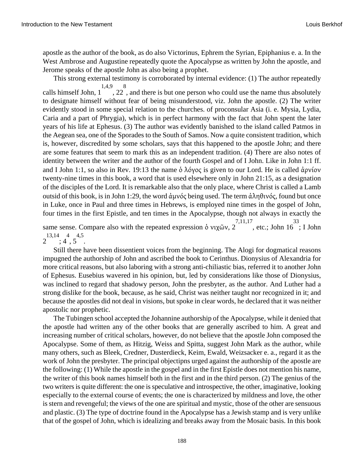apostle as the author of the book, as do also Victorinus, Ephrem the Syrian, Epiphanius e. a. In the West Ambrose and Augustine repeatedly quote the Apocalypse as written by John the apostle, and Jerome speaks of the apostle John as also being a prophet.

<span id="page-191-4"></span><span id="page-191-0"></span>This strong external testimony is corroborated by internal evidence: (1) The author repeatedly calls himself John, 1 1,4,9 , 22 8 , and there is but one person who could use the name thus absolutely to designate himself without fear of being misunderstood, viz. John the apostle. (2) The writer evidently stood in some special relation to the churches. of proconsular Asia (i. e. Mysia, Lydia, Caria and a part of Phrygia), which is in perfect harmony with the fact that John spent the later years of his life at Ephesus. (3) The author was evidently banished to the island called Patmos in the Aegean sea, one of the Sporades to the South of Samos. Now a quite consistent tradition, which is, however, discredited by some scholars, says that this happened to the apostle John; and there are some features that seem to mark this as an independent tradition. (4) There are also notes of identity between the writer and the author of the fourth Gospel and of I John. Like in [John 1:1](http://www.ccel.org/b/bible/asv/xml/asv.John.1.xml#John.1.1) ff. and [I John 1:1](http://www.ccel.org/b/bible/asv/xml/asv.iJohn.1.xml#iJohn.1.1), so also in [Rev. 19:13](http://www.ccel.org/b/bible/asv/xml/asv.Rev.19.xml#Rev.19.13) the name ὁ λόγος is given to our Lord. He is called ἀρνίον twenty-nine times in this book, a word that is used elsewhere only in [John 21:15](http://www.ccel.org/b/bible/asv/xml/asv.John.21.xml#John.21.15), as a designation of the disciples of the Lord. It is remarkable also that the only place, where Christ is called a Lamb outsid of this book, is in [John 1:29](http://www.ccel.org/b/bible/asv/xml/asv.John.1.xml#John.1.29), the word ἀμνός being used. The term ἀληθινός, found but once in Luke, once in Paul and three times in Hebrews, is employed nine times in the gospel of John, four times in the first Epistle, and ten times in the Apocalypse, though not always in exactly the same sense. Compare also with the repeated expression ὁ νιχῶν, 2 7,11,17 , etc.; [John 16](http://www.ccel.org/b/bible/asv/xml/asv.John..xml#John..) ; [I John](http://www.ccel.org/b/bible/asv/xml/asv.iJohn..xml#iJohn..) 33 13,14 4 4,5

<span id="page-191-3"></span><span id="page-191-2"></span><span id="page-191-1"></span>[2](http://www.ccel.org/b/bible/asv/xml/asv.iJohn..xml#iJohn..) ; 4 , 5

.

Still there have been dissentient voices from the beginning. The Alogi for dogmatical reasons impugned the authorship of John and ascribed the book to Cerinthus. Dionysius of Alexandria for more critical reasons, but also laboring with a strong anti-chiliastic bias, referred it to another John of Ephesus. Eusebius wavered in his opinion, but, led by considerations like those of Dionysius, was inclined to regard that shadowy person, John the presbyter, as the author. And Luther had a strong dislike for the book, because, as he said, Christ was neither taught nor recognized in it; and because the apostles did not deal in visions, but spoke in clear words, he declared that it was neither apostolic nor prophetic.

The Tubingen school accepted the Johannine authorship of the Apocalypse, while it denied that the apostle had written any of the other books that are generally ascribed to him. A great and increasing number of critical scholars, however, do not believe that the apostle John composed the Apocalypse. Some of them, as Hitzig, Weiss and Spitta, suggest John Mark as the author, while many others, such as Bleek, Credner, Dusterdieck, Keim, Ewald, Weizsacker e. a., regard it as the work of John the presbyter. The principal objectipns urged against the authorship of the apostle are the following: (1) While the apostle in the gospel and in the first Epistle does not mention his name, the writer of this book names himself both in the first and in the third person. (2) The genius of the two writers is quite different: the one is speculative and introspective, the other, imaginative, looking especially to the external course of events; the one is characterized by mildness and love, the other is stern and revengeful; the views of the one are spiritual and mystic, those of the other are sensuous and plastic. (3) The type of doctrine found in the Apocalypse has a Jewish stamp and is very unlike that of the gospel of John, which is idealizing and breaks away from the Mosaic basis. In this book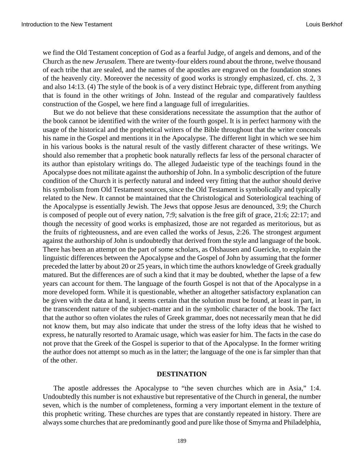we find the Old Testament conception of God as a fearful Judge, of angels and demons, and of the Church as the new *Jerusalem.* There are twenty-four elders round about the throne, twelve thousand of each tribe that are sealed, and the names of the apostles are engraved on the foundation stones of the heavenly city. Moreover the necessity of good works is strongly emphasized, cf. chs. 2, 3 and also 14:13. (4) The style of the book is of a very distinct Hebraic type, different from anything that is found in the other writings of John. Instead of the regular and comparatively faultless construction of the Gospel, we here find a language full of irregularities.

But we do not believe that these considerations necessitate the assumption that the author of the book cannot be identified with the writer of the fourth gospel. It is in perfect harmony with the usage of the historical and the prophetical writers of the Bible throughout that the writer conceals his name in the Gospel and mentions it in the Apocalypse. The different light in which we see him in his various books is the natural result of the vastly different character of these writings. We should also remember that a prophetic book naturally reflects far less of the personal character of its author than epistolary writings do. The alleged Judaeistic type of the teachings found in the Apocalypse does not militate against the authorship of John. In a symbolic description of the future condition of the Church it is perfectly natural and indeed very fitting that the author should derive his symbolism from Old Testament sources, since the Old Testament is symbolically and typically related to the New. It cannot be maintained that the Christological and Soteriological teaching of the Apocalypse is essentially Jewish. The Jews that oppose Jesus are denounced, 3:9; the Church is composed of people out of every nation, 7:9; salvation is the free gift of grace, 21:6; 22:17; and though the necessity of good works is emphasized, those are not regarded as meritorious, but as the fruits of righteousness, and are even called the works of Jesus, 2:26. The strongest argument against the authorship of John is undoubtedly that derived from the style and language of the book. There has been an attempt on the part of some scholars, as Olshausen and Guericke, to explain the linguistic differences between the Apocalypse and the Gospel of John by assuming that the former preceded the latter by about 20 or 25 years, in which time the authors knowledge of Greek gradually matured. But the differences are of such a kind that it may be doubted, whether the lapse of a few years can account for them. The language of the fourth Gospel is not that of the Apocalypse in a more developed form. While it is questionable, whether an altogether satisfactory explanation can be given with the data at hand, it seems certain that the solution must be found, at least in part, in the transcendent nature of the subject-matter and in the symbolic character of the book. The fact that the author so often violates the rules of Greek grammar, does not necessarily mean that he did not know them, but may also indicate that under the stress of the lofty ideas that he wished to express, he naturally resorted to Aramaic usage, which was easier for him. The facts in the case do not prove that the Greek of the Gospel is superior to that of the Apocalypse. In the former writing the author does not attempt so much as in the latter; the language of the one is far simpler than that of the other.

#### **DESTINATION**

The apostle addresses the Apocalypse to "the seven churches which are in Asia," 1:4. Undoubtedly this number is not exhaustive but representative of the Church in general, the number seven, which is the number of completeness, forming a very important element in the texture of this prophetic writing. These churches are types that are constantly repeated in history. There are always some churches that are predominantly good and pure like those of Smyrna and Philadelphia,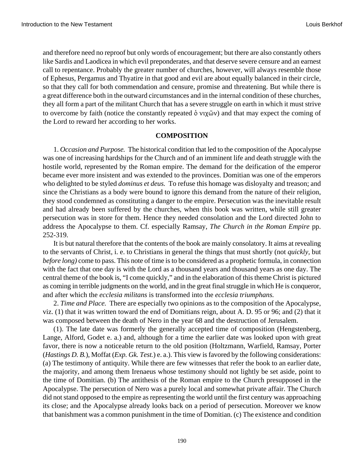and therefore need no reproof but only words of encouragement; but there are also constantly others like Sardis and Laodicea in which evil preponderates, and that deserve severe censure and an earnest call to repentance. Probably the greater number of churches, however, will always resemble those of Ephesus, Pergamus and Thyatire in that good and evil are about equally balanced in their circle, so that they call for both commendation and censure, promise and threatening. But while there is a great difference both in the outward circumstances and in the internal condition of these churches, they all form a part of the militant Church that has a severe struggle on earth in which it must strive to overcome by faith (notice the constantly repeated ὁ νιχῶν) and that may expect the coming of the Lord to reward her according to her works.

## **COMPOSITION**

1. *Occasion and Purpose.* The historical condition that led to the composition of the Apocalypse was one of increasing hardships for the Church and of an imminent life and death struggle with the hostile world, represented by the Roman empire. The demand for the deification of the emperor became ever more insistent and was extended to the provinces. Domitian was one of the emperors who delighted to be styled *dominus et deus.* To refuse this homage was disloyalty and treason; and since the Christians as a body were bound to ignore this demand from the nature of their religion, they stood condemned as constituting a danger to the empire. Persecution was the inevitable result and had already been suffered by the churches, when this book was written, while still greater persecution was in store for them. Hence they needed consolation and the Lord directed John to address the Apocalypse to them. Cf. especially Ramsay, *The Church in the Roman Empire* pp. 252-319.

It is but natural therefore that the contents of the book are mainly consolatory. It aims at revealing to the servants of Christ, i. e. to Christians in general the things that must shortIy (not *quickly,* but *before long)* come to pass. This note of time is to be considered as a prophetic formula, in connection with the fact that one day is with the Lord as a thousand years and thousand years as one day. The central theme of the book is, "I come quickly," and in the elaboration of this theme Christ is pictured as coming in terrible judgments on the world, and in the great final struggle in which He is conqueror, and after which the *ecclesia militans* is transformed into the *ecclesia triumphans.*

2. *Time and Place.* There are especially two opinions as to the composition of the Apocalypse, viz. (1) that it was written toward the end of Domitians reign, about A. D. 95 or 96; and (2) that it was composed between the death of Nero in the year 68 and the destruction of Jerusalem.

(1). The late date was formerly the generally accepted time of composition (Hengstenberg, Lange, Alford, Godet e. a.) and, although for a time the earlier date was looked upon with great favor, there is now a noticeable return to the old position (Holtzmann, Warfield, Ramsay, Porter (*Hastings D. B.*), Moffat (*Exp. Gk. Test.*) e. a.). This view is favored by the following considerations: (a) The testimony of antiquity. While there are few witnesses that refer the book to an earlier date, the majority, and among them Irenaeus whose testimony should not lightly be set aside, point to the time of Domitian. (b) The antithesis of the Roman empire to the Church presupposed in the Apocalypse. The persecution of Nero was a purely local and somewhat private affair. The Church did not stand opposed to the empire as representing the world until the first century was approaching its close; and the Apocalypse already looks back on a period of persecution. Moreover we know that banishment was a common punishment in the time of Domitian. (c) The existence and condition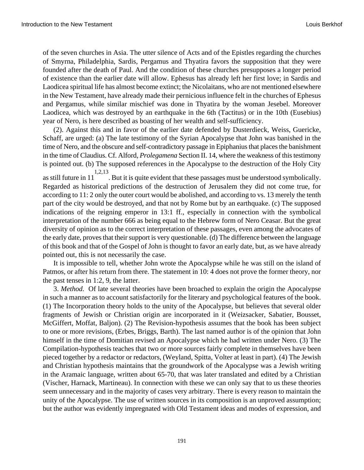of the seven churches in Asia. The utter silence of Acts and of the Epistles regarding the churches of Smyrna, Philadelphia, Sardis, Pergamus and Thyatira favors the supposition that they were founded after the death of Paul. And the condition of these churches presupposes a longer period of existence than the earlier date will allow. Ephesus has already left her first love; in Sardis and Laodicea spiritual life has almost become extinct; the Nicolaitans, who are not mentioned elsewhere in the New Testament, have already made their pernicious influence felt in the churches of Ephesus and Pergamus, while similar mischief was done in Thyatira by the woman Jesebel. Moreover Laodicea, which was destroyed by an earthquake in the 6th (Tactitus) or in the 10th (Eusebius) year of Nero, is here described as boasting of her wealth and self-sufficiency.

(2). Against this and in favor of the earlier date defended by Dusterdieck, Weiss, Guericke, Schaff, are urged: (a) The late testimony of the Syrian Apocalypse that John was banished in the time of Nero, and the obscure and self-contradictory passage in Epiphanius that places the banishment in the time of Claudius. Cf. Alford, *Prolegamena* Section II. 14, where the weakness of this testimony is pointed out. (b) The supposed references in the Apocalypse to the destruction of the Holy City as still future in 11 1,2,13 . But it is quite evident that these passages must be understood symbolically.

Regarded as historical predictions of the destruction of Jerusalem they did not come true, for according to 11: 2 only the outer court would be abolished, and according to vs. 13 merely the tenth part of the city would be destroyed, and that not by Rome but by an earthquake. (c) The supposed indications of the reigning emperor in 13:1 ff., especially in connection with the symbolical interpretation of the number 666 as being equal to the Hebrew form of Nero Ceasar. But the great diversity of opinion as to the correct interpretation of these passages, even among the advocates of the early date, proves that their support is very questionable. (d) The difference between the language of this book and that of the Gospel of John is thought to favor an early date, but, as we have already pointed out, this is not necessarily the case.

It is impossible to tell, whether John wrote the Apocalypse while he was still on the island of Patmos, or after his return from there. The statement in 10: 4 does not prove the former theory, nor the past tenses in 1:2, 9, the latter.

3. *Method.* Of late several theories have been broached to explain the origin the Apocalypse in such a manner as to account satisfactorily for the literary and psychological features of the book. (1) The Incorporation theory holds to the unity of the Apocalypse, but believes that several older fragments of Jewish or Christian origin are incorporated in it (Weizsacker, Sabatier, Bousset, McGiffert, Moffat, Baljon). (2) The Revision-hypothesis assumes that the book has been subject to one or more revisions, (Erbes, Briggs, Barth). The last named author is of the opinion that John himself in the time of Domitian revised an Apocalypse which he had written under Nero. (3) The Compilation-hypothesis teaches that two or more sources fairly complete in themselves have been pieced together by a redactor or redactors, (Weyland, Spitta, Volter at least in part). (4) The Jewish and Christian hypothesis maintains that the groundwork of the Apocalypse was a Jewish writing in the Aramaic language, written about 65-70, that was later translated and edited by a Christian (Vischer, Harnack, Martineau). In connection with these we can only say that to us these theories seem unnecessary and in the majority of cases very arbitrary. There is every reason to maintain the unity of the Apocalypse. The use of written sources in its composition is an unproved assumption; but the author was evidently impregnated with Old Testament ideas and modes of expression, and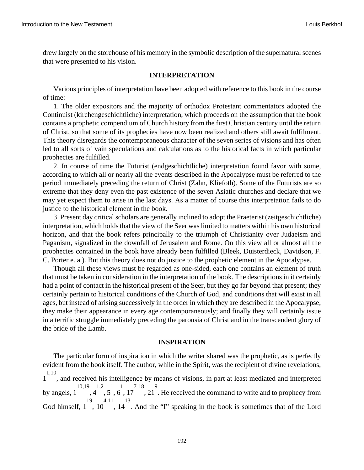drew largely on the storehouse of his memory in the symbolic description of the supernatural scenes that were presented to his vision.

## **INTERPRETATION**

Various principles of interpretation have been adopted with reference to this book in the course of time:

1. The older expositors and the majority of orthodox Protestant commentators adopted the Continuist (kirchengeschichtliche) interpretation, which proceeds on the assumption that the book contains a prophetic compendium of Church history from the first Christian century until the return of Christ, so that some of its prophecies have now been realized and others still await fulfilment. This theory disregards the contemporaneous character of the seven series of visions and has often led to all sorts of vain speculations and calculations as to the historical facts in which particular prophecies are fulfilled.

2. In course of time the Futurist (endgeschichtliche) interpretation found favor with some, according to which all or nearly all the events described in the Apocalypse must be referred to the period immediately preceding the return of Christ (Zahn, Kliefoth). Some of the Futurists are so extreme that they deny even the past existence of the seven Asiatic churches and declare that we may yet expect them to arise in the last days. As a matter of course this interpretation fails to do justice to the historical element in the book.

3. Present day critical scholars are generally inclined to adopt the Praeterist (zeitgeschichtliche) interpretation, which holds that the view of the Seer was limited to matters within his own historical horizon, and that the book refers principally to the triumph of Christianity over Judaeism and Paganism, signalized in the downfall of Jerusalem and Rome. On this view all or almost all the prophecies contained in the book have already been fulfilled (Bleek, Duisterdieck, Davidson, F. C. Porter e. a.). But this theory does not do justice to the prophetic element in the Apocalypse.

Though all these views must be regarded as one-sided, each one contains an element of truth that must be taken in consideration in the interpretation of the book. The descriptions in it certainly had a point of contact in the historical present of the Seer, but they go far beyond that present; they certainly pertain to historical conditions of the Church of God, and conditions that will exist in all ages, but instead of arising successively in the order in which they are described in the Apocalypse, they make their appearance in every age contemporaneously; and finally they will certainly issue in a terrific struggle immediately preceding the parousia of Christ and in the transcendent glory of the bride of the Lamb.

## **INSPIRATION**

The particular form of inspiration in which the writer shared was the prophetic, as is perfectly evident from the book itself. The author, while in the Spirit, was the recipient of divine revelations, 1,10

1 , and received his intelligence by means of visions, in part at least mediated and interpreted by angels, 1 10,19 1,2 1 1 7-18 , 4 , 5 , 6 , 17 , 21 . He received the command to write and to prophecy from 9 God himself, 1, 10, 14. And the "I" speaking in the book is sometimes that of the Lord 19 4,11 13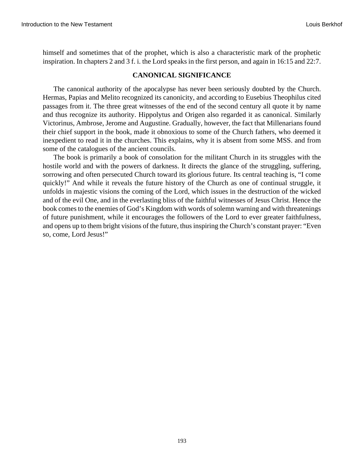himself and sometimes that of the prophet, which is also a characteristic mark of the prophetic inspiration. In chapters 2 and 3 f. i. the Lord speaks in the first person, and again in 16:15 and 22:7.

## **CANONICAL SIGNIFICANCE**

The canonical authority of the apocalypse has never been seriously doubted by the Church. Hermas, Papias and Melito recognized its canonicity, and according to Eusebius Theophilus cited passages from it. The three great witnesses of the end of the second century all quote it by name and thus recognize its authority. Hippolytus and Origen also regarded it as canonical. Similarly Victorinus, Ambrose, Jerome and Augustine. Gradually, however, the fact that Millenarians found their chief support in the book, made it obnoxious to some of the Church fathers, who deemed it inexpedient to read it in the churches. This explains, why it is absent from some MSS. and from some of the catalogues of the ancient councils.

The book is primarily a book of consolation for the militant Church in its struggles with the hostile world and with the powers of darkness. It directs the glance of the struggling, suffering, sorrowing and often persecuted Church toward its glorious future. Its central teaching is, "I come quickly!" And while it reveals the future history of the Church as one of continual struggle, it unfolds in majestic visions the coming of the Lord, which issues in the destruction of the wicked and of the evil One, and in the everlasting bliss of the faithful witnesses of Jesus Christ. Hence the book comes to the enemies of God's Kingdom with words of solemn warning and with threatenings of future punishment, while it encourages the followers of the Lord to ever greater faithfulness, and opens up to them bright visions of the future, thus inspiring the Church's constant prayer: "Even so, come, Lord Jesus!"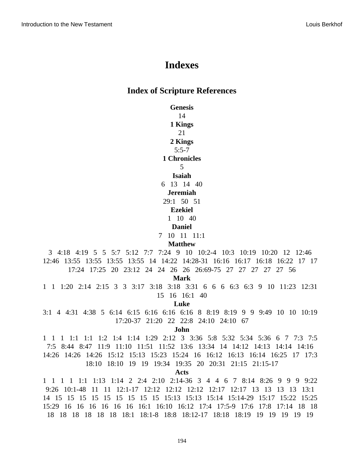# **Indexes**

# **Index of Scripture References**

**Genesis** [14](#page-158-0) **1 Kings** [21](#page-71-0) **2 Kings**  $5:5-7$ **1 Chronicles** [5](#page-31-0) **Isaiah** [6](#page-190-0)  [13](#page-190-1) [14](#page-190-1)  [40](#page-190-1) **Jeremiah**

[29:1](#page-71-0)  [50](#page-190-1)  [51](#page-190-1)

## **Ezekiel**

[1](#page-190-0) [10](#page-190-0) [40](#page-190-1)

## **Daniel**

[7](#page-190-0)  [10](#page-190-0)  [11](#page-128-0)  [11:1](#page-127-0)

## **Matthew**

[3](#page-42-0)  [4:18](#page-164-0)  [4:19](#page-164-0) [5](#page-51-0) [5](#page-157-0) [5:7](#page-157-1)  [5:12](#page-157-0)  [7:7](#page-157-0) [7:24](#page-157-1)  [9](#page-35-0)  [10](#page-186-0)  [10:2-4](#page-35-1) [10:3](#page-158-1) [10:19](#page-29-0)  [10:20](#page-29-0) [12](#page-158-2) [12:46](#page-158-3) [12:46](#page-159-0) [13:55](#page-158-4) [13:55](#page-159-1)  [13:55](#page-186-1)  [13:55](#page-186-2) [14](#page-44-0)  [14:22](#page-19-0) [14:28-31](#page-165-0) [16:16](#page-165-1)  [16:17](#page-164-1)  [16:18](#page-44-1) [16:22](#page-165-2) [17](#page-44-0)  [17](#page-165-3) [17:24](#page-165-4)  [17:25](#page-165-4) [20](#page-59-0) [23:12](#page-157-2) [24](#page-45-0) [24](#page-127-1) [26](#page-165-5) [26](#page-165-6) [26:69-75](#page-165-7)  [27](#page-44-2)  [27](#page-59-1)  [27](#page-59-2)  [27](#page-158-5)  [27](#page-159-2)  [56](#page-20-0)

#### **Mark**

[1](#page-59-3) [1](#page-164-0)  [1:20](#page-59-1)  [2:14](#page-35-0) [2:15](#page-35-0) [3](#page-35-1) [3](#page-159-0)  [3:17](#page-59-4)  [3:18](#page-158-1) [3:18](#page-186-0) [3:31](#page-158-3) [6](#page-19-0) [6](#page-159-1) [6](#page-186-2)  [6:3](#page-158-4)  [6:3](#page-186-1) [9](#page-59-5)  [10](#page-59-0)  [11:23](#page-157-1)  [12:31](#page-157-1) [15](#page-159-2)  [16](#page-158-5)  [16:1](#page-59-2) [40](#page-20-1)

**Luke**

[3:1](#page-44-2) [4](#page-159-3)  [4:31](#page-164-2)  [4:38](#page-164-2) [5](#page-35-0)  [6:14](#page-35-1)  [6:15](#page-158-1) [6:16](#page-159-4) [6:16](#page-186-0)  [6:16](#page-186-3)  [8](#page-165-8) [8:19](#page-158-3)  [8:19](#page-159-0)  [9](#page-19-1) [9](#page-59-6)  [9:49](#page-59-5) [10](#page-31-1)  [10](#page-69-0) [10:19](#page-47-0) [17:20-37](#page-127-1)  [21:20](#page-68-0) [22](#page-165-4) [22:8](#page-44-3)  [24:10](#page-158-5) [24:10](#page-159-1) [67](#page-20-2)

#### **John**

[1](#page-59-7) [1](#page-164-3)  [1](#page-165-9)  [1:1](#page-176-0) [1:1](#page-191-0) [1:2](#page-176-0)  [1:4](#page-176-0)  [1:14](#page-176-0) [1:29](#page-191-1) [2:12](#page-158-6)  [3](#page-56-0) [3:36](#page-177-0)  [5:8](#page-177-1)  [5:32](#page-177-1) [5:34](#page-177-1)  [5:36](#page-177-1)  [6](#page-165-1)  [7](#page-157-3)  [7:3](#page-158-3)  [7:5](#page-158-4) [7:5](#page-186-4) [8:44](#page-177-2) [8:47](#page-176-1)  [11:9](#page-177-3) [11:10](#page-177-3)  [11:51](#page-177-4)  [11:52](#page-177-4) [13:6](#page-165-10) [13:34](#page-177-5)  [14](#page-72-0)  [14:12](#page-32-0) [14:13](#page-177-6) [14:14](#page-177-6)  [14:16](#page-176-2) [14:26](#page-30-0) [14:26](#page-29-1)  [14:26](#page-177-7)  [15:12](#page-176-3) [15:13](#page-176-3) [15:23](#page-177-8)  [15:24](#page-177-8)  [16](#page-191-2)  [16:12](#page-32-1) [16:13](#page-29-2) [16:14](#page-29-2)  [16:25](#page-32-2)  [17](#page-30-1)  [17:3](#page-177-9) [18:10](#page-165-1) [18:10](#page-165-10)  [19](#page-158-7) [19](#page-159-1)  [19:34](#page-177-10)  [19:35](#page-177-10) [20](#page-17-0) [20:31](#page-177-11)  [21:15](#page-191-3)  [21:15-17](#page-165-11)

**Acts**

[1](#page-159-4) [1](#page-186-3)  1 1 [1:1](#page-53-0) [1:13](#page-158-1) [1:14](#page-186-4)  [2](#page-143-0)  [2:4](#page-29-3)  [2:10](#page-82-0) [2:14-36](#page-165-13)  [3](#page-165-14) [4](#page-43-0) 4 [6](#page-133-0) [7](#page-37-0) [8:14](#page-165-15)  [8:26](#page-68-0)  [9](#page-165-15)  9 [9:22](#page-165-15) [9:26](#page-99-0) [10:1-48](#page-165-16)  [11](#page-82-1)  11 [12:1-17](#page-165-17)  [12:12](#page-164-4) [12:12](#page-43-2)  12:12 [12:17](#page-81-0) [12:17](#page-157-4)  [13](#page-102-1)  13 13 [13:1](#page-82-2) [14](#page-133-1) [15](#page-79-2) [15](#page-79-3)  [15](#page-79-4) [15](#page-67-0)  [15](#page-158-8) [15](#page-158-9) [15](#page-158-10)  [15](#page-158-11) [15](#page-165-17)  [15:13](#page-158-12)  [15:13](#page-158-10) [15:14](#page-158-13) [15:14-29](#page-159-5)  [15:17](#page-158-14) [15:22](#page-160-0) [15:25](#page-158-11) [15:29](#page-158-11) [16](#page-79-5) [16](#page-81-1)  [16](#page-100-0)  [16](#page-101-1) [16](#page-118-0) [16](#page-136-0)  [16:1](#page-136-1)  [16:10](#page-52-1) [16:12](#page-113-0) [17:4](#page-124-0) [17:5-9](#page-124-1) [17:6](#page-123-0) [17:8](#page-123-0) [17:14](#page-136-2) [18](#page-89-0) [18](#page-89-1) [18](#page-100-0)  [18](#page-101-2)  [18](#page-124-2)  [18](#page-137-0)  [18](#page-143-1)  [18](#page-144-0)  [18:1](#page-90-0) [18:1-8](#page-89-2)  [18:8](#page-89-3) [18:12-17](#page-129-0) [18:18](#page-89-4)  [18:19](#page-85-0) [19](#page-91-0) [19](#page-136-3) [19](#page-136-4) [19](#page-137-1) [19](#page-183-0)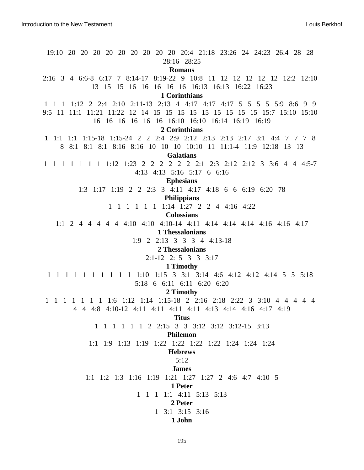[19:10](#page-118-1)  [20](#page-52-2)  [20](#page-78-0)  [20](#page-78-1)  [20](#page-124-1)  [20](#page-90-0)  [20](#page-101-3)  [20](#page-110-0)  [20](#page-132-0)  [20](#page-136-5)  [20:4](#page-84-0) [21:18](#page-158-15)  [23:26](#page-158-16)  [24](#page-78-0)  [24:23](#page-109-0) [26:4](#page-31-2)  [28](#page-82-3) [28](#page-131-0)  [28:16](#page-110-1)  [28:25](#page-82-4) **Romans** [2:16](#page-15-0)  [3](#page-37-0) [4](#page-98-0)  [6:6-8](#page-98-1)  [6:17](#page-133-2) [7](#page-113-1) [8:14-17](#page-98-1)  [8:19-22](#page-118-2)  [9](#page-122-0)  [10:8](#page-186-5) [11](#page-118-3) [12](#page-164-6) 12 12 12 [12:2](#page-164-6)  12:10 [13](#page-98-1)  [15](#page-101-4)  [15](#page-132-1)  [16](#page-89-1)  [16](#page-132-2)  [16](#page-133-4)  [16](#page-136-5)  [16](#page-137-2)  [16:13](#page-44-4) [16:13](#page-183-1)  [16:22](#page-75-0)  [16:23](#page-183-0) **1 Corinthians** [1](#page-183-0) 1 1 [1:12](#page-89-3)  [2](#page-122-1)  [2:4](#page-122-2)  [2:10](#page-72-1) [2:11-13](#page-29-4)  [2:13](#page-72-1)  [4](#page-94-0)  [4:17](#page-137-1) [4:17](#page-137-3)  4:17 [5](#page-96-0) 5 5 5 [5:9](#page-75-1) [8:6](#page-118-2)  [9](#page-165-18)  9 [9:5](#page-186-6) [11](#page-52-3)  [11:1](#page-122-2) [11:21](#page-89-5) [11:22](#page-89-5)  [12](#page-90-1) [14](#page-72-2)  [15](#page-78-2)  [15](#page-90-2) [15](#page-96-1)  [15](#page-113-2) [15](#page-113-3) [15](#page-118-4)  [15](#page-150-0) [15](#page-150-0) [15](#page-157-5)  [15:7](#page-159-6)  [15:10](#page-78-3) [15:10](#page-78-4) [16](#page-91-2)  [16](#page-94-2)  [16](#page-101-5)  [16](#page-101-4)  [16](#page-101-6)  [16](#page-136-6)  [16:10](#page-136-7)  [16:10](#page-143-2) [16:14](#page-94-3)  [16:19](#page-85-0) [16:19](#page-101-7) **2 Corinthians** [1](#page-91-3)  [1:1](#page-101-8) [1:1](#page-136-8)  [1:15-18](#page-91-4)  [1:15-24](#page-94-1) [2](#page-90-3) [2](#page-94-4) [2:4](#page-95-0)  [2:9](#page-95-0)  [2:12](#page-95-1) [2:13](#page-95-1)  [2:13](#page-143-3) [2:17](#page-122-2) [3:1](#page-160-0)  [4:4](#page-118-2) [7](#page-75-1) [7](#page-91-5) [7](#page-95-2) [8](#page-124-3) [8](#page-94-3)  [8:1](#page-96-1)  [8:1](#page-101-7) [8:1](#page-101-4) [8:16](#page-143-4)  [8:16](#page-143-5) [10](#page-90-4) [10](#page-94-0) [10](#page-95-3) [10:10](#page-78-5) [11](#page-78-3)  [11:1-4](#page-113-4)  [11:9](#page-114-0) [12:18](#page-143-6) [13](#page-29-5)  [13](#page-72-2) **Galatians** [1](#page-79-6) [1](#page-79-0) [1](#page-113-4) [1](#page-113-5) [1](#page-133-3) [1](#page-158-17) [1](#page-159-7) [1:12](#page-151-0)  [1:23](#page-186-5)  [2](#page-79-7)  [2](#page-67-0)  [2](#page-165-19)  [2](#page-165-20)  [2](#page-143-7)  [2](#page-158-18)  [2:1](#page-143-8) [2:3](#page-143-8) [2:12](#page-158-19)  [2:12](#page-160-0) [3](#page-82-5) [3:6](#page-98-0) [4](#page-103-0)  [4](#page-167-0) [4:5-7](#page-98-1)  [4:13](#page-101-9) [4:13](#page-103-1)  [5:16](#page-98-2) [5:17](#page-98-2)  [6](#page-75-2) [6:16](#page-160-1) **Ephesians** [1:3](#page-164-7) [1:17](#page-167-0)  [1:19](#page-164-7)  [2](#page-167-0)  [2](#page-164-8)  [2:3](#page-164-7) [3](#page-78-2) [4:11](#page-133-5)  [4:17](#page-164-8) [4:18](#page-167-0) [6](#page-109-1) [6](#page-109-2) [6:19](#page-109-3)  [6:20](#page-109-3) [78](#page-116-0) **Philippians** [1](#page-137-3) 1 1 1 1 1 [1:14](#page-110-2)  [1:27](#page-186-5) [2](#page-115-0) 2 [4](#page-110-3) [4:16](#page-123-1) [4:22](#page-85-1) **Colossians** [1:1](#page-136-9)  [2](#page-118-5)  [4](#page-108-0)  [4](#page-109-5)  [4](#page-109-6)  [4](#page-109-7)  [4](#page-146-0)  [4:10](#page-45-1) [4:10](#page-43-3)  [4:10-14](#page-140-0)  [4:11](#page-51-1) [4:14](#page-51-1)  [4:14](#page-52-4) [4:14](#page-66-0) [4:16](#page-75-3)  [4:16](#page-110-4) [4:17](#page-146-1) **1 Thessalonians** [1:9](#page-124-0)  [2](#page-136-10)  [2:13](#page-72-3) [3](#page-123-2) [3](#page-136-2) [3](#page-137-2) [4](#page-167-0) [4:13-18](#page-127-2) **2 Thessalonians** [2:1-12](#page-133-6) [2:15](#page-129-1)  [3](#page-124-4)  3 [3:17](#page-75-4) **1 Timothy** [1](#page-78-6)  [1](#page-131-1) [1](#page-131-2)  [1](#page-131-3) [1](#page-132-5)  [1](#page-132-6) [1](#page-133-7)  [1](#page-136-11) [1](#page-136-12)  [1](#page-137-3) [1:10](#page-131-4)  [1:15](#page-133-8) [3](#page-131-5) [3:1](#page-131-6) [3:14](#page-132-7)  [4:6](#page-131-7) [4:12](#page-136-7)  [4:12](#page-143-9)  [4:14](#page-136-13) [5](#page-131-8) [5](#page-131-9) [5:18](#page-31-3) [5:18](#page-69-0) [6](#page-131-10)  [6:11](#page-131-11)  [6:11](#page-131-12) [6:20](#page-131-11) [6:20](#page-131-7) **2 Timothy** [1](#page-150-0) 1 1 1 1 1 1 [1:6](#page-136-13) [1:12](#page-131-7)  [1:14](#page-131-7) [1:15-18](#page-130-0)  [2](#page-136-16) [2:16](#page-131-12)  [2:18](#page-137-4) [2:22](#page-131-11)  [3](#page-131-12) [3:10](#page-131-7)  [4](#page-132-2)  4 4 4 4 [4](#page-132-10)  [4](#page-136-10)  [4:8](#page-133-8)  [4:10-12](#page-140-1) [4:11](#page-52-5)  [4:11](#page-43-4)  [4:11](#page-43-5) [4:11](#page-66-1)  [4:13](#page-132-11) [4:14](#page-132-12) [4:16](#page-132-13)  [4:17](#page-132-13) [4:19](#page-85-0) **Titus** [1](#page-143-11) 1 1 1 1 1 [2](#page-136-17) [2:15](#page-143-9)  [3](#page-130-1) [3](#page-133-10)  [3:12](#page-130-0)  [3:12](#page-132-10) [3:12-15](#page-132-9) [3:13](#page-130-0) **Philemon** [1:1](#page-136-9)  [1:9](#page-133-11) [1:13](#page-109-8)  [1:19](#page-75-4)  [1:22](#page-109-9) [1:22](#page-109-10)  [1:22](#page-132-3) [1:22](#page-132-1) [1:24](#page-52-4)  [1:24](#page-43-3) [1:24](#page-66-1) **Hebrews** [5:12](#page-37-0) **James** [1:1](#page-158-9)  [1:2](#page-164-9) [1:3](#page-164-9)  [1:16](#page-158-11)  [1:19](#page-158-11) [1:21](#page-164-9)  [1:27](#page-158-13) [1:27](#page-158-11) [2](#page-158-10) [4:6](#page-164-9)  [4:7](#page-164-9) [4:10](#page-164-9) [5](#page-158-11) **1 Peter** [1](#page-183-2) 1 1 [1:1](#page-101-10)  [4:11](#page-37-1) [5:13](#page-43-7) 5:13 **2 Peter** [1](#page-45-2) [3:1](#page-169-0)  [3:15](#page-31-4) [3:16](#page-31-4) **1 John**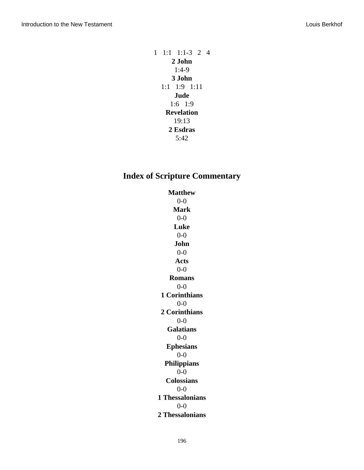```
1   1:1   1:1-3   2   4
    2 John
    1:4-9
    3 John
1:1   1:9   1:11
    Jude
   1:6   1:9
 Revelation
    19:13
   2 Esdras
     5:42
```
# **Index of Scripture Commentary**

**Matthew** [0-0](#page-33-0) **Mark** [0-0](#page-41-0) **Luke** [0-0](#page-49-0) **John** [0-0](#page-56-1) **Acts** [0-0](#page-64-0) **Romans** [0-0](#page-80-0) **1 Corinthians** [0-0](#page-87-0) **2 Corinthians** [0-0](#page-93-0) **Galatians** [0-0](#page-98-3) **Ephesians** [0-0](#page-105-0) **Philippians** [0-0](#page-111-0) **Colossians** [0-0](#page-116-1) **1 Thessalonians**  $0 - 0$ **2 Thessalonians**